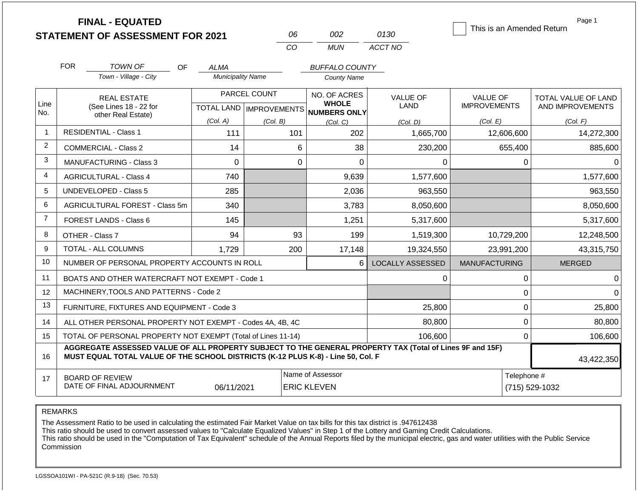|                | <b>FINAL - EQUATED</b><br><b>STATEMENT OF ASSESSMENT FOR 2021</b>                                                                                                                            | This is an Amended Return               | Page 1                    |                                             |                         |                      |                               |  |
|----------------|----------------------------------------------------------------------------------------------------------------------------------------------------------------------------------------------|-----------------------------------------|---------------------------|---------------------------------------------|-------------------------|----------------------|-------------------------------|--|
|                |                                                                                                                                                                                              |                                         | 06<br>CO                  | 002<br><b>MUN</b>                           | 0130<br>ACCT NO         |                      |                               |  |
|                |                                                                                                                                                                                              |                                         |                           |                                             |                         |                      |                               |  |
|                | <b>FOR</b><br>TOWN OF<br>OF.<br>Town - Village - City                                                                                                                                        | <b>ALMA</b><br><b>Municipality Name</b> |                           | <b>BUFFALO COUNTY</b><br><b>County Name</b> |                         |                      |                               |  |
|                |                                                                                                                                                                                              |                                         |                           |                                             |                         |                      |                               |  |
|                | <b>REAL ESTATE</b>                                                                                                                                                                           |                                         | PARCEL COUNT              | NO. OF ACRES                                | <b>VALUE OF</b>         | <b>VALUE OF</b>      | TOTAL VALUE OF LAND           |  |
| Line<br>No.    | (See Lines 18 - 22 for<br>other Real Estate)                                                                                                                                                 |                                         | TOTAL LAND   IMPROVEMENTS | <b>WHOLE</b><br><b>NUMBERS ONLY</b>         | LAND                    | <b>IMPROVEMENTS</b>  | AND IMPROVEMENTS              |  |
|                |                                                                                                                                                                                              | (Col. A)                                | (Col. B)                  | (Col, C)                                    | (Col. D)                | (Col. E)             | (Col. F)                      |  |
| $\overline{1}$ | <b>RESIDENTIAL - Class 1</b>                                                                                                                                                                 | 111                                     | 101                       | 202                                         | 1,665,700               | 12,606,600           | 14,272,300                    |  |
| 2              | <b>COMMERCIAL - Class 2</b>                                                                                                                                                                  | 14                                      | 6                         | 38                                          | 230,200                 | 655,400              | 885,600                       |  |
| 3              | <b>MANUFACTURING - Class 3</b>                                                                                                                                                               | $\Omega$                                | $\Omega$                  | $\Omega$                                    | 0                       | 0                    | $\Omega$                      |  |
| 4              | <b>AGRICULTURAL - Class 4</b>                                                                                                                                                                | 740                                     |                           | 9,639                                       | 1,577,600               |                      | 1,577,600                     |  |
| 5              | <b>UNDEVELOPED - Class 5</b>                                                                                                                                                                 | 285                                     |                           | 2,036                                       | 963,550                 |                      | 963,550                       |  |
| 6              | AGRICULTURAL FOREST - Class 5m                                                                                                                                                               | 340                                     |                           | 3,783                                       | 8,050,600               |                      | 8,050,600                     |  |
| $\overline{7}$ | FOREST LANDS - Class 6                                                                                                                                                                       | 145                                     |                           | 1,251                                       | 5,317,600               |                      | 5,317,600                     |  |
| 8              | OTHER - Class 7                                                                                                                                                                              | 94                                      | 93                        | 199                                         | 1,519,300               | 10,729,200           | 12,248,500                    |  |
| 9              | TOTAL - ALL COLUMNS                                                                                                                                                                          | 1,729                                   | 200                       | 17,148                                      | 19,324,550              | 23,991,200           | 43,315,750                    |  |
| 10             | NUMBER OF PERSONAL PROPERTY ACCOUNTS IN ROLL                                                                                                                                                 |                                         |                           | 6                                           | <b>LOCALLY ASSESSED</b> | <b>MANUFACTURING</b> | <b>MERGED</b>                 |  |
| 11             | BOATS AND OTHER WATERCRAFT NOT EXEMPT - Code 1                                                                                                                                               |                                         |                           |                                             | 0                       | $\pmb{0}$            | 0                             |  |
| 12             | MACHINERY, TOOLS AND PATTERNS - Code 2                                                                                                                                                       |                                         |                           |                                             |                         | 0                    | $\Omega$                      |  |
| 13             | FURNITURE, FIXTURES AND EQUIPMENT - Code 3                                                                                                                                                   |                                         |                           |                                             | 25,800                  | 0                    | 25,800                        |  |
| 14             | ALL OTHER PERSONAL PROPERTY NOT EXEMPT - Codes 4A, 4B, 4C                                                                                                                                    |                                         |                           |                                             | 80,800                  | 0                    | 80,800                        |  |
| 15             | TOTAL OF PERSONAL PROPERTY NOT EXEMPT (Total of Lines 11-14)                                                                                                                                 |                                         |                           |                                             | 106,600                 | 0                    | 106,600                       |  |
| 16             | AGGREGATE ASSESSED VALUE OF ALL PROPERTY SUBJECT TO THE GENERAL PROPERTY TAX (Total of Lines 9F and 15F)<br>MUST EQUAL TOTAL VALUE OF THE SCHOOL DISTRICTS (K-12 PLUS K-8) - Line 50, Col. F |                                         |                           |                                             |                         |                      | 43,422,350                    |  |
| 17             | <b>BOARD OF REVIEW</b><br>DATE OF FINAL ADJOURNMENT                                                                                                                                          | 06/11/2021                              |                           | Name of Assessor<br><b>ERIC KLEVEN</b>      |                         |                      | Telephone #<br>(715) 529-1032 |  |

The Assessment Ratio to be used in calculating the estimated Fair Market Value on tax bills for this tax district is .947612438

This ratio should be used to convert assessed values to "Calculate Equalized Values" in Step 1 of the Lottery and Gaming Credit Calculations.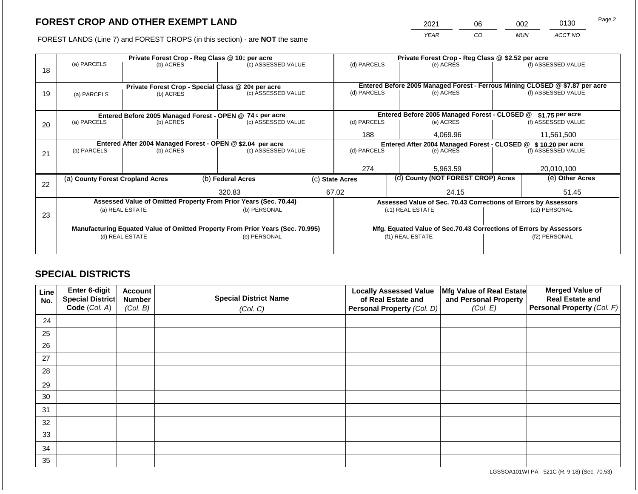2021 06 002 0130 Page 2

FOREST LANDS (Line 7) and FOREST CROPS (in this section) - are **NOT** the same *YEAR CO MUN ACCT NO*

|    |                                  |                 |                                                                                | Private Forest Crop - Reg Class @ 10¢ per acre                   |     | Private Forest Crop - Reg Class @ \$2.52 per acre              |                                                                    |                                                                 |                                                                              |                    |
|----|----------------------------------|-----------------|--------------------------------------------------------------------------------|------------------------------------------------------------------|-----|----------------------------------------------------------------|--------------------------------------------------------------------|-----------------------------------------------------------------|------------------------------------------------------------------------------|--------------------|
| 18 | (a) PARCELS                      | (b) ACRES       |                                                                                | (c) ASSESSED VALUE                                               |     | (d) PARCELS                                                    |                                                                    | (e) ACRES                                                       |                                                                              | (f) ASSESSED VALUE |
|    |                                  |                 |                                                                                |                                                                  |     |                                                                |                                                                    |                                                                 |                                                                              |                    |
|    |                                  |                 |                                                                                | Private Forest Crop - Special Class @ 20¢ per acre               |     |                                                                |                                                                    |                                                                 | Entered Before 2005 Managed Forest - Ferrous Mining CLOSED @ \$7.87 per acre |                    |
| 19 | (a) PARCELS                      | (b) ACRES       |                                                                                | (c) ASSESSED VALUE                                               |     | (d) PARCELS                                                    |                                                                    | (e) ACRES                                                       |                                                                              | (f) ASSESSED VALUE |
|    |                                  |                 |                                                                                |                                                                  |     |                                                                |                                                                    |                                                                 |                                                                              |                    |
|    |                                  |                 |                                                                                | Entered Before 2005 Managed Forest - OPEN @ 74 ¢ per acre        |     |                                                                |                                                                    | Entered Before 2005 Managed Forest - CLOSED @                   |                                                                              | \$1.75 per acre    |
| 20 | (a) PARCELS<br>(b) ACRES         |                 |                                                                                | (c) ASSESSED VALUE                                               |     | (d) PARCELS                                                    |                                                                    | (e) ACRES                                                       |                                                                              | (f) ASSESSED VALUE |
|    |                                  |                 |                                                                                |                                                                  |     | 188                                                            |                                                                    | 4,069.96                                                        |                                                                              | 11,561,500         |
|    |                                  |                 |                                                                                | Entered After 2004 Managed Forest - OPEN @ \$2.04 per acre       |     | Entered After 2004 Managed Forest - CLOSED @ \$ 10.20 per acre |                                                                    |                                                                 |                                                                              |                    |
| 21 | (a) PARCELS                      | (b) ACRES       |                                                                                | (c) ASSESSED VALUE                                               |     | (d) PARCELS                                                    |                                                                    | (e) ACRES                                                       |                                                                              | (f) ASSESSED VALUE |
|    |                                  |                 |                                                                                |                                                                  |     |                                                                |                                                                    |                                                                 |                                                                              |                    |
|    |                                  |                 |                                                                                |                                                                  | 274 |                                                                | 5,963.59                                                           |                                                                 | 20,010,100                                                                   |                    |
| 22 | (a) County Forest Cropland Acres |                 |                                                                                | (b) Federal Acres                                                |     | (c) State Acres                                                |                                                                    | (d) County (NOT FOREST CROP) Acres                              |                                                                              | (e) Other Acres    |
|    |                                  |                 |                                                                                | 320.83                                                           |     | 67.02                                                          |                                                                    | 24.15                                                           |                                                                              | 51.45              |
|    |                                  |                 |                                                                                | Assessed Value of Omitted Property From Prior Years (Sec. 70.44) |     |                                                                |                                                                    | Assessed Value of Sec. 70.43 Corrections of Errors by Assessors |                                                                              |                    |
|    |                                  | (a) REAL ESTATE |                                                                                | (b) PERSONAL                                                     |     |                                                                |                                                                    | (c1) REAL ESTATE                                                |                                                                              | (c2) PERSONAL      |
| 23 |                                  |                 |                                                                                |                                                                  |     |                                                                |                                                                    |                                                                 |                                                                              |                    |
|    |                                  |                 |                                                                                |                                                                  |     |                                                                |                                                                    |                                                                 |                                                                              |                    |
|    |                                  |                 | Manufacturing Equated Value of Omitted Property From Prior Years (Sec. 70.995) |                                                                  |     |                                                                | Mfg. Equated Value of Sec.70.43 Corrections of Errors by Assessors |                                                                 |                                                                              |                    |
|    |                                  | (d) REAL ESTATE |                                                                                | (e) PERSONAL                                                     |     |                                                                | (f1) REAL ESTATE                                                   |                                                                 |                                                                              | (f2) PERSONAL      |
|    |                                  |                 |                                                                                |                                                                  |     |                                                                |                                                                    |                                                                 |                                                                              |                    |
|    |                                  |                 |                                                                                |                                                                  |     |                                                                |                                                                    |                                                                 |                                                                              |                    |

## **SPECIAL DISTRICTS**

| Line<br>No. | <b>Enter 6-digit</b><br>Special District | <b>Account</b><br><b>Number</b> | <b>Special District Name</b> | <b>Locally Assessed Value</b><br>of Real Estate and | Mfg Value of Real Estate<br>and Personal Property | <b>Merged Value of</b><br><b>Real Estate and</b> |
|-------------|------------------------------------------|---------------------------------|------------------------------|-----------------------------------------------------|---------------------------------------------------|--------------------------------------------------|
|             | Code (Col. A)                            | (Col. B)                        | (Col. C)                     | Personal Property (Col. D)                          | (Col. E)                                          | Personal Property (Col. F)                       |
| 24          |                                          |                                 |                              |                                                     |                                                   |                                                  |
| 25          |                                          |                                 |                              |                                                     |                                                   |                                                  |
| 26          |                                          |                                 |                              |                                                     |                                                   |                                                  |
| 27          |                                          |                                 |                              |                                                     |                                                   |                                                  |
| 28          |                                          |                                 |                              |                                                     |                                                   |                                                  |
| 29          |                                          |                                 |                              |                                                     |                                                   |                                                  |
| 30          |                                          |                                 |                              |                                                     |                                                   |                                                  |
| 31          |                                          |                                 |                              |                                                     |                                                   |                                                  |
| 32          |                                          |                                 |                              |                                                     |                                                   |                                                  |
| 33          |                                          |                                 |                              |                                                     |                                                   |                                                  |
| 34          |                                          |                                 |                              |                                                     |                                                   |                                                  |
| 35          |                                          |                                 |                              |                                                     |                                                   |                                                  |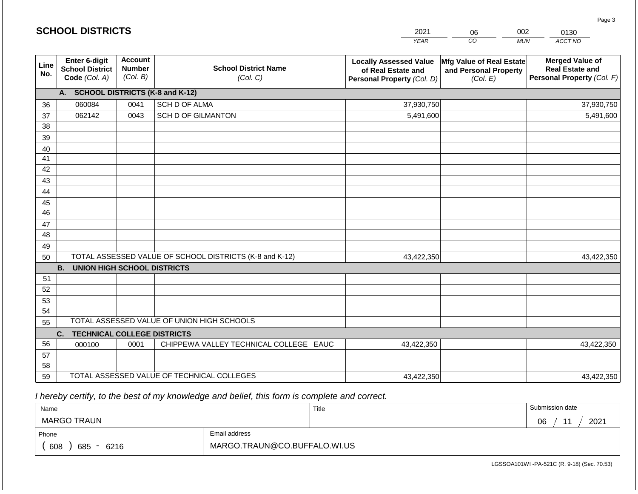|             | <b>SCHOOL DISTRICTS</b>                                  |                                             |                                                         | 2021                                                                              | 06                                                            | 002<br>0130                                                                    |
|-------------|----------------------------------------------------------|---------------------------------------------|---------------------------------------------------------|-----------------------------------------------------------------------------------|---------------------------------------------------------------|--------------------------------------------------------------------------------|
|             |                                                          |                                             |                                                         | <b>YEAR</b>                                                                       | CO                                                            | ACCT NO<br><b>MUN</b>                                                          |
| Line<br>No. | Enter 6-digit<br><b>School District</b><br>Code (Col. A) | <b>Account</b><br><b>Number</b><br>(Col. B) | <b>School District Name</b><br>(Col. C)                 | <b>Locally Assessed Value</b><br>of Real Estate and<br>Personal Property (Col. D) | Mfg Value of Real Estate<br>and Personal Property<br>(Col. E) | <b>Merged Value of</b><br><b>Real Estate and</b><br>Personal Property (Col. F) |
|             | A. SCHOOL DISTRICTS (K-8 and K-12)                       |                                             |                                                         |                                                                                   |                                                               |                                                                                |
| 36          | 060084                                                   | 0041                                        | SCH D OF ALMA                                           | 37,930,750                                                                        |                                                               | 37,930,750                                                                     |
| 37          | 062142                                                   | 0043                                        | <b>SCH D OF GILMANTON</b>                               | 5,491,600                                                                         |                                                               | 5,491,600                                                                      |
| 38          |                                                          |                                             |                                                         |                                                                                   |                                                               |                                                                                |
| 39          |                                                          |                                             |                                                         |                                                                                   |                                                               |                                                                                |
| 40          |                                                          |                                             |                                                         |                                                                                   |                                                               |                                                                                |
| 41          |                                                          |                                             |                                                         |                                                                                   |                                                               |                                                                                |
| 42          |                                                          |                                             |                                                         |                                                                                   |                                                               |                                                                                |
| 43          |                                                          |                                             |                                                         |                                                                                   |                                                               |                                                                                |
| 44          |                                                          |                                             |                                                         |                                                                                   |                                                               |                                                                                |
| 45<br>46    |                                                          |                                             |                                                         |                                                                                   |                                                               |                                                                                |
| 47          |                                                          |                                             |                                                         |                                                                                   |                                                               |                                                                                |
| 48          |                                                          |                                             |                                                         |                                                                                   |                                                               |                                                                                |
| 49          |                                                          |                                             |                                                         |                                                                                   |                                                               |                                                                                |
| 50          |                                                          |                                             | TOTAL ASSESSED VALUE OF SCHOOL DISTRICTS (K-8 and K-12) | 43,422,350                                                                        |                                                               | 43,422,350                                                                     |
|             | <b>B. UNION HIGH SCHOOL DISTRICTS</b>                    |                                             |                                                         |                                                                                   |                                                               |                                                                                |
| 51          |                                                          |                                             |                                                         |                                                                                   |                                                               |                                                                                |
| 52          |                                                          |                                             |                                                         |                                                                                   |                                                               |                                                                                |
| 53          |                                                          |                                             |                                                         |                                                                                   |                                                               |                                                                                |
| 54          |                                                          |                                             |                                                         |                                                                                   |                                                               |                                                                                |
| 55          |                                                          |                                             | TOTAL ASSESSED VALUE OF UNION HIGH SCHOOLS              |                                                                                   |                                                               |                                                                                |
|             | C.<br><b>TECHNICAL COLLEGE DISTRICTS</b>                 |                                             |                                                         |                                                                                   |                                                               |                                                                                |
| 56          | 000100                                                   | 0001                                        | CHIPPEWA VALLEY TECHNICAL COLLEGE EAUC                  | 43,422,350                                                                        |                                                               | 43,422,350                                                                     |
| 57          |                                                          |                                             |                                                         |                                                                                   |                                                               |                                                                                |
| 58          |                                                          |                                             |                                                         |                                                                                   |                                                               |                                                                                |
| 59          |                                                          |                                             | TOTAL ASSESSED VALUE OF TECHNICAL COLLEGES              | 43,422,350                                                                        |                                                               | 43,422,350                                                                     |

**SCHOOL DISTRICTS**

| Name                                           |                              | Title | Submission date  |
|------------------------------------------------|------------------------------|-------|------------------|
| <b>MARGO TRAUN</b>                             |                              |       | 2021<br>44<br>06 |
| Phone                                          | Email address                |       |                  |
| 608<br>685<br>6216<br>$\overline{\phantom{0}}$ | MARGO.TRAUN@CO.BUFFALO.WI.US |       |                  |

Page 3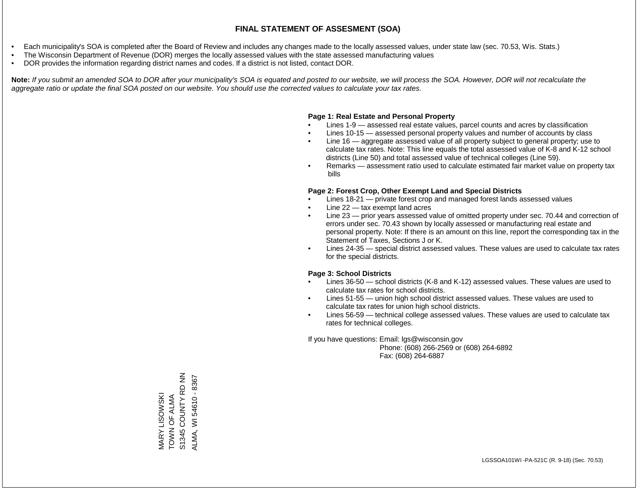- Each municipality's SOA is completed after the Board of Review and includes any changes made to the locally assessed values, under state law (sec. 70.53, Wis. Stats.)
- The Wisconsin Department of Revenue (DOR) merges the locally assessed values with the state assessed manufacturing values
- DOR provides the information regarding district names and codes. If a district is not listed, contact DOR.

Note: If you submit an amended SOA to DOR after your municipality's SOA is equated and posted to our website, we will process the SOA. However, DOR will not recalculate the *aggregate ratio or update the final SOA posted on our website. You should use the corrected values to calculate your tax rates.*

### **Page 1: Real Estate and Personal Property**

- Lines 1-9 assessed real estate values, parcel counts and acres by classification
- Lines 10-15 assessed personal property values and number of accounts by class
- Line 16 aggregate assessed value of all property subject to general property; use to calculate tax rates. Note: This line equals the total assessed value of K-8 and K-12 school districts (Line 50) and total assessed value of technical colleges (Line 59).
- Remarks assessment ratio used to calculate estimated fair market value on property tax bills

### **Page 2: Forest Crop, Other Exempt Land and Special Districts**

- Lines 18-21 private forest crop and managed forest lands assessed values
- Line  $22 -$  tax exempt land acres
- Line 23 prior years assessed value of omitted property under sec. 70.44 and correction of errors under sec. 70.43 shown by locally assessed or manufacturing real estate and personal property. Note: If there is an amount on this line, report the corresponding tax in the Statement of Taxes, Sections J or K.
- Lines 24-35 special district assessed values. These values are used to calculate tax rates for the special districts.

### **Page 3: School Districts**

- Lines 36-50 school districts (K-8 and K-12) assessed values. These values are used to calculate tax rates for school districts.
- Lines 51-55 union high school district assessed values. These values are used to calculate tax rates for union high school districts.
- Lines 56-59 technical college assessed values. These values are used to calculate tax rates for technical colleges.

If you have questions: Email: lgs@wisconsin.gov

 Phone: (608) 266-2569 or (608) 264-6892 Fax: (608) 264-6887

MARY LISOWSKI<br>TOWN OF ALMA<br>S1345 COUNTY RD NN S1345 COUNTY RD NN ALMA, WI 54610 - 8367 ALMA, WI 54610 - 8367TOWN OF ALMA MARY LISOWSKI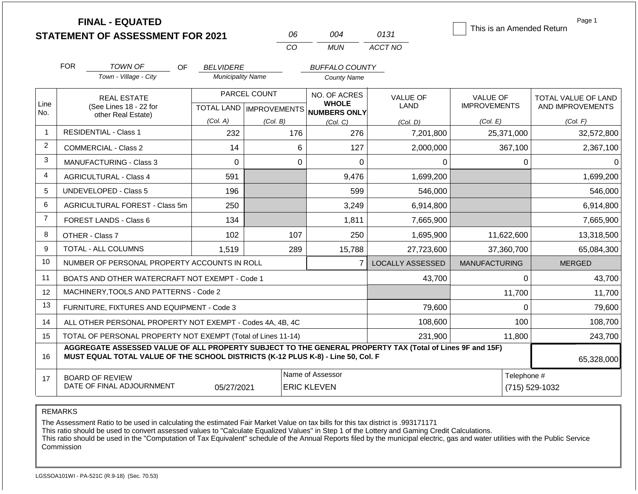|                | <b>FINAL - EQUATED</b><br><b>STATEMENT OF ASSESSMENT FOR 2021</b>                                                                                                                            |                          | 06           | 004                                                  | 0131                    | This is an Amended Return | Page 1                        |  |
|----------------|----------------------------------------------------------------------------------------------------------------------------------------------------------------------------------------------|--------------------------|--------------|------------------------------------------------------|-------------------------|---------------------------|-------------------------------|--|
|                |                                                                                                                                                                                              |                          | CO           | <b>MUN</b>                                           | ACCT NO                 |                           |                               |  |
|                | <b>FOR</b><br><b>TOWN OF</b><br>OF.                                                                                                                                                          | <b>BELVIDERE</b>         |              | <b>BUFFALO COUNTY</b>                                |                         |                           |                               |  |
|                | Town - Village - City                                                                                                                                                                        | <b>Municipality Name</b> |              | County Name                                          |                         |                           |                               |  |
|                | <b>REAL ESTATE</b>                                                                                                                                                                           |                          | PARCEL COUNT | NO. OF ACRES                                         | <b>VALUE OF</b>         | <b>VALUE OF</b>           | TOTAL VALUE OF LAND           |  |
| Line<br>No.    | (See Lines 18 - 22 for<br>other Real Estate)                                                                                                                                                 |                          |              | <b>WHOLE</b><br>TOTAL LAND IMPROVEMENTS NUMBERS ONLY | LAND                    | <b>IMPROVEMENTS</b>       | AND IMPROVEMENTS              |  |
|                |                                                                                                                                                                                              | (Col. A)                 | (Col. B)     | (Col, C)                                             | (Col, D)                | (Col. E)                  | (Col. F)                      |  |
| 1              | <b>RESIDENTIAL - Class 1</b>                                                                                                                                                                 | 232                      | 176          | 276                                                  | 7,201,800               | 25,371,000                | 32,572,800                    |  |
| 2              | <b>COMMERCIAL - Class 2</b>                                                                                                                                                                  | 14                       |              | 6<br>127                                             | 2,000,000               | 367,100                   | 2,367,100                     |  |
| 3              | <b>MANUFACTURING - Class 3</b>                                                                                                                                                               | $\overline{0}$           |              | $\mathbf 0$<br>$\mathbf 0$                           | 0                       | $\pmb{0}$                 | 0                             |  |
| 4              | <b>AGRICULTURAL - Class 4</b>                                                                                                                                                                | 591                      |              | 9,476                                                | 1,699,200               |                           | 1,699,200                     |  |
| 5              | <b>UNDEVELOPED - Class 5</b>                                                                                                                                                                 | 196                      |              | 599                                                  | 546,000                 |                           | 546,000                       |  |
| 6              | AGRICULTURAL FOREST - Class 5m                                                                                                                                                               | 250                      |              | 3,249                                                | 6,914,800               |                           | 6,914,800                     |  |
| $\overline{7}$ | FOREST LANDS - Class 6                                                                                                                                                                       | 134                      |              | 1,811                                                | 7,665,900               |                           | 7,665,900                     |  |
| 8              | OTHER - Class 7                                                                                                                                                                              | 102                      | 107          | 250                                                  | 1,695,900               | 11,622,600                | 13,318,500                    |  |
| 9              | <b>TOTAL - ALL COLUMNS</b>                                                                                                                                                                   | 1,519                    | 289          | 15,788                                               | 27,723,600              | 37,360,700                | 65,084,300                    |  |
| 10             | NUMBER OF PERSONAL PROPERTY ACCOUNTS IN ROLL                                                                                                                                                 |                          |              | $\overline{7}$                                       | <b>LOCALLY ASSESSED</b> | <b>MANUFACTURING</b>      | <b>MERGED</b>                 |  |
| 11             | BOATS AND OTHER WATERCRAFT NOT EXEMPT - Code 1                                                                                                                                               |                          |              |                                                      | 43,700                  | $\Omega$                  | 43,700                        |  |
| 12             | MACHINERY, TOOLS AND PATTERNS - Code 2                                                                                                                                                       |                          |              |                                                      |                         | 11,700                    | 11,700                        |  |
| 13             | FURNITURE, FIXTURES AND EQUIPMENT - Code 3                                                                                                                                                   |                          |              |                                                      | 79,600                  | $\Omega$                  | 79,600                        |  |
| 14             | ALL OTHER PERSONAL PROPERTY NOT EXEMPT - Codes 4A, 4B, 4C                                                                                                                                    |                          |              |                                                      | 108,600                 | 100                       | 108,700                       |  |
| 15             | TOTAL OF PERSONAL PROPERTY NOT EXEMPT (Total of Lines 11-14)                                                                                                                                 |                          |              |                                                      | 231,900                 | 11,800                    | 243,700                       |  |
| 16             | AGGREGATE ASSESSED VALUE OF ALL PROPERTY SUBJECT TO THE GENERAL PROPERTY TAX (Total of Lines 9F and 15F)<br>MUST EQUAL TOTAL VALUE OF THE SCHOOL DISTRICTS (K-12 PLUS K-8) - Line 50, Col. F |                          |              |                                                      |                         |                           | 65,328,000                    |  |
| 17             | <b>BOARD OF REVIEW</b><br>DATE OF FINAL ADJOURNMENT                                                                                                                                          | 05/27/2021               |              | Name of Assessor<br><b>ERIC KLEVEN</b>               |                         |                           | Telephone #<br>(715) 529-1032 |  |

The Assessment Ratio to be used in calculating the estimated Fair Market Value on tax bills for this tax district is .993171171

This ratio should be used to convert assessed values to "Calculate Equalized Values" in Step 1 of the Lottery and Gaming Credit Calculations.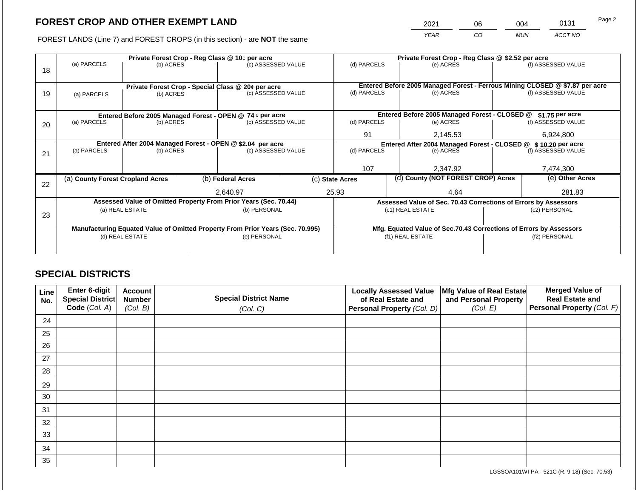2021 06 004 0131

FOREST LANDS (Line 7) and FOREST CROPS (in this section) - are **NOT** the same *YEAR CO MUN ACCT NO*

|    |                                                                                |                 |  | Private Forest Crop - Reg Class @ 10¢ per acre                   |  | Private Forest Crop - Reg Class @ \$2.52 per acre     |                                                                              |                                                                    |  |                                        |
|----|--------------------------------------------------------------------------------|-----------------|--|------------------------------------------------------------------|--|-------------------------------------------------------|------------------------------------------------------------------------------|--------------------------------------------------------------------|--|----------------------------------------|
| 18 | (a) PARCELS                                                                    | (b) ACRES       |  | (c) ASSESSED VALUE                                               |  | (d) PARCELS                                           |                                                                              | (e) ACRES                                                          |  | (f) ASSESSED VALUE                     |
|    |                                                                                |                 |  |                                                                  |  |                                                       |                                                                              |                                                                    |  |                                        |
|    |                                                                                |                 |  | Private Forest Crop - Special Class @ 20¢ per acre               |  |                                                       | Entered Before 2005 Managed Forest - Ferrous Mining CLOSED @ \$7.87 per acre |                                                                    |  |                                        |
| 19 | (a) PARCELS                                                                    | (b) ACRES       |  | (c) ASSESSED VALUE                                               |  | (d) PARCELS                                           |                                                                              | (e) ACRES                                                          |  | (f) ASSESSED VALUE                     |
|    |                                                                                |                 |  |                                                                  |  |                                                       |                                                                              |                                                                    |  |                                        |
|    |                                                                                |                 |  |                                                                  |  |                                                       |                                                                              |                                                                    |  |                                        |
|    |                                                                                |                 |  | Entered Before 2005 Managed Forest - OPEN @ 74 ¢ per acre        |  |                                                       |                                                                              | Entered Before 2005 Managed Forest - CLOSED @                      |  | \$1.75 per acre                        |
| 20 | (a) PARCELS<br>(b) ACRES                                                       |                 |  | (c) ASSESSED VALUE                                               |  | (d) PARCELS                                           |                                                                              | (e) ACRES                                                          |  | (f) ASSESSED VALUE                     |
|    |                                                                                |                 |  |                                                                  |  | 91                                                    |                                                                              | 2,145.53                                                           |  | 6,924,800                              |
|    | Entered After 2004 Managed Forest - OPEN @ \$2.04 per acre                     |                 |  |                                                                  |  | Entered After 2004 Managed Forest - CLOSED @          |                                                                              |                                                                    |  |                                        |
|    | (a) PARCELS                                                                    | (b) ACRES       |  | (c) ASSESSED VALUE                                               |  | (d) PARCELS                                           |                                                                              | (e) ACRES                                                          |  | \$10.20 per acre<br>(f) ASSESSED VALUE |
| 21 |                                                                                |                 |  |                                                                  |  |                                                       |                                                                              |                                                                    |  |                                        |
|    |                                                                                |                 |  |                                                                  |  | 107                                                   |                                                                              | 2,347.92                                                           |  | 7,474,300                              |
|    |                                                                                |                 |  |                                                                  |  |                                                       |                                                                              |                                                                    |  |                                        |
| 22 | (a) County Forest Cropland Acres                                               |                 |  | (b) Federal Acres                                                |  | (d) County (NOT FOREST CROP) Acres<br>(c) State Acres |                                                                              |                                                                    |  | (e) Other Acres                        |
|    |                                                                                |                 |  | 2,640.97                                                         |  | 25.93                                                 |                                                                              | 4.64                                                               |  |                                        |
|    |                                                                                |                 |  | Assessed Value of Omitted Property From Prior Years (Sec. 70.44) |  |                                                       |                                                                              | Assessed Value of Sec. 70.43 Corrections of Errors by Assessors    |  |                                        |
|    |                                                                                | (a) REAL ESTATE |  | (b) PERSONAL                                                     |  |                                                       |                                                                              | (c1) REAL ESTATE                                                   |  | (c2) PERSONAL                          |
| 23 |                                                                                |                 |  |                                                                  |  |                                                       |                                                                              |                                                                    |  |                                        |
|    |                                                                                |                 |  |                                                                  |  |                                                       |                                                                              |                                                                    |  |                                        |
|    | Manufacturing Equated Value of Omitted Property From Prior Years (Sec. 70.995) |                 |  |                                                                  |  |                                                       |                                                                              | Mfg. Equated Value of Sec.70.43 Corrections of Errors by Assessors |  |                                        |
|    |                                                                                | (d) REAL ESTATE |  | (e) PERSONAL                                                     |  |                                                       |                                                                              | (f1) REAL ESTATE                                                   |  | (f2) PERSONAL                          |
|    |                                                                                |                 |  |                                                                  |  |                                                       |                                                                              |                                                                    |  |                                        |
|    |                                                                                |                 |  |                                                                  |  |                                                       |                                                                              |                                                                    |  |                                        |

## **SPECIAL DISTRICTS**

| Line<br>No. | <b>Enter 6-digit</b><br>Special District | <b>Account</b><br><b>Number</b> | <b>Special District Name</b> | <b>Locally Assessed Value</b><br>of Real Estate and | Mfg Value of Real Estate<br>and Personal Property | <b>Merged Value of</b><br><b>Real Estate and</b> |
|-------------|------------------------------------------|---------------------------------|------------------------------|-----------------------------------------------------|---------------------------------------------------|--------------------------------------------------|
|             | Code (Col. A)                            | (Col. B)                        | (Col. C)                     | Personal Property (Col. D)                          | (Col. E)                                          | <b>Personal Property (Col. F)</b>                |
| 24          |                                          |                                 |                              |                                                     |                                                   |                                                  |
| 25          |                                          |                                 |                              |                                                     |                                                   |                                                  |
| 26          |                                          |                                 |                              |                                                     |                                                   |                                                  |
| 27          |                                          |                                 |                              |                                                     |                                                   |                                                  |
| 28          |                                          |                                 |                              |                                                     |                                                   |                                                  |
| 29          |                                          |                                 |                              |                                                     |                                                   |                                                  |
| 30          |                                          |                                 |                              |                                                     |                                                   |                                                  |
| 31          |                                          |                                 |                              |                                                     |                                                   |                                                  |
| 32          |                                          |                                 |                              |                                                     |                                                   |                                                  |
| 33          |                                          |                                 |                              |                                                     |                                                   |                                                  |
| 34          |                                          |                                 |                              |                                                     |                                                   |                                                  |
| 35          |                                          |                                 |                              |                                                     |                                                   |                                                  |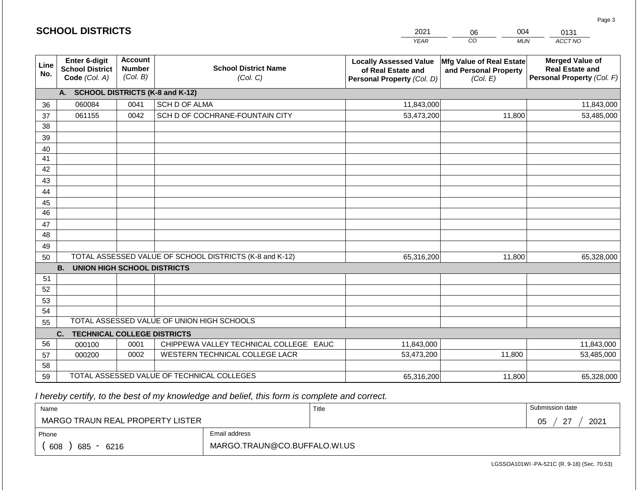|             | <b>SCHOOL DISTRICTS</b>                                         |                                             |                                                         | 2021                                                                              | 004<br>06                                                     | 0131                                                                           |
|-------------|-----------------------------------------------------------------|---------------------------------------------|---------------------------------------------------------|-----------------------------------------------------------------------------------|---------------------------------------------------------------|--------------------------------------------------------------------------------|
|             |                                                                 |                                             |                                                         | <b>YEAR</b>                                                                       | CO<br><b>MUN</b>                                              | ACCT NO                                                                        |
| Line<br>No. | <b>Enter 6-digit</b><br><b>School District</b><br>Code (Col. A) | <b>Account</b><br><b>Number</b><br>(Col. B) | <b>School District Name</b><br>(Col. C)                 | <b>Locally Assessed Value</b><br>of Real Estate and<br>Personal Property (Col. D) | Mfg Value of Real Estate<br>and Personal Property<br>(Col. E) | <b>Merged Value of</b><br><b>Real Estate and</b><br>Personal Property (Col. F) |
|             | A. SCHOOL DISTRICTS (K-8 and K-12)                              |                                             |                                                         |                                                                                   |                                                               |                                                                                |
| 36          | 060084                                                          | 0041                                        | SCH D OF ALMA                                           | 11,843,000                                                                        |                                                               | 11,843,000                                                                     |
| 37          | 061155                                                          | 0042                                        | SCH D OF COCHRANE-FOUNTAIN CITY                         | 53,473,200                                                                        | 11,800                                                        | 53,485,000                                                                     |
| 38          |                                                                 |                                             |                                                         |                                                                                   |                                                               |                                                                                |
| 39          |                                                                 |                                             |                                                         |                                                                                   |                                                               |                                                                                |
| 40          |                                                                 |                                             |                                                         |                                                                                   |                                                               |                                                                                |
| 41          |                                                                 |                                             |                                                         |                                                                                   |                                                               |                                                                                |
| 42          |                                                                 |                                             |                                                         |                                                                                   |                                                               |                                                                                |
| 43          |                                                                 |                                             |                                                         |                                                                                   |                                                               |                                                                                |
| 44          |                                                                 |                                             |                                                         |                                                                                   |                                                               |                                                                                |
| 45          |                                                                 |                                             |                                                         |                                                                                   |                                                               |                                                                                |
| 46          |                                                                 |                                             |                                                         |                                                                                   |                                                               |                                                                                |
| 47<br>48    |                                                                 |                                             |                                                         |                                                                                   |                                                               |                                                                                |
| 49          |                                                                 |                                             |                                                         |                                                                                   |                                                               |                                                                                |
| 50          |                                                                 |                                             | TOTAL ASSESSED VALUE OF SCHOOL DISTRICTS (K-8 and K-12) | 65,316,200                                                                        | 11,800                                                        | 65,328,000                                                                     |
|             | <b>B.</b><br><b>UNION HIGH SCHOOL DISTRICTS</b>                 |                                             |                                                         |                                                                                   |                                                               |                                                                                |
| 51          |                                                                 |                                             |                                                         |                                                                                   |                                                               |                                                                                |
| 52          |                                                                 |                                             |                                                         |                                                                                   |                                                               |                                                                                |
| 53          |                                                                 |                                             |                                                         |                                                                                   |                                                               |                                                                                |
| 54          |                                                                 |                                             |                                                         |                                                                                   |                                                               |                                                                                |
| 55          |                                                                 |                                             | TOTAL ASSESSED VALUE OF UNION HIGH SCHOOLS              |                                                                                   |                                                               |                                                                                |
|             | <b>TECHNICAL COLLEGE DISTRICTS</b><br>C.                        |                                             |                                                         |                                                                                   |                                                               |                                                                                |
| 56          | 000100                                                          | 0001                                        | CHIPPEWA VALLEY TECHNICAL COLLEGE EAUC                  | 11,843,000                                                                        |                                                               | 11,843,000                                                                     |
| 57          | 000200                                                          | 0002                                        | WESTERN TECHNICAL COLLEGE LACR                          | 53,473,200                                                                        | 11,800                                                        | 53,485,000                                                                     |
| 58          |                                                                 |                                             |                                                         |                                                                                   |                                                               |                                                                                |
| 59          |                                                                 |                                             | TOTAL ASSESSED VALUE OF TECHNICAL COLLEGES              | 65,316,200                                                                        | 11,800                                                        | 65,328,000                                                                     |

| Name                                           |                              | Title | Submission date      |
|------------------------------------------------|------------------------------|-------|----------------------|
| MARGO TRAUN REAL PROPERTY LISTER               |                              |       | $\sim$<br>2021<br>05 |
| Phone                                          | Email address                |       |                      |
| 608<br>685<br>6216<br>$\overline{\phantom{0}}$ | MARGO.TRAUN@CO.BUFFALO.WI.US |       |                      |

Page 3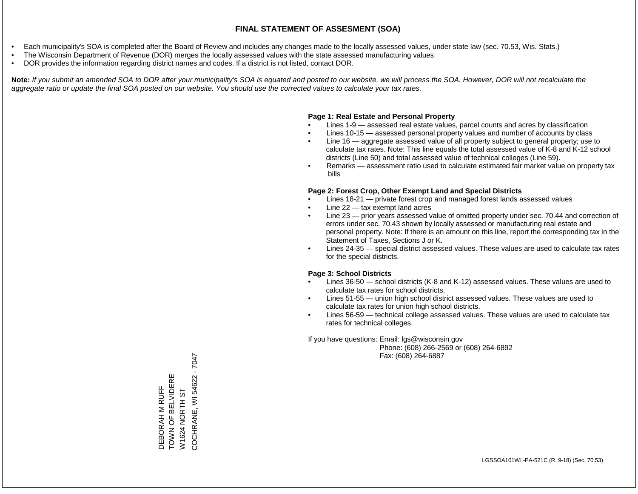- Each municipality's SOA is completed after the Board of Review and includes any changes made to the locally assessed values, under state law (sec. 70.53, Wis. Stats.)
- The Wisconsin Department of Revenue (DOR) merges the locally assessed values with the state assessed manufacturing values
- DOR provides the information regarding district names and codes. If a district is not listed, contact DOR.

Note: If you submit an amended SOA to DOR after your municipality's SOA is equated and posted to our website, we will process the SOA. However, DOR will not recalculate the *aggregate ratio or update the final SOA posted on our website. You should use the corrected values to calculate your tax rates.*

### **Page 1: Real Estate and Personal Property**

- Lines 1-9 assessed real estate values, parcel counts and acres by classification
- Lines 10-15 assessed personal property values and number of accounts by class
- Line 16 aggregate assessed value of all property subject to general property; use to calculate tax rates. Note: This line equals the total assessed value of K-8 and K-12 school districts (Line 50) and total assessed value of technical colleges (Line 59).
- Remarks assessment ratio used to calculate estimated fair market value on property tax bills

### **Page 2: Forest Crop, Other Exempt Land and Special Districts**

- Lines 18-21 private forest crop and managed forest lands assessed values
- Line  $22 -$  tax exempt land acres
- Line 23 prior years assessed value of omitted property under sec. 70.44 and correction of errors under sec. 70.43 shown by locally assessed or manufacturing real estate and personal property. Note: If there is an amount on this line, report the corresponding tax in the Statement of Taxes, Sections J or K.
- Lines 24-35 special district assessed values. These values are used to calculate tax rates for the special districts.

### **Page 3: School Districts**

- Lines 36-50 school districts (K-8 and K-12) assessed values. These values are used to calculate tax rates for school districts.
- Lines 51-55 union high school district assessed values. These values are used to calculate tax rates for union high school districts.
- Lines 56-59 technical college assessed values. These values are used to calculate tax rates for technical colleges.

If you have questions: Email: lgs@wisconsin.gov

 Phone: (608) 266-2569 or (608) 264-6892 Fax: (608) 264-6887

COCHRANE, WI 54622 - 7047 COCHRANE, WI 54622 - 7047TOWN OF BELVIDERE DEBORAH M RUFF<br>TOWN OF BELVIDERE DEBORAH M RUFF W1624 NORTH ST W1624 NORTH ST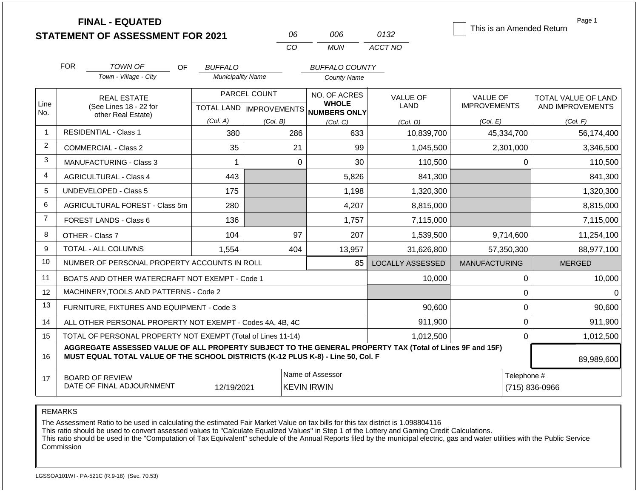|                |            | <b>FINAL - EQUATED</b><br><b>STATEMENT OF ASSESSMENT FOR 2021</b>                                                                                                                            |                          | 06                                                  |                                                       | 006                          | 0132                    | This is an Amended Return       | Page 1                                         |
|----------------|------------|----------------------------------------------------------------------------------------------------------------------------------------------------------------------------------------------|--------------------------|-----------------------------------------------------|-------------------------------------------------------|------------------------------|-------------------------|---------------------------------|------------------------------------------------|
|                |            |                                                                                                                                                                                              |                          | CO                                                  |                                                       | <b>MUN</b>                   | ACCT NO                 |                                 |                                                |
|                | <b>FOR</b> | <b>TOWN OF</b><br><b>OF</b>                                                                                                                                                                  | <b>BUFFALO</b>           |                                                     |                                                       | <b>BUFFALO COUNTY</b>        |                         |                                 |                                                |
|                |            | Town - Village - City                                                                                                                                                                        | <b>Municipality Name</b> |                                                     |                                                       | <b>County Name</b>           |                         |                                 |                                                |
| Line<br>No.    |            | <b>REAL ESTATE</b><br>(See Lines 18 - 22 for                                                                                                                                                 |                          | PARCEL COUNT<br>TOTAL LAND MPROVEMENTS NUMBERS ONLY |                                                       | NO. OF ACRES<br><b>WHOLE</b> | <b>VALUE OF</b><br>LAND | VALUE OF<br><b>IMPROVEMENTS</b> | <b>TOTAL VALUE OF LAND</b><br>AND IMPROVEMENTS |
|                |            | other Real Estate)                                                                                                                                                                           | (Col. A)                 | (Col. B)                                            |                                                       | (Col, C)                     | (Col. D)                | (Col. E)                        | (Col. F)                                       |
| $\mathbf{1}$   |            | <b>RESIDENTIAL - Class 1</b>                                                                                                                                                                 | 380                      |                                                     | 286                                                   | 633                          | 10,839,700              | 45,334,700                      | 56,174,400                                     |
| 2              |            | <b>COMMERCIAL - Class 2</b>                                                                                                                                                                  | 35                       |                                                     | 21                                                    | 99                           | 1,045,500               | 2,301,000                       | 3,346,500                                      |
| 3              |            | MANUFACTURING - Class 3                                                                                                                                                                      | 1                        |                                                     | $\mathbf 0$                                           | 30                           | 110,500                 | 0                               | 110,500                                        |
| $\overline{4}$ |            | <b>AGRICULTURAL - Class 4</b>                                                                                                                                                                | 443                      |                                                     |                                                       | 5,826                        | 841,300                 |                                 | 841,300                                        |
| 5              |            | <b>UNDEVELOPED - Class 5</b>                                                                                                                                                                 | 175                      |                                                     |                                                       | 1,198                        | 1,320,300               |                                 | 1,320,300                                      |
| 6              |            | AGRICULTURAL FOREST - Class 5m                                                                                                                                                               | 280                      |                                                     |                                                       | 4,207                        | 8,815,000               |                                 | 8,815,000                                      |
| $\overline{7}$ |            | FOREST LANDS - Class 6                                                                                                                                                                       | 136                      |                                                     |                                                       | 1,757                        | 7,115,000               |                                 | 7,115,000                                      |
| 8              |            | OTHER - Class 7                                                                                                                                                                              | 104                      |                                                     | 97                                                    | 207                          | 1,539,500               | 9,714,600                       | 11,254,100                                     |
| 9              |            | <b>TOTAL - ALL COLUMNS</b>                                                                                                                                                                   | 1,554                    |                                                     | 404                                                   | 13,957                       | 31,626,800              | 57,350,300                      | 88,977,100                                     |
| 10             |            | NUMBER OF PERSONAL PROPERTY ACCOUNTS IN ROLL                                                                                                                                                 |                          |                                                     |                                                       | 85                           | <b>LOCALLY ASSESSED</b> | <b>MANUFACTURING</b>            | <b>MERGED</b>                                  |
| 11             |            | BOATS AND OTHER WATERCRAFT NOT EXEMPT - Code 1                                                                                                                                               |                          |                                                     |                                                       |                              | 10,000                  | $\pmb{0}$                       | 10,000                                         |
| 12             |            | MACHINERY, TOOLS AND PATTERNS - Code 2                                                                                                                                                       |                          |                                                     |                                                       |                              |                         | $\mathbf 0$                     | $\Omega$                                       |
| 13             |            | FURNITURE, FIXTURES AND EQUIPMENT - Code 3                                                                                                                                                   |                          |                                                     |                                                       |                              | 90,600                  | $\pmb{0}$                       | 90,600                                         |
| 14             |            | ALL OTHER PERSONAL PROPERTY NOT EXEMPT - Codes 4A, 4B, 4C                                                                                                                                    |                          |                                                     |                                                       |                              | 911,900                 | $\mathbf 0$                     | 911,900                                        |
| 15             |            | TOTAL OF PERSONAL PROPERTY NOT EXEMPT (Total of Lines 11-14)                                                                                                                                 |                          |                                                     |                                                       |                              | 1,012,500               | $\mathbf 0$                     | 1,012,500                                      |
| 16             |            | AGGREGATE ASSESSED VALUE OF ALL PROPERTY SUBJECT TO THE GENERAL PROPERTY TAX (Total of Lines 9F and 15F)<br>MUST EQUAL TOTAL VALUE OF THE SCHOOL DISTRICTS (K-12 PLUS K-8) - Line 50, Col. F |                          |                                                     |                                                       |                              |                         | 89,989,600                      |                                                |
| 17             |            | <b>BOARD OF REVIEW</b><br>DATE OF FINAL ADJOURNMENT                                                                                                                                          | 12/19/2021               |                                                     | Name of Assessor<br>Telephone #<br><b>KEVIN IRWIN</b> |                              |                         |                                 | $(715) 836 - 0966$                             |

The Assessment Ratio to be used in calculating the estimated Fair Market Value on tax bills for this tax district is 1.098804116

This ratio should be used to convert assessed values to "Calculate Equalized Values" in Step 1 of the Lottery and Gaming Credit Calculations.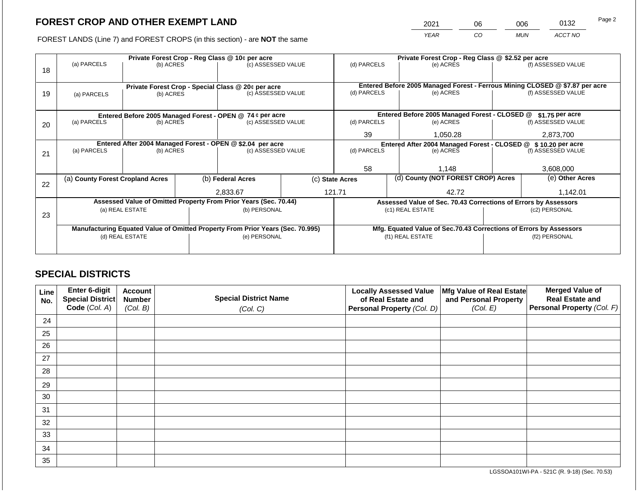2021 06 006 0132

FOREST LANDS (Line 7) and FOREST CROPS (in this section) - are **NOT** the same *YEAR CO MUN ACCT NO*

|    |                                  | Private Forest Crop - Reg Class @ 10¢ per acre |                                                                                |                                                                  |                                                                    | Private Forest Crop - Reg Class @ \$2.52 per acre                            |                                                               |                                                                 |                 |                    |
|----|----------------------------------|------------------------------------------------|--------------------------------------------------------------------------------|------------------------------------------------------------------|--------------------------------------------------------------------|------------------------------------------------------------------------------|---------------------------------------------------------------|-----------------------------------------------------------------|-----------------|--------------------|
| 18 | (a) PARCELS                      | (b) ACRES                                      |                                                                                | (c) ASSESSED VALUE                                               |                                                                    | (d) PARCELS                                                                  |                                                               | (e) ACRES                                                       |                 | (f) ASSESSED VALUE |
|    |                                  |                                                |                                                                                |                                                                  |                                                                    |                                                                              |                                                               |                                                                 |                 |                    |
|    |                                  |                                                |                                                                                | Private Forest Crop - Special Class @ 20¢ per acre               |                                                                    | Entered Before 2005 Managed Forest - Ferrous Mining CLOSED @ \$7.87 per acre |                                                               |                                                                 |                 |                    |
| 19 | (a) PARCELS                      | (b) ACRES                                      |                                                                                | (c) ASSESSED VALUE                                               |                                                                    | (d) PARCELS                                                                  |                                                               | (e) ACRES                                                       |                 | (f) ASSESSED VALUE |
|    |                                  |                                                |                                                                                |                                                                  |                                                                    |                                                                              |                                                               |                                                                 |                 |                    |
|    |                                  |                                                |                                                                                | Entered Before 2005 Managed Forest - OPEN @ 74 ¢ per acre        |                                                                    |                                                                              |                                                               | Entered Before 2005 Managed Forest - CLOSED @                   |                 | $$1.75$ per acre   |
| 20 | (a) PARCELS<br>(b) ACRES         |                                                |                                                                                | (c) ASSESSED VALUE                                               |                                                                    | (d) PARCELS                                                                  |                                                               | (e) ACRES                                                       |                 | (f) ASSESSED VALUE |
|    |                                  |                                                |                                                                                |                                                                  |                                                                    | 39                                                                           |                                                               | 1,050.28                                                        |                 | 2,873,700          |
|    |                                  |                                                |                                                                                | Entered After 2004 Managed Forest - OPEN @ \$2.04 per acre       |                                                                    |                                                                              | Entered After 2004 Managed Forest - CLOSED @ \$10.20 per acre |                                                                 |                 |                    |
| 21 | (a) PARCELS                      | (b) ACRES                                      |                                                                                | (c) ASSESSED VALUE                                               |                                                                    | (d) PARCELS                                                                  |                                                               | (e) ACRES                                                       |                 | (f) ASSESSED VALUE |
|    |                                  |                                                |                                                                                |                                                                  |                                                                    |                                                                              |                                                               |                                                                 |                 |                    |
|    |                                  |                                                |                                                                                |                                                                  |                                                                    | 58                                                                           |                                                               | 1,148                                                           |                 | 3,608,000          |
| 22 | (a) County Forest Cropland Acres |                                                |                                                                                | (b) Federal Acres                                                | (c) State Acres                                                    |                                                                              | (d) County (NOT FOREST CROP) Acres                            |                                                                 | (e) Other Acres |                    |
|    |                                  |                                                |                                                                                | 2,833.67                                                         |                                                                    | 121.71                                                                       |                                                               | 42.72                                                           |                 | 1,142.01           |
|    |                                  |                                                |                                                                                | Assessed Value of Omitted Property From Prior Years (Sec. 70.44) |                                                                    |                                                                              |                                                               | Assessed Value of Sec. 70.43 Corrections of Errors by Assessors |                 |                    |
|    |                                  | (a) REAL ESTATE                                |                                                                                | (b) PERSONAL                                                     |                                                                    |                                                                              |                                                               | (c1) REAL ESTATE                                                | (c2) PERSONAL   |                    |
| 23 |                                  |                                                |                                                                                |                                                                  |                                                                    |                                                                              |                                                               |                                                                 |                 |                    |
|    |                                  |                                                | Manufacturing Equated Value of Omitted Property From Prior Years (Sec. 70.995) |                                                                  | Mfg. Equated Value of Sec.70.43 Corrections of Errors by Assessors |                                                                              |                                                               |                                                                 |                 |                    |
|    |                                  | (d) REAL ESTATE                                | (e) PERSONAL                                                                   |                                                                  |                                                                    |                                                                              |                                                               | (f1) REAL ESTATE                                                |                 | (f2) PERSONAL      |
|    |                                  |                                                |                                                                                |                                                                  |                                                                    |                                                                              |                                                               |                                                                 |                 |                    |
|    |                                  |                                                |                                                                                |                                                                  |                                                                    |                                                                              |                                                               |                                                                 |                 |                    |

## **SPECIAL DISTRICTS**

| Line<br>No. | Enter 6-digit<br>Special District<br>Code (Col. A) | <b>Account</b><br><b>Number</b><br>(Col. B) | <b>Special District Name</b><br>(Col. C) | <b>Locally Assessed Value</b><br>of Real Estate and<br><b>Personal Property (Col. D)</b> | Mfg Value of Real Estate<br>and Personal Property<br>(Col. E) | <b>Merged Value of</b><br><b>Real Estate and</b><br>Personal Property (Col. F) |
|-------------|----------------------------------------------------|---------------------------------------------|------------------------------------------|------------------------------------------------------------------------------------------|---------------------------------------------------------------|--------------------------------------------------------------------------------|
| 24          |                                                    |                                             |                                          |                                                                                          |                                                               |                                                                                |
| 25          |                                                    |                                             |                                          |                                                                                          |                                                               |                                                                                |
| 26          |                                                    |                                             |                                          |                                                                                          |                                                               |                                                                                |
| 27          |                                                    |                                             |                                          |                                                                                          |                                                               |                                                                                |
| 28          |                                                    |                                             |                                          |                                                                                          |                                                               |                                                                                |
| 29          |                                                    |                                             |                                          |                                                                                          |                                                               |                                                                                |
| 30          |                                                    |                                             |                                          |                                                                                          |                                                               |                                                                                |
| 31          |                                                    |                                             |                                          |                                                                                          |                                                               |                                                                                |
| 32          |                                                    |                                             |                                          |                                                                                          |                                                               |                                                                                |
| 33          |                                                    |                                             |                                          |                                                                                          |                                                               |                                                                                |
| 34          |                                                    |                                             |                                          |                                                                                          |                                                               |                                                                                |
| 35          |                                                    |                                             |                                          |                                                                                          |                                                               |                                                                                |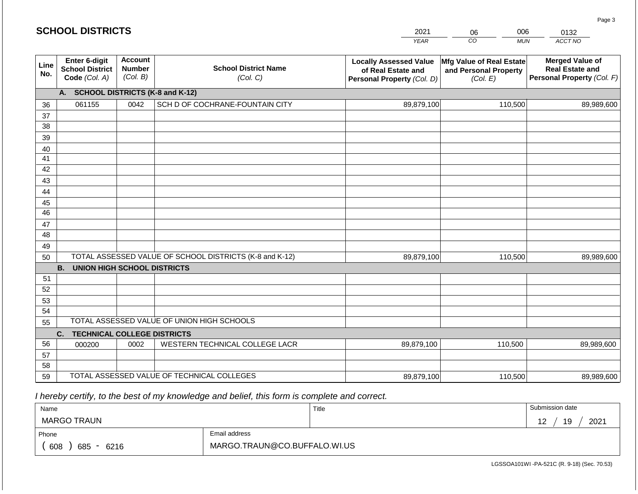| <b>SCHOOL DISTRICTS</b> |                                                                 |                                             |                                                         | 2021                                                                              | 006<br>06                                                     | 0132                                                                           |
|-------------------------|-----------------------------------------------------------------|---------------------------------------------|---------------------------------------------------------|-----------------------------------------------------------------------------------|---------------------------------------------------------------|--------------------------------------------------------------------------------|
|                         |                                                                 |                                             |                                                         | <b>YEAR</b>                                                                       | CO<br><b>MUN</b>                                              | ACCT NO                                                                        |
| Line<br>No.             | <b>Enter 6-digit</b><br><b>School District</b><br>Code (Col. A) | <b>Account</b><br><b>Number</b><br>(Col. B) | <b>School District Name</b><br>(Col. C)                 | <b>Locally Assessed Value</b><br>of Real Estate and<br>Personal Property (Col. D) | Mfg Value of Real Estate<br>and Personal Property<br>(Col. E) | <b>Merged Value of</b><br><b>Real Estate and</b><br>Personal Property (Col. F) |
|                         | A.                                                              |                                             | <b>SCHOOL DISTRICTS (K-8 and K-12)</b>                  |                                                                                   |                                                               |                                                                                |
| 36                      | 061155                                                          | 0042                                        | SCH D OF COCHRANE-FOUNTAIN CITY                         | 89,879,100                                                                        | 110,500                                                       | 89,989,600                                                                     |
| 37                      |                                                                 |                                             |                                                         |                                                                                   |                                                               |                                                                                |
| 38                      |                                                                 |                                             |                                                         |                                                                                   |                                                               |                                                                                |
| 39                      |                                                                 |                                             |                                                         |                                                                                   |                                                               |                                                                                |
| 40                      |                                                                 |                                             |                                                         |                                                                                   |                                                               |                                                                                |
| 41                      |                                                                 |                                             |                                                         |                                                                                   |                                                               |                                                                                |
| 42                      |                                                                 |                                             |                                                         |                                                                                   |                                                               |                                                                                |
| 43                      |                                                                 |                                             |                                                         |                                                                                   |                                                               |                                                                                |
| 44                      |                                                                 |                                             |                                                         |                                                                                   |                                                               |                                                                                |
| 45<br>46                |                                                                 |                                             |                                                         |                                                                                   |                                                               |                                                                                |
| 47                      |                                                                 |                                             |                                                         |                                                                                   |                                                               |                                                                                |
| 48                      |                                                                 |                                             |                                                         |                                                                                   |                                                               |                                                                                |
| 49                      |                                                                 |                                             |                                                         |                                                                                   |                                                               |                                                                                |
| 50                      |                                                                 |                                             | TOTAL ASSESSED VALUE OF SCHOOL DISTRICTS (K-8 and K-12) | 89,879,100                                                                        | 110,500                                                       | 89,989,600                                                                     |
|                         | <b>B.</b><br><b>UNION HIGH SCHOOL DISTRICTS</b>                 |                                             |                                                         |                                                                                   |                                                               |                                                                                |
| 51                      |                                                                 |                                             |                                                         |                                                                                   |                                                               |                                                                                |
| 52                      |                                                                 |                                             |                                                         |                                                                                   |                                                               |                                                                                |
| 53                      |                                                                 |                                             |                                                         |                                                                                   |                                                               |                                                                                |
| 54                      |                                                                 |                                             |                                                         |                                                                                   |                                                               |                                                                                |
| 55                      |                                                                 |                                             | TOTAL ASSESSED VALUE OF UNION HIGH SCHOOLS              |                                                                                   |                                                               |                                                                                |
|                         | C.<br><b>TECHNICAL COLLEGE DISTRICTS</b>                        |                                             |                                                         |                                                                                   |                                                               |                                                                                |
| 56                      | 000200                                                          | 0002                                        | WESTERN TECHNICAL COLLEGE LACR                          | 89,879,100                                                                        | 110,500                                                       | 89,989,600                                                                     |
| 57                      |                                                                 |                                             |                                                         |                                                                                   |                                                               |                                                                                |
| 58                      |                                                                 |                                             |                                                         |                                                                                   |                                                               |                                                                                |
| 59                      |                                                                 |                                             | TOTAL ASSESSED VALUE OF TECHNICAL COLLEGES              | 89,879,100                                                                        | 110,500                                                       | 89,989,600                                                                     |

| Name                         |                              | Title | Submission date   |
|------------------------------|------------------------------|-------|-------------------|
| MARGO TRAUN                  |                              |       | 2021<br>19<br>. . |
| Phone                        | Email address                |       |                   |
| 608<br>685<br>6216<br>$\sim$ | MARGO.TRAUN@CO.BUFFALO.WI.US |       |                   |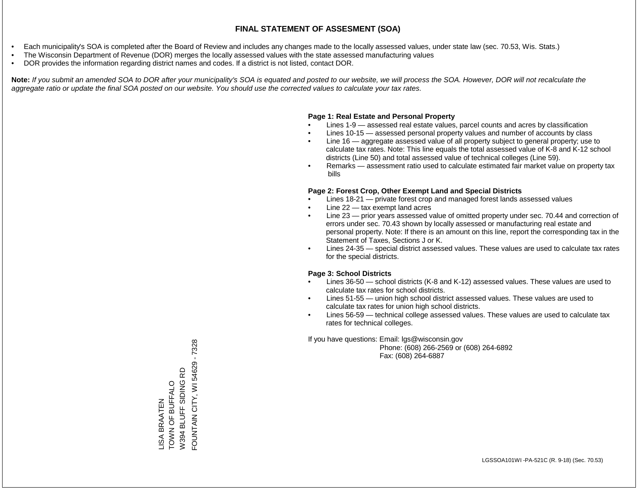- Each municipality's SOA is completed after the Board of Review and includes any changes made to the locally assessed values, under state law (sec. 70.53, Wis. Stats.)
- The Wisconsin Department of Revenue (DOR) merges the locally assessed values with the state assessed manufacturing values
- DOR provides the information regarding district names and codes. If a district is not listed, contact DOR.

Note: If you submit an amended SOA to DOR after your municipality's SOA is equated and posted to our website, we will process the SOA. However, DOR will not recalculate the *aggregate ratio or update the final SOA posted on our website. You should use the corrected values to calculate your tax rates.*

### **Page 1: Real Estate and Personal Property**

- Lines 1-9 assessed real estate values, parcel counts and acres by classification
- Lines 10-15 assessed personal property values and number of accounts by class
- Line 16 aggregate assessed value of all property subject to general property; use to calculate tax rates. Note: This line equals the total assessed value of K-8 and K-12 school districts (Line 50) and total assessed value of technical colleges (Line 59).
- Remarks assessment ratio used to calculate estimated fair market value on property tax bills

### **Page 2: Forest Crop, Other Exempt Land and Special Districts**

- Lines 18-21 private forest crop and managed forest lands assessed values
- Line  $22 -$  tax exempt land acres
- Line 23 prior years assessed value of omitted property under sec. 70.44 and correction of errors under sec. 70.43 shown by locally assessed or manufacturing real estate and personal property. Note: If there is an amount on this line, report the corresponding tax in the Statement of Taxes, Sections J or K.
- Lines 24-35 special district assessed values. These values are used to calculate tax rates for the special districts.

### **Page 3: School Districts**

- Lines 36-50 school districts (K-8 and K-12) assessed values. These values are used to calculate tax rates for school districts.
- Lines 51-55 union high school district assessed values. These values are used to calculate tax rates for union high school districts.
- Lines 56-59 technical college assessed values. These values are used to calculate tax rates for technical colleges.

If you have questions: Email: lgs@wisconsin.gov

 Phone: (608) 266-2569 or (608) 264-6892 Fax: (608) 264-6887

FOUNTAIN CITY, WI 54629 - 7328 FOUNTAIN CITY, WI 54629 - 7328W394 BLUFF SIDING RD W394 BLUFF SIDING RD LISA BRAATEN<br>TOWN OF BUFFALO TOWN OF BUFFALO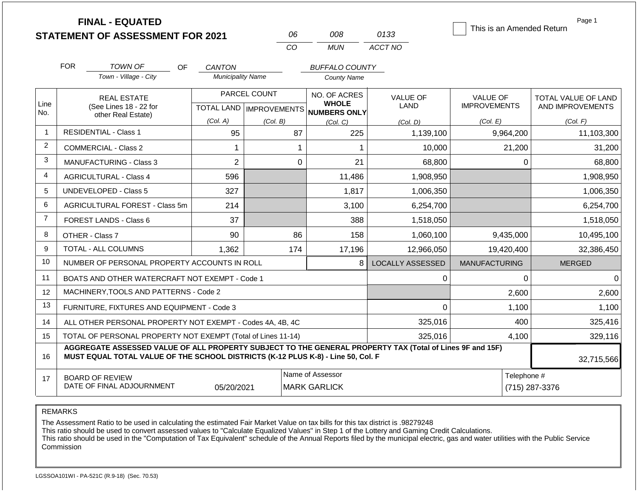|                | <b>FINAL - EQUATED</b><br><b>STATEMENT OF ASSESSMENT FOR 2021</b>                                                                                                                            |                               | 06                                        | 008                          | 0133                    | This is an Amended Return              | Page 1                                  |
|----------------|----------------------------------------------------------------------------------------------------------------------------------------------------------------------------------------------|-------------------------------|-------------------------------------------|------------------------------|-------------------------|----------------------------------------|-----------------------------------------|
|                |                                                                                                                                                                                              |                               | CO                                        | <b>MUN</b>                   | ACCT NO                 |                                        |                                         |
|                | <b>FOR</b><br><b>TOWN OF</b><br>OF                                                                                                                                                           | <b>CANTON</b>                 |                                           | <b>BUFFALO COUNTY</b>        |                         |                                        |                                         |
|                | Town - Village - City                                                                                                                                                                        | <b>Municipality Name</b>      |                                           | <b>County Name</b>           |                         |                                        |                                         |
| Line           | <b>REAL ESTATE</b><br>(See Lines 18 - 22 for                                                                                                                                                 |                               | PARCEL COUNT<br>TOTAL LAND   IMPROVEMENTS | NO. OF ACRES<br><b>WHOLE</b> | <b>VALUE OF</b><br>LAND | <b>VALUE OF</b><br><b>IMPROVEMENTS</b> | TOTAL VALUE OF LAND<br>AND IMPROVEMENTS |
| No.            | other Real Estate)                                                                                                                                                                           | (Col. A)                      | (Col. B)                                  | NUMBERS ONLY<br>(Col, C)     | (Col. D)                | (Col. E)                               | (Col. F)                                |
| 1              | <b>RESIDENTIAL - Class 1</b>                                                                                                                                                                 | 95                            | 87                                        | 225                          | 1,139,100               | 9,964,200                              | 11,103,300                              |
| 2              | <b>COMMERCIAL - Class 2</b>                                                                                                                                                                  | 1                             |                                           | 1                            | 10,000                  | 21,200                                 | 31,200                                  |
| 3              | <b>MANUFACTURING - Class 3</b>                                                                                                                                                               | $\overline{2}$                | $\mathbf 0$                               | 21                           | 68,800                  | 0                                      | 68,800                                  |
| 4              | <b>AGRICULTURAL - Class 4</b>                                                                                                                                                                | 596                           |                                           | 11,486                       | 1,908,950               |                                        | 1,908,950                               |
| 5              | <b>UNDEVELOPED - Class 5</b>                                                                                                                                                                 | 327                           |                                           | 1,817                        | 1,006,350               |                                        | 1,006,350                               |
| 6              | AGRICULTURAL FOREST - Class 5m                                                                                                                                                               | 214                           |                                           | 3,100                        | 6,254,700               |                                        | 6,254,700                               |
| $\overline{7}$ | FOREST LANDS - Class 6                                                                                                                                                                       | 37                            |                                           | 388                          | 1,518,050               |                                        | 1,518,050                               |
| 8              | OTHER - Class 7                                                                                                                                                                              | 90                            | 86                                        | 158                          | 1,060,100               | 9,435,000                              | 10,495,100                              |
| 9              | <b>TOTAL - ALL COLUMNS</b>                                                                                                                                                                   | 1,362                         | 174                                       | 17,196                       | 12,966,050              | 19,420,400                             | 32,386,450                              |
| 10             | NUMBER OF PERSONAL PROPERTY ACCOUNTS IN ROLL                                                                                                                                                 |                               |                                           | 8                            | <b>LOCALLY ASSESSED</b> | <b>MANUFACTURING</b>                   | <b>MERGED</b>                           |
| 11             | BOATS AND OTHER WATERCRAFT NOT EXEMPT - Code 1                                                                                                                                               |                               |                                           |                              | 0                       | 0                                      | 0                                       |
| 12             | MACHINERY, TOOLS AND PATTERNS - Code 2                                                                                                                                                       |                               |                                           |                              |                         | 2,600                                  | 2,600                                   |
| 13             | FURNITURE, FIXTURES AND EQUIPMENT - Code 3                                                                                                                                                   |                               |                                           |                              | $\Omega$                | 1,100                                  | 1,100                                   |
| 14             | ALL OTHER PERSONAL PROPERTY NOT EXEMPT - Codes 4A, 4B, 4C                                                                                                                                    |                               |                                           |                              | 325,016                 | 400                                    | 325,416                                 |
| 15             | TOTAL OF PERSONAL PROPERTY NOT EXEMPT (Total of Lines 11-14)                                                                                                                                 |                               |                                           |                              | 325,016                 | 4,100                                  | 329,116                                 |
| 16             | AGGREGATE ASSESSED VALUE OF ALL PROPERTY SUBJECT TO THE GENERAL PROPERTY TAX (Total of Lines 9F and 15F)<br>MUST EQUAL TOTAL VALUE OF THE SCHOOL DISTRICTS (K-12 PLUS K-8) - Line 50, Col. F |                               | 32,715,566                                |                              |                         |                                        |                                         |
| 17             | <b>BOARD OF REVIEW</b><br>DATE OF FINAL ADJOURNMENT                                                                                                                                          | Telephone #<br>(715) 287-3376 |                                           |                              |                         |                                        |                                         |

The Assessment Ratio to be used in calculating the estimated Fair Market Value on tax bills for this tax district is .98279248

This ratio should be used to convert assessed values to "Calculate Equalized Values" in Step 1 of the Lottery and Gaming Credit Calculations.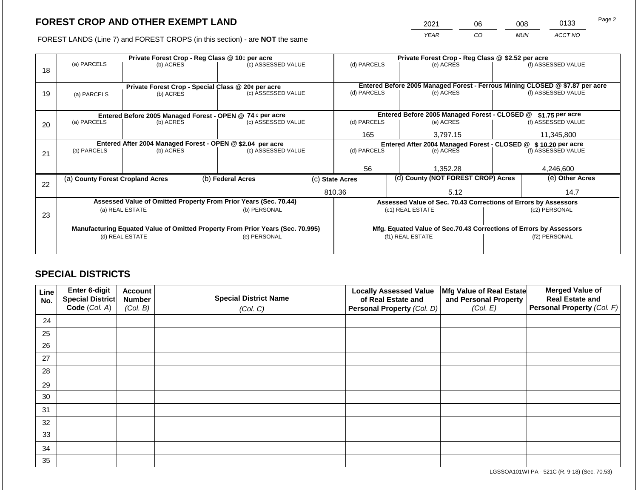2021 06 008 0133

FOREST LANDS (Line 7) and FOREST CROPS (in this section) - are **NOT** the same *YEAR CO MUN ACCT NO*

|    |                                                                                |                 |  | Private Forest Crop - Reg Class @ 10¢ per acre                   |                 | Private Forest Crop - Reg Class @ \$2.52 per acre                            |          |                                                                    |               |                    |
|----|--------------------------------------------------------------------------------|-----------------|--|------------------------------------------------------------------|-----------------|------------------------------------------------------------------------------|----------|--------------------------------------------------------------------|---------------|--------------------|
| 18 | (a) PARCELS                                                                    | (b) ACRES       |  | (c) ASSESSED VALUE                                               |                 | (d) PARCELS                                                                  |          | (e) ACRES                                                          |               | (f) ASSESSED VALUE |
|    |                                                                                |                 |  | Private Forest Crop - Special Class @ 20¢ per acre               |                 | Entered Before 2005 Managed Forest - Ferrous Mining CLOSED @ \$7.87 per acre |          |                                                                    |               |                    |
| 19 | (a) PARCELS                                                                    | (b) ACRES       |  | (c) ASSESSED VALUE                                               |                 | (d) PARCELS                                                                  |          | (e) ACRES                                                          |               | (f) ASSESSED VALUE |
|    |                                                                                |                 |  |                                                                  |                 |                                                                              |          |                                                                    |               |                    |
|    |                                                                                |                 |  | Entered Before 2005 Managed Forest - OPEN @ 74 ¢ per acre        |                 |                                                                              |          | Entered Before 2005 Managed Forest - CLOSED @                      |               | $$1.75$ per acre   |
| 20 | (a) PARCELS                                                                    | (b) ACRES       |  | (c) ASSESSED VALUE                                               |                 | (d) PARCELS                                                                  |          | (e) ACRES                                                          |               | (f) ASSESSED VALUE |
|    |                                                                                |                 |  |                                                                  | 165             |                                                                              | 3,797.15 |                                                                    | 11,345,800    |                    |
|    | Entered After 2004 Managed Forest - OPEN @ \$2.04 per acre                     |                 |  |                                                                  |                 |                                                                              |          | Entered After 2004 Managed Forest - CLOSED @ \$10.20 per acre      |               |                    |
| 21 | (a) PARCELS                                                                    | (b) ACRES       |  | (c) ASSESSED VALUE                                               |                 | (d) PARCELS                                                                  |          | (e) ACRES                                                          |               | (f) ASSESSED VALUE |
|    |                                                                                |                 |  |                                                                  |                 |                                                                              |          |                                                                    |               |                    |
|    |                                                                                |                 |  |                                                                  |                 | 56                                                                           |          | 1,352.28                                                           |               | 4,246,600          |
| 22 | (a) County Forest Cropland Acres                                               |                 |  | (b) Federal Acres                                                | (c) State Acres |                                                                              |          | (d) County (NOT FOREST CROP) Acres                                 |               | (e) Other Acres    |
|    |                                                                                |                 |  |                                                                  |                 | 810.36<br>5.12                                                               |          |                                                                    |               | 14.7               |
|    |                                                                                |                 |  | Assessed Value of Omitted Property From Prior Years (Sec. 70.44) |                 |                                                                              |          | Assessed Value of Sec. 70.43 Corrections of Errors by Assessors    |               |                    |
| 23 |                                                                                | (a) REAL ESTATE |  | (b) PERSONAL                                                     |                 |                                                                              |          | (c1) REAL ESTATE                                                   |               | (c2) PERSONAL      |
|    |                                                                                |                 |  |                                                                  |                 |                                                                              |          |                                                                    |               |                    |
|    | Manufacturing Equated Value of Omitted Property From Prior Years (Sec. 70.995) |                 |  |                                                                  |                 |                                                                              |          | Mfg. Equated Value of Sec.70.43 Corrections of Errors by Assessors |               |                    |
|    |                                                                                | (d) REAL ESTATE |  | (e) PERSONAL                                                     |                 |                                                                              |          | (f1) REAL ESTATE                                                   | (f2) PERSONAL |                    |
|    |                                                                                |                 |  |                                                                  |                 |                                                                              |          |                                                                    |               |                    |
|    |                                                                                |                 |  |                                                                  |                 |                                                                              |          |                                                                    |               |                    |

## **SPECIAL DISTRICTS**

| Line<br>No. | Enter 6-digit<br>Special District<br>Code (Col. A) | <b>Account</b><br><b>Number</b><br>(Col. B) | <b>Special District Name</b><br>(Col. C) | <b>Locally Assessed Value</b><br>of Real Estate and<br><b>Personal Property (Col. D)</b> | Mfg Value of Real Estate<br>and Personal Property<br>(Col. E) | <b>Merged Value of</b><br><b>Real Estate and</b><br>Personal Property (Col. F) |
|-------------|----------------------------------------------------|---------------------------------------------|------------------------------------------|------------------------------------------------------------------------------------------|---------------------------------------------------------------|--------------------------------------------------------------------------------|
| 24          |                                                    |                                             |                                          |                                                                                          |                                                               |                                                                                |
| 25          |                                                    |                                             |                                          |                                                                                          |                                                               |                                                                                |
| 26          |                                                    |                                             |                                          |                                                                                          |                                                               |                                                                                |
| 27          |                                                    |                                             |                                          |                                                                                          |                                                               |                                                                                |
| 28          |                                                    |                                             |                                          |                                                                                          |                                                               |                                                                                |
| 29          |                                                    |                                             |                                          |                                                                                          |                                                               |                                                                                |
| 30          |                                                    |                                             |                                          |                                                                                          |                                                               |                                                                                |
| 31          |                                                    |                                             |                                          |                                                                                          |                                                               |                                                                                |
| 32          |                                                    |                                             |                                          |                                                                                          |                                                               |                                                                                |
| 33          |                                                    |                                             |                                          |                                                                                          |                                                               |                                                                                |
| 34          |                                                    |                                             |                                          |                                                                                          |                                                               |                                                                                |
| 35          |                                                    |                                             |                                          |                                                                                          |                                                               |                                                                                |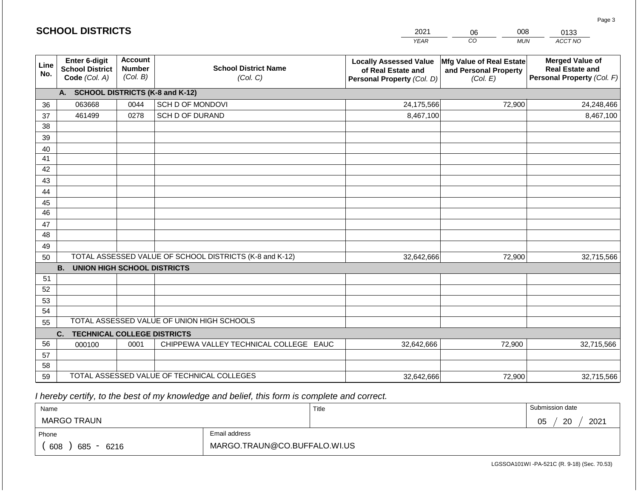| <b>SCHOOL DISTRICTS</b> |                                                          |                                             |                                                         | 2021                                                                              | 008<br>06                                                     | 0133                                                                           |  |
|-------------------------|----------------------------------------------------------|---------------------------------------------|---------------------------------------------------------|-----------------------------------------------------------------------------------|---------------------------------------------------------------|--------------------------------------------------------------------------------|--|
|                         |                                                          |                                             |                                                         | <b>YEAR</b>                                                                       | CO<br><b>MUN</b>                                              | ACCT NO                                                                        |  |
| Line<br>No.             | Enter 6-digit<br><b>School District</b><br>Code (Col. A) | <b>Account</b><br><b>Number</b><br>(Col. B) | <b>School District Name</b><br>(Col. C)                 | <b>Locally Assessed Value</b><br>of Real Estate and<br>Personal Property (Col. D) | Mfg Value of Real Estate<br>and Personal Property<br>(Col. E) | <b>Merged Value of</b><br><b>Real Estate and</b><br>Personal Property (Col. F) |  |
|                         | A. SCHOOL DISTRICTS (K-8 and K-12)                       |                                             |                                                         |                                                                                   |                                                               |                                                                                |  |
| 36                      | 063668                                                   | 0044                                        | SCH D OF MONDOVI                                        | 24,175,566                                                                        | 72,900                                                        | 24,248,466                                                                     |  |
| 37                      | 461499                                                   | 0278                                        | SCH D OF DURAND                                         | 8,467,100                                                                         |                                                               | 8,467,100                                                                      |  |
| 38                      |                                                          |                                             |                                                         |                                                                                   |                                                               |                                                                                |  |
| 39                      |                                                          |                                             |                                                         |                                                                                   |                                                               |                                                                                |  |
| 40                      |                                                          |                                             |                                                         |                                                                                   |                                                               |                                                                                |  |
| 41                      |                                                          |                                             |                                                         |                                                                                   |                                                               |                                                                                |  |
| 42                      |                                                          |                                             |                                                         |                                                                                   |                                                               |                                                                                |  |
| 43                      |                                                          |                                             |                                                         |                                                                                   |                                                               |                                                                                |  |
| 44                      |                                                          |                                             |                                                         |                                                                                   |                                                               |                                                                                |  |
| 45<br>$\overline{46}$   |                                                          |                                             |                                                         |                                                                                   |                                                               |                                                                                |  |
| 47                      |                                                          |                                             |                                                         |                                                                                   |                                                               |                                                                                |  |
| 48                      |                                                          |                                             |                                                         |                                                                                   |                                                               |                                                                                |  |
| 49                      |                                                          |                                             |                                                         |                                                                                   |                                                               |                                                                                |  |
| 50                      |                                                          |                                             | TOTAL ASSESSED VALUE OF SCHOOL DISTRICTS (K-8 and K-12) | 32,642,666                                                                        | 72,900                                                        | 32,715,566                                                                     |  |
|                         | <b>B.</b><br><b>UNION HIGH SCHOOL DISTRICTS</b>          |                                             |                                                         |                                                                                   |                                                               |                                                                                |  |
| 51                      |                                                          |                                             |                                                         |                                                                                   |                                                               |                                                                                |  |
| 52                      |                                                          |                                             |                                                         |                                                                                   |                                                               |                                                                                |  |
| 53                      |                                                          |                                             |                                                         |                                                                                   |                                                               |                                                                                |  |
| 54                      |                                                          |                                             |                                                         |                                                                                   |                                                               |                                                                                |  |
| 55                      |                                                          |                                             | TOTAL ASSESSED VALUE OF UNION HIGH SCHOOLS              |                                                                                   |                                                               |                                                                                |  |
|                         | <b>TECHNICAL COLLEGE DISTRICTS</b><br>C.                 |                                             |                                                         |                                                                                   |                                                               |                                                                                |  |
| 56                      | 000100                                                   | 0001                                        | CHIPPEWA VALLEY TECHNICAL COLLEGE EAUC                  | 32,642,666                                                                        | 72,900                                                        | 32,715,566                                                                     |  |
| 57                      |                                                          |                                             |                                                         |                                                                                   |                                                               |                                                                                |  |
| 58                      |                                                          |                                             |                                                         |                                                                                   |                                                               |                                                                                |  |
| 59                      |                                                          |                                             | TOTAL ASSESSED VALUE OF TECHNICAL COLLEGES              | 32,642,666                                                                        | 72,900                                                        | 32,715,566                                                                     |  |

**SCHOOL DISTRICTS**

| Name                  |                              | Title | Submission date  |
|-----------------------|------------------------------|-------|------------------|
| MARGO TRAUN           |                              |       | 2021<br>20<br>05 |
| Phone                 | Email address                |       |                  |
| 608<br>685<br>$-6216$ | MARGO.TRAUN@CO.BUFFALO.WI.US |       |                  |

Page 3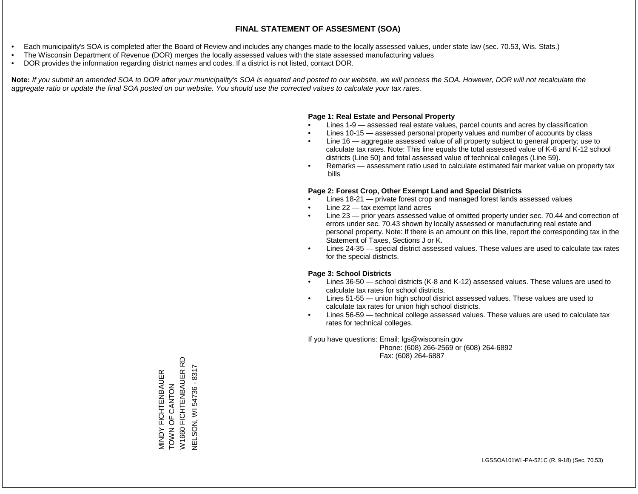- Each municipality's SOA is completed after the Board of Review and includes any changes made to the locally assessed values, under state law (sec. 70.53, Wis. Stats.)
- The Wisconsin Department of Revenue (DOR) merges the locally assessed values with the state assessed manufacturing values
- DOR provides the information regarding district names and codes. If a district is not listed, contact DOR.

Note: If you submit an amended SOA to DOR after your municipality's SOA is equated and posted to our website, we will process the SOA. However, DOR will not recalculate the *aggregate ratio or update the final SOA posted on our website. You should use the corrected values to calculate your tax rates.*

### **Page 1: Real Estate and Personal Property**

- Lines 1-9 assessed real estate values, parcel counts and acres by classification
- Lines 10-15 assessed personal property values and number of accounts by class
- Line 16 aggregate assessed value of all property subject to general property; use to calculate tax rates. Note: This line equals the total assessed value of K-8 and K-12 school districts (Line 50) and total assessed value of technical colleges (Line 59).
- Remarks assessment ratio used to calculate estimated fair market value on property tax bills

### **Page 2: Forest Crop, Other Exempt Land and Special Districts**

- Lines 18-21 private forest crop and managed forest lands assessed values
- Line  $22 -$  tax exempt land acres
- Line 23 prior years assessed value of omitted property under sec. 70.44 and correction of errors under sec. 70.43 shown by locally assessed or manufacturing real estate and personal property. Note: If there is an amount on this line, report the corresponding tax in the Statement of Taxes, Sections J or K.
- Lines 24-35 special district assessed values. These values are used to calculate tax rates for the special districts.

### **Page 3: School Districts**

- Lines 36-50 school districts (K-8 and K-12) assessed values. These values are used to calculate tax rates for school districts.
- Lines 51-55 union high school district assessed values. These values are used to calculate tax rates for union high school districts.
- Lines 56-59 technical college assessed values. These values are used to calculate tax rates for technical colleges.

If you have questions: Email: lgs@wisconsin.gov

 Phone: (608) 266-2569 or (608) 264-6892 Fax: (608) 264-6887

RD W1660 FICHTENBAUER RD MINDY FICHTENBAUER<br>TOWN OF CANTON<br>W1660 FICHTENBAUER R **VELSON, WI54736 - 8317** NELSON, WI 54736 - 8317MINDY FICHTENBAUER ZOLZKO LO Z NOL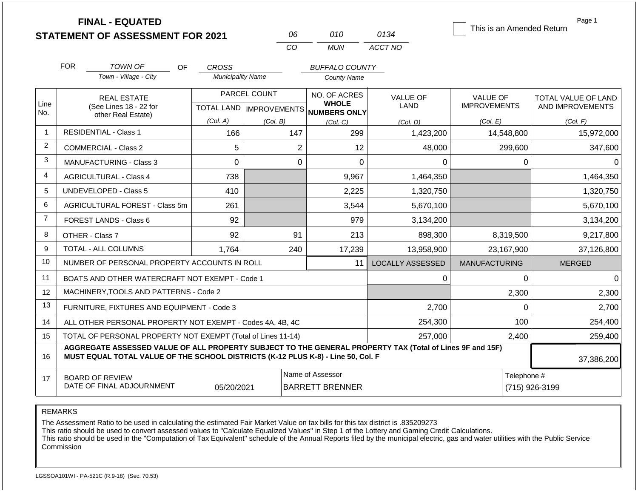|                | <b>FINAL - EQUATED</b>                                                                                                                                                                       |                          |                           |                                            |                         | This is an Amended Return | Page 1                        |  |
|----------------|----------------------------------------------------------------------------------------------------------------------------------------------------------------------------------------------|--------------------------|---------------------------|--------------------------------------------|-------------------------|---------------------------|-------------------------------|--|
|                | <b>STATEMENT OF ASSESSMENT FOR 2021</b>                                                                                                                                                      |                          | 06<br><b>CO</b>           | 010<br><b>MUN</b>                          | 0134<br>ACCT NO         |                           |                               |  |
|                |                                                                                                                                                                                              |                          |                           |                                            |                         |                           |                               |  |
|                | <b>FOR</b><br><b>TOWN OF</b>                                                                                                                                                                 | OF.<br><b>CROSS</b>      |                           | <b>BUFFALO COUNTY</b>                      |                         |                           |                               |  |
|                | Town - Village - City                                                                                                                                                                        | <b>Municipality Name</b> |                           | <b>County Name</b>                         |                         |                           |                               |  |
|                | <b>REAL ESTATE</b>                                                                                                                                                                           |                          | PARCEL COUNT              | NO. OF ACRES                               | <b>VALUE OF</b>         | <b>VALUE OF</b>           | TOTAL VALUE OF LAND           |  |
| Line<br>No.    | (See Lines 18 - 22 for<br>other Real Estate)                                                                                                                                                 |                          | TOTAL LAND   IMPROVEMENTS | <b>WHOLE</b><br>NUMBERS ONLY               | <b>LAND</b>             | <b>IMPROVEMENTS</b>       | AND IMPROVEMENTS              |  |
|                |                                                                                                                                                                                              | (Col. A)                 | (Col. B)                  | (Col, C)                                   | (Col, D)                | (Col. E)                  | (Col. F)                      |  |
| $\mathbf{1}$   | <b>RESIDENTIAL - Class 1</b>                                                                                                                                                                 | 166                      | 147                       | 299                                        | 1,423,200               | 14,548,800                | 15,972,000                    |  |
| $\overline{2}$ | <b>COMMERCIAL - Class 2</b>                                                                                                                                                                  | 5                        | $\overline{2}$            | 12                                         | 48,000                  | 299,600                   | 347,600                       |  |
| 3              | <b>MANUFACTURING - Class 3</b>                                                                                                                                                               | 0                        | $\mathbf 0$               | $\mathbf 0$                                | 0                       | 0                         | 0                             |  |
| 4              | <b>AGRICULTURAL - Class 4</b>                                                                                                                                                                | 738                      |                           | 9,967                                      | 1,464,350               |                           | 1,464,350                     |  |
| 5              | <b>UNDEVELOPED - Class 5</b>                                                                                                                                                                 | 410                      |                           | 2,225                                      | 1,320,750               |                           | 1,320,750                     |  |
| 6              | AGRICULTURAL FOREST - Class 5m                                                                                                                                                               | 261                      |                           | 3,544                                      | 5,670,100               |                           | 5,670,100                     |  |
| $\overline{7}$ | FOREST LANDS - Class 6                                                                                                                                                                       | 92                       |                           | 979                                        | 3,134,200               |                           | 3,134,200                     |  |
| 8              | OTHER - Class 7                                                                                                                                                                              | 92                       | 91                        | 213                                        | 898,300                 | 8,319,500                 | 9,217,800                     |  |
| 9              | TOTAL - ALL COLUMNS                                                                                                                                                                          | 1,764                    | 240                       | 17,239                                     | 13,958,900              | 23,167,900                | 37,126,800                    |  |
| 10             | NUMBER OF PERSONAL PROPERTY ACCOUNTS IN ROLL                                                                                                                                                 |                          |                           | 11                                         | <b>LOCALLY ASSESSED</b> | <b>MANUFACTURING</b>      | <b>MERGED</b>                 |  |
| 11             | BOATS AND OTHER WATERCRAFT NOT EXEMPT - Code 1                                                                                                                                               |                          |                           |                                            | 0                       | 0                         | $\Omega$                      |  |
| 12             | MACHINERY, TOOLS AND PATTERNS - Code 2                                                                                                                                                       |                          |                           |                                            |                         | 2,300                     | 2,300                         |  |
| 13             | FURNITURE, FIXTURES AND EQUIPMENT - Code 3                                                                                                                                                   |                          |                           |                                            | 2,700                   | 0                         | 2,700                         |  |
| 14             | ALL OTHER PERSONAL PROPERTY NOT EXEMPT - Codes 4A, 4B, 4C                                                                                                                                    |                          |                           |                                            | 254,300                 | 100                       | 254,400                       |  |
| 15             | TOTAL OF PERSONAL PROPERTY NOT EXEMPT (Total of Lines 11-14)                                                                                                                                 |                          |                           |                                            | 257,000                 | 2,400                     | 259,400                       |  |
| 16             | AGGREGATE ASSESSED VALUE OF ALL PROPERTY SUBJECT TO THE GENERAL PROPERTY TAX (Total of Lines 9F and 15F)<br>MUST EQUAL TOTAL VALUE OF THE SCHOOL DISTRICTS (K-12 PLUS K-8) - Line 50, Col. F |                          |                           |                                            |                         |                           | 37,386,200                    |  |
| 17             | <b>BOARD OF REVIEW</b><br>DATE OF FINAL ADJOURNMENT                                                                                                                                          | 05/20/2021               |                           | Name of Assessor<br><b>BARRETT BRENNER</b> |                         |                           | Telephone #<br>(715) 926-3199 |  |

The Assessment Ratio to be used in calculating the estimated Fair Market Value on tax bills for this tax district is .835209273

This ratio should be used to convert assessed values to "Calculate Equalized Values" in Step 1 of the Lottery and Gaming Credit Calculations.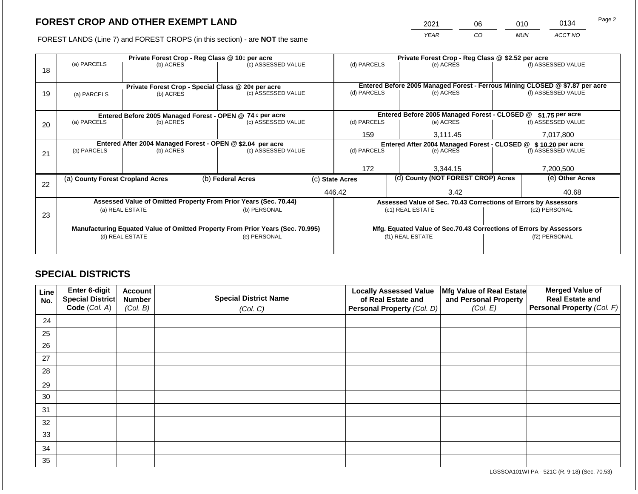2021 06 010 0134

FOREST LANDS (Line 7) and FOREST CROPS (in this section) - are **NOT** the same *YEAR CO MUN ACCT NO*

|    |                                                           | Private Forest Crop - Reg Class @ 10¢ per acre |  |                                                                                |  |                                                                              | Private Forest Crop - Reg Class @ \$2.52 per acre |                                                                    |                 |                    |
|----|-----------------------------------------------------------|------------------------------------------------|--|--------------------------------------------------------------------------------|--|------------------------------------------------------------------------------|---------------------------------------------------|--------------------------------------------------------------------|-----------------|--------------------|
|    | (a) PARCELS                                               | (b) ACRES                                      |  | (c) ASSESSED VALUE                                                             |  | (d) PARCELS                                                                  |                                                   | (e) ACRES                                                          |                 | (f) ASSESSED VALUE |
| 18 |                                                           |                                                |  |                                                                                |  |                                                                              |                                                   |                                                                    |                 |                    |
|    |                                                           |                                                |  |                                                                                |  |                                                                              |                                                   |                                                                    |                 |                    |
|    |                                                           |                                                |  | Private Forest Crop - Special Class @ 20¢ per acre                             |  | Entered Before 2005 Managed Forest - Ferrous Mining CLOSED @ \$7.87 per acre |                                                   |                                                                    |                 |                    |
| 19 | (a) PARCELS                                               | (b) ACRES                                      |  | (c) ASSESSED VALUE                                                             |  | (d) PARCELS                                                                  |                                                   | (e) ACRES                                                          |                 | (f) ASSESSED VALUE |
|    |                                                           |                                                |  |                                                                                |  |                                                                              |                                                   |                                                                    |                 |                    |
|    | Entered Before 2005 Managed Forest - OPEN @ 74 ¢ per acre |                                                |  |                                                                                |  |                                                                              |                                                   | Entered Before 2005 Managed Forest - CLOSED @                      |                 | \$1.75 per acre    |
| 20 | (a) PARCELS                                               | (b) ACRES                                      |  | (c) ASSESSED VALUE                                                             |  | (d) PARCELS                                                                  |                                                   | (e) ACRES                                                          |                 | (f) ASSESSED VALUE |
|    |                                                           |                                                |  |                                                                                |  |                                                                              |                                                   |                                                                    |                 |                    |
|    |                                                           |                                                |  |                                                                                |  | 159                                                                          |                                                   | 3,111.45                                                           |                 | 7,017,800          |
|    |                                                           |                                                |  | Entered After 2004 Managed Forest - OPEN @ \$2.04 per acre                     |  |                                                                              |                                                   | Entered After 2004 Managed Forest - CLOSED @ \$ 10.20 per acre     |                 |                    |
| 21 | (a) PARCELS                                               | (b) ACRES                                      |  | (c) ASSESSED VALUE                                                             |  | (d) PARCELS<br>(e) ACRES                                                     |                                                   |                                                                    |                 | (f) ASSESSED VALUE |
|    |                                                           |                                                |  |                                                                                |  |                                                                              |                                                   |                                                                    |                 |                    |
|    |                                                           |                                                |  |                                                                                |  | 172                                                                          |                                                   | 3,344.15                                                           |                 | 7,200,500          |
|    | (a) County Forest Cropland Acres                          |                                                |  | (b) Federal Acres<br>(c) State Acres                                           |  | (d) County (NOT FOREST CROP) Acres                                           |                                                   |                                                                    | (e) Other Acres |                    |
| 22 |                                                           |                                                |  |                                                                                |  |                                                                              |                                                   |                                                                    |                 |                    |
|    |                                                           |                                                |  |                                                                                |  | 446.42                                                                       |                                                   | 3.42                                                               |                 | 40.68              |
|    |                                                           |                                                |  | Assessed Value of Omitted Property From Prior Years (Sec. 70.44)               |  |                                                                              |                                                   | Assessed Value of Sec. 70.43 Corrections of Errors by Assessors    |                 |                    |
|    |                                                           | (a) REAL ESTATE                                |  | (b) PERSONAL                                                                   |  |                                                                              |                                                   | (c1) REAL ESTATE                                                   |                 | (c2) PERSONAL      |
| 23 |                                                           |                                                |  |                                                                                |  |                                                                              |                                                   |                                                                    |                 |                    |
|    |                                                           |                                                |  | Manufacturing Equated Value of Omitted Property From Prior Years (Sec. 70.995) |  |                                                                              |                                                   | Mfg. Equated Value of Sec.70.43 Corrections of Errors by Assessors |                 |                    |
|    | (d) REAL ESTATE                                           |                                                |  | (e) PERSONAL                                                                   |  |                                                                              |                                                   | (f1) REAL ESTATE                                                   | (f2) PERSONAL   |                    |
|    |                                                           |                                                |  |                                                                                |  |                                                                              |                                                   |                                                                    |                 |                    |
|    |                                                           |                                                |  |                                                                                |  |                                                                              |                                                   |                                                                    |                 |                    |

## **SPECIAL DISTRICTS**

| Line<br>No. | Enter 6-digit<br>Special District<br>Code (Col. A) | <b>Account</b><br><b>Number</b><br>(Col. B) | <b>Special District Name</b><br>(Col. C) | <b>Locally Assessed Value</b><br>of Real Estate and<br><b>Personal Property (Col. D)</b> | Mfg Value of Real Estate<br>and Personal Property<br>(Col. E) | <b>Merged Value of</b><br><b>Real Estate and</b><br>Personal Property (Col. F) |
|-------------|----------------------------------------------------|---------------------------------------------|------------------------------------------|------------------------------------------------------------------------------------------|---------------------------------------------------------------|--------------------------------------------------------------------------------|
| 24          |                                                    |                                             |                                          |                                                                                          |                                                               |                                                                                |
| 25          |                                                    |                                             |                                          |                                                                                          |                                                               |                                                                                |
| 26          |                                                    |                                             |                                          |                                                                                          |                                                               |                                                                                |
| 27          |                                                    |                                             |                                          |                                                                                          |                                                               |                                                                                |
| 28          |                                                    |                                             |                                          |                                                                                          |                                                               |                                                                                |
| 29          |                                                    |                                             |                                          |                                                                                          |                                                               |                                                                                |
| 30          |                                                    |                                             |                                          |                                                                                          |                                                               |                                                                                |
| 31          |                                                    |                                             |                                          |                                                                                          |                                                               |                                                                                |
| 32          |                                                    |                                             |                                          |                                                                                          |                                                               |                                                                                |
| 33          |                                                    |                                             |                                          |                                                                                          |                                                               |                                                                                |
| 34          |                                                    |                                             |                                          |                                                                                          |                                                               |                                                                                |
| 35          |                                                    |                                             |                                          |                                                                                          |                                                               |                                                                                |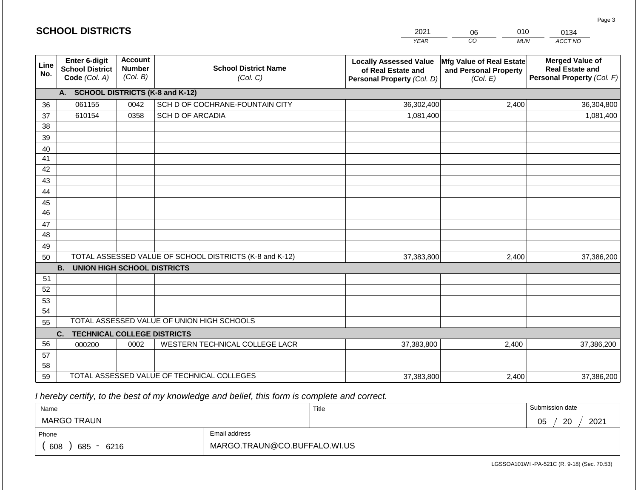|             |                                                          | <b>SCHOOL DISTRICTS</b>                     |                                                         | 2021                                                                              | 010<br>06                                                     | 0134                                                                           |  |
|-------------|----------------------------------------------------------|---------------------------------------------|---------------------------------------------------------|-----------------------------------------------------------------------------------|---------------------------------------------------------------|--------------------------------------------------------------------------------|--|
|             |                                                          |                                             |                                                         | <b>YEAR</b>                                                                       | CO<br><b>MUN</b>                                              | ACCT NO                                                                        |  |
| Line<br>No. | Enter 6-digit<br><b>School District</b><br>Code (Col. A) | <b>Account</b><br><b>Number</b><br>(Col. B) | <b>School District Name</b><br>(Col. C)                 | <b>Locally Assessed Value</b><br>of Real Estate and<br>Personal Property (Col. D) | Mfg Value of Real Estate<br>and Personal Property<br>(Col. E) | <b>Merged Value of</b><br><b>Real Estate and</b><br>Personal Property (Col. F) |  |
|             | A. SCHOOL DISTRICTS (K-8 and K-12)                       |                                             |                                                         |                                                                                   |                                                               |                                                                                |  |
| 36          | 061155                                                   | 0042                                        | SCH D OF COCHRANE-FOUNTAIN CITY                         | 36,302,400                                                                        | 2,400                                                         | 36,304,800                                                                     |  |
| 37          | 610154                                                   | 0358                                        | SCH D OF ARCADIA                                        | 1,081,400                                                                         |                                                               | 1,081,400                                                                      |  |
| 38          |                                                          |                                             |                                                         |                                                                                   |                                                               |                                                                                |  |
| 39          |                                                          |                                             |                                                         |                                                                                   |                                                               |                                                                                |  |
| 40          |                                                          |                                             |                                                         |                                                                                   |                                                               |                                                                                |  |
| 41          |                                                          |                                             |                                                         |                                                                                   |                                                               |                                                                                |  |
| 42          |                                                          |                                             |                                                         |                                                                                   |                                                               |                                                                                |  |
| 43          |                                                          |                                             |                                                         |                                                                                   |                                                               |                                                                                |  |
| 44<br>45    |                                                          |                                             |                                                         |                                                                                   |                                                               |                                                                                |  |
| 46          |                                                          |                                             |                                                         |                                                                                   |                                                               |                                                                                |  |
| 47          |                                                          |                                             |                                                         |                                                                                   |                                                               |                                                                                |  |
| 48          |                                                          |                                             |                                                         |                                                                                   |                                                               |                                                                                |  |
| 49          |                                                          |                                             |                                                         |                                                                                   |                                                               |                                                                                |  |
| 50          |                                                          |                                             | TOTAL ASSESSED VALUE OF SCHOOL DISTRICTS (K-8 and K-12) | 37,383,800                                                                        | 2,400                                                         | 37,386,200                                                                     |  |
|             | <b>B. UNION HIGH SCHOOL DISTRICTS</b>                    |                                             |                                                         |                                                                                   |                                                               |                                                                                |  |
| 51          |                                                          |                                             |                                                         |                                                                                   |                                                               |                                                                                |  |
| 52          |                                                          |                                             |                                                         |                                                                                   |                                                               |                                                                                |  |
| 53          |                                                          |                                             |                                                         |                                                                                   |                                                               |                                                                                |  |
| 54          |                                                          |                                             |                                                         |                                                                                   |                                                               |                                                                                |  |
| 55          |                                                          |                                             | TOTAL ASSESSED VALUE OF UNION HIGH SCHOOLS              |                                                                                   |                                                               |                                                                                |  |
|             | C.<br><b>TECHNICAL COLLEGE DISTRICTS</b>                 |                                             |                                                         |                                                                                   |                                                               |                                                                                |  |
| 56          | 000200                                                   | 0002                                        | WESTERN TECHNICAL COLLEGE LACR                          | 37,383,800                                                                        | 2,400                                                         | 37,386,200                                                                     |  |
| 57          |                                                          |                                             |                                                         |                                                                                   |                                                               |                                                                                |  |
| 58          |                                                          |                                             |                                                         |                                                                                   |                                                               |                                                                                |  |
| 59          |                                                          |                                             | TOTAL ASSESSED VALUE OF TECHNICAL COLLEGES              | 37,383,800                                                                        | 2,400                                                         | 37,386,200                                                                     |  |

**SCHOOL DISTRICTS**

| Name                         |                              | Title | Submission date  |
|------------------------------|------------------------------|-------|------------------|
| MARGO TRAUN                  |                              |       | 2021<br>20<br>05 |
| Phone                        | Email address                |       |                  |
| 608<br>685<br>6216<br>$\sim$ | MARGO.TRAUN@CO.BUFFALO.WI.US |       |                  |

LGSSOA101WI -PA-521C (R. 9-18) (Sec. 70.53)

Page 3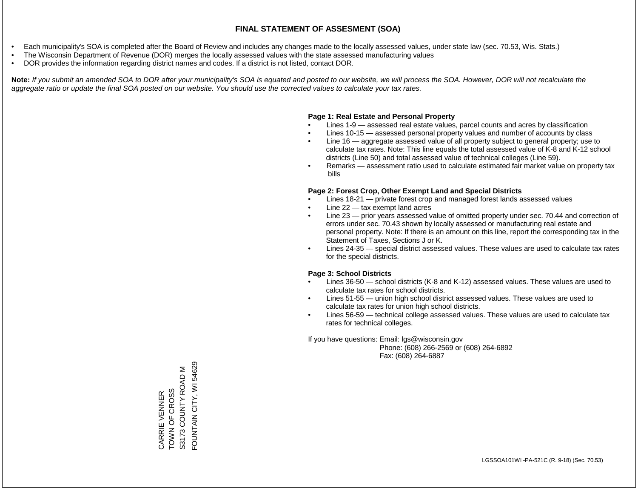- Each municipality's SOA is completed after the Board of Review and includes any changes made to the locally assessed values, under state law (sec. 70.53, Wis. Stats.)
- The Wisconsin Department of Revenue (DOR) merges the locally assessed values with the state assessed manufacturing values
- DOR provides the information regarding district names and codes. If a district is not listed, contact DOR.

Note: If you submit an amended SOA to DOR after your municipality's SOA is equated and posted to our website, we will process the SOA. However, DOR will not recalculate the *aggregate ratio or update the final SOA posted on our website. You should use the corrected values to calculate your tax rates.*

### **Page 1: Real Estate and Personal Property**

- Lines 1-9 assessed real estate values, parcel counts and acres by classification
- Lines 10-15 assessed personal property values and number of accounts by class
- Line 16 aggregate assessed value of all property subject to general property; use to calculate tax rates. Note: This line equals the total assessed value of K-8 and K-12 school districts (Line 50) and total assessed value of technical colleges (Line 59).
- Remarks assessment ratio used to calculate estimated fair market value on property tax bills

### **Page 2: Forest Crop, Other Exempt Land and Special Districts**

- Lines 18-21 private forest crop and managed forest lands assessed values
- Line  $22 -$  tax exempt land acres
- Line 23 prior years assessed value of omitted property under sec. 70.44 and correction of errors under sec. 70.43 shown by locally assessed or manufacturing real estate and personal property. Note: If there is an amount on this line, report the corresponding tax in the Statement of Taxes, Sections J or K.
- Lines 24-35 special district assessed values. These values are used to calculate tax rates for the special districts.

### **Page 3: School Districts**

- Lines 36-50 school districts (K-8 and K-12) assessed values. These values are used to calculate tax rates for school districts.
- Lines 51-55 union high school district assessed values. These values are used to calculate tax rates for union high school districts.
- Lines 56-59 technical college assessed values. These values are used to calculate tax rates for technical colleges.

If you have questions: Email: lgs@wisconsin.gov

 Phone: (608) 266-2569 or (608) 264-6892 Fax: (608) 264-6887

CARRIE VENNER<br>TOWN OF CROSS<br>S3173 COUNTY ROAD M FOUNTAIN CITY, WI 54629 FOUNTAIN CITY, WI 54629S3173 COUNTY ROAD M TOWN OF CROSS CARRIE VENNER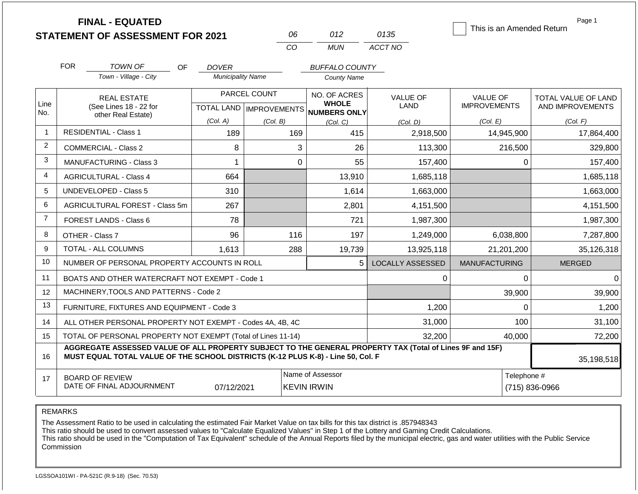|                | <b>FINAL - EQUATED</b><br><b>STATEMENT OF ASSESSMENT FOR 2021</b>                                                                                                                            |                                              |                          | 06                               | 012                          | 0135                    | This is an Amended Return | Page 1              |
|----------------|----------------------------------------------------------------------------------------------------------------------------------------------------------------------------------------------|----------------------------------------------|--------------------------|----------------------------------|------------------------------|-------------------------|---------------------------|---------------------|
|                |                                                                                                                                                                                              |                                              |                          | CO                               | <b>MUN</b>                   | ACCT NO                 |                           |                     |
|                | <b>FOR</b><br>TOWN OF                                                                                                                                                                        | OF.                                          | <b>DOVER</b>             |                                  | <b>BUFFALO COUNTY</b>        |                         |                           |                     |
|                | Town - Village - City                                                                                                                                                                        |                                              | <b>Municipality Name</b> |                                  | <b>County Name</b>           |                         |                           |                     |
|                | <b>REAL ESTATE</b>                                                                                                                                                                           |                                              |                          | PARCEL COUNT                     | NO. OF ACRES                 | <b>VALUE OF</b>         | <b>VALUE OF</b>           | TOTAL VALUE OF LAND |
| Line<br>No.    |                                                                                                                                                                                              | (See Lines 18 - 22 for<br>other Real Estate) |                          | <b>TOTAL LAND   IMPROVEMENTS</b> | <b>WHOLE</b><br>NUMBERS ONLY | <b>LAND</b>             | <b>IMPROVEMENTS</b>       | AND IMPROVEMENTS    |
|                |                                                                                                                                                                                              |                                              | (Col. A)                 | (Col. B)                         | (Col. C)                     | (Col. D)                | (Col. E)                  | (Col. F)            |
| -1             | <b>RESIDENTIAL - Class 1</b>                                                                                                                                                                 |                                              | 189                      | 169                              | 415                          | 2,918,500               | 14,945,900                | 17,864,400          |
| 2              | <b>COMMERCIAL - Class 2</b>                                                                                                                                                                  |                                              | 8                        |                                  | 3<br>26                      | 113,300                 | 216,500                   | 329,800             |
| 3              | <b>MANUFACTURING - Class 3</b>                                                                                                                                                               |                                              | $\mathbf{1}$             |                                  | $\mathbf 0$<br>55            | 157,400                 | 0                         | 157,400             |
| 4              | <b>AGRICULTURAL - Class 4</b>                                                                                                                                                                |                                              | 664                      |                                  | 13,910                       | 1,685,118               |                           | 1,685,118           |
| 5              | UNDEVELOPED - Class 5                                                                                                                                                                        |                                              | 310                      |                                  | 1,614                        | 1,663,000               |                           | 1,663,000           |
| 6              | <b>AGRICULTURAL FOREST - Class 5m</b>                                                                                                                                                        |                                              | 267                      |                                  | 2,801                        | 4,151,500               |                           | 4,151,500           |
| $\overline{7}$ | FOREST LANDS - Class 6                                                                                                                                                                       |                                              | 78                       |                                  | 721                          | 1,987,300               |                           | 1,987,300           |
| 8              | OTHER - Class 7                                                                                                                                                                              |                                              | 96                       | 116                              | 197                          | 1,249,000               | 6,038,800                 | 7,287,800           |
| 9              | TOTAL - ALL COLUMNS                                                                                                                                                                          |                                              | 1,613                    | 288                              | 19,739                       | 13,925,118              | 21,201,200                | 35,126,318          |
| 10             | NUMBER OF PERSONAL PROPERTY ACCOUNTS IN ROLL                                                                                                                                                 |                                              |                          |                                  | 5                            | <b>LOCALLY ASSESSED</b> | <b>MANUFACTURING</b>      | <b>MERGED</b>       |
| 11             | BOATS AND OTHER WATERCRAFT NOT EXEMPT - Code 1                                                                                                                                               |                                              |                          |                                  |                              | 0                       | $\mathbf{0}$              | 0                   |
| 12             | MACHINERY, TOOLS AND PATTERNS - Code 2                                                                                                                                                       |                                              |                          |                                  |                              |                         | 39,900                    | 39,900              |
| 13             | FURNITURE, FIXTURES AND EQUIPMENT - Code 3                                                                                                                                                   |                                              |                          |                                  |                              | 1,200                   | 0                         | 1,200               |
| 14             | ALL OTHER PERSONAL PROPERTY NOT EXEMPT - Codes 4A, 4B, 4C                                                                                                                                    |                                              |                          |                                  |                              | 31,000                  | 100                       | 31,100              |
| 15             | TOTAL OF PERSONAL PROPERTY NOT EXEMPT (Total of Lines 11-14)                                                                                                                                 |                                              | 32,200                   | 40,000                           | 72,200                       |                         |                           |                     |
| 16             | AGGREGATE ASSESSED VALUE OF ALL PROPERTY SUBJECT TO THE GENERAL PROPERTY TAX (Total of Lines 9F and 15F)<br>MUST EQUAL TOTAL VALUE OF THE SCHOOL DISTRICTS (K-12 PLUS K-8) - Line 50, Col. F | 35,198,518                                   |                          |                                  |                              |                         |                           |                     |
| 17             | <b>BOARD OF REVIEW</b>                                                                                                                                                                       |                                              |                          |                                  | Telephone #                  |                         |                           |                     |
|                | DATE OF FINAL ADJOURNMENT                                                                                                                                                                    |                                              | 07/12/2021               |                                  | <b>KEVIN IRWIN</b>           |                         |                           | (715) 836-0966      |

The Assessment Ratio to be used in calculating the estimated Fair Market Value on tax bills for this tax district is .857948343

This ratio should be used to convert assessed values to "Calculate Equalized Values" in Step 1 of the Lottery and Gaming Credit Calculations.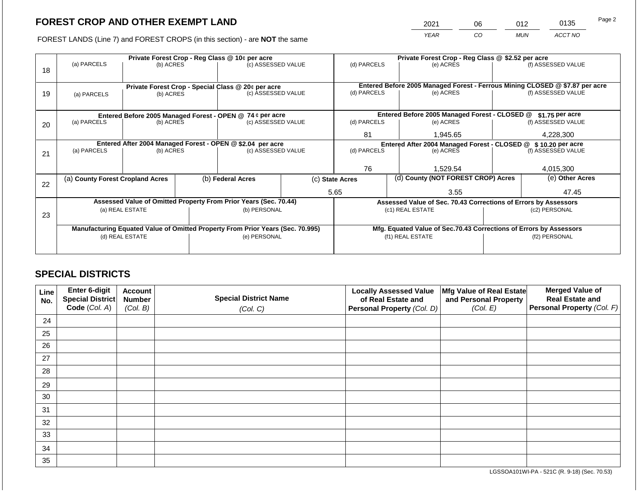2021 06 012 0135

FOREST LANDS (Line 7) and FOREST CROPS (in this section) - are **NOT** the same *YEAR CO MUN ACCT NO*

|    |                                                                                                             | Private Forest Crop - Reg Class @ 10¢ per acre |  | Private Forest Crop - Reg Class @ \$2.52 per acre                              |                                               |                                    |                 |                                                                    |               |                                                                                                    |
|----|-------------------------------------------------------------------------------------------------------------|------------------------------------------------|--|--------------------------------------------------------------------------------|-----------------------------------------------|------------------------------------|-----------------|--------------------------------------------------------------------|---------------|----------------------------------------------------------------------------------------------------|
|    | (a) PARCELS                                                                                                 | (b) ACRES                                      |  | (c) ASSESSED VALUE                                                             |                                               | (d) PARCELS                        |                 | (e) ACRES                                                          |               | (f) ASSESSED VALUE                                                                                 |
| 18 |                                                                                                             |                                                |  |                                                                                |                                               |                                    |                 |                                                                    |               |                                                                                                    |
|    |                                                                                                             |                                                |  |                                                                                |                                               |                                    |                 |                                                                    |               |                                                                                                    |
|    |                                                                                                             |                                                |  | Private Forest Crop - Special Class @ 20¢ per acre                             |                                               | (d) PARCELS                        |                 | (e) ACRES                                                          |               | Entered Before 2005 Managed Forest - Ferrous Mining CLOSED @ \$7.87 per acre<br>(f) ASSESSED VALUE |
| 19 |                                                                                                             | (b) ACRES<br>(a) PARCELS                       |  | (c) ASSESSED VALUE                                                             |                                               |                                    |                 |                                                                    |               |                                                                                                    |
|    |                                                                                                             |                                                |  |                                                                                |                                               |                                    |                 |                                                                    |               |                                                                                                    |
|    |                                                                                                             |                                                |  |                                                                                | Entered Before 2005 Managed Forest - CLOSED @ |                                    | \$1.75 per acre |                                                                    |               |                                                                                                    |
| 20 | Entered Before 2005 Managed Forest - OPEN @ 74 ¢ per acre<br>(a) PARCELS<br>(b) ACRES<br>(c) ASSESSED VALUE |                                                |  |                                                                                |                                               | (d) PARCELS                        |                 | (e) ACRES                                                          |               | (f) ASSESSED VALUE                                                                                 |
|    |                                                                                                             |                                                |  |                                                                                |                                               |                                    |                 |                                                                    |               |                                                                                                    |
|    |                                                                                                             |                                                |  |                                                                                | 81                                            |                                    | 1,945.65        |                                                                    | 4,228,300     |                                                                                                    |
|    | Entered After 2004 Managed Forest - OPEN @ \$2.04 per acre                                                  |                                                |  |                                                                                |                                               |                                    |                 | Entered After 2004 Managed Forest - CLOSED @ \$ 10.20 per acre     |               |                                                                                                    |
| 21 | (a) PARCELS                                                                                                 | (b) ACRES                                      |  | (c) ASSESSED VALUE                                                             |                                               | (d) PARCELS                        |                 | (e) ACRES                                                          |               | (f) ASSESSED VALUE                                                                                 |
|    |                                                                                                             |                                                |  |                                                                                |                                               |                                    |                 |                                                                    |               |                                                                                                    |
|    |                                                                                                             |                                                |  |                                                                                |                                               | 76                                 |                 | 1,529.54                                                           |               | 4,015,300                                                                                          |
|    | (a) County Forest Cropland Acres                                                                            |                                                |  | (b) Federal Acres<br>(c) State Acres                                           |                                               | (d) County (NOT FOREST CROP) Acres |                 |                                                                    |               | (e) Other Acres                                                                                    |
| 22 |                                                                                                             |                                                |  |                                                                                |                                               |                                    |                 |                                                                    |               |                                                                                                    |
|    |                                                                                                             |                                                |  |                                                                                |                                               | 5.65                               |                 | 3.55                                                               |               | 47.45                                                                                              |
|    |                                                                                                             |                                                |  | Assessed Value of Omitted Property From Prior Years (Sec. 70.44)               |                                               |                                    |                 | Assessed Value of Sec. 70.43 Corrections of Errors by Assessors    |               |                                                                                                    |
|    |                                                                                                             | (a) REAL ESTATE                                |  | (b) PERSONAL                                                                   |                                               |                                    |                 | (c1) REAL ESTATE                                                   |               | (c2) PERSONAL                                                                                      |
| 23 |                                                                                                             |                                                |  |                                                                                |                                               |                                    |                 |                                                                    |               |                                                                                                    |
|    |                                                                                                             |                                                |  | Manufacturing Equated Value of Omitted Property From Prior Years (Sec. 70.995) |                                               |                                    |                 | Mfg. Equated Value of Sec.70.43 Corrections of Errors by Assessors |               |                                                                                                    |
|    |                                                                                                             | (d) REAL ESTATE                                |  | (e) PERSONAL                                                                   |                                               |                                    |                 | (f1) REAL ESTATE                                                   | (f2) PERSONAL |                                                                                                    |
|    |                                                                                                             |                                                |  |                                                                                |                                               |                                    |                 |                                                                    |               |                                                                                                    |
|    |                                                                                                             |                                                |  |                                                                                |                                               |                                    |                 |                                                                    |               |                                                                                                    |

## **SPECIAL DISTRICTS**

| Line<br>No. | Enter 6-digit<br>Special District<br>Code (Col. A) | <b>Account</b><br><b>Number</b><br>(Col. B) | <b>Special District Name</b><br>(Col. C) | <b>Locally Assessed Value</b><br>of Real Estate and<br><b>Personal Property (Col. D)</b> | Mfg Value of Real Estate<br>and Personal Property<br>(Col. E) | <b>Merged Value of</b><br><b>Real Estate and</b><br>Personal Property (Col. F) |
|-------------|----------------------------------------------------|---------------------------------------------|------------------------------------------|------------------------------------------------------------------------------------------|---------------------------------------------------------------|--------------------------------------------------------------------------------|
| 24          |                                                    |                                             |                                          |                                                                                          |                                                               |                                                                                |
| 25          |                                                    |                                             |                                          |                                                                                          |                                                               |                                                                                |
| 26          |                                                    |                                             |                                          |                                                                                          |                                                               |                                                                                |
| 27          |                                                    |                                             |                                          |                                                                                          |                                                               |                                                                                |
| 28          |                                                    |                                             |                                          |                                                                                          |                                                               |                                                                                |
| 29          |                                                    |                                             |                                          |                                                                                          |                                                               |                                                                                |
| 30          |                                                    |                                             |                                          |                                                                                          |                                                               |                                                                                |
| 31          |                                                    |                                             |                                          |                                                                                          |                                                               |                                                                                |
| 32          |                                                    |                                             |                                          |                                                                                          |                                                               |                                                                                |
| 33          |                                                    |                                             |                                          |                                                                                          |                                                               |                                                                                |
| 34          |                                                    |                                             |                                          |                                                                                          |                                                               |                                                                                |
| 35          |                                                    |                                             |                                          |                                                                                          |                                                               |                                                                                |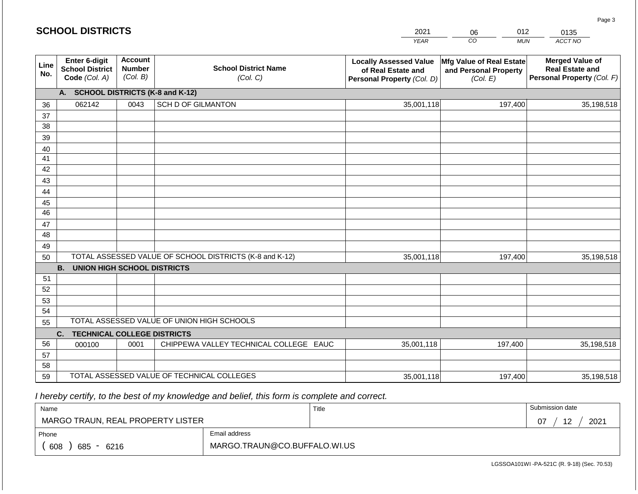#### *YEAR*   $\overline{co}$ *MUN ACCT NO*  0135 **Line No. Enter 6-digit School District Code** *(Col. A)* **Account Number** *(Col. B)* **School District Name** *(Col. C)* **Locally Assessed Value of Real Estate and Personal Property** *(Col. D)* **Mfg Value of Real Estate and Personal Property** *(Col. E)* **Merged Value of Real Estate and Personal Property** *(Col. F)* **A. SCHOOL DISTRICTS (K-8 and K-12)** 36 37 38 39 40 41 42 43 44 45 46 47 48 49 50 TOTAL ASSESSED VALUE OF SCHOOL DISTRICTS (K-8 and K-12) **B. UNION HIGH SCHOOL DISTRICTS** 51 52 53 54 55 **C. TECHNICAL COLLEGE DISTRICTS** 56 57 58 59 TOTAL ASSESSED VALUE OF TECHNICAL COLLEGES TOTAL ASSESSED VALUE OF UNION HIGH SCHOOLS 062142 0043 SCH D OF GILMANTON 35,001,118 35,001,118 000100 | 0001 | CHIPPEWA VALLEY TECHNICAL COLLEGE EAUC 35,001,118 197,400 35,198,518 197,400 35,198,518 197,400 35,198,518 35,001,118 197,400 35,001,118

 *I hereby certify, to the best of my knowledge and belief, this form is complete and correct.*

| Name                              |                              | Title | Submission date  |
|-----------------------------------|------------------------------|-------|------------------|
| MARGO TRAUN, REAL PROPERTY LISTER |                              |       | 12<br>2021<br>07 |
| Phone                             | Email address                |       |                  |
| 608<br>685<br>6216<br>$\sim$      | MARGO.TRAUN@CO.BUFFALO.WI.US |       |                  |

LGSSOA101WI -PA-521C (R. 9-18) (Sec. 70.53)

Page 3

|  | <b>SCHOOL DISTRICTS</b> |
|--|-------------------------|
|--|-------------------------|

2021 06 012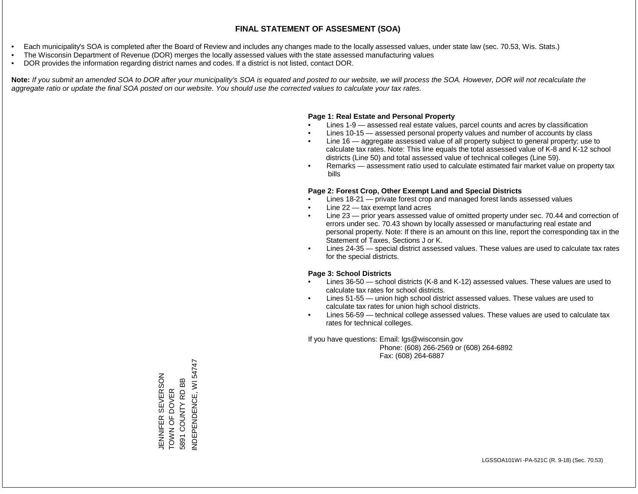- Each municipality's SOA is completed after the Board of Review and includes any changes made to the locally assessed values, under state law (sec. 70.53, Wis. Stats.)
- The Wisconsin Department of Revenue (DOR) merges the locally assessed values with the state assessed manufacturing values
- DOR provides the information regarding district names and codes. If a district is not listed, contact DOR.

Note: If you submit an amended SOA to DOR after your municipality's SOA is equated and posted to our website, we will process the SOA. However, DOR will not recalculate the *aggregate ratio or update the final SOA posted on our website. You should use the corrected values to calculate your tax rates.*

### **Page 1: Real Estate and Personal Property**

- Lines 1-9 assessed real estate values, parcel counts and acres by classification
- Lines 10-15 assessed personal property values and number of accounts by class
- Line 16 aggregate assessed value of all property subject to general property; use to calculate tax rates. Note: This line equals the total assessed value of K-8 and K-12 school districts (Line 50) and total assessed value of technical colleges (Line 59).
- Remarks assessment ratio used to calculate estimated fair market value on property tax bills

### **Page 2: Forest Crop, Other Exempt Land and Special Districts**

- Lines 18-21 private forest crop and managed forest lands assessed values
- Line  $22 -$  tax exempt land acres
- Line 23 prior years assessed value of omitted property under sec. 70.44 and correction of errors under sec. 70.43 shown by locally assessed or manufacturing real estate and personal property. Note: If there is an amount on this line, report the corresponding tax in the Statement of Taxes, Sections J or K.
- Lines 24-35 special district assessed values. These values are used to calculate tax rates for the special districts.

### **Page 3: School Districts**

- Lines 36-50 school districts (K-8 and K-12) assessed values. These values are used to calculate tax rates for school districts.
- Lines 51-55 union high school district assessed values. These values are used to calculate tax rates for union high school districts.
- Lines 56-59 technical college assessed values. These values are used to calculate tax rates for technical colleges.

If you have questions: Email: lgs@wisconsin.gov

 Phone: (608) 266-2569 or (608) 264-6892 Fax: (608) 264-6887

NDEPENDENCE, WI 54747 INDEPENDENCE, WI 54747JENNIFER SEVERSON<br>TOWN OF DOVER<br>5891 COUNTY RD BB JENNIFER SEVERSON 5891 COUNTY RD BB TOWN OF DOVER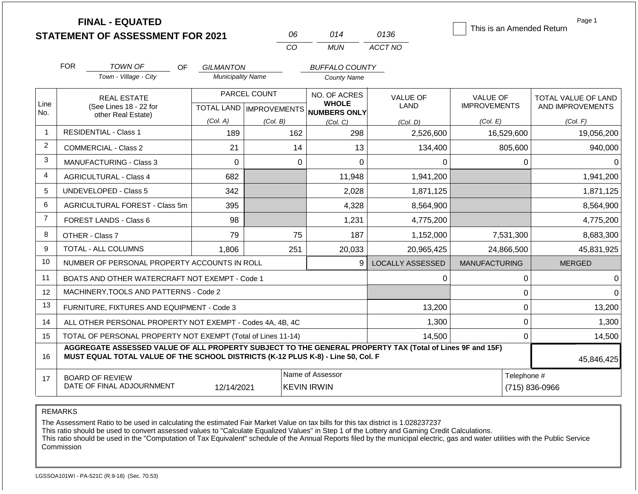|                | <b>FINAL - EQUATED</b><br><b>STATEMENT OF ASSESSMENT FOR 2021</b>                                                                                                                            |                                   | 06             | 014                                             | 0136                    | This is an Amended Return              | Page 1                                  |
|----------------|----------------------------------------------------------------------------------------------------------------------------------------------------------------------------------------------|-----------------------------------|----------------|-------------------------------------------------|-------------------------|----------------------------------------|-----------------------------------------|
|                |                                                                                                                                                                                              |                                   | CO             | <b>MUN</b>                                      | ACCT NO                 |                                        |                                         |
|                | <b>FOR</b><br><b>TOWN OF</b><br>OF                                                                                                                                                           | <b>GILMANTON</b>                  |                | <b>BUFFALO COUNTY</b>                           |                         |                                        |                                         |
|                | Town - Village - City                                                                                                                                                                        | <b>Municipality Name</b>          |                | <b>County Name</b>                              |                         |                                        |                                         |
| Line           | <b>REAL ESTATE</b><br>(See Lines 18 - 22 for                                                                                                                                                 |                                   | PARCEL COUNT   | NO. OF ACRES<br><b>WHOLE</b>                    | <b>VALUE OF</b><br>LAND | <b>VALUE OF</b><br><b>IMPROVEMENTS</b> | TOTAL VALUE OF LAND<br>AND IMPROVEMENTS |
| No.            | other Real Estate)                                                                                                                                                                           | (Col. A)                          | (Col. B)       | TOTAL LAND MPROVEMENTS NUMBERS ONLY<br>(Col, C) | (Col. D)                | (Col. E)                               | (Col. F)                                |
| $\mathbf{1}$   | <b>RESIDENTIAL - Class 1</b>                                                                                                                                                                 | 189                               | 162            | 298                                             | 2,526,600               | 16,529,600                             | 19,056,200                              |
| $\overline{2}$ | <b>COMMERCIAL - Class 2</b>                                                                                                                                                                  | 21                                | 14             | 13                                              | 134,400                 | 805,600                                | 940,000                                 |
| 3              | MANUFACTURING - Class 3                                                                                                                                                                      | $\Omega$                          | $\overline{0}$ | $\overline{0}$                                  | 0                       | 0                                      | 0                                       |
| 4              | <b>AGRICULTURAL - Class 4</b>                                                                                                                                                                | 682                               |                | 11,948                                          | 1,941,200               |                                        | 1,941,200                               |
| 5              | <b>UNDEVELOPED - Class 5</b>                                                                                                                                                                 | 342                               |                | 2,028                                           | 1,871,125               |                                        | 1,871,125                               |
| 6              | <b>AGRICULTURAL FOREST - Class 5m</b>                                                                                                                                                        | 395                               |                | 4,328                                           | 8,564,900               |                                        | 8,564,900                               |
| $\overline{7}$ | FOREST LANDS - Class 6                                                                                                                                                                       | 98                                |                | 1,231                                           | 4,775,200               |                                        | 4,775,200                               |
| 8              | OTHER - Class 7                                                                                                                                                                              | 79                                | 75             | 187                                             | 1,152,000               | 7,531,300                              | 8,683,300                               |
| 9              | TOTAL - ALL COLUMNS                                                                                                                                                                          | 1,806                             | 251            | 20,033                                          | 20,965,425              | 24,866,500                             | 45,831,925                              |
| 10             | NUMBER OF PERSONAL PROPERTY ACCOUNTS IN ROLL                                                                                                                                                 |                                   |                | 9                                               | <b>LOCALLY ASSESSED</b> | <b>MANUFACTURING</b>                   | <b>MERGED</b>                           |
| 11             | BOATS AND OTHER WATERCRAFT NOT EXEMPT - Code 1                                                                                                                                               |                                   |                |                                                 | 0                       | 0                                      | ∩                                       |
| 12             | MACHINERY, TOOLS AND PATTERNS - Code 2                                                                                                                                                       |                                   |                |                                                 |                         | $\mathbf 0$                            | $\Omega$                                |
| 13             | FURNITURE, FIXTURES AND EQUIPMENT - Code 3                                                                                                                                                   |                                   |                |                                                 | 13,200                  | 0                                      | 13,200                                  |
| 14             | ALL OTHER PERSONAL PROPERTY NOT EXEMPT - Codes 4A, 4B, 4C                                                                                                                                    |                                   |                |                                                 | 1,300                   | 0                                      | 1,300                                   |
| 15             | TOTAL OF PERSONAL PROPERTY NOT EXEMPT (Total of Lines 11-14)                                                                                                                                 | 0                                 | 14,500         |                                                 |                         |                                        |                                         |
| 16             | AGGREGATE ASSESSED VALUE OF ALL PROPERTY SUBJECT TO THE GENERAL PROPERTY TAX (Total of Lines 9F and 15F)<br>MUST EQUAL TOTAL VALUE OF THE SCHOOL DISTRICTS (K-12 PLUS K-8) - Line 50, Col. F |                                   | 45,846,425     |                                                 |                         |                                        |                                         |
| 17             | <b>BOARD OF REVIEW</b><br>DATE OF FINAL ADJOURNMENT                                                                                                                                          | Telephone #<br>$(715) 836 - 0966$ |                |                                                 |                         |                                        |                                         |

The Assessment Ratio to be used in calculating the estimated Fair Market Value on tax bills for this tax district is 1.028237237

This ratio should be used to convert assessed values to "Calculate Equalized Values" in Step 1 of the Lottery and Gaming Credit Calculations.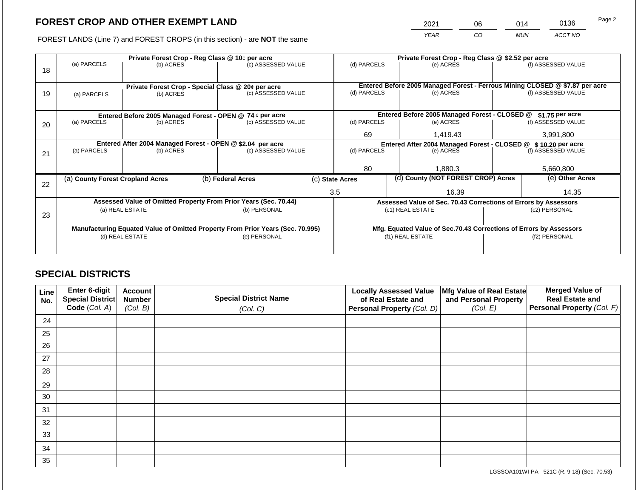2021 06 014 0136

FOREST LANDS (Line 7) and FOREST CROPS (in this section) - are **NOT** the same *YEAR CO MUN ACCT NO*

|    |                                                            |                                                             | Private Forest Crop - Reg Class @ \$2.52 per acre |                                                                                |                                                               |                                                                              |                    |                                                                    |                    |                    |
|----|------------------------------------------------------------|-------------------------------------------------------------|---------------------------------------------------|--------------------------------------------------------------------------------|---------------------------------------------------------------|------------------------------------------------------------------------------|--------------------|--------------------------------------------------------------------|--------------------|--------------------|
| 18 | (a) PARCELS                                                | Private Forest Crop - Reg Class @ 10¢ per acre<br>(b) ACRES |                                                   | (c) ASSESSED VALUE                                                             |                                                               | (d) PARCELS                                                                  |                    | (e) ACRES                                                          |                    | (f) ASSESSED VALUE |
|    |                                                            |                                                             |                                                   |                                                                                |                                                               |                                                                              |                    |                                                                    |                    |                    |
|    |                                                            |                                                             |                                                   | Private Forest Crop - Special Class @ 20¢ per acre                             |                                                               | Entered Before 2005 Managed Forest - Ferrous Mining CLOSED @ \$7.87 per acre |                    |                                                                    |                    |                    |
| 19 | (b) ACRES<br>(a) PARCELS                                   |                                                             | (c) ASSESSED VALUE                                |                                                                                | (d) PARCELS                                                   |                                                                              | (e) ACRES          |                                                                    | (f) ASSESSED VALUE |                    |
|    |                                                            |                                                             |                                                   |                                                                                |                                                               |                                                                              |                    |                                                                    |                    |                    |
|    |                                                            |                                                             |                                                   | Entered Before 2005 Managed Forest - OPEN @ 74 ¢ per acre                      |                                                               |                                                                              |                    | Entered Before 2005 Managed Forest - CLOSED @                      |                    | $$1.75$ per acre   |
| 20 | (a) PARCELS<br>(c) ASSESSED VALUE<br>(b) ACRES             |                                                             | (d) PARCELS                                       |                                                                                | (e) ACRES                                                     |                                                                              | (f) ASSESSED VALUE |                                                                    |                    |                    |
|    |                                                            |                                                             |                                                   |                                                                                | 69                                                            |                                                                              | 1,419.43           |                                                                    | 3,991,800          |                    |
|    | Entered After 2004 Managed Forest - OPEN @ \$2.04 per acre |                                                             |                                                   |                                                                                | Entered After 2004 Managed Forest - CLOSED @ \$10.20 per acre |                                                                              |                    |                                                                    |                    |                    |
| 21 | (a) PARCELS                                                | (b) ACRES                                                   |                                                   | (c) ASSESSED VALUE                                                             |                                                               | (d) PARCELS                                                                  |                    | (e) ACRES                                                          |                    | (f) ASSESSED VALUE |
|    |                                                            |                                                             |                                                   |                                                                                |                                                               |                                                                              |                    |                                                                    |                    |                    |
|    |                                                            |                                                             |                                                   |                                                                                |                                                               | 80                                                                           |                    | 1,880.3                                                            |                    | 5,660,800          |
| 22 | (a) County Forest Cropland Acres                           |                                                             |                                                   | (b) Federal Acres                                                              |                                                               | (c) State Acres                                                              |                    | (d) County (NOT FOREST CROP) Acres                                 |                    | (e) Other Acres    |
|    |                                                            |                                                             |                                                   |                                                                                |                                                               | 3.5                                                                          |                    | 16.39                                                              |                    | 14.35              |
|    |                                                            |                                                             |                                                   | Assessed Value of Omitted Property From Prior Years (Sec. 70.44)               |                                                               |                                                                              |                    | Assessed Value of Sec. 70.43 Corrections of Errors by Assessors    |                    |                    |
|    |                                                            | (a) REAL ESTATE                                             |                                                   | (b) PERSONAL                                                                   |                                                               |                                                                              |                    | (c1) REAL ESTATE                                                   |                    | (c2) PERSONAL      |
| 23 |                                                            |                                                             |                                                   |                                                                                |                                                               |                                                                              |                    |                                                                    |                    |                    |
|    |                                                            |                                                             |                                                   | Manufacturing Equated Value of Omitted Property From Prior Years (Sec. 70.995) |                                                               |                                                                              |                    | Mfg. Equated Value of Sec.70.43 Corrections of Errors by Assessors |                    |                    |
|    | (d) REAL ESTATE                                            |                                                             |                                                   | (e) PERSONAL                                                                   |                                                               | (f1) REAL ESTATE                                                             |                    |                                                                    | (f2) PERSONAL      |                    |
|    |                                                            |                                                             |                                                   |                                                                                |                                                               |                                                                              |                    |                                                                    |                    |                    |
|    |                                                            |                                                             |                                                   |                                                                                |                                                               |                                                                              |                    |                                                                    |                    |                    |

## **SPECIAL DISTRICTS**

| Line<br>No. | Enter 6-digit<br><b>Special District</b><br>Code (Col. A) | <b>Account</b><br><b>Number</b><br>(Col. B) | <b>Special District Name</b><br>(Col. C) | <b>Locally Assessed Value</b><br>of Real Estate and<br>Personal Property (Col. D) | Mfg Value of Real Estate<br>and Personal Property<br>(Col. E) | <b>Merged Value of</b><br><b>Real Estate and</b><br>Personal Property (Col. F) |
|-------------|-----------------------------------------------------------|---------------------------------------------|------------------------------------------|-----------------------------------------------------------------------------------|---------------------------------------------------------------|--------------------------------------------------------------------------------|
| 24          |                                                           |                                             |                                          |                                                                                   |                                                               |                                                                                |
|             |                                                           |                                             |                                          |                                                                                   |                                                               |                                                                                |
| 25          |                                                           |                                             |                                          |                                                                                   |                                                               |                                                                                |
| 26          |                                                           |                                             |                                          |                                                                                   |                                                               |                                                                                |
| 27          |                                                           |                                             |                                          |                                                                                   |                                                               |                                                                                |
| 28          |                                                           |                                             |                                          |                                                                                   |                                                               |                                                                                |
| 29          |                                                           |                                             |                                          |                                                                                   |                                                               |                                                                                |
| 30          |                                                           |                                             |                                          |                                                                                   |                                                               |                                                                                |
| 31          |                                                           |                                             |                                          |                                                                                   |                                                               |                                                                                |
| 32          |                                                           |                                             |                                          |                                                                                   |                                                               |                                                                                |
| 33          |                                                           |                                             |                                          |                                                                                   |                                                               |                                                                                |
| 34          |                                                           |                                             |                                          |                                                                                   |                                                               |                                                                                |
| 35          |                                                           |                                             |                                          |                                                                                   |                                                               |                                                                                |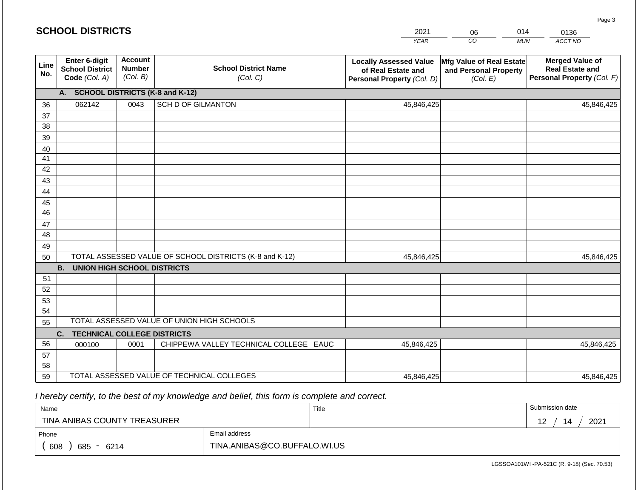|             | <b>SCHOOL DISTRICTS</b>                                  |                                             |                                                         | 2021                                                                              | 06                                                            | 014        | 0136                                                                           |
|-------------|----------------------------------------------------------|---------------------------------------------|---------------------------------------------------------|-----------------------------------------------------------------------------------|---------------------------------------------------------------|------------|--------------------------------------------------------------------------------|
|             |                                                          |                                             |                                                         | <b>YEAR</b>                                                                       | CO                                                            | <b>MUN</b> | ACCT NO                                                                        |
| Line<br>No. | Enter 6-digit<br><b>School District</b><br>Code (Col. A) | <b>Account</b><br><b>Number</b><br>(Col. B) | <b>School District Name</b><br>(Col. C)                 | <b>Locally Assessed Value</b><br>of Real Estate and<br>Personal Property (Col. D) | Mfg Value of Real Estate<br>and Personal Property<br>(Col. E) |            | <b>Merged Value of</b><br><b>Real Estate and</b><br>Personal Property (Col. F) |
|             | A. SCHOOL DISTRICTS (K-8 and K-12)                       |                                             |                                                         |                                                                                   |                                                               |            |                                                                                |
| 36          | 062142                                                   | 0043                                        | <b>SCH D OF GILMANTON</b>                               | 45,846,425                                                                        |                                                               |            | 45,846,425                                                                     |
| 37          |                                                          |                                             |                                                         |                                                                                   |                                                               |            |                                                                                |
| 38          |                                                          |                                             |                                                         |                                                                                   |                                                               |            |                                                                                |
| 39          |                                                          |                                             |                                                         |                                                                                   |                                                               |            |                                                                                |
| 40          |                                                          |                                             |                                                         |                                                                                   |                                                               |            |                                                                                |
| 41<br>42    |                                                          |                                             |                                                         |                                                                                   |                                                               |            |                                                                                |
| 43          |                                                          |                                             |                                                         |                                                                                   |                                                               |            |                                                                                |
| 44          |                                                          |                                             |                                                         |                                                                                   |                                                               |            |                                                                                |
| 45          |                                                          |                                             |                                                         |                                                                                   |                                                               |            |                                                                                |
| 46          |                                                          |                                             |                                                         |                                                                                   |                                                               |            |                                                                                |
| 47          |                                                          |                                             |                                                         |                                                                                   |                                                               |            |                                                                                |
| 48          |                                                          |                                             |                                                         |                                                                                   |                                                               |            |                                                                                |
| 49          |                                                          |                                             |                                                         |                                                                                   |                                                               |            |                                                                                |
| 50          |                                                          |                                             | TOTAL ASSESSED VALUE OF SCHOOL DISTRICTS (K-8 and K-12) | 45,846,425                                                                        |                                                               |            | 45,846,425                                                                     |
|             | <b>B. UNION HIGH SCHOOL DISTRICTS</b>                    |                                             |                                                         |                                                                                   |                                                               |            |                                                                                |
| 51          |                                                          |                                             |                                                         |                                                                                   |                                                               |            |                                                                                |
| 52          |                                                          |                                             |                                                         |                                                                                   |                                                               |            |                                                                                |
| 53          |                                                          |                                             |                                                         |                                                                                   |                                                               |            |                                                                                |
| 54          |                                                          |                                             | TOTAL ASSESSED VALUE OF UNION HIGH SCHOOLS              |                                                                                   |                                                               |            |                                                                                |
| 55          |                                                          |                                             |                                                         |                                                                                   |                                                               |            |                                                                                |
|             | <b>TECHNICAL COLLEGE DISTRICTS</b><br>C.                 |                                             |                                                         |                                                                                   |                                                               |            |                                                                                |
| 56<br>57    | 000100                                                   | 0001                                        | CHIPPEWA VALLEY TECHNICAL COLLEGE EAUC                  | 45,846,425                                                                        |                                                               |            | 45,846,425                                                                     |
| 58          |                                                          |                                             |                                                         |                                                                                   |                                                               |            |                                                                                |
| 59          |                                                          |                                             | TOTAL ASSESSED VALUE OF TECHNICAL COLLEGES              | 45,846,425                                                                        |                                                               |            | 45,846,425                                                                     |

| Name                         |                              | Title | Submission date |
|------------------------------|------------------------------|-------|-----------------|
| TINA ANIBAS COUNTY TREASURER |                              |       | 2021<br>14      |
| Phone                        | Email address                |       |                 |
| 608<br>685<br>6214<br>$\sim$ | TINA.ANIBAS@CO.BUFFALO.WI.US |       |                 |

Page 3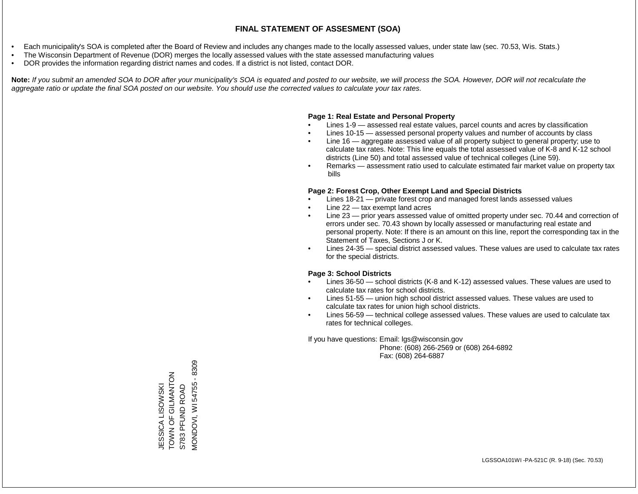- Each municipality's SOA is completed after the Board of Review and includes any changes made to the locally assessed values, under state law (sec. 70.53, Wis. Stats.)
- The Wisconsin Department of Revenue (DOR) merges the locally assessed values with the state assessed manufacturing values
- DOR provides the information regarding district names and codes. If a district is not listed, contact DOR.

Note: If you submit an amended SOA to DOR after your municipality's SOA is equated and posted to our website, we will process the SOA. However, DOR will not recalculate the *aggregate ratio or update the final SOA posted on our website. You should use the corrected values to calculate your tax rates.*

### **Page 1: Real Estate and Personal Property**

- Lines 1-9 assessed real estate values, parcel counts and acres by classification
- Lines 10-15 assessed personal property values and number of accounts by class
- Line 16 aggregate assessed value of all property subject to general property; use to calculate tax rates. Note: This line equals the total assessed value of K-8 and K-12 school districts (Line 50) and total assessed value of technical colleges (Line 59).
- Remarks assessment ratio used to calculate estimated fair market value on property tax bills

### **Page 2: Forest Crop, Other Exempt Land and Special Districts**

- Lines 18-21 private forest crop and managed forest lands assessed values
- Line  $22 -$  tax exempt land acres
- Line 23 prior years assessed value of omitted property under sec. 70.44 and correction of errors under sec. 70.43 shown by locally assessed or manufacturing real estate and personal property. Note: If there is an amount on this line, report the corresponding tax in the Statement of Taxes, Sections J or K.
- Lines 24-35 special district assessed values. These values are used to calculate tax rates for the special districts.

### **Page 3: School Districts**

- Lines 36-50 school districts (K-8 and K-12) assessed values. These values are used to calculate tax rates for school districts.
- Lines 51-55 union high school district assessed values. These values are used to calculate tax rates for union high school districts.
- Lines 56-59 technical college assessed values. These values are used to calculate tax rates for technical colleges.

If you have questions: Email: lgs@wisconsin.gov

 Phone: (608) 266-2569 or (608) 264-6892 Fax: (608) 264-6887

VIONDOVI, WI 54755 - 8309 MONDOVI, WI 54755 - 8309ZOLN VALIO LO NANOL TOWN OF GILMANTON ESSICA LISOWSKI S783 PFUND ROAD JESSICA LISOWSKI S783 PFUND ROAD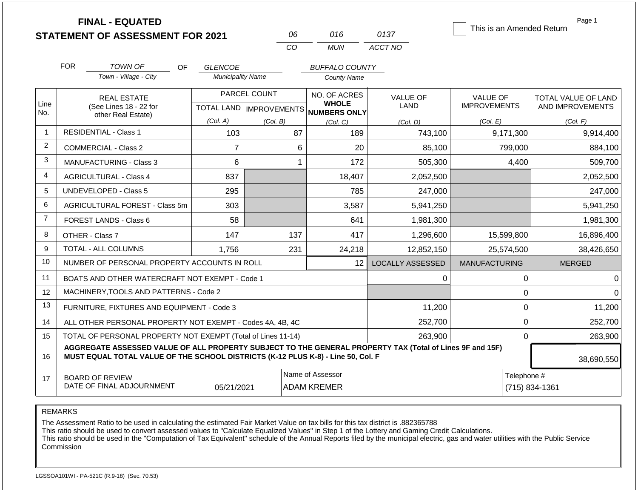|                |                                                                                                                                                                                              | <b>FINAL - EQUATED</b><br><b>STATEMENT OF ASSESSMENT FOR 2021</b> |                                                  |              | 06          | 016                                         | 0137                    | This is an Amended Return | Page 1              |  |  |
|----------------|----------------------------------------------------------------------------------------------------------------------------------------------------------------------------------------------|-------------------------------------------------------------------|--------------------------------------------------|--------------|-------------|---------------------------------------------|-------------------------|---------------------------|---------------------|--|--|
|                |                                                                                                                                                                                              |                                                                   |                                                  |              | CO          | <b>MUN</b>                                  | ACCT NO                 |                           |                     |  |  |
|                |                                                                                                                                                                                              |                                                                   |                                                  |              |             |                                             |                         |                           |                     |  |  |
|                | <b>FOR</b>                                                                                                                                                                                   | TOWN OF<br>Town - Village - City                                  | OF<br><b>GLENCOE</b><br><b>Municipality Name</b> |              |             | <b>BUFFALO COUNTY</b><br><b>County Name</b> |                         |                           |                     |  |  |
|                |                                                                                                                                                                                              |                                                                   |                                                  |              |             |                                             |                         |                           |                     |  |  |
|                | <b>REAL ESTATE</b>                                                                                                                                                                           |                                                                   |                                                  | PARCEL COUNT |             | NO. OF ACRES<br><b>WHOLE</b>                | <b>VALUE OF</b>         | <b>VALUE OF</b>           | TOTAL VALUE OF LAND |  |  |
| Line<br>No.    |                                                                                                                                                                                              | (See Lines 18 - 22 for<br>other Real Estate)                      | TOTAL LAND   IMPROVEMENTS                        |              |             | NUMBERS ONLY                                | LAND                    | <b>IMPROVEMENTS</b>       | AND IMPROVEMENTS    |  |  |
|                |                                                                                                                                                                                              |                                                                   | (Col. A)                                         | (Col. B)     |             | (Col. C)                                    | (Col, D)                | (Col. E)                  | (Col. F)            |  |  |
| $\mathbf{1}$   |                                                                                                                                                                                              | <b>RESIDENTIAL - Class 1</b>                                      | 103                                              |              | 87          | 189                                         | 743,100                 | 9,171,300                 | 9,914,400           |  |  |
| $\overline{c}$ |                                                                                                                                                                                              | <b>COMMERCIAL - Class 2</b>                                       | $\overline{7}$                                   |              | 6           | 20                                          | 85,100                  | 799,000                   | 884,100             |  |  |
| 3              |                                                                                                                                                                                              | <b>MANUFACTURING - Class 3</b>                                    | 6                                                |              | -1          | 172                                         | 505,300                 | 4,400                     | 509,700             |  |  |
| 4              |                                                                                                                                                                                              | <b>AGRICULTURAL - Class 4</b>                                     | 837                                              |              |             | 18,407                                      | 2,052,500               |                           | 2,052,500           |  |  |
| 5              |                                                                                                                                                                                              | UNDEVELOPED - Class 5                                             | 295                                              |              |             | 785                                         | 247,000                 |                           | 247,000             |  |  |
| 6              |                                                                                                                                                                                              | <b>AGRICULTURAL FOREST - Class 5m</b>                             | 303                                              |              |             | 3,587                                       | 5,941,250               |                           | 5,941,250           |  |  |
| $\overline{7}$ |                                                                                                                                                                                              | <b>FOREST LANDS - Class 6</b>                                     | 58                                               |              |             | 641                                         | 1,981,300               |                           | 1,981,300           |  |  |
| 8              | OTHER - Class 7                                                                                                                                                                              |                                                                   | 147                                              |              | 137         | 417                                         | 1,296,600               | 15,599,800                | 16,896,400          |  |  |
| 9              |                                                                                                                                                                                              | TOTAL - ALL COLUMNS                                               | 1,756                                            |              | 231         | 24,218                                      | 12,852,150              | 25,574,500                | 38,426,650          |  |  |
| 10             |                                                                                                                                                                                              | NUMBER OF PERSONAL PROPERTY ACCOUNTS IN ROLL                      |                                                  |              |             | 12                                          | <b>LOCALLY ASSESSED</b> | <b>MANUFACTURING</b>      | <b>MERGED</b>       |  |  |
| 11             |                                                                                                                                                                                              | BOATS AND OTHER WATERCRAFT NOT EXEMPT - Code 1                    |                                                  |              |             |                                             | 0                       | $\mathbf 0$               | 0                   |  |  |
| 12             |                                                                                                                                                                                              | MACHINERY, TOOLS AND PATTERNS - Code 2                            |                                                  |              |             |                                             |                         | $\pmb{0}$                 | 0                   |  |  |
| 13             |                                                                                                                                                                                              | FURNITURE, FIXTURES AND EQUIPMENT - Code 3                        |                                                  |              |             |                                             | 11,200                  | $\pmb{0}$                 | 11,200              |  |  |
| 14             |                                                                                                                                                                                              | ALL OTHER PERSONAL PROPERTY NOT EXEMPT - Codes 4A, 4B, 4C         |                                                  |              |             |                                             | 252,700                 | 0                         | 252,700             |  |  |
| 15             |                                                                                                                                                                                              | TOTAL OF PERSONAL PROPERTY NOT EXEMPT (Total of Lines 11-14)      |                                                  | 263,900      | $\mathbf 0$ | 263,900                                     |                         |                           |                     |  |  |
| 16             | AGGREGATE ASSESSED VALUE OF ALL PROPERTY SUBJECT TO THE GENERAL PROPERTY TAX (Total of Lines 9F and 15F)<br>MUST EQUAL TOTAL VALUE OF THE SCHOOL DISTRICTS (K-12 PLUS K-8) - Line 50, Col. F |                                                                   |                                                  |              |             |                                             |                         |                           | 38,690,550          |  |  |
| 17             | Name of Assessor<br><b>BOARD OF REVIEW</b>                                                                                                                                                   |                                                                   |                                                  |              |             |                                             |                         | Telephone #               |                     |  |  |
|                | DATE OF FINAL ADJOURNMENT<br><b>ADAM KREMER</b><br>05/21/2021                                                                                                                                |                                                                   |                                                  |              |             |                                             |                         |                           | (715) 834-1361      |  |  |

The Assessment Ratio to be used in calculating the estimated Fair Market Value on tax bills for this tax district is .882365788

This ratio should be used to convert assessed values to "Calculate Equalized Values" in Step 1 of the Lottery and Gaming Credit Calculations.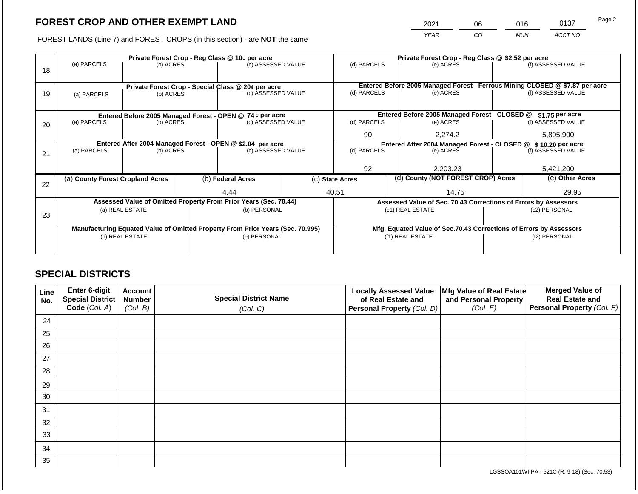2021 06 016 0137

FOREST LANDS (Line 7) and FOREST CROPS (in this section) - are **NOT** the same *YEAR CO MUN ACCT NO*

| Private Forest Crop - Reg Class @ 10¢ per acre |             |                                                                        |                                                  |         | Private Forest Crop - Reg Class @ \$2.52 per acre                                                                                                                                                                                                                                                                                                                                                                                                           |                          |                                                               |                                               |                                                                                                                                                                                                                                                                        |  |
|------------------------------------------------|-------------|------------------------------------------------------------------------|--------------------------------------------------|---------|-------------------------------------------------------------------------------------------------------------------------------------------------------------------------------------------------------------------------------------------------------------------------------------------------------------------------------------------------------------------------------------------------------------------------------------------------------------|--------------------------|---------------------------------------------------------------|-----------------------------------------------|------------------------------------------------------------------------------------------------------------------------------------------------------------------------------------------------------------------------------------------------------------------------|--|
|                                                |             |                                                                        |                                                  |         |                                                                                                                                                                                                                                                                                                                                                                                                                                                             |                          | (e) ACRES                                                     |                                               | (f) ASSESSED VALUE                                                                                                                                                                                                                                                     |  |
|                                                |             |                                                                        |                                                  |         |                                                                                                                                                                                                                                                                                                                                                                                                                                                             |                          |                                                               |                                               |                                                                                                                                                                                                                                                                        |  |
|                                                |             |                                                                        |                                                  |         |                                                                                                                                                                                                                                                                                                                                                                                                                                                             |                          |                                                               |                                               |                                                                                                                                                                                                                                                                        |  |
| (a) PARCELS                                    |             |                                                                        |                                                  |         | (d) PARCELS                                                                                                                                                                                                                                                                                                                                                                                                                                                 |                          | (e) ACRES                                                     |                                               | (f) ASSESSED VALUE                                                                                                                                                                                                                                                     |  |
|                                                |             |                                                                        |                                                  |         |                                                                                                                                                                                                                                                                                                                                                                                                                                                             |                          |                                                               |                                               |                                                                                                                                                                                                                                                                        |  |
|                                                |             |                                                                        |                                                  |         |                                                                                                                                                                                                                                                                                                                                                                                                                                                             |                          |                                                               |                                               | \$1.75 per acre                                                                                                                                                                                                                                                        |  |
| (a) PARCELS                                    |             |                                                                        |                                                  |         | (d) PARCELS                                                                                                                                                                                                                                                                                                                                                                                                                                                 |                          | (e) ACRES                                                     |                                               | (f) ASSESSED VALUE                                                                                                                                                                                                                                                     |  |
|                                                |             |                                                                        | 90                                               | 2.274.2 |                                                                                                                                                                                                                                                                                                                                                                                                                                                             | 5,895,900                |                                                               |                                               |                                                                                                                                                                                                                                                                        |  |
|                                                |             |                                                                        |                                                  |         |                                                                                                                                                                                                                                                                                                                                                                                                                                                             |                          | Entered After 2004 Managed Forest - CLOSED @ \$10.20 per acre |                                               |                                                                                                                                                                                                                                                                        |  |
| (a) PARCELS                                    |             |                                                                        |                                                  |         |                                                                                                                                                                                                                                                                                                                                                                                                                                                             | (d) PARCELS<br>(e) ACRES |                                                               | (f) ASSESSED VALUE                            |                                                                                                                                                                                                                                                                        |  |
|                                                |             |                                                                        |                                                  |         |                                                                                                                                                                                                                                                                                                                                                                                                                                                             |                          |                                                               |                                               |                                                                                                                                                                                                                                                                        |  |
|                                                |             |                                                                        |                                                  |         | 92                                                                                                                                                                                                                                                                                                                                                                                                                                                          |                          | 2,203.23                                                      |                                               | 5,421,200                                                                                                                                                                                                                                                              |  |
| 22                                             |             | (b) Federal Acres                                                      |                                                  |         | (c) State Acres                                                                                                                                                                                                                                                                                                                                                                                                                                             |                          | (d) County (NOT FOREST CROP) Acres                            |                                               | (e) Other Acres                                                                                                                                                                                                                                                        |  |
|                                                |             |                                                                        |                                                  |         |                                                                                                                                                                                                                                                                                                                                                                                                                                                             |                          |                                                               |                                               | 29.95                                                                                                                                                                                                                                                                  |  |
|                                                |             |                                                                        |                                                  |         |                                                                                                                                                                                                                                                                                                                                                                                                                                                             |                          |                                                               |                                               |                                                                                                                                                                                                                                                                        |  |
|                                                |             |                                                                        |                                                  |         |                                                                                                                                                                                                                                                                                                                                                                                                                                                             |                          |                                                               |                                               | (c2) PERSONAL                                                                                                                                                                                                                                                          |  |
|                                                |             |                                                                        |                                                  |         |                                                                                                                                                                                                                                                                                                                                                                                                                                                             |                          |                                                               |                                               |                                                                                                                                                                                                                                                                        |  |
|                                                |             |                                                                        |                                                  |         |                                                                                                                                                                                                                                                                                                                                                                                                                                                             |                          |                                                               |                                               |                                                                                                                                                                                                                                                                        |  |
|                                                |             |                                                                        |                                                  |         |                                                                                                                                                                                                                                                                                                                                                                                                                                                             |                          |                                                               |                                               |                                                                                                                                                                                                                                                                        |  |
|                                                |             |                                                                        |                                                  |         |                                                                                                                                                                                                                                                                                                                                                                                                                                                             |                          |                                                               |                                               | (f2) PERSONAL                                                                                                                                                                                                                                                          |  |
|                                                |             |                                                                        |                                                  |         |                                                                                                                                                                                                                                                                                                                                                                                                                                                             |                          |                                                               |                                               |                                                                                                                                                                                                                                                                        |  |
|                                                | (a) PARCELS | (a) County Forest Cropland Acres<br>(a) REAL ESTATE<br>(d) REAL ESTATE | (b) ACRES<br>(b) ACRES<br>(b) ACRES<br>(b) ACRES | 4.44    | (c) ASSESSED VALUE<br>Private Forest Crop - Special Class @ 20¢ per acre<br>(c) ASSESSED VALUE<br>Entered Before 2005 Managed Forest - OPEN @ 74 ¢ per acre<br>(c) ASSESSED VALUE<br>Entered After 2004 Managed Forest - OPEN @ \$2.04 per acre<br>(c) ASSESSED VALUE<br>Assessed Value of Omitted Property From Prior Years (Sec. 70.44)<br>(b) PERSONAL<br>Manufacturing Equated Value of Omitted Property From Prior Years (Sec. 70.995)<br>(e) PERSONAL | 40.51                    | (d) PARCELS                                                   | 14.75<br>(c1) REAL ESTATE<br>(f1) REAL ESTATE | Entered Before 2005 Managed Forest - Ferrous Mining CLOSED @ \$7.87 per acre<br>Entered Before 2005 Managed Forest - CLOSED @<br>Assessed Value of Sec. 70.43 Corrections of Errors by Assessors<br>Mfg. Equated Value of Sec.70.43 Corrections of Errors by Assessors |  |

## **SPECIAL DISTRICTS**

| Line<br>No. | Enter 6-digit<br>Special District<br>Code (Col. A) | <b>Account</b><br><b>Number</b><br>(Col. B) | <b>Special District Name</b><br>(Col. C) | <b>Locally Assessed Value</b><br>of Real Estate and<br><b>Personal Property (Col. D)</b> | Mfg Value of Real Estate<br>and Personal Property<br>(Col. E) | <b>Merged Value of</b><br><b>Real Estate and</b><br>Personal Property (Col. F) |
|-------------|----------------------------------------------------|---------------------------------------------|------------------------------------------|------------------------------------------------------------------------------------------|---------------------------------------------------------------|--------------------------------------------------------------------------------|
| 24          |                                                    |                                             |                                          |                                                                                          |                                                               |                                                                                |
| 25          |                                                    |                                             |                                          |                                                                                          |                                                               |                                                                                |
| 26          |                                                    |                                             |                                          |                                                                                          |                                                               |                                                                                |
| 27          |                                                    |                                             |                                          |                                                                                          |                                                               |                                                                                |
| 28          |                                                    |                                             |                                          |                                                                                          |                                                               |                                                                                |
| 29          |                                                    |                                             |                                          |                                                                                          |                                                               |                                                                                |
| 30          |                                                    |                                             |                                          |                                                                                          |                                                               |                                                                                |
| 31          |                                                    |                                             |                                          |                                                                                          |                                                               |                                                                                |
| 32          |                                                    |                                             |                                          |                                                                                          |                                                               |                                                                                |
| 33          |                                                    |                                             |                                          |                                                                                          |                                                               |                                                                                |
| 34          |                                                    |                                             |                                          |                                                                                          |                                                               |                                                                                |
| 35          |                                                    |                                             |                                          |                                                                                          |                                                               |                                                                                |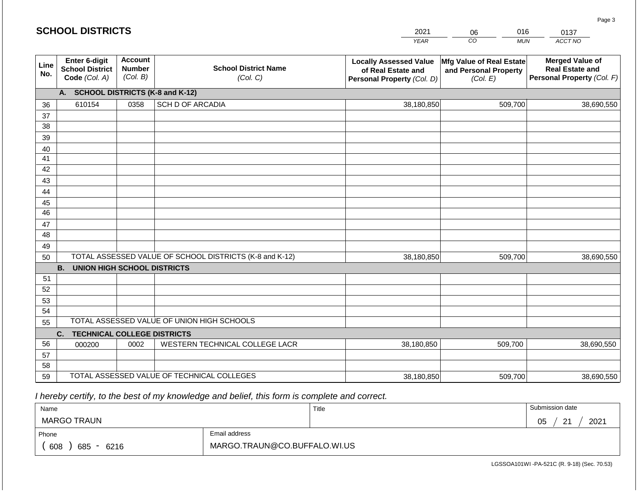| <b>SCHOOL DISTRICTS</b> |                                                          |                                             |                                                         | 2021                                                                              | 016<br>06                                                     | 0137                                                                           |
|-------------------------|----------------------------------------------------------|---------------------------------------------|---------------------------------------------------------|-----------------------------------------------------------------------------------|---------------------------------------------------------------|--------------------------------------------------------------------------------|
|                         |                                                          |                                             |                                                         | <b>YEAR</b>                                                                       | CO<br><b>MUN</b>                                              | ACCT NO                                                                        |
| Line<br>No.             | Enter 6-digit<br><b>School District</b><br>Code (Col. A) | <b>Account</b><br><b>Number</b><br>(Col. B) | <b>School District Name</b><br>(Col. C)                 | <b>Locally Assessed Value</b><br>of Real Estate and<br>Personal Property (Col. D) | Mfg Value of Real Estate<br>and Personal Property<br>(Col. E) | <b>Merged Value of</b><br><b>Real Estate and</b><br>Personal Property (Col. F) |
|                         | A. SCHOOL DISTRICTS (K-8 and K-12)                       |                                             |                                                         |                                                                                   |                                                               |                                                                                |
| 36                      | 610154                                                   | 0358                                        | SCH D OF ARCADIA                                        | 38,180,850                                                                        | 509,700                                                       | 38,690,550                                                                     |
| 37                      |                                                          |                                             |                                                         |                                                                                   |                                                               |                                                                                |
| 38                      |                                                          |                                             |                                                         |                                                                                   |                                                               |                                                                                |
| 39                      |                                                          |                                             |                                                         |                                                                                   |                                                               |                                                                                |
| 40                      |                                                          |                                             |                                                         |                                                                                   |                                                               |                                                                                |
| 41<br>42                |                                                          |                                             |                                                         |                                                                                   |                                                               |                                                                                |
| 43                      |                                                          |                                             |                                                         |                                                                                   |                                                               |                                                                                |
| 44                      |                                                          |                                             |                                                         |                                                                                   |                                                               |                                                                                |
| 45                      |                                                          |                                             |                                                         |                                                                                   |                                                               |                                                                                |
| 46                      |                                                          |                                             |                                                         |                                                                                   |                                                               |                                                                                |
| 47                      |                                                          |                                             |                                                         |                                                                                   |                                                               |                                                                                |
| 48                      |                                                          |                                             |                                                         |                                                                                   |                                                               |                                                                                |
| 49                      |                                                          |                                             |                                                         |                                                                                   |                                                               |                                                                                |
| 50                      |                                                          |                                             | TOTAL ASSESSED VALUE OF SCHOOL DISTRICTS (K-8 and K-12) | 38,180,850                                                                        | 509,700                                                       | 38,690,550                                                                     |
|                         | <b>B.</b><br><b>UNION HIGH SCHOOL DISTRICTS</b>          |                                             |                                                         |                                                                                   |                                                               |                                                                                |
| 51                      |                                                          |                                             |                                                         |                                                                                   |                                                               |                                                                                |
| 52                      |                                                          |                                             |                                                         |                                                                                   |                                                               |                                                                                |
| 53                      |                                                          |                                             |                                                         |                                                                                   |                                                               |                                                                                |
| 54                      |                                                          |                                             | TOTAL ASSESSED VALUE OF UNION HIGH SCHOOLS              |                                                                                   |                                                               |                                                                                |
| 55                      |                                                          |                                             |                                                         |                                                                                   |                                                               |                                                                                |
| 56                      | <b>TECHNICAL COLLEGE DISTRICTS</b><br>C.                 | 0002                                        | WESTERN TECHNICAL COLLEGE LACR                          |                                                                                   | 509,700                                                       |                                                                                |
| 57                      | 000200                                                   |                                             |                                                         | 38,180,850                                                                        |                                                               | 38,690,550                                                                     |
| 58                      |                                                          |                                             |                                                         |                                                                                   |                                                               |                                                                                |
| 59                      |                                                          |                                             | TOTAL ASSESSED VALUE OF TECHNICAL COLLEGES              | 38,180,850                                                                        | 509,700                                                       | 38,690,550                                                                     |

| Name                         |                              | Title | Submission date                          |  |  |
|------------------------------|------------------------------|-------|------------------------------------------|--|--|
| MARGO TRAUN                  |                              |       | 2021<br>$\Omega$<br>∩ҕ<br>◡◡<br><u>_</u> |  |  |
| Phone                        | Email address                |       |                                          |  |  |
| 608<br>685<br>6216<br>$\sim$ | MARGO.TRAUN@CO.BUFFALO.WI.US |       |                                          |  |  |

LGSSOA101WI -PA-521C (R. 9-18) (Sec. 70.53)

Page 3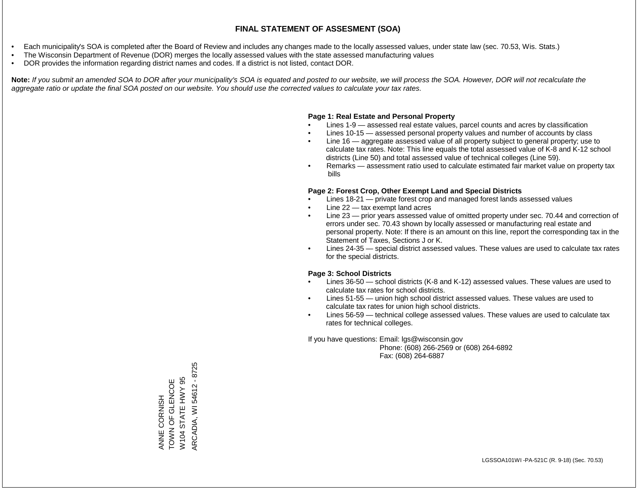- Each municipality's SOA is completed after the Board of Review and includes any changes made to the locally assessed values, under state law (sec. 70.53, Wis. Stats.)
- The Wisconsin Department of Revenue (DOR) merges the locally assessed values with the state assessed manufacturing values
- DOR provides the information regarding district names and codes. If a district is not listed, contact DOR.

Note: If you submit an amended SOA to DOR after your municipality's SOA is equated and posted to our website, we will process the SOA. However, DOR will not recalculate the *aggregate ratio or update the final SOA posted on our website. You should use the corrected values to calculate your tax rates.*

#### **Page 1: Real Estate and Personal Property**

- Lines 1-9 assessed real estate values, parcel counts and acres by classification
- Lines 10-15 assessed personal property values and number of accounts by class
- Line 16 aggregate assessed value of all property subject to general property; use to calculate tax rates. Note: This line equals the total assessed value of K-8 and K-12 school districts (Line 50) and total assessed value of technical colleges (Line 59).
- Remarks assessment ratio used to calculate estimated fair market value on property tax bills

#### **Page 2: Forest Crop, Other Exempt Land and Special Districts**

- Lines 18-21 private forest crop and managed forest lands assessed values
- Line  $22 -$  tax exempt land acres
- Line 23 prior years assessed value of omitted property under sec. 70.44 and correction of errors under sec. 70.43 shown by locally assessed or manufacturing real estate and personal property. Note: If there is an amount on this line, report the corresponding tax in the Statement of Taxes, Sections J or K.
- Lines 24-35 special district assessed values. These values are used to calculate tax rates for the special districts.

#### **Page 3: School Districts**

- Lines 36-50 school districts (K-8 and K-12) assessed values. These values are used to calculate tax rates for school districts.
- Lines 51-55 union high school district assessed values. These values are used to calculate tax rates for union high school districts.
- Lines 56-59 technical college assessed values. These values are used to calculate tax rates for technical colleges.

If you have questions: Email: lgs@wisconsin.gov

 Phone: (608) 266-2569 or (608) 264-6892 Fax: (608) 264-6887

ARCADIA, WI 54612 - 8725 ARCADIA, WI 54612 - 8725W104 STATE HWY 95 ANNE CORNISH<br>TOWN OF GLENCOE TOWN OF GRAND W104 STATE HWY 95 ANNE CORNISH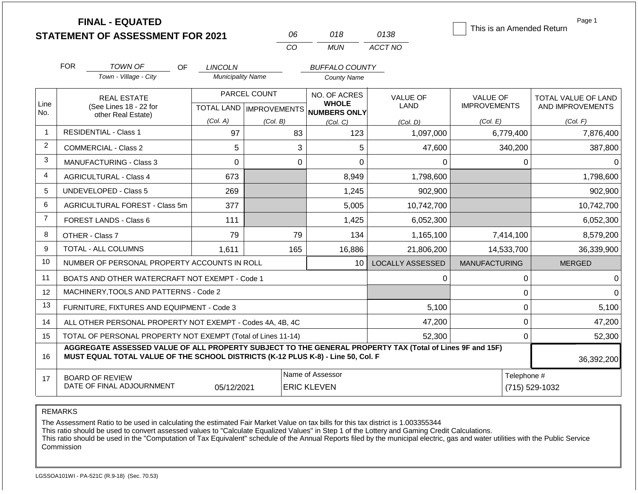|                | <b>FINAL - EQUATED</b><br><b>STATEMENT OF ASSESSMENT FOR 2021</b>                                                                                                                                          |                          | 06                                        | 018                                          | 0138                           | This is an Amended Return       | Page 1                                  |  |  |
|----------------|------------------------------------------------------------------------------------------------------------------------------------------------------------------------------------------------------------|--------------------------|-------------------------------------------|----------------------------------------------|--------------------------------|---------------------------------|-----------------------------------------|--|--|
|                |                                                                                                                                                                                                            |                          | CO                                        | <b>MUN</b>                                   | ACCT NO                        |                                 |                                         |  |  |
|                | <b>FOR</b><br><b>TOWN OF</b><br><b>OF</b>                                                                                                                                                                  | <b>LINCOLN</b>           |                                           | <b>BUFFALO COUNTY</b>                        |                                |                                 |                                         |  |  |
|                | Town - Village - City                                                                                                                                                                                      | <b>Municipality Name</b> |                                           | <b>County Name</b>                           |                                |                                 |                                         |  |  |
| Line           | <b>REAL ESTATE</b><br>(See Lines 18 - 22 for                                                                                                                                                               |                          | PARCEL COUNT<br>TOTAL LAND   IMPROVEMENTS | NO. OF ACRES<br><b>WHOLE</b><br>NUMBERS ONLY | <b>VALUE OF</b><br><b>LAND</b> | VALUE OF<br><b>IMPROVEMENTS</b> | TOTAL VALUE OF LAND<br>AND IMPROVEMENTS |  |  |
| No.            | other Real Estate)                                                                                                                                                                                         | (Col. A)                 | (Col. B)                                  | (Col, C)                                     | (Col. D)                       | (Col. E)                        | (Col. F)                                |  |  |
| $\overline{1}$ | <b>RESIDENTIAL - Class 1</b>                                                                                                                                                                               | 97                       | 83                                        | 123                                          | 1,097,000                      | 6,779,400                       | 7,876,400                               |  |  |
| 2              | COMMERCIAL - Class 2                                                                                                                                                                                       | 5                        |                                           | 3<br>5                                       | 47,600                         | 340,200                         | 387,800                                 |  |  |
| 3              | <b>MANUFACTURING - Class 3</b>                                                                                                                                                                             | $\Omega$                 |                                           | $\overline{0}$<br>$\Omega$                   | $\Omega$                       | 0                               | $\Omega$                                |  |  |
| 4              | <b>AGRICULTURAL - Class 4</b>                                                                                                                                                                              | 673                      |                                           | 8,949                                        | 1,798,600                      |                                 | 1,798,600                               |  |  |
| 5              | UNDEVELOPED - Class 5                                                                                                                                                                                      | 269                      |                                           | 1,245                                        | 902,900                        |                                 | 902,900                                 |  |  |
| 6              | AGRICULTURAL FOREST - Class 5m                                                                                                                                                                             | 377                      |                                           | 5,005                                        | 10,742,700                     |                                 | 10,742,700                              |  |  |
| $\overline{7}$ | <b>FOREST LANDS - Class 6</b>                                                                                                                                                                              | 111                      |                                           | 1,425                                        | 6,052,300                      |                                 | 6,052,300                               |  |  |
| 8              | OTHER - Class 7                                                                                                                                                                                            | 79                       | 79                                        | 134                                          | 1,165,100                      | 7,414,100                       | 8,579,200                               |  |  |
| 9              | <b>TOTAL - ALL COLUMNS</b>                                                                                                                                                                                 | 1,611                    | 165                                       | 16,886                                       | 21,806,200                     | 14,533,700                      | 36,339,900                              |  |  |
| 10             | NUMBER OF PERSONAL PROPERTY ACCOUNTS IN ROLL                                                                                                                                                               |                          |                                           | 10                                           | <b>LOCALLY ASSESSED</b>        | <b>MANUFACTURING</b>            | <b>MERGED</b>                           |  |  |
| 11             | BOATS AND OTHER WATERCRAFT NOT EXEMPT - Code 1                                                                                                                                                             |                          |                                           |                                              | 0                              | 0                               | $\mathbf 0$                             |  |  |
| 12             | MACHINERY, TOOLS AND PATTERNS - Code 2                                                                                                                                                                     |                          |                                           |                                              |                                | 0                               | $\Omega$                                |  |  |
| 13             | FURNITURE, FIXTURES AND EQUIPMENT - Code 3                                                                                                                                                                 |                          |                                           |                                              | 5,100                          | 0                               | 5,100                                   |  |  |
| 14             | ALL OTHER PERSONAL PROPERTY NOT EXEMPT - Codes 4A, 4B, 4C                                                                                                                                                  |                          |                                           | 47,200                                       | 0                              | 47,200                          |                                         |  |  |
| 15             | TOTAL OF PERSONAL PROPERTY NOT EXEMPT (Total of Lines 11-14)                                                                                                                                               | 52,300                   |                                           |                                              |                                |                                 |                                         |  |  |
| 16             | AGGREGATE ASSESSED VALUE OF ALL PROPERTY SUBJECT TO THE GENERAL PROPERTY TAX (Total of Lines 9F and 15F)<br>MUST EQUAL TOTAL VALUE OF THE SCHOOL DISTRICTS (K-12 PLUS K-8) - Line 50, Col. F<br>36,392,200 |                          |                                           |                                              |                                |                                 |                                         |  |  |
| 17             | Name of Assessor<br>Telephone #<br><b>BOARD OF REVIEW</b><br>DATE OF FINAL ADJOURNMENT<br>05/12/2021<br><b>ERIC KLEVEN</b><br>(715) 529-1032                                                               |                          |                                           |                                              |                                |                                 |                                         |  |  |

The Assessment Ratio to be used in calculating the estimated Fair Market Value on tax bills for this tax district is 1.003355344

This ratio should be used to convert assessed values to "Calculate Equalized Values" in Step 1 of the Lottery and Gaming Credit Calculations.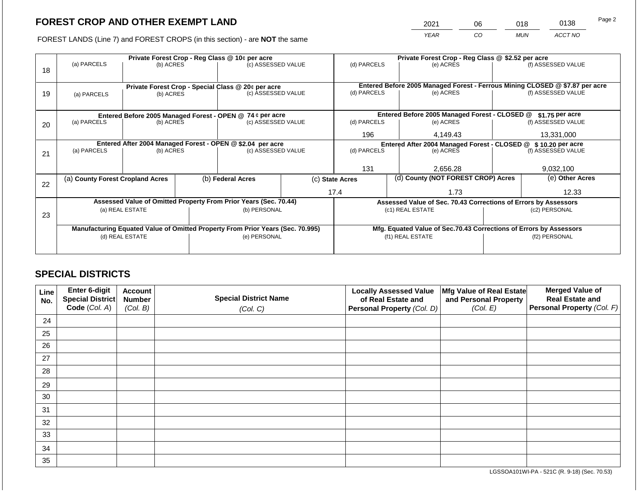2021 06 018 0138

FOREST LANDS (Line 7) and FOREST CROPS (in this section) - are **NOT** the same *YEAR CO MUN ACCT NO*

|    | Private Forest Crop - Reg Class @ 10¢ per acre                                         |                 |  |                                                                                |                 | Private Forest Crop - Reg Class @ \$2.52 per acre                             |                                    |                                               |                                                                                                    |                    |
|----|----------------------------------------------------------------------------------------|-----------------|--|--------------------------------------------------------------------------------|-----------------|-------------------------------------------------------------------------------|------------------------------------|-----------------------------------------------|----------------------------------------------------------------------------------------------------|--------------------|
|    | (a) PARCELS                                                                            | (b) ACRES       |  | (c) ASSESSED VALUE                                                             |                 | (d) PARCELS                                                                   |                                    | (e) ACRES                                     |                                                                                                    | (f) ASSESSED VALUE |
| 18 |                                                                                        |                 |  |                                                                                |                 |                                                                               |                                    |                                               |                                                                                                    |                    |
|    |                                                                                        |                 |  |                                                                                |                 |                                                                               |                                    |                                               |                                                                                                    |                    |
| 19 | Private Forest Crop - Special Class @ 20¢ per acre<br>(b) ACRES                        |                 |  |                                                                                |                 | (d) PARCELS                                                                   |                                    | (e) ACRES                                     | Entered Before 2005 Managed Forest - Ferrous Mining CLOSED @ \$7.87 per acre<br>(f) ASSESSED VALUE |                    |
|    | (a) PARCELS                                                                            |                 |  | (c) ASSESSED VALUE                                                             |                 |                                                                               |                                    |                                               |                                                                                                    |                    |
|    |                                                                                        |                 |  |                                                                                |                 |                                                                               |                                    |                                               |                                                                                                    |                    |
|    |                                                                                        |                 |  | Entered Before 2005 Managed Forest - OPEN @ 74 ¢ per acre                      |                 |                                                                               |                                    | Entered Before 2005 Managed Forest - CLOSED @ |                                                                                                    | \$1.75 per acre    |
| 20 | (a) PARCELS                                                                            | (b) ACRES       |  | (c) ASSESSED VALUE                                                             |                 | (d) PARCELS                                                                   |                                    | (e) ACRES                                     |                                                                                                    | (f) ASSESSED VALUE |
|    |                                                                                        |                 |  |                                                                                |                 | 196                                                                           | 4,149.43                           |                                               |                                                                                                    | 13,331,000         |
|    |                                                                                        |                 |  |                                                                                |                 |                                                                               |                                    |                                               |                                                                                                    |                    |
|    | Entered After 2004 Managed Forest - OPEN @ \$2.04 per acre<br>(a) PARCELS<br>(b) ACRES |                 |  | (c) ASSESSED VALUE                                                             |                 | Entered After 2004 Managed Forest - CLOSED @ \$ 10.20 per acre<br>(d) PARCELS |                                    | (f) ASSESSED VALUE                            |                                                                                                    |                    |
| 21 |                                                                                        |                 |  |                                                                                |                 | (e) ACRES                                                                     |                                    |                                               |                                                                                                    |                    |
|    |                                                                                        |                 |  |                                                                                |                 |                                                                               |                                    |                                               |                                                                                                    |                    |
|    |                                                                                        |                 |  |                                                                                |                 | 131                                                                           |                                    | 2,656.28                                      |                                                                                                    | 9,032,100          |
|    | (a) County Forest Cropland Acres                                                       |                 |  | (b) Federal Acres                                                              | (c) State Acres |                                                                               | (d) County (NOT FOREST CROP) Acres |                                               | (e) Other Acres                                                                                    |                    |
| 22 |                                                                                        |                 |  |                                                                                |                 |                                                                               |                                    |                                               |                                                                                                    |                    |
|    |                                                                                        |                 |  |                                                                                |                 | 17.4                                                                          |                                    | 1.73                                          |                                                                                                    | 12.33              |
|    | Assessed Value of Omitted Property From Prior Years (Sec. 70.44)                       |                 |  |                                                                                |                 | Assessed Value of Sec. 70.43 Corrections of Errors by Assessors               |                                    |                                               |                                                                                                    |                    |
|    |                                                                                        | (a) REAL ESTATE |  | (b) PERSONAL                                                                   |                 | (c1) REAL ESTATE                                                              |                                    |                                               | (c2) PERSONAL                                                                                      |                    |
| 23 |                                                                                        |                 |  |                                                                                |                 |                                                                               |                                    |                                               |                                                                                                    |                    |
|    |                                                                                        |                 |  | Manufacturing Equated Value of Omitted Property From Prior Years (Sec. 70.995) |                 |                                                                               |                                    |                                               | Mfg. Equated Value of Sec.70.43 Corrections of Errors by Assessors                                 |                    |
|    | (d) REAL ESTATE                                                                        |                 |  | (e) PERSONAL                                                                   |                 | (f1) REAL ESTATE                                                              |                                    |                                               | (f2) PERSONAL                                                                                      |                    |
|    |                                                                                        |                 |  |                                                                                |                 |                                                                               |                                    |                                               |                                                                                                    |                    |
|    |                                                                                        |                 |  |                                                                                |                 |                                                                               |                                    |                                               |                                                                                                    |                    |

## **SPECIAL DISTRICTS**

| Line<br>No. | Enter 6-digit<br>Special District<br>Code (Col. A) | <b>Account</b><br><b>Number</b><br>(Col. B) | <b>Special District Name</b><br>(Col. C) | <b>Locally Assessed Value</b><br>of Real Estate and<br><b>Personal Property (Col. D)</b> | Mfg Value of Real Estate<br>and Personal Property<br>(Col. E) | <b>Merged Value of</b><br><b>Real Estate and</b><br>Personal Property (Col. F) |
|-------------|----------------------------------------------------|---------------------------------------------|------------------------------------------|------------------------------------------------------------------------------------------|---------------------------------------------------------------|--------------------------------------------------------------------------------|
| 24          |                                                    |                                             |                                          |                                                                                          |                                                               |                                                                                |
| 25          |                                                    |                                             |                                          |                                                                                          |                                                               |                                                                                |
| 26          |                                                    |                                             |                                          |                                                                                          |                                                               |                                                                                |
| 27          |                                                    |                                             |                                          |                                                                                          |                                                               |                                                                                |
| 28          |                                                    |                                             |                                          |                                                                                          |                                                               |                                                                                |
| 29          |                                                    |                                             |                                          |                                                                                          |                                                               |                                                                                |
| 30          |                                                    |                                             |                                          |                                                                                          |                                                               |                                                                                |
| 31          |                                                    |                                             |                                          |                                                                                          |                                                               |                                                                                |
| 32          |                                                    |                                             |                                          |                                                                                          |                                                               |                                                                                |
| 33          |                                                    |                                             |                                          |                                                                                          |                                                               |                                                                                |
| 34          |                                                    |                                             |                                          |                                                                                          |                                                               |                                                                                |
| 35          |                                                    |                                             |                                          |                                                                                          |                                                               |                                                                                |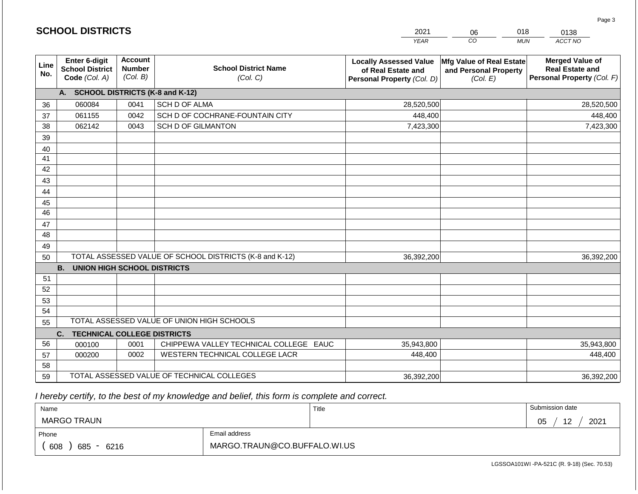|             | <b>SCHOOL DISTRICTS</b>                                         |                                             |                                                         | 2021                                                                              | 018<br>06                                                     | 0138                                                                           |
|-------------|-----------------------------------------------------------------|---------------------------------------------|---------------------------------------------------------|-----------------------------------------------------------------------------------|---------------------------------------------------------------|--------------------------------------------------------------------------------|
|             |                                                                 |                                             |                                                         | <b>YEAR</b>                                                                       | CO<br><b>MUN</b>                                              | ACCT NO                                                                        |
| Line<br>No. | <b>Enter 6-digit</b><br><b>School District</b><br>Code (Col. A) | <b>Account</b><br><b>Number</b><br>(Col. B) | <b>School District Name</b><br>(Col. C)                 | <b>Locally Assessed Value</b><br>of Real Estate and<br>Personal Property (Col. D) | Mfg Value of Real Estate<br>and Personal Property<br>(Col. E) | <b>Merged Value of</b><br><b>Real Estate and</b><br>Personal Property (Col. F) |
|             | A. SCHOOL DISTRICTS (K-8 and K-12)                              |                                             |                                                         |                                                                                   |                                                               |                                                                                |
| 36          | 060084                                                          | 0041                                        | SCH D OF ALMA                                           | 28,520,500                                                                        |                                                               | 28,520,500                                                                     |
| 37          | 061155                                                          | 0042                                        | SCH D OF COCHRANE-FOUNTAIN CITY                         | 448,400                                                                           |                                                               | 448,400                                                                        |
| 38          | 062142                                                          | 0043                                        | <b>SCH D OF GILMANTON</b>                               | 7,423,300                                                                         |                                                               | 7,423,300                                                                      |
| 39          |                                                                 |                                             |                                                         |                                                                                   |                                                               |                                                                                |
| 40          |                                                                 |                                             |                                                         |                                                                                   |                                                               |                                                                                |
| 41<br>42    |                                                                 |                                             |                                                         |                                                                                   |                                                               |                                                                                |
| 43          |                                                                 |                                             |                                                         |                                                                                   |                                                               |                                                                                |
| 44          |                                                                 |                                             |                                                         |                                                                                   |                                                               |                                                                                |
| 45          |                                                                 |                                             |                                                         |                                                                                   |                                                               |                                                                                |
| 46          |                                                                 |                                             |                                                         |                                                                                   |                                                               |                                                                                |
| 47          |                                                                 |                                             |                                                         |                                                                                   |                                                               |                                                                                |
| 48          |                                                                 |                                             |                                                         |                                                                                   |                                                               |                                                                                |
| 49          |                                                                 |                                             |                                                         |                                                                                   |                                                               |                                                                                |
| 50          |                                                                 |                                             | TOTAL ASSESSED VALUE OF SCHOOL DISTRICTS (K-8 and K-12) | 36,392,200                                                                        |                                                               | 36,392,200                                                                     |
|             | <b>B. UNION HIGH SCHOOL DISTRICTS</b>                           |                                             |                                                         |                                                                                   |                                                               |                                                                                |
| 51          |                                                                 |                                             |                                                         |                                                                                   |                                                               |                                                                                |
| 52          |                                                                 |                                             |                                                         |                                                                                   |                                                               |                                                                                |
| 53          |                                                                 |                                             |                                                         |                                                                                   |                                                               |                                                                                |
| 54          |                                                                 |                                             | TOTAL ASSESSED VALUE OF UNION HIGH SCHOOLS              |                                                                                   |                                                               |                                                                                |
| 55          |                                                                 |                                             |                                                         |                                                                                   |                                                               |                                                                                |
|             | <b>TECHNICAL COLLEGE DISTRICTS</b><br>C.                        |                                             | CHIPPEWA VALLEY TECHNICAL COLLEGE EAUC                  |                                                                                   |                                                               |                                                                                |
| 56<br>57    | 000100<br>000200                                                | 0001<br>0002                                | WESTERN TECHNICAL COLLEGE LACR                          | 35,943,800<br>448,400                                                             |                                                               | 35,943,800<br>448,400                                                          |
| 58          |                                                                 |                                             |                                                         |                                                                                   |                                                               |                                                                                |
| 59          |                                                                 |                                             | TOTAL ASSESSED VALUE OF TECHNICAL COLLEGES              | 36,392,200                                                                        |                                                               | 36,392,200                                                                     |

| Name               |                              | Title | Submission date  |  |  |
|--------------------|------------------------------|-------|------------------|--|--|
| <b>MARGO TRAUN</b> |                              |       | 2021<br>12<br>05 |  |  |
| Phone              | Email address                |       |                  |  |  |
| 608<br>685<br>6216 | MARGO.TRAUN@CO.BUFFALO.WI.US |       |                  |  |  |

LGSSOA101WI -PA-521C (R. 9-18) (Sec. 70.53)

Page 3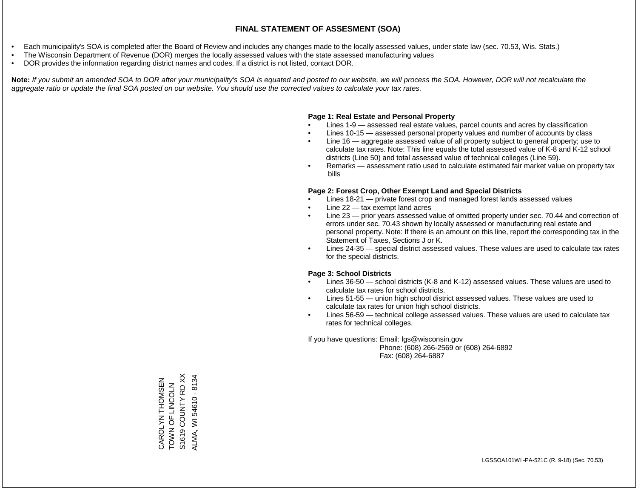- Each municipality's SOA is completed after the Board of Review and includes any changes made to the locally assessed values, under state law (sec. 70.53, Wis. Stats.)
- The Wisconsin Department of Revenue (DOR) merges the locally assessed values with the state assessed manufacturing values
- DOR provides the information regarding district names and codes. If a district is not listed, contact DOR.

Note: If you submit an amended SOA to DOR after your municipality's SOA is equated and posted to our website, we will process the SOA. However, DOR will not recalculate the *aggregate ratio or update the final SOA posted on our website. You should use the corrected values to calculate your tax rates.*

#### **Page 1: Real Estate and Personal Property**

- Lines 1-9 assessed real estate values, parcel counts and acres by classification
- Lines 10-15 assessed personal property values and number of accounts by class
- Line 16 aggregate assessed value of all property subject to general property; use to calculate tax rates. Note: This line equals the total assessed value of K-8 and K-12 school districts (Line 50) and total assessed value of technical colleges (Line 59).
- Remarks assessment ratio used to calculate estimated fair market value on property tax bills

#### **Page 2: Forest Crop, Other Exempt Land and Special Districts**

- Lines 18-21 private forest crop and managed forest lands assessed values
- Line  $22 -$  tax exempt land acres
- Line 23 prior years assessed value of omitted property under sec. 70.44 and correction of errors under sec. 70.43 shown by locally assessed or manufacturing real estate and personal property. Note: If there is an amount on this line, report the corresponding tax in the Statement of Taxes, Sections J or K.
- Lines 24-35 special district assessed values. These values are used to calculate tax rates for the special districts.

#### **Page 3: School Districts**

- Lines 36-50 school districts (K-8 and K-12) assessed values. These values are used to calculate tax rates for school districts.
- Lines 51-55 union high school district assessed values. These values are used to calculate tax rates for union high school districts.
- Lines 56-59 technical college assessed values. These values are used to calculate tax rates for technical colleges.

If you have questions: Email: lgs@wisconsin.gov

 Phone: (608) 266-2569 or (608) 264-6892 Fax: (608) 264-6887

S1619 COUNTY RD XX S1619 COUNTY RD XX ALMA, WI 54610 - 8134 ALMA, WI 54610 - 8134CAROLYN THOMSEN<br>TOWN OF LINCOLN CAROLYN THOMSEN ZJOUN LIND NNOL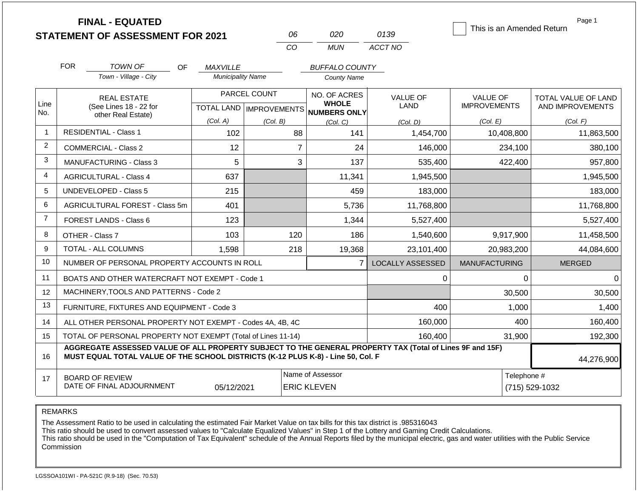|                |                                                                                                                                                                                              | <b>FINAL - EQUATED</b><br><b>STATEMENT OF ASSESSMENT FOR 2021</b> |                          | 06                            | 020                                                 | 0139                    | This is an Amended Return | Page 1              |
|----------------|----------------------------------------------------------------------------------------------------------------------------------------------------------------------------------------------|-------------------------------------------------------------------|--------------------------|-------------------------------|-----------------------------------------------------|-------------------------|---------------------------|---------------------|
|                |                                                                                                                                                                                              |                                                                   |                          | CO                            | <b>MUN</b>                                          | ACCT NO                 |                           |                     |
|                | <b>FOR</b>                                                                                                                                                                                   | TOWN OF<br>OF.                                                    | <i>MAXVILLE</i>          |                               | <b>BUFFALO COUNTY</b>                               |                         |                           |                     |
|                |                                                                                                                                                                                              | Town - Village - City                                             | <b>Municipality Name</b> |                               | <b>County Name</b>                                  |                         |                           |                     |
|                |                                                                                                                                                                                              | <b>REAL ESTATE</b>                                                |                          | PARCEL COUNT                  | NO. OF ACRES                                        | <b>VALUE OF</b>         | <b>VALUE OF</b>           | TOTAL VALUE OF LAND |
| Line<br>No.    | (See Lines 18 - 22 for<br>other Real Estate)                                                                                                                                                 |                                                                   |                          |                               | <b>WHOLE</b><br>TOTAL LAND MPROVEMENTS NUMBERS ONLY | LAND                    | <b>IMPROVEMENTS</b>       | AND IMPROVEMENTS    |
|                |                                                                                                                                                                                              |                                                                   | (Col. A)                 | (Col. B)                      | (Col. C)                                            | (Col. D)                | (Col. E)                  | (Col. F)            |
| $\mathbf{1}$   |                                                                                                                                                                                              | <b>RESIDENTIAL - Class 1</b>                                      | 102                      | 88                            | 141                                                 | 1,454,700               | 10,408,800                | 11,863,500          |
| $\overline{2}$ |                                                                                                                                                                                              | <b>COMMERCIAL - Class 2</b>                                       | 12                       |                               | $\overline{7}$<br>24                                | 146,000                 | 234,100                   | 380,100             |
| 3              |                                                                                                                                                                                              | <b>MANUFACTURING - Class 3</b>                                    | 5                        |                               | 3<br>137                                            | 535,400                 | 422,400                   | 957,800             |
| 4              |                                                                                                                                                                                              | <b>AGRICULTURAL - Class 4</b>                                     | 637                      |                               | 11,341                                              | 1,945,500               |                           | 1,945,500           |
| 5              |                                                                                                                                                                                              | UNDEVELOPED - Class 5                                             | 215                      |                               | 459                                                 | 183,000                 |                           | 183,000             |
| 6              |                                                                                                                                                                                              | AGRICULTURAL FOREST - Class 5m                                    | 401                      |                               | 5,736                                               | 11,768,800              |                           | 11,768,800          |
| $\overline{7}$ |                                                                                                                                                                                              | <b>FOREST LANDS - Class 6</b>                                     | 123                      |                               | 1,344                                               | 5,527,400               |                           | 5,527,400           |
| 8              |                                                                                                                                                                                              | OTHER - Class 7                                                   | 103                      | 120                           | 186                                                 | 1,540,600               | 9,917,900                 | 11,458,500          |
| 9              |                                                                                                                                                                                              | TOTAL - ALL COLUMNS                                               | 1,598                    | 218                           | 19,368                                              | 23,101,400              | 20,983,200                | 44,084,600          |
| 10             |                                                                                                                                                                                              | NUMBER OF PERSONAL PROPERTY ACCOUNTS IN ROLL                      |                          |                               | $\overline{7}$                                      | <b>LOCALLY ASSESSED</b> | <b>MANUFACTURING</b>      | <b>MERGED</b>       |
| 11             |                                                                                                                                                                                              | BOATS AND OTHER WATERCRAFT NOT EXEMPT - Code 1                    |                          |                               |                                                     | 0                       | 0                         | $\Omega$            |
| 12             |                                                                                                                                                                                              | MACHINERY, TOOLS AND PATTERNS - Code 2                            |                          |                               |                                                     |                         | 30,500                    | 30,500              |
| 13             |                                                                                                                                                                                              | FURNITURE, FIXTURES AND EQUIPMENT - Code 3                        |                          |                               |                                                     | 400                     | 1,000                     | 1,400               |
| 14             |                                                                                                                                                                                              | ALL OTHER PERSONAL PROPERTY NOT EXEMPT - Codes 4A, 4B, 4C         |                          |                               |                                                     | 160,000                 | 400                       | 160,400             |
| 15             |                                                                                                                                                                                              | TOTAL OF PERSONAL PROPERTY NOT EXEMPT (Total of Lines 11-14)      |                          | 160,400                       | 31,900                                              | 192,300                 |                           |                     |
| 16             | AGGREGATE ASSESSED VALUE OF ALL PROPERTY SUBJECT TO THE GENERAL PROPERTY TAX (Total of Lines 9F and 15F)<br>MUST EQUAL TOTAL VALUE OF THE SCHOOL DISTRICTS (K-12 PLUS K-8) - Line 50, Col. F |                                                                   |                          |                               |                                                     |                         |                           | 44,276,900          |
| 17             |                                                                                                                                                                                              | <b>BOARD OF REVIEW</b><br>DATE OF FINAL ADJOURNMENT               |                          | Telephone #<br>(715) 529-1032 |                                                     |                         |                           |                     |

The Assessment Ratio to be used in calculating the estimated Fair Market Value on tax bills for this tax district is .985316043

This ratio should be used to convert assessed values to "Calculate Equalized Values" in Step 1 of the Lottery and Gaming Credit Calculations.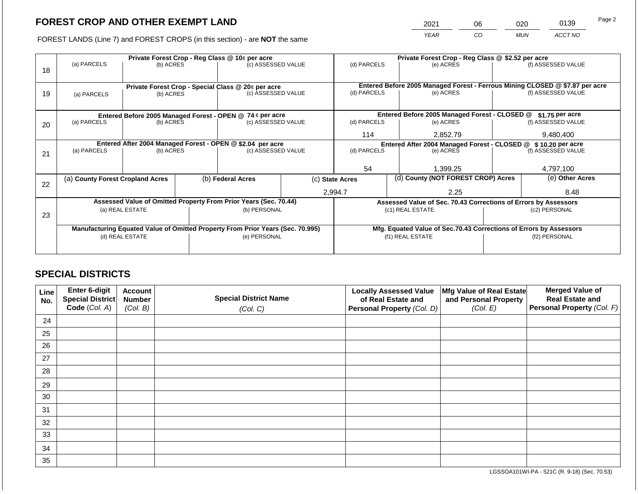2021 06 020 0139

FOREST LANDS (Line 7) and FOREST CROPS (in this section) - are **NOT** the same *YEAR CO MUN ACCT NO*

|    |                                                                                |                 |  | Private Forest Crop - Reg Class @ 10¢ per acre                   |                                                                    | Private Forest Crop - Reg Class @ \$2.52 per acre                            |                                                               |                                                                 |                 |                    |  |
|----|--------------------------------------------------------------------------------|-----------------|--|------------------------------------------------------------------|--------------------------------------------------------------------|------------------------------------------------------------------------------|---------------------------------------------------------------|-----------------------------------------------------------------|-----------------|--------------------|--|
| 18 | (a) PARCELS                                                                    | (b) ACRES       |  | (c) ASSESSED VALUE                                               |                                                                    | (d) PARCELS                                                                  |                                                               | (e) ACRES                                                       |                 | (f) ASSESSED VALUE |  |
|    |                                                                                |                 |  | Private Forest Crop - Special Class @ 20¢ per acre               |                                                                    | Entered Before 2005 Managed Forest - Ferrous Mining CLOSED @ \$7.87 per acre |                                                               |                                                                 |                 |                    |  |
| 19 | (a) PARCELS                                                                    | (b) ACRES       |  | (c) ASSESSED VALUE                                               |                                                                    | (d) PARCELS                                                                  |                                                               | (e) ACRES                                                       |                 | (f) ASSESSED VALUE |  |
|    |                                                                                |                 |  |                                                                  |                                                                    |                                                                              |                                                               |                                                                 |                 |                    |  |
|    |                                                                                |                 |  | Entered Before 2005 Managed Forest - OPEN @ 74 ¢ per acre        |                                                                    |                                                                              |                                                               | Entered Before 2005 Managed Forest - CLOSED @                   |                 | $$1.75$ per acre   |  |
| 20 | (a) PARCELS                                                                    | (b) ACRES       |  | (c) ASSESSED VALUE                                               |                                                                    | (d) PARCELS                                                                  |                                                               | (e) ACRES                                                       |                 | (f) ASSESSED VALUE |  |
|    |                                                                                |                 |  |                                                                  |                                                                    | 114                                                                          |                                                               | 2,852.79                                                        |                 | 9,480,400          |  |
|    |                                                                                |                 |  | Entered After 2004 Managed Forest - OPEN @ \$2.04 per acre       |                                                                    |                                                                              | Entered After 2004 Managed Forest - CLOSED @ \$10.20 per acre |                                                                 |                 |                    |  |
| 21 | (a) PARCELS                                                                    | (b) ACRES       |  | (c) ASSESSED VALUE                                               |                                                                    | (d) PARCELS                                                                  |                                                               | (e) ACRES                                                       |                 | (f) ASSESSED VALUE |  |
|    |                                                                                |                 |  |                                                                  |                                                                    |                                                                              |                                                               |                                                                 |                 |                    |  |
|    |                                                                                |                 |  |                                                                  |                                                                    | 54                                                                           |                                                               | 1,399.25                                                        |                 | 4,797,100          |  |
| 22 | (a) County Forest Cropland Acres                                               |                 |  | (b) Federal Acres                                                | (c) State Acres                                                    |                                                                              | (d) County (NOT FOREST CROP) Acres                            |                                                                 | (e) Other Acres |                    |  |
|    |                                                                                |                 |  |                                                                  |                                                                    | 2,994.7                                                                      |                                                               | 2.25                                                            |                 | 8.48               |  |
|    |                                                                                |                 |  | Assessed Value of Omitted Property From Prior Years (Sec. 70.44) |                                                                    |                                                                              |                                                               | Assessed Value of Sec. 70.43 Corrections of Errors by Assessors |                 |                    |  |
| 23 |                                                                                | (a) REAL ESTATE |  | (b) PERSONAL                                                     |                                                                    |                                                                              |                                                               | (c1) REAL ESTATE                                                |                 | (c2) PERSONAL      |  |
|    |                                                                                |                 |  |                                                                  |                                                                    |                                                                              |                                                               |                                                                 |                 |                    |  |
|    | Manufacturing Equated Value of Omitted Property From Prior Years (Sec. 70.995) |                 |  |                                                                  | Mfg. Equated Value of Sec.70.43 Corrections of Errors by Assessors |                                                                              |                                                               |                                                                 |                 |                    |  |
|    | (d) REAL ESTATE                                                                |                 |  | (e) PERSONAL                                                     |                                                                    |                                                                              | (f1) REAL ESTATE                                              |                                                                 |                 | (f2) PERSONAL      |  |
|    |                                                                                |                 |  |                                                                  |                                                                    |                                                                              |                                                               |                                                                 |                 |                    |  |
|    |                                                                                |                 |  |                                                                  |                                                                    |                                                                              |                                                               |                                                                 |                 |                    |  |

## **SPECIAL DISTRICTS**

| Line<br>No. | Enter 6-digit<br>Special District<br>Code (Col. A) | <b>Account</b><br><b>Number</b><br>(Col. B) | <b>Special District Name</b><br>(Col. C) | <b>Locally Assessed Value</b><br>of Real Estate and<br><b>Personal Property (Col. D)</b> | Mfg Value of Real Estate<br>and Personal Property<br>(Col. E) | <b>Merged Value of</b><br><b>Real Estate and</b><br>Personal Property (Col. F) |
|-------------|----------------------------------------------------|---------------------------------------------|------------------------------------------|------------------------------------------------------------------------------------------|---------------------------------------------------------------|--------------------------------------------------------------------------------|
| 24          |                                                    |                                             |                                          |                                                                                          |                                                               |                                                                                |
| 25          |                                                    |                                             |                                          |                                                                                          |                                                               |                                                                                |
| 26          |                                                    |                                             |                                          |                                                                                          |                                                               |                                                                                |
| 27          |                                                    |                                             |                                          |                                                                                          |                                                               |                                                                                |
| 28          |                                                    |                                             |                                          |                                                                                          |                                                               |                                                                                |
| 29          |                                                    |                                             |                                          |                                                                                          |                                                               |                                                                                |
| 30          |                                                    |                                             |                                          |                                                                                          |                                                               |                                                                                |
| 31          |                                                    |                                             |                                          |                                                                                          |                                                               |                                                                                |
| 32          |                                                    |                                             |                                          |                                                                                          |                                                               |                                                                                |
| 33          |                                                    |                                             |                                          |                                                                                          |                                                               |                                                                                |
| 34          |                                                    |                                             |                                          |                                                                                          |                                                               |                                                                                |
| 35          |                                                    |                                             |                                          |                                                                                          |                                                               |                                                                                |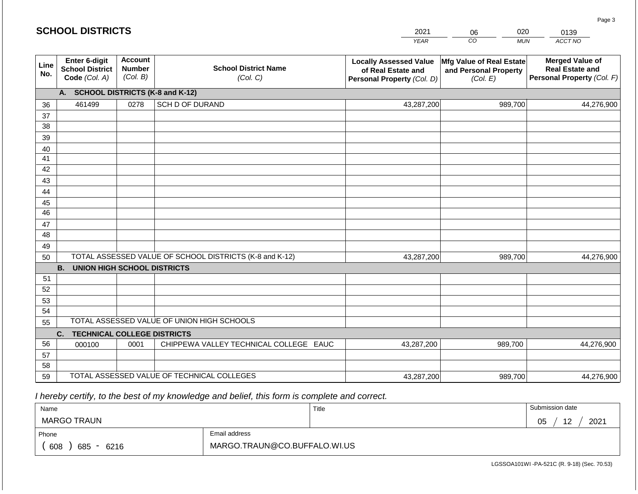|             | <b>SCHOOL DISTRICTS</b>                                  |                                             |                                                         | 2021                                                                              | 020<br>06                                                     | 0139                                                                           |
|-------------|----------------------------------------------------------|---------------------------------------------|---------------------------------------------------------|-----------------------------------------------------------------------------------|---------------------------------------------------------------|--------------------------------------------------------------------------------|
|             |                                                          |                                             |                                                         | <b>YEAR</b>                                                                       | CO<br><b>MUN</b>                                              | ACCT NO                                                                        |
| Line<br>No. | Enter 6-digit<br><b>School District</b><br>Code (Col. A) | <b>Account</b><br><b>Number</b><br>(Col. B) | <b>School District Name</b><br>(Col. C)                 | <b>Locally Assessed Value</b><br>of Real Estate and<br>Personal Property (Col. D) | Mfg Value of Real Estate<br>and Personal Property<br>(Col. E) | <b>Merged Value of</b><br><b>Real Estate and</b><br>Personal Property (Col. F) |
|             | A. SCHOOL DISTRICTS (K-8 and K-12)                       |                                             |                                                         |                                                                                   |                                                               |                                                                                |
| 36          | 461499                                                   | 0278                                        | SCH D OF DURAND                                         | 43,287,200                                                                        | 989,700                                                       | 44,276,900                                                                     |
| 37          |                                                          |                                             |                                                         |                                                                                   |                                                               |                                                                                |
| 38          |                                                          |                                             |                                                         |                                                                                   |                                                               |                                                                                |
| 39          |                                                          |                                             |                                                         |                                                                                   |                                                               |                                                                                |
| 40          |                                                          |                                             |                                                         |                                                                                   |                                                               |                                                                                |
| 41<br>42    |                                                          |                                             |                                                         |                                                                                   |                                                               |                                                                                |
| 43          |                                                          |                                             |                                                         |                                                                                   |                                                               |                                                                                |
| 44          |                                                          |                                             |                                                         |                                                                                   |                                                               |                                                                                |
| 45          |                                                          |                                             |                                                         |                                                                                   |                                                               |                                                                                |
| 46          |                                                          |                                             |                                                         |                                                                                   |                                                               |                                                                                |
| 47          |                                                          |                                             |                                                         |                                                                                   |                                                               |                                                                                |
| 48          |                                                          |                                             |                                                         |                                                                                   |                                                               |                                                                                |
| 49          |                                                          |                                             |                                                         |                                                                                   |                                                               |                                                                                |
| 50          |                                                          |                                             | TOTAL ASSESSED VALUE OF SCHOOL DISTRICTS (K-8 and K-12) | 43,287,200                                                                        | 989,700                                                       | 44,276,900                                                                     |
|             | <b>B. UNION HIGH SCHOOL DISTRICTS</b>                    |                                             |                                                         |                                                                                   |                                                               |                                                                                |
| 51          |                                                          |                                             |                                                         |                                                                                   |                                                               |                                                                                |
| 52          |                                                          |                                             |                                                         |                                                                                   |                                                               |                                                                                |
| 53<br>54    |                                                          |                                             |                                                         |                                                                                   |                                                               |                                                                                |
| 55          |                                                          |                                             | TOTAL ASSESSED VALUE OF UNION HIGH SCHOOLS              |                                                                                   |                                                               |                                                                                |
|             | C.<br><b>TECHNICAL COLLEGE DISTRICTS</b>                 |                                             |                                                         |                                                                                   |                                                               |                                                                                |
| 56          | 000100                                                   | 0001                                        | CHIPPEWA VALLEY TECHNICAL COLLEGE EAUC                  | 43,287,200                                                                        | 989,700                                                       | 44,276,900                                                                     |
| 57          |                                                          |                                             |                                                         |                                                                                   |                                                               |                                                                                |
| 58          |                                                          |                                             |                                                         |                                                                                   |                                                               |                                                                                |
| 59          |                                                          |                                             | TOTAL ASSESSED VALUE OF TECHNICAL COLLEGES              | 43,287,200                                                                        | 989,700                                                       | 44,276,900                                                                     |

| Name                         |                              | Title | Submission date             |
|------------------------------|------------------------------|-------|-----------------------------|
| <b>MARGO TRAUN</b>           |                              |       | 2021<br>05<br>ົ<br><u>.</u> |
| Phone                        | Email address                |       |                             |
| 608<br>685<br>6216<br>$\sim$ | MARGO.TRAUN@CO.BUFFALO.WI.US |       |                             |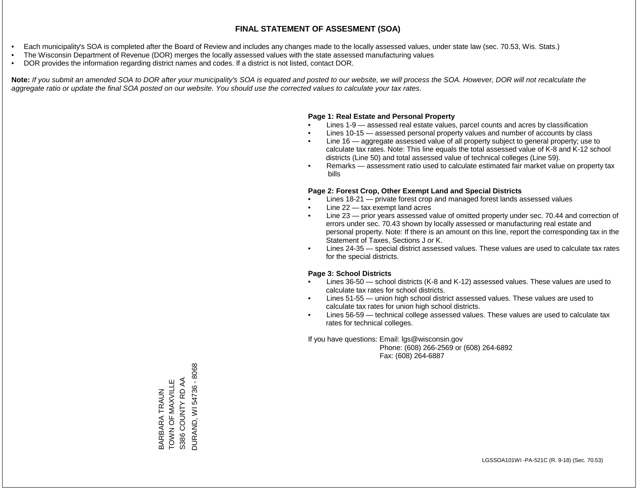- Each municipality's SOA is completed after the Board of Review and includes any changes made to the locally assessed values, under state law (sec. 70.53, Wis. Stats.)
- The Wisconsin Department of Revenue (DOR) merges the locally assessed values with the state assessed manufacturing values
- DOR provides the information regarding district names and codes. If a district is not listed, contact DOR.

Note: If you submit an amended SOA to DOR after your municipality's SOA is equated and posted to our website, we will process the SOA. However, DOR will not recalculate the *aggregate ratio or update the final SOA posted on our website. You should use the corrected values to calculate your tax rates.*

### **Page 1: Real Estate and Personal Property**

- Lines 1-9 assessed real estate values, parcel counts and acres by classification
- Lines 10-15 assessed personal property values and number of accounts by class
- Line 16 aggregate assessed value of all property subject to general property; use to calculate tax rates. Note: This line equals the total assessed value of K-8 and K-12 school districts (Line 50) and total assessed value of technical colleges (Line 59).
- Remarks assessment ratio used to calculate estimated fair market value on property tax bills

### **Page 2: Forest Crop, Other Exempt Land and Special Districts**

- Lines 18-21 private forest crop and managed forest lands assessed values
- Line  $22 -$  tax exempt land acres
- Line 23 prior years assessed value of omitted property under sec. 70.44 and correction of errors under sec. 70.43 shown by locally assessed or manufacturing real estate and personal property. Note: If there is an amount on this line, report the corresponding tax in the Statement of Taxes, Sections J or K.
- Lines 24-35 special district assessed values. These values are used to calculate tax rates for the special districts.

### **Page 3: School Districts**

- Lines 36-50 school districts (K-8 and K-12) assessed values. These values are used to calculate tax rates for school districts.
- Lines 51-55 union high school district assessed values. These values are used to calculate tax rates for union high school districts.
- Lines 56-59 technical college assessed values. These values are used to calculate tax rates for technical colleges.

If you have questions: Email: lgs@wisconsin.gov

 Phone: (608) 266-2569 or (608) 264-6892 Fax: (608) 264-6887

**DURAND, WI 54736 - 8068** DURAND, WI 54736 - 8068S386 COUNTY RD AA TOWN OF MAXVILLE S386 COUNTY RD AA BARBARA TRAUN<br>TOWN OF MAXVILLE BARBARA TRAUN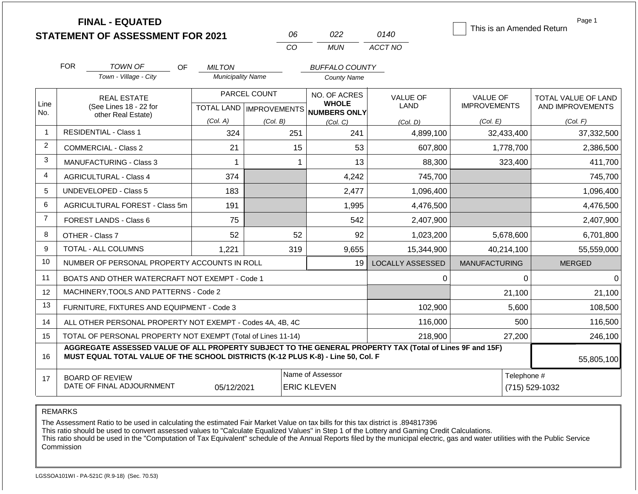|                | <b>FINAL - EQUATED</b><br><b>STATEMENT OF ASSESSMENT FOR 2021</b>                                                                                                                            |                          | 06                                        | 022                                          | 0140                    | This is an Amended Return              | Page 1                                  |  |
|----------------|----------------------------------------------------------------------------------------------------------------------------------------------------------------------------------------------|--------------------------|-------------------------------------------|----------------------------------------------|-------------------------|----------------------------------------|-----------------------------------------|--|
|                |                                                                                                                                                                                              |                          | <b>CO</b>                                 | <b>MUN</b>                                   | ACCT NO                 |                                        |                                         |  |
|                | <b>FOR</b><br><b>TOWN OF</b><br>OF.                                                                                                                                                          | <b>MILTON</b>            |                                           | <b>BUFFALO COUNTY</b>                        |                         |                                        |                                         |  |
|                | Town - Village - City                                                                                                                                                                        | <b>Municipality Name</b> |                                           | <b>County Name</b>                           |                         |                                        |                                         |  |
| Line<br>No.    | <b>REAL ESTATE</b><br>(See Lines 18 - 22 for                                                                                                                                                 |                          | PARCEL COUNT<br>TOTAL LAND   IMPROVEMENTS | NO. OF ACRES<br><b>WHOLE</b><br>NUMBERS ONLY | VALUE OF<br>LAND        | <b>VALUE OF</b><br><b>IMPROVEMENTS</b> | TOTAL VALUE OF LAND<br>AND IMPROVEMENTS |  |
|                | other Real Estate)                                                                                                                                                                           | (Col. A)                 | (Col. B)                                  | (Col, C)                                     | (Col. D)                | (Col. E)                               | (Col. F)                                |  |
| $\mathbf{1}$   | <b>RESIDENTIAL - Class 1</b>                                                                                                                                                                 | 324                      | 251                                       | 241                                          | 4,899,100               | 32,433,400                             | 37,332,500                              |  |
| $\overline{2}$ | COMMERCIAL - Class 2                                                                                                                                                                         | 21                       | 15                                        | 53                                           | 607,800                 | 1,778,700                              | 2,386,500                               |  |
| 3              | <b>MANUFACTURING - Class 3</b>                                                                                                                                                               | $\mathbf{1}$             |                                           | 13<br>$\mathbf 1$                            | 88,300                  | 323,400                                | 411,700                                 |  |
| 4              | <b>AGRICULTURAL - Class 4</b>                                                                                                                                                                | 374                      |                                           | 4,242                                        | 745,700                 |                                        | 745,700                                 |  |
| 5              | UNDEVELOPED - Class 5                                                                                                                                                                        | 183                      |                                           | 2,477                                        | 1,096,400               |                                        | 1,096,400                               |  |
| 6              | AGRICULTURAL FOREST - Class 5m                                                                                                                                                               | 191                      |                                           | 1,995                                        | 4,476,500               |                                        | 4,476,500                               |  |
| $\overline{7}$ | <b>FOREST LANDS - Class 6</b>                                                                                                                                                                | 75                       |                                           | 542                                          | 2,407,900               |                                        | 2,407,900                               |  |
| 8              | OTHER - Class 7                                                                                                                                                                              | 52                       | 52                                        | 92                                           | 1,023,200               | 5,678,600                              | 6,701,800                               |  |
| 9              | <b>TOTAL - ALL COLUMNS</b>                                                                                                                                                                   | 1.221                    | 319                                       | 9,655                                        | 15,344,900              | 40,214,100                             | 55,559,000                              |  |
| 10             | NUMBER OF PERSONAL PROPERTY ACCOUNTS IN ROLL                                                                                                                                                 |                          |                                           | 19                                           | <b>LOCALLY ASSESSED</b> | <b>MANUFACTURING</b>                   | <b>MERGED</b>                           |  |
| 11             | BOATS AND OTHER WATERCRAFT NOT EXEMPT - Code 1                                                                                                                                               |                          |                                           |                                              | 0                       | 0                                      | $\Omega$                                |  |
| 12             | MACHINERY, TOOLS AND PATTERNS - Code 2                                                                                                                                                       |                          |                                           |                                              |                         | 21,100                                 | 21,100                                  |  |
| 13             | FURNITURE, FIXTURES AND EQUIPMENT - Code 3                                                                                                                                                   |                          |                                           |                                              | 102,900                 | 5,600                                  | 108,500                                 |  |
| 14             | ALL OTHER PERSONAL PROPERTY NOT EXEMPT - Codes 4A, 4B, 4C                                                                                                                                    |                          |                                           |                                              | 116,000                 | 500                                    | 116,500                                 |  |
| 15             | TOTAL OF PERSONAL PROPERTY NOT EXEMPT (Total of Lines 11-14)                                                                                                                                 |                          |                                           |                                              | 218,900                 | 27,200                                 | 246,100                                 |  |
| 16             | AGGREGATE ASSESSED VALUE OF ALL PROPERTY SUBJECT TO THE GENERAL PROPERTY TAX (Total of Lines 9F and 15F)<br>MUST EQUAL TOTAL VALUE OF THE SCHOOL DISTRICTS (K-12 PLUS K-8) - Line 50, Col. F |                          |                                           |                                              |                         |                                        |                                         |  |
| 17             | <b>BOARD OF REVIEW</b><br>DATE OF FINAL ADJOURNMENT                                                                                                                                          | 05/12/2021               |                                           | Name of Assessor<br><b>ERIC KLEVEN</b>       |                         | Telephone #<br>(715) 529-1032          |                                         |  |

The Assessment Ratio to be used in calculating the estimated Fair Market Value on tax bills for this tax district is .894817396

This ratio should be used to convert assessed values to "Calculate Equalized Values" in Step 1 of the Lottery and Gaming Credit Calculations.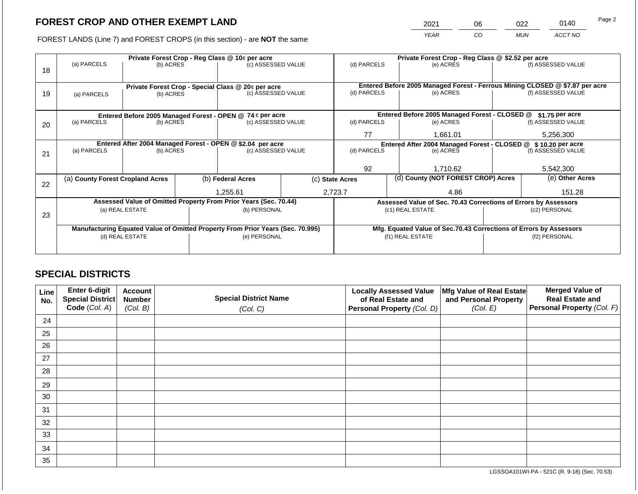2021 06 022 0140

FOREST LANDS (Line 7) and FOREST CROPS (in this section) - are **NOT** the same *YEAR CO MUN ACCT NO*

|    |                                                            |                 |  | Private Forest Crop - Reg Class @ 10¢ per acre                                 |  | Private Forest Crop - Reg Class @ \$2.52 per acre             |  |                                                                    |               |                                                                              |
|----|------------------------------------------------------------|-----------------|--|--------------------------------------------------------------------------------|--|---------------------------------------------------------------|--|--------------------------------------------------------------------|---------------|------------------------------------------------------------------------------|
| 18 | (a) PARCELS                                                | (b) ACRES       |  | (c) ASSESSED VALUE                                                             |  | (d) PARCELS                                                   |  | (e) ACRES                                                          |               | (f) ASSESSED VALUE                                                           |
|    |                                                            |                 |  |                                                                                |  |                                                               |  |                                                                    |               |                                                                              |
|    |                                                            |                 |  |                                                                                |  |                                                               |  |                                                                    |               | Entered Before 2005 Managed Forest - Ferrous Mining CLOSED @ \$7.87 per acre |
| 19 | (a) PARCELS                                                | (b) ACRES       |  | Private Forest Crop - Special Class @ 20¢ per acre<br>(c) ASSESSED VALUE       |  | (d) PARCELS                                                   |  | (e) ACRES                                                          |               | (f) ASSESSED VALUE                                                           |
|    |                                                            |                 |  |                                                                                |  |                                                               |  |                                                                    |               |                                                                              |
|    |                                                            |                 |  |                                                                                |  |                                                               |  |                                                                    |               |                                                                              |
|    |                                                            |                 |  | Entered Before 2005 Managed Forest - OPEN @ 74 ¢ per acre                      |  |                                                               |  | Entered Before 2005 Managed Forest - CLOSED @                      |               | $$1.75$ per acre                                                             |
| 20 | (a) PARCELS                                                | (b) ACRES       |  | (c) ASSESSED VALUE                                                             |  | (d) PARCELS                                                   |  | (e) ACRES                                                          |               | (f) ASSESSED VALUE                                                           |
|    |                                                            |                 |  |                                                                                |  | 77                                                            |  | 1,661.01                                                           |               | 5,256,300                                                                    |
|    |                                                            |                 |  |                                                                                |  |                                                               |  |                                                                    |               |                                                                              |
|    | Entered After 2004 Managed Forest - OPEN @ \$2.04 per acre |                 |  |                                                                                |  | Entered After 2004 Managed Forest - CLOSED @ \$10.20 per acre |  |                                                                    |               |                                                                              |
| 21 | (a) PARCELS                                                | (b) ACRES       |  | (c) ASSESSED VALUE                                                             |  | (d) PARCELS                                                   |  | (e) ACRES                                                          |               | (f) ASSESSED VALUE                                                           |
|    |                                                            |                 |  |                                                                                |  |                                                               |  |                                                                    |               |                                                                              |
|    |                                                            |                 |  |                                                                                |  | 92                                                            |  | 1,710.62                                                           |               | 5,542,300                                                                    |
|    | (a) County Forest Cropland Acres                           |                 |  | (b) Federal Acres                                                              |  | (c) State Acres                                               |  | (d) County (NOT FOREST CROP) Acres                                 |               | (e) Other Acres                                                              |
| 22 |                                                            |                 |  |                                                                                |  |                                                               |  |                                                                    |               |                                                                              |
|    |                                                            |                 |  | 1,255.61                                                                       |  | 2,723.7                                                       |  | 4.86                                                               |               | 151.28                                                                       |
|    |                                                            |                 |  | Assessed Value of Omitted Property From Prior Years (Sec. 70.44)               |  |                                                               |  | Assessed Value of Sec. 70.43 Corrections of Errors by Assessors    |               |                                                                              |
|    |                                                            | (a) REAL ESTATE |  | (b) PERSONAL                                                                   |  |                                                               |  | (c1) REAL ESTATE                                                   |               | (c2) PERSONAL                                                                |
| 23 |                                                            |                 |  |                                                                                |  |                                                               |  |                                                                    |               |                                                                              |
|    |                                                            |                 |  | Manufacturing Equated Value of Omitted Property From Prior Years (Sec. 70.995) |  |                                                               |  | Mfg. Equated Value of Sec.70.43 Corrections of Errors by Assessors |               |                                                                              |
|    | (d) REAL ESTATE                                            |                 |  | (e) PERSONAL                                                                   |  | (f1) REAL ESTATE                                              |  |                                                                    | (f2) PERSONAL |                                                                              |
|    |                                                            |                 |  |                                                                                |  |                                                               |  |                                                                    |               |                                                                              |
|    |                                                            |                 |  |                                                                                |  |                                                               |  |                                                                    |               |                                                                              |

## **SPECIAL DISTRICTS**

| Line<br>No. | Enter 6-digit<br>Special District<br>Code (Col. A) | <b>Account</b><br><b>Number</b><br>(Col. B) | <b>Special District Name</b><br>(Col. C) | <b>Locally Assessed Value</b><br>of Real Estate and<br><b>Personal Property (Col. D)</b> | Mfg Value of Real Estate<br>and Personal Property<br>(Col. E) | <b>Merged Value of</b><br><b>Real Estate and</b><br>Personal Property (Col. F) |
|-------------|----------------------------------------------------|---------------------------------------------|------------------------------------------|------------------------------------------------------------------------------------------|---------------------------------------------------------------|--------------------------------------------------------------------------------|
| 24          |                                                    |                                             |                                          |                                                                                          |                                                               |                                                                                |
| 25          |                                                    |                                             |                                          |                                                                                          |                                                               |                                                                                |
| 26          |                                                    |                                             |                                          |                                                                                          |                                                               |                                                                                |
| 27          |                                                    |                                             |                                          |                                                                                          |                                                               |                                                                                |
| 28          |                                                    |                                             |                                          |                                                                                          |                                                               |                                                                                |
| 29          |                                                    |                                             |                                          |                                                                                          |                                                               |                                                                                |
| 30          |                                                    |                                             |                                          |                                                                                          |                                                               |                                                                                |
| 31          |                                                    |                                             |                                          |                                                                                          |                                                               |                                                                                |
| 32          |                                                    |                                             |                                          |                                                                                          |                                                               |                                                                                |
| 33          |                                                    |                                             |                                          |                                                                                          |                                                               |                                                                                |
| 34          |                                                    |                                             |                                          |                                                                                          |                                                               |                                                                                |
| 35          |                                                    |                                             |                                          |                                                                                          |                                                               |                                                                                |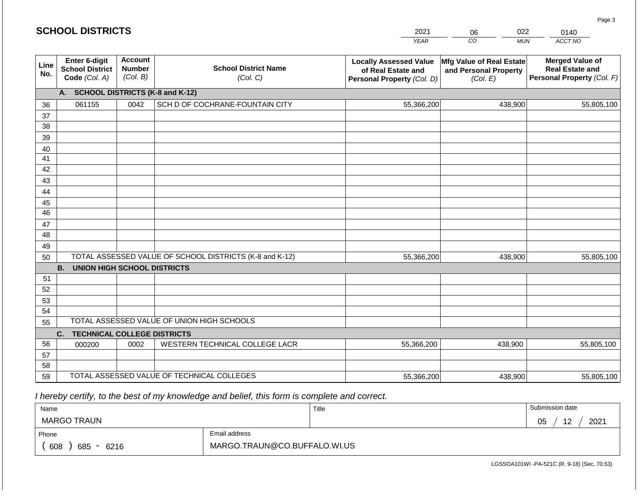|             | <b>SCHOOL DISTRICTS</b>                                  |                                             |                                                         | 2021                                                                              | 022<br>06                                                     | 0140                                                                           |
|-------------|----------------------------------------------------------|---------------------------------------------|---------------------------------------------------------|-----------------------------------------------------------------------------------|---------------------------------------------------------------|--------------------------------------------------------------------------------|
|             |                                                          |                                             |                                                         | <b>YEAR</b>                                                                       | CO<br><b>MUN</b>                                              | <b>ACCT NO</b>                                                                 |
| Line<br>No. | Enter 6-digit<br><b>School District</b><br>Code (Col. A) | <b>Account</b><br><b>Number</b><br>(Col. B) | <b>School District Name</b><br>(Col. C)                 | <b>Locally Assessed Value</b><br>of Real Estate and<br>Personal Property (Col. D) | Mfg Value of Real Estate<br>and Personal Property<br>(Col. E) | <b>Merged Value of</b><br><b>Real Estate and</b><br>Personal Property (Col. F) |
|             | A.                                                       |                                             | <b>SCHOOL DISTRICTS (K-8 and K-12)</b>                  |                                                                                   |                                                               |                                                                                |
| 36          | 061155                                                   | 0042                                        | SCH D OF COCHRANE-FOUNTAIN CITY                         | 55,366,200                                                                        | 438,900                                                       | 55,805,100                                                                     |
| 37          |                                                          |                                             |                                                         |                                                                                   |                                                               |                                                                                |
| 38          |                                                          |                                             |                                                         |                                                                                   |                                                               |                                                                                |
| 39          |                                                          |                                             |                                                         |                                                                                   |                                                               |                                                                                |
| 40          |                                                          |                                             |                                                         |                                                                                   |                                                               |                                                                                |
| 41          |                                                          |                                             |                                                         |                                                                                   |                                                               |                                                                                |
| 42          |                                                          |                                             |                                                         |                                                                                   |                                                               |                                                                                |
| 43          |                                                          |                                             |                                                         |                                                                                   |                                                               |                                                                                |
| 44          |                                                          |                                             |                                                         |                                                                                   |                                                               |                                                                                |
| 45<br>46    |                                                          |                                             |                                                         |                                                                                   |                                                               |                                                                                |
| 47          |                                                          |                                             |                                                         |                                                                                   |                                                               |                                                                                |
| 48          |                                                          |                                             |                                                         |                                                                                   |                                                               |                                                                                |
| 49          |                                                          |                                             |                                                         |                                                                                   |                                                               |                                                                                |
| 50          |                                                          |                                             | TOTAL ASSESSED VALUE OF SCHOOL DISTRICTS (K-8 and K-12) | 55,366,200                                                                        | 438,900                                                       | 55,805,100                                                                     |
|             | <b>B.</b><br><b>UNION HIGH SCHOOL DISTRICTS</b>          |                                             |                                                         |                                                                                   |                                                               |                                                                                |
| 51          |                                                          |                                             |                                                         |                                                                                   |                                                               |                                                                                |
| 52          |                                                          |                                             |                                                         |                                                                                   |                                                               |                                                                                |
| 53          |                                                          |                                             |                                                         |                                                                                   |                                                               |                                                                                |
| 54          |                                                          |                                             |                                                         |                                                                                   |                                                               |                                                                                |
| 55          |                                                          |                                             | TOTAL ASSESSED VALUE OF UNION HIGH SCHOOLS              |                                                                                   |                                                               |                                                                                |
|             | C.<br><b>TECHNICAL COLLEGE DISTRICTS</b>                 |                                             |                                                         |                                                                                   |                                                               |                                                                                |
| 56          | 000200                                                   | 0002                                        | WESTERN TECHNICAL COLLEGE LACR                          | 55,366,200                                                                        | 438,900                                                       | 55,805,100                                                                     |
| 57          |                                                          |                                             |                                                         |                                                                                   |                                                               |                                                                                |
| 58          |                                                          |                                             |                                                         |                                                                                   |                                                               |                                                                                |
| 59          |                                                          |                                             | TOTAL ASSESSED VALUE OF TECHNICAL COLLEGES              | 55,366,200                                                                        | 438,900                                                       | 55,805,100                                                                     |

| Name                  |                              | Title | Submission date             |  |  |
|-----------------------|------------------------------|-------|-----------------------------|--|--|
| MARGO TRAUN           |                              |       | 2021<br>12<br>∩ҕ<br>◡◡<br>╺ |  |  |
| Phone                 | Email address                |       |                             |  |  |
| 608<br>685<br>$-6216$ | MARGO.TRAUN@CO.BUFFALO.WI.US |       |                             |  |  |

LGSSOA101WI -PA-521C (R. 9-18) (Sec. 70.53)

Page 3

|  |  |  | <b>SCHOOL DISTRICTS</b> |  |  |  |
|--|--|--|-------------------------|--|--|--|
|  |  |  |                         |  |  |  |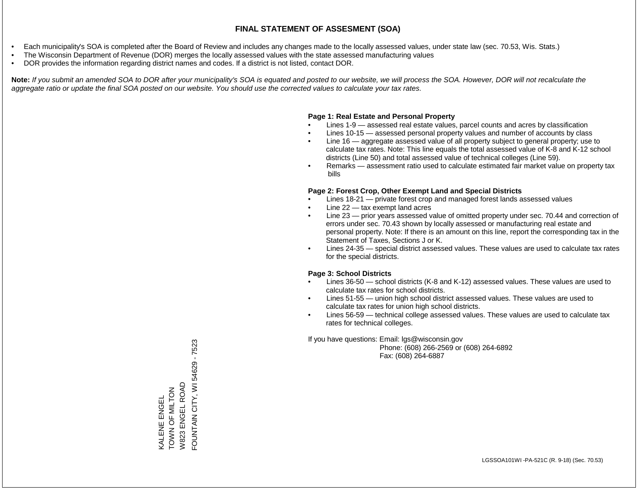- Each municipality's SOA is completed after the Board of Review and includes any changes made to the locally assessed values, under state law (sec. 70.53, Wis. Stats.)
- The Wisconsin Department of Revenue (DOR) merges the locally assessed values with the state assessed manufacturing values
- DOR provides the information regarding district names and codes. If a district is not listed, contact DOR.

Note: If you submit an amended SOA to DOR after your municipality's SOA is equated and posted to our website, we will process the SOA. However, DOR will not recalculate the *aggregate ratio or update the final SOA posted on our website. You should use the corrected values to calculate your tax rates.*

### **Page 1: Real Estate and Personal Property**

- Lines 1-9 assessed real estate values, parcel counts and acres by classification
- Lines 10-15 assessed personal property values and number of accounts by class
- Line 16 aggregate assessed value of all property subject to general property; use to calculate tax rates. Note: This line equals the total assessed value of K-8 and K-12 school districts (Line 50) and total assessed value of technical colleges (Line 59).
- Remarks assessment ratio used to calculate estimated fair market value on property tax bills

### **Page 2: Forest Crop, Other Exempt Land and Special Districts**

- Lines 18-21 private forest crop and managed forest lands assessed values
- Line  $22 -$  tax exempt land acres
- Line 23 prior years assessed value of omitted property under sec. 70.44 and correction of errors under sec. 70.43 shown by locally assessed or manufacturing real estate and personal property. Note: If there is an amount on this line, report the corresponding tax in the Statement of Taxes, Sections J or K.
- Lines 24-35 special district assessed values. These values are used to calculate tax rates for the special districts.

### **Page 3: School Districts**

- Lines 36-50 school districts (K-8 and K-12) assessed values. These values are used to calculate tax rates for school districts.
- Lines 51-55 union high school district assessed values. These values are used to calculate tax rates for union high school districts.
- Lines 56-59 technical college assessed values. These values are used to calculate tax rates for technical colleges.

If you have questions: Email: lgs@wisconsin.gov

 Phone: (608) 266-2569 or (608) 264-6892 Fax: (608) 264-6887

FOUNTAIN CITY, WI 54629 - 7523 FOUNTAIN CITY, WI 54629 - 7523W823 ENGEL ROAD W823 ENGEL ROAD TOWN OF MILTON TOWN OF MILTON **VALENE ENGEL** KALENE ENGEL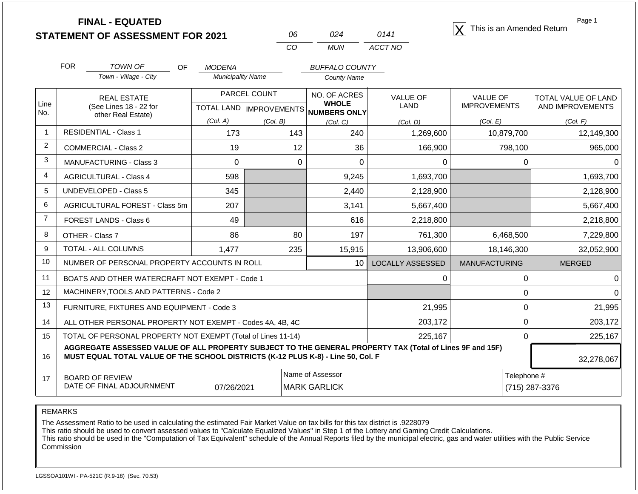| <b>STATEMENT OF ASSESSMENT FOR 2021</b> |  |
|-----------------------------------------|--|
|                                         |  |

| 06  | 024   | 0141    |
|-----|-------|---------|
| CO. | MI IN | ACCT NO |

**FINAL - EQUATED**<br> **ENT OF ASSESSMENT FOR 2021**  $\frac{06}{24}$  024 0141  $\boxed{X}$  This is an Amended Return

Page 1

|                | <b>FOR</b>                                                                       | <b>TOWN OF</b><br><b>OF</b>                                                                              | <b>MODENA</b>            |                           | <b>BUFFALO COUNTY</b>        |                         |                      |                     |
|----------------|----------------------------------------------------------------------------------|----------------------------------------------------------------------------------------------------------|--------------------------|---------------------------|------------------------------|-------------------------|----------------------|---------------------|
|                |                                                                                  | Town - Village - City                                                                                    | <b>Municipality Name</b> |                           | <b>County Name</b>           |                         |                      |                     |
|                |                                                                                  | <b>REAL ESTATE</b>                                                                                       |                          | PARCEL COUNT              | NO. OF ACRES<br><b>WHOLE</b> | <b>VALUE OF</b>         | <b>VALUE OF</b>      | TOTAL VALUE OF LAND |
| Line<br>No.    |                                                                                  | (See Lines 18 - 22 for<br>other Real Estate)                                                             |                          | TOTAL LAND   IMPROVEMENTS | NUMBERS ONLY                 | <b>LAND</b>             | <b>IMPROVEMENTS</b>  | AND IMPROVEMENTS    |
|                |                                                                                  |                                                                                                          | (Col. A)                 | (Col, B)                  | (Col. C)                     | (Col. D)                | (Col. E)             | (Col. F)            |
| $\overline{1}$ |                                                                                  | <b>RESIDENTIAL - Class 1</b>                                                                             | 173                      | 143                       | 240                          | 1,269,600               | 10,879,700           | 12,149,300          |
| $\overline{2}$ |                                                                                  | <b>COMMERCIAL - Class 2</b>                                                                              | 19                       | 12                        | 36                           | 166,900                 | 798,100              | 965,000             |
| 3              |                                                                                  | MANUFACTURING - Class 3                                                                                  | 0                        | 0                         | 0                            | $\Omega$                | 0                    |                     |
| $\overline{4}$ |                                                                                  | <b>AGRICULTURAL - Class 4</b>                                                                            | 598                      |                           | 9,245                        | 1,693,700               |                      | 1,693,700           |
| 5              |                                                                                  | <b>UNDEVELOPED - Class 5</b>                                                                             | 345                      |                           | 2,440                        | 2,128,900               |                      | 2,128,900           |
| 6              |                                                                                  | <b>AGRICULTURAL FOREST - Class 5m</b>                                                                    | 207                      |                           | 3,141                        | 5,667,400               |                      | 5,667,400           |
| $\overline{7}$ |                                                                                  | FOREST LANDS - Class 6                                                                                   | 49                       |                           | 616                          | 2,218,800               |                      | 2,218,800           |
| 8              |                                                                                  | OTHER - Class 7                                                                                          | 86                       | 80                        | 197                          | 761,300                 | 6,468,500            | 7,229,800           |
| 9              |                                                                                  | TOTAL - ALL COLUMNS                                                                                      | 1,477                    | 235                       | 15,915                       | 13,906,600              | 18,146,300           | 32,052,900          |
| 10             |                                                                                  | NUMBER OF PERSONAL PROPERTY ACCOUNTS IN ROLL                                                             |                          |                           | 10                           | <b>LOCALLY ASSESSED</b> | <b>MANUFACTURING</b> | <b>MERGED</b>       |
| 11             |                                                                                  | BOATS AND OTHER WATERCRAFT NOT EXEMPT - Code 1                                                           |                          |                           |                              | U                       | $\Omega$             |                     |
| 12             |                                                                                  | MACHINERY, TOOLS AND PATTERNS - Code 2                                                                   |                          |                           |                              |                         | 0                    |                     |
| 13             |                                                                                  | FURNITURE, FIXTURES AND EQUIPMENT - Code 3                                                               |                          |                           |                              | 21,995                  | 0                    | 21,995              |
| 14             |                                                                                  | ALL OTHER PERSONAL PROPERTY NOT EXEMPT - Codes 4A, 4B, 4C                                                |                          |                           |                              | 203,172                 | 0                    | 203,172             |
| 15             |                                                                                  | TOTAL OF PERSONAL PROPERTY NOT EXEMPT (Total of Lines 11-14)                                             |                          |                           |                              | 225,167                 | $\Omega$             | 225,167             |
| 16             | MUST EQUAL TOTAL VALUE OF THE SCHOOL DISTRICTS (K-12 PLUS K-8) - Line 50, Col. F | AGGREGATE ASSESSED VALUE OF ALL PROPERTY SUBJECT TO THE GENERAL PROPERTY TAX (Total of Lines 9F and 15F) | 32,278,067               |                           |                              |                         |                      |                     |
| 17             |                                                                                  | <b>BOARD OF REVIEW</b>                                                                                   |                          |                           | Name of Assessor             |                         | Telephone #          |                     |
|                |                                                                                  | DATE OF FINAL ADJOURNMENT                                                                                | 07/26/2021               |                           | <b>MARK GARLICK</b>          |                         |                      | (715) 287-3376      |

REMARKS

The Assessment Ratio to be used in calculating the estimated Fair Market Value on tax bills for this tax district is .9228079

This ratio should be used to convert assessed values to "Calculate Equalized Values" in Step 1 of the Lottery and Gaming Credit Calculations.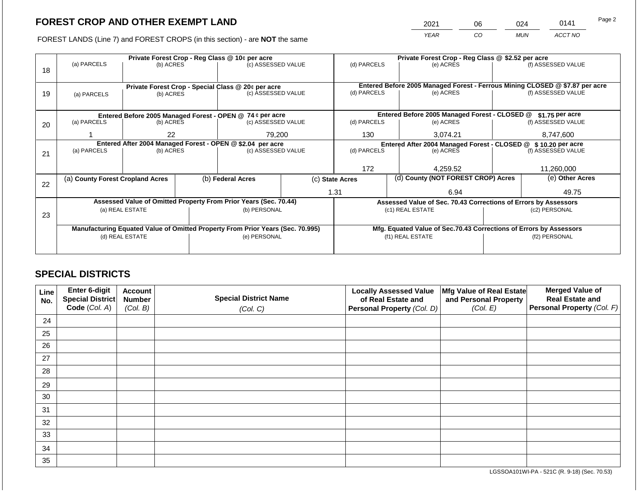2021 06 024 0141

FOREST LANDS (Line 7) and FOREST CROPS (in this section) - are **NOT** the same *YEAR CO MUN ACCT NO*

|    |                                                           | Private Forest Crop - Reg Class @ 10¢ per acre |                                                            |                                                                                |                                               |                                                                                             |                                                               | Private Forest Crop - Reg Class @ \$2.52 per acre                  |                    |                    |  |  |
|----|-----------------------------------------------------------|------------------------------------------------|------------------------------------------------------------|--------------------------------------------------------------------------------|-----------------------------------------------|---------------------------------------------------------------------------------------------|---------------------------------------------------------------|--------------------------------------------------------------------|--------------------|--------------------|--|--|
|    | (a) PARCELS                                               | (b) ACRES                                      |                                                            | (c) ASSESSED VALUE                                                             |                                               | (d) PARCELS                                                                                 |                                                               | (e) ACRES                                                          |                    | (f) ASSESSED VALUE |  |  |
| 18 |                                                           |                                                |                                                            |                                                                                |                                               |                                                                                             |                                                               |                                                                    |                    |                    |  |  |
|    |                                                           |                                                |                                                            |                                                                                |                                               |                                                                                             |                                                               |                                                                    |                    |                    |  |  |
|    |                                                           |                                                |                                                            | Private Forest Crop - Special Class @ 20¢ per acre                             |                                               | Entered Before 2005 Managed Forest - Ferrous Mining CLOSED @ \$7.87 per acre<br>(d) PARCELS |                                                               |                                                                    |                    |                    |  |  |
| 19 | (b) ACRES<br>(a) PARCELS                                  |                                                | (c) ASSESSED VALUE                                         |                                                                                |                                               |                                                                                             | (e) ACRES                                                     |                                                                    | (f) ASSESSED VALUE |                    |  |  |
|    |                                                           |                                                |                                                            |                                                                                |                                               |                                                                                             |                                                               |                                                                    |                    |                    |  |  |
|    | Entered Before 2005 Managed Forest - OPEN @ 74 ¢ per acre |                                                |                                                            |                                                                                | Entered Before 2005 Managed Forest - CLOSED @ |                                                                                             | \$1.75 per acre                                               |                                                                    |                    |                    |  |  |
| 20 | (a) PARCELS                                               | (b) ACRES                                      |                                                            | (c) ASSESSED VALUE                                                             |                                               | (d) PARCELS                                                                                 |                                                               | (e) ACRES                                                          |                    | (f) ASSESSED VALUE |  |  |
|    |                                                           |                                                |                                                            |                                                                                |                                               |                                                                                             |                                                               |                                                                    |                    |                    |  |  |
|    |                                                           | 22                                             |                                                            | 79,200                                                                         |                                               | 130                                                                                         |                                                               | 3,074.21                                                           | 8,747,600          |                    |  |  |
|    |                                                           |                                                | Entered After 2004 Managed Forest - OPEN @ \$2.04 per acre |                                                                                |                                               |                                                                                             | Entered After 2004 Managed Forest - CLOSED @ \$10.20 per acre |                                                                    |                    |                    |  |  |
| 21 | (a) PARCELS                                               | (b) ACRES                                      |                                                            | (c) ASSESSED VALUE                                                             |                                               | (d) PARCELS                                                                                 |                                                               | (e) ACRES                                                          |                    | (f) ASSESSED VALUE |  |  |
|    |                                                           |                                                |                                                            |                                                                                |                                               |                                                                                             |                                                               |                                                                    |                    |                    |  |  |
|    |                                                           |                                                |                                                            |                                                                                |                                               | 172                                                                                         |                                                               | 4,259.52                                                           |                    | 11,260,000         |  |  |
|    | (a) County Forest Cropland Acres                          |                                                |                                                            | (b) Federal Acres                                                              |                                               | (c) State Acres                                                                             |                                                               | (d) County (NOT FOREST CROP) Acres                                 |                    | (e) Other Acres    |  |  |
| 22 |                                                           |                                                |                                                            |                                                                                |                                               |                                                                                             |                                                               |                                                                    |                    |                    |  |  |
|    |                                                           |                                                |                                                            |                                                                                |                                               | 1.31                                                                                        |                                                               | 6.94                                                               |                    | 49.75              |  |  |
|    |                                                           |                                                |                                                            | Assessed Value of Omitted Property From Prior Years (Sec. 70.44)               |                                               |                                                                                             |                                                               | Assessed Value of Sec. 70.43 Corrections of Errors by Assessors    |                    |                    |  |  |
|    |                                                           | (a) REAL ESTATE                                |                                                            | (b) PERSONAL                                                                   |                                               |                                                                                             |                                                               | (c1) REAL ESTATE                                                   |                    | (c2) PERSONAL      |  |  |
| 23 |                                                           |                                                |                                                            |                                                                                |                                               |                                                                                             |                                                               |                                                                    |                    |                    |  |  |
|    |                                                           |                                                |                                                            | Manufacturing Equated Value of Omitted Property From Prior Years (Sec. 70.995) |                                               |                                                                                             |                                                               | Mfg. Equated Value of Sec.70.43 Corrections of Errors by Assessors |                    |                    |  |  |
|    |                                                           | (d) REAL ESTATE                                |                                                            | (e) PERSONAL                                                                   |                                               |                                                                                             |                                                               | (f1) REAL ESTATE                                                   |                    | (f2) PERSONAL      |  |  |
|    |                                                           |                                                |                                                            |                                                                                |                                               |                                                                                             |                                                               |                                                                    |                    |                    |  |  |
|    |                                                           |                                                |                                                            |                                                                                |                                               |                                                                                             |                                                               |                                                                    |                    |                    |  |  |

## **SPECIAL DISTRICTS**

| Line<br>No. | Enter 6-digit<br>Special District<br>Code (Col. A) | <b>Account</b><br><b>Number</b><br>(Col. B) | <b>Special District Name</b><br>(Col. C) | <b>Locally Assessed Value</b><br>of Real Estate and<br><b>Personal Property (Col. D)</b> | Mfg Value of Real Estate<br>and Personal Property<br>(Col. E) | <b>Merged Value of</b><br><b>Real Estate and</b><br>Personal Property (Col. F) |
|-------------|----------------------------------------------------|---------------------------------------------|------------------------------------------|------------------------------------------------------------------------------------------|---------------------------------------------------------------|--------------------------------------------------------------------------------|
| 24          |                                                    |                                             |                                          |                                                                                          |                                                               |                                                                                |
| 25          |                                                    |                                             |                                          |                                                                                          |                                                               |                                                                                |
| 26          |                                                    |                                             |                                          |                                                                                          |                                                               |                                                                                |
| 27          |                                                    |                                             |                                          |                                                                                          |                                                               |                                                                                |
| 28          |                                                    |                                             |                                          |                                                                                          |                                                               |                                                                                |
| 29          |                                                    |                                             |                                          |                                                                                          |                                                               |                                                                                |
| 30          |                                                    |                                             |                                          |                                                                                          |                                                               |                                                                                |
| 31          |                                                    |                                             |                                          |                                                                                          |                                                               |                                                                                |
| 32          |                                                    |                                             |                                          |                                                                                          |                                                               |                                                                                |
| 33          |                                                    |                                             |                                          |                                                                                          |                                                               |                                                                                |
| 34          |                                                    |                                             |                                          |                                                                                          |                                                               |                                                                                |
| 35          |                                                    |                                             |                                          |                                                                                          |                                                               |                                                                                |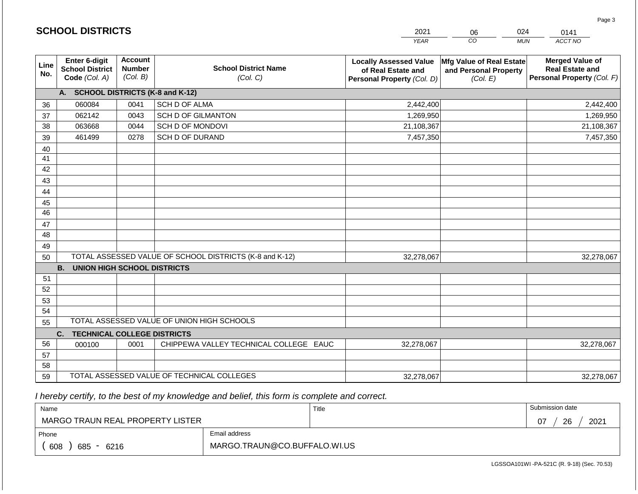|             | <b>SCHOOL DISTRICTS</b>                                         |                                             |                                                         | 2021                                                                              | 06                                                            | 024<br>0141                                                                    |
|-------------|-----------------------------------------------------------------|---------------------------------------------|---------------------------------------------------------|-----------------------------------------------------------------------------------|---------------------------------------------------------------|--------------------------------------------------------------------------------|
|             |                                                                 |                                             |                                                         | <b>YEAR</b>                                                                       | CO                                                            | ACCT NO<br><b>MUN</b>                                                          |
| Line<br>No. | <b>Enter 6-digit</b><br><b>School District</b><br>Code (Col. A) | <b>Account</b><br><b>Number</b><br>(Col. B) | <b>School District Name</b><br>(Col. C)                 | <b>Locally Assessed Value</b><br>of Real Estate and<br>Personal Property (Col. D) | Mfg Value of Real Estate<br>and Personal Property<br>(Col. E) | <b>Merged Value of</b><br><b>Real Estate and</b><br>Personal Property (Col. F) |
|             | A. SCHOOL DISTRICTS (K-8 and K-12)                              |                                             |                                                         |                                                                                   |                                                               |                                                                                |
| 36          | 060084                                                          | 0041                                        | SCH D OF ALMA                                           | 2,442,400                                                                         |                                                               | 2,442,400                                                                      |
| 37          | 062142                                                          | 0043                                        | <b>SCH D OF GILMANTON</b>                               | 1,269,950                                                                         |                                                               | 1,269,950                                                                      |
| 38          | 063668                                                          | 0044                                        | SCH D OF MONDOVI                                        | 21,108,367                                                                        |                                                               | 21,108,367                                                                     |
| 39          | 461499                                                          | 0278                                        | SCH D OF DURAND                                         | 7,457,350                                                                         |                                                               | 7,457,350                                                                      |
| 40          |                                                                 |                                             |                                                         |                                                                                   |                                                               |                                                                                |
| 41          |                                                                 |                                             |                                                         |                                                                                   |                                                               |                                                                                |
| 42          |                                                                 |                                             |                                                         |                                                                                   |                                                               |                                                                                |
| 43          |                                                                 |                                             |                                                         |                                                                                   |                                                               |                                                                                |
| 44          |                                                                 |                                             |                                                         |                                                                                   |                                                               |                                                                                |
| 45<br>46    |                                                                 |                                             |                                                         |                                                                                   |                                                               |                                                                                |
| 47          |                                                                 |                                             |                                                         |                                                                                   |                                                               |                                                                                |
| 48          |                                                                 |                                             |                                                         |                                                                                   |                                                               |                                                                                |
| 49          |                                                                 |                                             |                                                         |                                                                                   |                                                               |                                                                                |
| 50          |                                                                 |                                             | TOTAL ASSESSED VALUE OF SCHOOL DISTRICTS (K-8 and K-12) | 32,278,067                                                                        |                                                               | 32,278,067                                                                     |
|             | <b>B. UNION HIGH SCHOOL DISTRICTS</b>                           |                                             |                                                         |                                                                                   |                                                               |                                                                                |
| 51          |                                                                 |                                             |                                                         |                                                                                   |                                                               |                                                                                |
| 52          |                                                                 |                                             |                                                         |                                                                                   |                                                               |                                                                                |
| 53          |                                                                 |                                             |                                                         |                                                                                   |                                                               |                                                                                |
| 54          |                                                                 |                                             |                                                         |                                                                                   |                                                               |                                                                                |
| 55          |                                                                 |                                             | TOTAL ASSESSED VALUE OF UNION HIGH SCHOOLS              |                                                                                   |                                                               |                                                                                |
|             | <b>TECHNICAL COLLEGE DISTRICTS</b><br>C.                        |                                             |                                                         |                                                                                   |                                                               |                                                                                |
| 56          | 000100                                                          | 0001                                        | CHIPPEWA VALLEY TECHNICAL COLLEGE EAUC                  | 32,278,067                                                                        |                                                               | 32,278,067                                                                     |
| 57          |                                                                 |                                             |                                                         |                                                                                   |                                                               |                                                                                |
| 58          |                                                                 |                                             |                                                         |                                                                                   |                                                               |                                                                                |
| 59          |                                                                 |                                             | TOTAL ASSESSED VALUE OF TECHNICAL COLLEGES              | 32,278,067                                                                        |                                                               | 32,278,067                                                                     |

| Name                             |                              | Title | Submission date  |
|----------------------------------|------------------------------|-------|------------------|
| MARGO TRAUN REAL PROPERTY LISTER |                              |       | 26<br>2021<br>07 |
| Phone                            | Email address                |       |                  |
| 608<br>685<br>6216               | MARGO.TRAUN@CO.BUFFALO.WI.US |       |                  |

LGSSOA101WI -PA-521C (R. 9-18) (Sec. 70.53)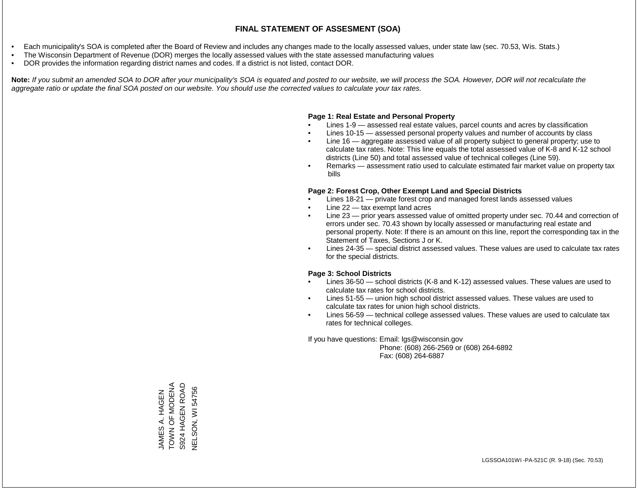- Each municipality's SOA is completed after the Board of Review and includes any changes made to the locally assessed values, under state law (sec. 70.53, Wis. Stats.)
- The Wisconsin Department of Revenue (DOR) merges the locally assessed values with the state assessed manufacturing values
- DOR provides the information regarding district names and codes. If a district is not listed, contact DOR.

Note: If you submit an amended SOA to DOR after your municipality's SOA is equated and posted to our website, we will process the SOA. However, DOR will not recalculate the *aggregate ratio or update the final SOA posted on our website. You should use the corrected values to calculate your tax rates.*

#### **Page 1: Real Estate and Personal Property**

- Lines 1-9 assessed real estate values, parcel counts and acres by classification
- Lines 10-15 assessed personal property values and number of accounts by class
- Line 16 aggregate assessed value of all property subject to general property; use to calculate tax rates. Note: This line equals the total assessed value of K-8 and K-12 school districts (Line 50) and total assessed value of technical colleges (Line 59).
- Remarks assessment ratio used to calculate estimated fair market value on property tax bills

#### **Page 2: Forest Crop, Other Exempt Land and Special Districts**

- Lines 18-21 private forest crop and managed forest lands assessed values
- Line  $22 -$  tax exempt land acres
- Line 23 prior years assessed value of omitted property under sec. 70.44 and correction of errors under sec. 70.43 shown by locally assessed or manufacturing real estate and personal property. Note: If there is an amount on this line, report the corresponding tax in the Statement of Taxes, Sections J or K.
- Lines 24-35 special district assessed values. These values are used to calculate tax rates for the special districts.

#### **Page 3: School Districts**

- Lines 36-50 school districts (K-8 and K-12) assessed values. These values are used to calculate tax rates for school districts.
- Lines 51-55 union high school district assessed values. These values are used to calculate tax rates for union high school districts.
- Lines 56-59 technical college assessed values. These values are used to calculate tax rates for technical colleges.

If you have questions: Email: lgs@wisconsin.gov

 Phone: (608) 266-2569 or (608) 264-6892 Fax: (608) 264-6887

JAMES A. HAGEN<br>TOWN OF MODENA<br>S924 HAGEN ROAD **TOWN OF MONA** S924 HAGEN ROAD VELSON, WI54756 NELSON, WI 54756JAMES A. HAGEN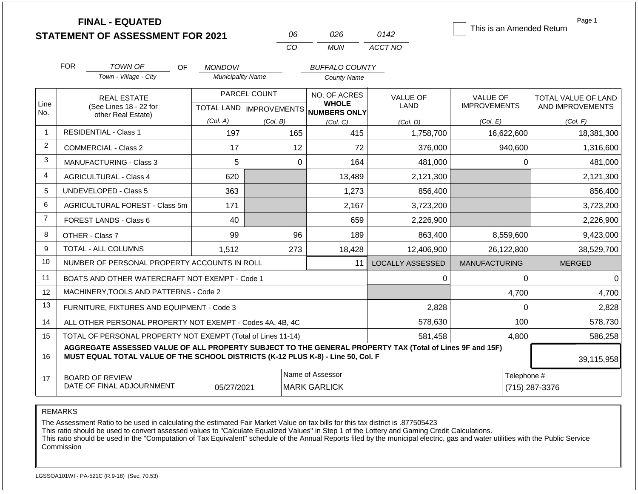|                |                                                                                                                                                                                              | <b>FINAL - EQUATED</b><br><b>STATEMENT OF ASSESSMENT FOR 2021</b> |                          | 06           | 026                                                 | 0142                    | This is an Amended Return | Page 1              |  |  |
|----------------|----------------------------------------------------------------------------------------------------------------------------------------------------------------------------------------------|-------------------------------------------------------------------|--------------------------|--------------|-----------------------------------------------------|-------------------------|---------------------------|---------------------|--|--|
|                |                                                                                                                                                                                              |                                                                   |                          | CO           | <b>MUN</b>                                          | ACCT NO                 |                           |                     |  |  |
|                | <b>FOR</b>                                                                                                                                                                                   | <b>TOWN OF</b><br>OF.                                             | <b>MONDOVI</b>           |              | <b>BUFFALO COUNTY</b>                               |                         |                           |                     |  |  |
|                |                                                                                                                                                                                              | Town - Village - City                                             | <b>Municipality Name</b> |              | <b>County Name</b>                                  |                         |                           |                     |  |  |
|                | <b>REAL ESTATE</b>                                                                                                                                                                           |                                                                   |                          | PARCEL COUNT | NO. OF ACRES                                        | <b>VALUE OF</b>         | <b>VALUE OF</b>           | TOTAL VALUE OF LAND |  |  |
| Line<br>No.    |                                                                                                                                                                                              | (See Lines 18 - 22 for<br>other Real Estate)                      |                          |              | <b>WHOLE</b><br>TOTAL LAND MPROVEMENTS NUMBERS ONLY | LAND                    | <b>IMPROVEMENTS</b>       | AND IMPROVEMENTS    |  |  |
|                |                                                                                                                                                                                              |                                                                   | (Col. A)                 | (Col. B)     | (Col. C)                                            | (Col. D)                | (Col. E)                  | (Col. F)            |  |  |
| $\mathbf{1}$   |                                                                                                                                                                                              | <b>RESIDENTIAL - Class 1</b>                                      | 197                      | 165          | 415                                                 | 1,758,700               | 16,622,600                | 18,381,300          |  |  |
| $\overline{2}$ |                                                                                                                                                                                              | <b>COMMERCIAL - Class 2</b>                                       | 17                       | 12           | 72                                                  | 376,000                 | 940,600                   | 1,316,600           |  |  |
| 3              |                                                                                                                                                                                              | <b>MANUFACTURING - Class 3</b>                                    | 5                        |              | $\Omega$<br>164                                     | 481,000                 | 0                         | 481,000             |  |  |
| 4              |                                                                                                                                                                                              | <b>AGRICULTURAL - Class 4</b>                                     | 620                      |              | 13,489                                              | 2,121,300               |                           | 2,121,300           |  |  |
| 5              |                                                                                                                                                                                              | UNDEVELOPED - Class 5                                             | 363                      |              | 1,273                                               | 856,400                 |                           | 856,400             |  |  |
| 6              |                                                                                                                                                                                              | AGRICULTURAL FOREST - Class 5m                                    | 171                      |              | 2,167                                               | 3,723,200               |                           | 3,723,200           |  |  |
| $\overline{7}$ |                                                                                                                                                                                              | <b>FOREST LANDS - Class 6</b>                                     | 40                       |              | 659                                                 | 2,226,900               |                           | 2,226,900           |  |  |
| 8              |                                                                                                                                                                                              | OTHER - Class 7                                                   | 99                       | 96           | 189                                                 | 863,400                 | 8,559,600                 | 9,423,000           |  |  |
| 9              |                                                                                                                                                                                              | TOTAL - ALL COLUMNS                                               | 1,512                    | 273          | 18,428                                              | 12,406,900              | 26,122,800                | 38,529,700          |  |  |
| 10             |                                                                                                                                                                                              | NUMBER OF PERSONAL PROPERTY ACCOUNTS IN ROLL                      |                          |              | 11                                                  | <b>LOCALLY ASSESSED</b> | <b>MANUFACTURING</b>      | <b>MERGED</b>       |  |  |
| 11             |                                                                                                                                                                                              | BOATS AND OTHER WATERCRAFT NOT EXEMPT - Code 1                    |                          |              |                                                     | 0                       | 0                         | $\Omega$            |  |  |
| 12             |                                                                                                                                                                                              | MACHINERY, TOOLS AND PATTERNS - Code 2                            |                          |              |                                                     |                         | 4,700                     | 4,700               |  |  |
| 13             |                                                                                                                                                                                              | FURNITURE, FIXTURES AND EQUIPMENT - Code 3                        |                          |              |                                                     | 2,828                   | $\Omega$                  | 2,828               |  |  |
| 14             |                                                                                                                                                                                              | ALL OTHER PERSONAL PROPERTY NOT EXEMPT - Codes 4A, 4B, 4C         |                          |              |                                                     | 578,630                 | 100                       | 578,730             |  |  |
| 15             |                                                                                                                                                                                              | TOTAL OF PERSONAL PROPERTY NOT EXEMPT (Total of Lines 11-14)      |                          |              |                                                     | 581,458                 | 4,800                     | 586,258             |  |  |
| 16             | AGGREGATE ASSESSED VALUE OF ALL PROPERTY SUBJECT TO THE GENERAL PROPERTY TAX (Total of Lines 9F and 15F)<br>MUST EQUAL TOTAL VALUE OF THE SCHOOL DISTRICTS (K-12 PLUS K-8) - Line 50, Col. F |                                                                   |                          |              |                                                     |                         |                           |                     |  |  |
| 17             |                                                                                                                                                                                              | <b>BOARD OF REVIEW</b><br>DATE OF FINAL ADJOURNMENT               | 05/27/2021               |              | Name of Assessor<br><b>MARK GARLICK</b>             |                         | Telephone #               | (715) 287-3376      |  |  |

The Assessment Ratio to be used in calculating the estimated Fair Market Value on tax bills for this tax district is .877505423

This ratio should be used to convert assessed values to "Calculate Equalized Values" in Step 1 of the Lottery and Gaming Credit Calculations.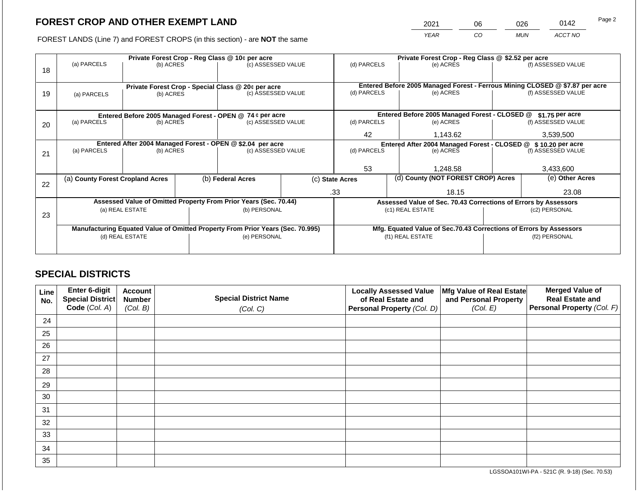2021 06 026 0142

FOREST LANDS (Line 7) and FOREST CROPS (in this section) - are **NOT** the same *YEAR CO MUN ACCT NO*

|    |                                                            |                 |  | Private Forest Crop - Reg Class @ 10¢ per acre                                 |                                                                | Private Forest Crop - Reg Class @ \$2.52 per acre                            |          |                                                                    |                 |                    |
|----|------------------------------------------------------------|-----------------|--|--------------------------------------------------------------------------------|----------------------------------------------------------------|------------------------------------------------------------------------------|----------|--------------------------------------------------------------------|-----------------|--------------------|
|    | (a) PARCELS                                                | (b) ACRES       |  | (c) ASSESSED VALUE                                                             |                                                                | (d) PARCELS                                                                  |          | (e) ACRES                                                          |                 | (f) ASSESSED VALUE |
| 18 |                                                            |                 |  |                                                                                |                                                                |                                                                              |          |                                                                    |                 |                    |
|    |                                                            |                 |  |                                                                                |                                                                |                                                                              |          |                                                                    |                 |                    |
|    |                                                            |                 |  | Private Forest Crop - Special Class @ 20¢ per acre                             |                                                                | Entered Before 2005 Managed Forest - Ferrous Mining CLOSED @ \$7.87 per acre |          |                                                                    |                 |                    |
| 19 | (a) PARCELS                                                | (b) ACRES       |  |                                                                                | (c) ASSESSED VALUE                                             | (d) PARCELS                                                                  |          | (e) ACRES                                                          |                 | (f) ASSESSED VALUE |
|    |                                                            |                 |  |                                                                                |                                                                |                                                                              |          |                                                                    |                 |                    |
|    |                                                            |                 |  | Entered Before 2005 Managed Forest - OPEN @ 74 ¢ per acre                      |                                                                |                                                                              |          | Entered Before 2005 Managed Forest - CLOSED @                      |                 | \$1.75 per acre    |
| 20 | (a) PARCELS                                                | (b) ACRES       |  | (c) ASSESSED VALUE                                                             |                                                                | (d) PARCELS                                                                  |          | (e) ACRES                                                          |                 | (f) ASSESSED VALUE |
|    |                                                            |                 |  |                                                                                |                                                                |                                                                              |          |                                                                    |                 |                    |
|    |                                                            |                 |  |                                                                                | 42                                                             |                                                                              | 1,143.62 | 3,539,500                                                          |                 |                    |
|    | Entered After 2004 Managed Forest - OPEN @ \$2.04 per acre |                 |  |                                                                                | Entered After 2004 Managed Forest - CLOSED @ \$ 10.20 per acre |                                                                              |          |                                                                    |                 |                    |
| 21 | (a) PARCELS                                                | (b) ACRES       |  |                                                                                | (d) PARCELS<br>(c) ASSESSED VALUE                              |                                                                              |          | (e) ACRES                                                          |                 | (f) ASSESSED VALUE |
|    |                                                            |                 |  |                                                                                |                                                                |                                                                              |          |                                                                    |                 |                    |
|    |                                                            |                 |  |                                                                                |                                                                | 53                                                                           |          | 1,248.58                                                           |                 | 3,433,600          |
|    | (a) County Forest Cropland Acres                           |                 |  | (b) Federal Acres<br>(c) State Acres                                           |                                                                | (d) County (NOT FOREST CROP) Acres                                           |          |                                                                    | (e) Other Acres |                    |
| 22 |                                                            |                 |  |                                                                                |                                                                |                                                                              |          |                                                                    |                 |                    |
|    |                                                            |                 |  |                                                                                |                                                                | .33                                                                          |          | 18.15                                                              |                 | 23.08              |
|    |                                                            |                 |  | Assessed Value of Omitted Property From Prior Years (Sec. 70.44)               |                                                                |                                                                              |          | Assessed Value of Sec. 70.43 Corrections of Errors by Assessors    |                 |                    |
|    |                                                            | (a) REAL ESTATE |  | (b) PERSONAL                                                                   |                                                                |                                                                              |          | (c1) REAL ESTATE                                                   |                 | (c2) PERSONAL      |
| 23 |                                                            |                 |  |                                                                                |                                                                |                                                                              |          |                                                                    |                 |                    |
|    |                                                            |                 |  | Manufacturing Equated Value of Omitted Property From Prior Years (Sec. 70.995) |                                                                |                                                                              |          | Mfg. Equated Value of Sec.70.43 Corrections of Errors by Assessors |                 |                    |
|    |                                                            | (d) REAL ESTATE |  | (e) PERSONAL                                                                   |                                                                |                                                                              |          | (f1) REAL ESTATE                                                   |                 | (f2) PERSONAL      |
|    |                                                            |                 |  |                                                                                |                                                                |                                                                              |          |                                                                    |                 |                    |
|    |                                                            |                 |  |                                                                                |                                                                |                                                                              |          |                                                                    |                 |                    |

## **SPECIAL DISTRICTS**

| Line<br>No. | Enter 6-digit<br>Special District<br>Code (Col. A) | <b>Account</b><br><b>Number</b><br>(Col. B) | <b>Special District Name</b><br>(Col. C) | <b>Locally Assessed Value</b><br>of Real Estate and<br><b>Personal Property (Col. D)</b> | Mfg Value of Real Estate<br>and Personal Property<br>(Col. E) | <b>Merged Value of</b><br><b>Real Estate and</b><br>Personal Property (Col. F) |
|-------------|----------------------------------------------------|---------------------------------------------|------------------------------------------|------------------------------------------------------------------------------------------|---------------------------------------------------------------|--------------------------------------------------------------------------------|
| 24          |                                                    |                                             |                                          |                                                                                          |                                                               |                                                                                |
| 25          |                                                    |                                             |                                          |                                                                                          |                                                               |                                                                                |
| 26          |                                                    |                                             |                                          |                                                                                          |                                                               |                                                                                |
| 27          |                                                    |                                             |                                          |                                                                                          |                                                               |                                                                                |
| 28          |                                                    |                                             |                                          |                                                                                          |                                                               |                                                                                |
| 29          |                                                    |                                             |                                          |                                                                                          |                                                               |                                                                                |
| 30          |                                                    |                                             |                                          |                                                                                          |                                                               |                                                                                |
| 31          |                                                    |                                             |                                          |                                                                                          |                                                               |                                                                                |
| 32          |                                                    |                                             |                                          |                                                                                          |                                                               |                                                                                |
| 33          |                                                    |                                             |                                          |                                                                                          |                                                               |                                                                                |
| 34          |                                                    |                                             |                                          |                                                                                          |                                                               |                                                                                |
| 35          |                                                    |                                             |                                          |                                                                                          |                                                               |                                                                                |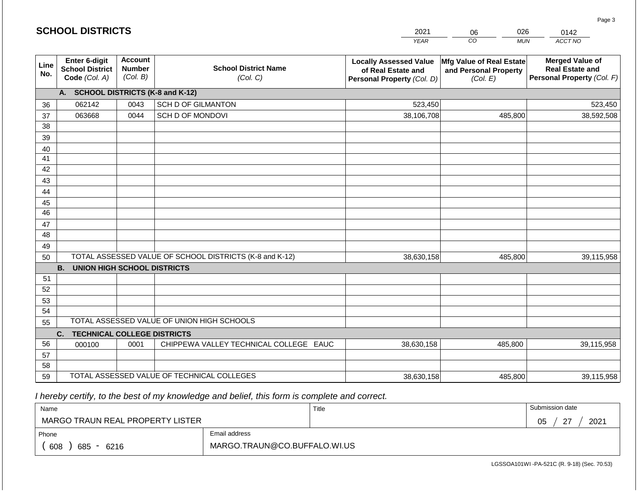|                 | <b>SCHOOL DISTRICTS</b>                                  |                                             |                                                         | 2021                                                                              | 026<br>06<br>0142                                             |                                                                                |  |
|-----------------|----------------------------------------------------------|---------------------------------------------|---------------------------------------------------------|-----------------------------------------------------------------------------------|---------------------------------------------------------------|--------------------------------------------------------------------------------|--|
|                 |                                                          |                                             |                                                         | <b>YEAR</b>                                                                       | CO<br><b>MUN</b>                                              | ACCT NO                                                                        |  |
| Line<br>No.     | Enter 6-digit<br><b>School District</b><br>Code (Col. A) | <b>Account</b><br><b>Number</b><br>(Col. B) | <b>School District Name</b><br>(Col. C)                 | <b>Locally Assessed Value</b><br>of Real Estate and<br>Personal Property (Col. D) | Mfg Value of Real Estate<br>and Personal Property<br>(Col. E) | <b>Merged Value of</b><br><b>Real Estate and</b><br>Personal Property (Col. F) |  |
|                 | A. SCHOOL DISTRICTS (K-8 and K-12)                       |                                             |                                                         |                                                                                   |                                                               |                                                                                |  |
| 36              | 062142                                                   | 0043                                        | <b>SCH D OF GILMANTON</b>                               | 523,450                                                                           |                                                               | 523,450                                                                        |  |
| 37              | 063668                                                   | 0044                                        | SCH D OF MONDOVI                                        | 38,106,708                                                                        | 485,800                                                       | 38,592,508                                                                     |  |
| 38              |                                                          |                                             |                                                         |                                                                                   |                                                               |                                                                                |  |
| 39              |                                                          |                                             |                                                         |                                                                                   |                                                               |                                                                                |  |
| 40              |                                                          |                                             |                                                         |                                                                                   |                                                               |                                                                                |  |
| 41              |                                                          |                                             |                                                         |                                                                                   |                                                               |                                                                                |  |
| 42              |                                                          |                                             |                                                         |                                                                                   |                                                               |                                                                                |  |
| 43              |                                                          |                                             |                                                         |                                                                                   |                                                               |                                                                                |  |
| 44<br>45        |                                                          |                                             |                                                         |                                                                                   |                                                               |                                                                                |  |
| $\overline{46}$ |                                                          |                                             |                                                         |                                                                                   |                                                               |                                                                                |  |
| 47              |                                                          |                                             |                                                         |                                                                                   |                                                               |                                                                                |  |
| 48              |                                                          |                                             |                                                         |                                                                                   |                                                               |                                                                                |  |
| 49              |                                                          |                                             |                                                         |                                                                                   |                                                               |                                                                                |  |
| 50              |                                                          |                                             | TOTAL ASSESSED VALUE OF SCHOOL DISTRICTS (K-8 and K-12) | 38,630,158                                                                        | 485,800                                                       | 39,115,958                                                                     |  |
|                 | <b>B.</b><br><b>UNION HIGH SCHOOL DISTRICTS</b>          |                                             |                                                         |                                                                                   |                                                               |                                                                                |  |
| 51              |                                                          |                                             |                                                         |                                                                                   |                                                               |                                                                                |  |
| 52              |                                                          |                                             |                                                         |                                                                                   |                                                               |                                                                                |  |
| 53              |                                                          |                                             |                                                         |                                                                                   |                                                               |                                                                                |  |
| 54              |                                                          |                                             |                                                         |                                                                                   |                                                               |                                                                                |  |
| 55              |                                                          |                                             | TOTAL ASSESSED VALUE OF UNION HIGH SCHOOLS              |                                                                                   |                                                               |                                                                                |  |
|                 | <b>TECHNICAL COLLEGE DISTRICTS</b><br>C.                 |                                             |                                                         |                                                                                   |                                                               |                                                                                |  |
| 56              | 000100                                                   | 0001                                        | CHIPPEWA VALLEY TECHNICAL COLLEGE EAUC                  | 38,630,158                                                                        | 485,800                                                       | 39,115,958                                                                     |  |
| 57              |                                                          |                                             |                                                         |                                                                                   |                                                               |                                                                                |  |
| 58              |                                                          |                                             | TOTAL ASSESSED VALUE OF TECHNICAL COLLEGES              |                                                                                   |                                                               |                                                                                |  |
| 59              |                                                          |                                             |                                                         | 38,630,158                                                                        | 485,800                                                       | 39,115,958                                                                     |  |

**SCHOOL DISTRICTS**

| Name                             |                              | Title | Submission date            |
|----------------------------------|------------------------------|-------|----------------------------|
| MARGO TRAUN REAL PROPERTY LISTER |                              |       | $\sim$<br>2021<br>∩ҕ<br>◡◡ |
| Phone                            | Email address                |       |                            |
| 608<br>685 - 6216                | MARGO.TRAUN@CO.BUFFALO.WI.US |       |                            |

LGSSOA101WI -PA-521C (R. 9-18) (Sec. 70.53)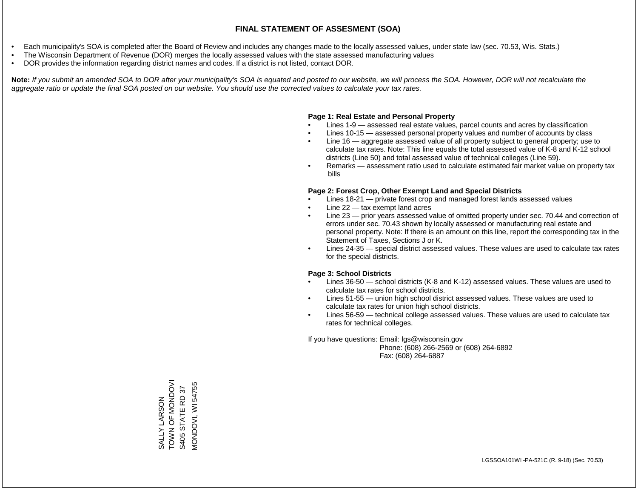- Each municipality's SOA is completed after the Board of Review and includes any changes made to the locally assessed values, under state law (sec. 70.53, Wis. Stats.)
- The Wisconsin Department of Revenue (DOR) merges the locally assessed values with the state assessed manufacturing values
- DOR provides the information regarding district names and codes. If a district is not listed, contact DOR.

Note: If you submit an amended SOA to DOR after your municipality's SOA is equated and posted to our website, we will process the SOA. However, DOR will not recalculate the *aggregate ratio or update the final SOA posted on our website. You should use the corrected values to calculate your tax rates.*

#### **Page 1: Real Estate and Personal Property**

- Lines 1-9 assessed real estate values, parcel counts and acres by classification
- Lines 10-15 assessed personal property values and number of accounts by class
- Line 16 aggregate assessed value of all property subject to general property; use to calculate tax rates. Note: This line equals the total assessed value of K-8 and K-12 school districts (Line 50) and total assessed value of technical colleges (Line 59).
- Remarks assessment ratio used to calculate estimated fair market value on property tax bills

#### **Page 2: Forest Crop, Other Exempt Land and Special Districts**

- Lines 18-21 private forest crop and managed forest lands assessed values
- Line  $22 -$  tax exempt land acres
- Line 23 prior years assessed value of omitted property under sec. 70.44 and correction of errors under sec. 70.43 shown by locally assessed or manufacturing real estate and personal property. Note: If there is an amount on this line, report the corresponding tax in the Statement of Taxes, Sections J or K.
- Lines 24-35 special district assessed values. These values are used to calculate tax rates for the special districts.

#### **Page 3: School Districts**

- Lines 36-50 school districts (K-8 and K-12) assessed values. These values are used to calculate tax rates for school districts.
- Lines 51-55 union high school district assessed values. These values are used to calculate tax rates for union high school districts.
- Lines 56-59 technical college assessed values. These values are used to calculate tax rates for technical colleges.

If you have questions: Email: lgs@wisconsin.gov

 Phone: (608) 266-2569 or (608) 264-6892 Fax: (608) 264-6887

SALLY LARSON<br>TOWN OF MONDOVI<br>S405 STATE RD 37 TOON OF LONGOL VIONDOVI, WI 54755 MONDOVI, WI 54755S405 STATE RD 37 SALLY LARSON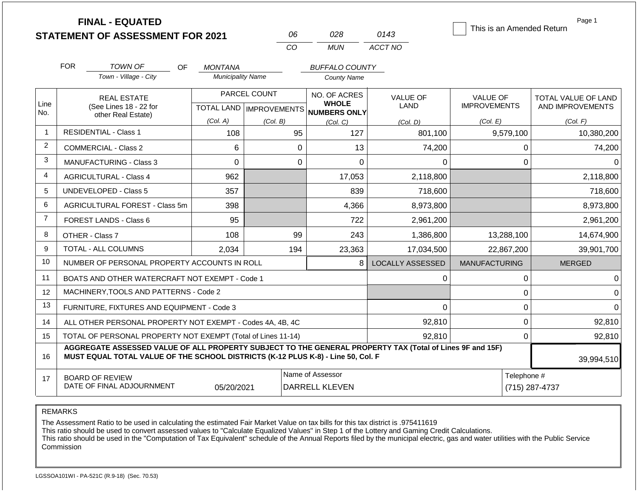|                | <b>FINAL - EQUATED</b><br><b>STATEMENT OF ASSESSMENT FOR 2021</b>                                                                                                                            |                                                                                          | 06                                        | 028                                                 | 0143                    | This is an Amended Return              | Page 1                                         |  |  |  |
|----------------|----------------------------------------------------------------------------------------------------------------------------------------------------------------------------------------------|------------------------------------------------------------------------------------------|-------------------------------------------|-----------------------------------------------------|-------------------------|----------------------------------------|------------------------------------------------|--|--|--|
|                |                                                                                                                                                                                              |                                                                                          | CO                                        | <b>MUN</b>                                          | ACCT NO                 |                                        |                                                |  |  |  |
|                | <b>FOR</b><br>TOWN OF<br>OF.                                                                                                                                                                 | <b>MONTANA</b>                                                                           |                                           | <b>BUFFALO COUNTY</b>                               |                         |                                        |                                                |  |  |  |
|                | Town - Village - City                                                                                                                                                                        | <b>Municipality Name</b>                                                                 |                                           | <b>County Name</b>                                  |                         |                                        |                                                |  |  |  |
| Line<br>No.    | <b>REAL ESTATE</b><br>(See Lines 18 - 22 for                                                                                                                                                 |                                                                                          | PARCEL COUNT<br>TOTAL LAND   IMPROVEMENTS | NO. OF ACRES<br><b>WHOLE</b><br><b>NUMBERS ONLY</b> | <b>VALUE OF</b><br>LAND | <b>VALUE OF</b><br><b>IMPROVEMENTS</b> | <b>TOTAL VALUE OF LAND</b><br>AND IMPROVEMENTS |  |  |  |
|                | other Real Estate)                                                                                                                                                                           | (Col. A)                                                                                 | (Col. B)                                  | (Col, C)                                            | (Col. D)                | (Col. E)                               | (Col. F)                                       |  |  |  |
| $\overline{1}$ | <b>RESIDENTIAL - Class 1</b>                                                                                                                                                                 | 108                                                                                      | 95                                        | 127                                                 | 801,100                 | 9,579,100                              | 10,380,200                                     |  |  |  |
| 2              | <b>COMMERCIAL - Class 2</b>                                                                                                                                                                  | 6                                                                                        |                                           | $\mathbf 0$<br>13                                   | 74,200                  | 0                                      | 74,200                                         |  |  |  |
| 3              | <b>MANUFACTURING - Class 3</b>                                                                                                                                                               | $\Omega$                                                                                 |                                           | $\mathbf 0$<br>$\Omega$                             | $\Omega$                | $\mathbf 0$                            | $\Omega$                                       |  |  |  |
| 4              | <b>AGRICULTURAL - Class 4</b>                                                                                                                                                                | 962                                                                                      |                                           | 17,053                                              | 2,118,800               |                                        | 2,118,800                                      |  |  |  |
| 5              | UNDEVELOPED - Class 5                                                                                                                                                                        | 357                                                                                      |                                           | 839                                                 | 718,600                 |                                        | 718,600                                        |  |  |  |
| 6              | AGRICULTURAL FOREST - Class 5m                                                                                                                                                               | 398                                                                                      |                                           | 4,366                                               | 8,973,800               |                                        | 8,973,800                                      |  |  |  |
| $\overline{7}$ | FOREST LANDS - Class 6                                                                                                                                                                       | 95                                                                                       |                                           | 722                                                 | 2,961,200               |                                        | 2,961,200                                      |  |  |  |
| 8              | OTHER - Class 7                                                                                                                                                                              | 108                                                                                      | 99                                        | 243                                                 | 1,386,800               | 13,288,100                             | 14,674,900                                     |  |  |  |
| 9              | <b>TOTAL - ALL COLUMNS</b>                                                                                                                                                                   | 2.034                                                                                    | 194                                       | 23,363                                              | 17,034,500              | 22,867,200                             | 39,901,700                                     |  |  |  |
| 10             | NUMBER OF PERSONAL PROPERTY ACCOUNTS IN ROLL                                                                                                                                                 |                                                                                          |                                           | 8                                                   | <b>LOCALLY ASSESSED</b> | <b>MANUFACTURING</b>                   | <b>MERGED</b>                                  |  |  |  |
| 11             | BOATS AND OTHER WATERCRAFT NOT EXEMPT - Code 1                                                                                                                                               |                                                                                          |                                           |                                                     | 0                       | $\pmb{0}$                              | $\Omega$                                       |  |  |  |
| 12             | MACHINERY, TOOLS AND PATTERNS - Code 2                                                                                                                                                       |                                                                                          |                                           |                                                     |                         | 0                                      | $\Omega$                                       |  |  |  |
| 13             | FURNITURE, FIXTURES AND EQUIPMENT - Code 3                                                                                                                                                   |                                                                                          |                                           |                                                     | 0                       | $\mathbf 0$                            | $\Omega$                                       |  |  |  |
| 14             | ALL OTHER PERSONAL PROPERTY NOT EXEMPT - Codes 4A, 4B, 4C                                                                                                                                    |                                                                                          |                                           |                                                     | 92,810                  | $\mathbf 0$                            | 92,810                                         |  |  |  |
| 15             | TOTAL OF PERSONAL PROPERTY NOT EXEMPT (Total of Lines 11-14)                                                                                                                                 |                                                                                          |                                           |                                                     | 92,810                  | $\mathbf 0$                            | 92,810                                         |  |  |  |
| 16             | AGGREGATE ASSESSED VALUE OF ALL PROPERTY SUBJECT TO THE GENERAL PROPERTY TAX (Total of Lines 9F and 15F)<br>MUST EQUAL TOTAL VALUE OF THE SCHOOL DISTRICTS (K-12 PLUS K-8) - Line 50, Col. F |                                                                                          |                                           |                                                     |                         |                                        | 39,994,510                                     |  |  |  |
| 17             | <b>BOARD OF REVIEW</b><br>DATE OF FINAL ADJOURNMENT                                                                                                                                          | Name of Assessor<br>Telephone #<br>05/20/2021<br><b>DARRELL KLEVEN</b><br>(715) 287-4737 |                                           |                                                     |                         |                                        |                                                |  |  |  |

The Assessment Ratio to be used in calculating the estimated Fair Market Value on tax bills for this tax district is .975411619

This ratio should be used to convert assessed values to "Calculate Equalized Values" in Step 1 of the Lottery and Gaming Credit Calculations.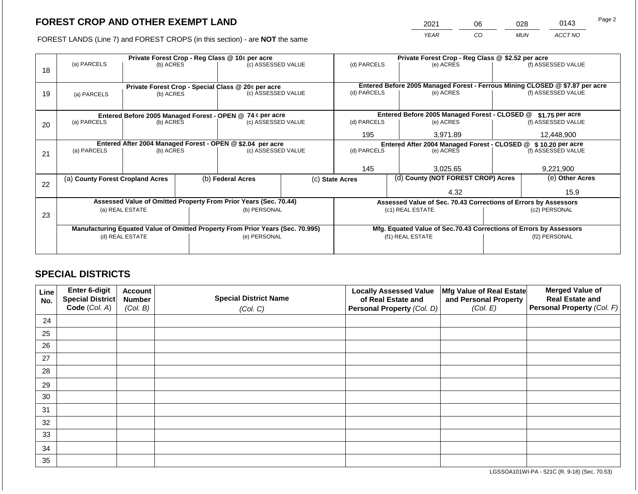2021 06 028 0143

FOREST LANDS (Line 7) and FOREST CROPS (in this section) - are **NOT** the same *YEAR CO MUN ACCT NO*

|    |                                                                                |                 |  | Private Forest Crop - Reg Class @ 10¢ per acre                           |                                                                    | Private Forest Crop - Reg Class @ \$2.52 per acre                            |                 |                                                                 |                                                                |                    |  |
|----|--------------------------------------------------------------------------------|-----------------|--|--------------------------------------------------------------------------|--------------------------------------------------------------------|------------------------------------------------------------------------------|-----------------|-----------------------------------------------------------------|----------------------------------------------------------------|--------------------|--|
| 18 | (a) PARCELS                                                                    | (b) ACRES       |  | (c) ASSESSED VALUE                                                       |                                                                    | (d) PARCELS                                                                  |                 | (e) ACRES                                                       |                                                                | (f) ASSESSED VALUE |  |
|    |                                                                                |                 |  |                                                                          |                                                                    | Entered Before 2005 Managed Forest - Ferrous Mining CLOSED @ \$7.87 per acre |                 |                                                                 |                                                                |                    |  |
| 19 | (a) PARCELS                                                                    | (b) ACRES       |  | Private Forest Crop - Special Class @ 20¢ per acre<br>(c) ASSESSED VALUE |                                                                    | (d) PARCELS                                                                  | (e) ACRES       |                                                                 | (f) ASSESSED VALUE                                             |                    |  |
|    |                                                                                |                 |  |                                                                          |                                                                    |                                                                              |                 |                                                                 |                                                                |                    |  |
|    |                                                                                |                 |  |                                                                          |                                                                    |                                                                              |                 |                                                                 |                                                                |                    |  |
|    | Entered Before 2005 Managed Forest - OPEN @ 74 ¢ per acre                      |                 |  |                                                                          | Entered Before 2005 Managed Forest - CLOSED @                      |                                                                              | \$1.75 per acre |                                                                 |                                                                |                    |  |
| 20 | (a) PARCELS<br>(b) ACRES                                                       |                 |  | (c) ASSESSED VALUE                                                       |                                                                    | (d) PARCELS                                                                  |                 | (e) ACRES                                                       |                                                                | (f) ASSESSED VALUE |  |
|    |                                                                                |                 |  |                                                                          |                                                                    | 195                                                                          |                 | 3.971.89                                                        |                                                                | 12,448,900         |  |
|    |                                                                                |                 |  | Entered After 2004 Managed Forest - OPEN @ \$2.04 per acre               |                                                                    |                                                                              |                 |                                                                 | Entered After 2004 Managed Forest - CLOSED @ \$ 10.20 per acre |                    |  |
|    | (a) PARCELS                                                                    | (b) ACRES       |  | (c) ASSESSED VALUE                                                       |                                                                    | (d) PARCELS                                                                  |                 | (e) ACRES                                                       |                                                                | (f) ASSESSED VALUE |  |
| 21 |                                                                                |                 |  |                                                                          |                                                                    |                                                                              |                 |                                                                 |                                                                |                    |  |
|    |                                                                                |                 |  |                                                                          |                                                                    | 145                                                                          |                 | 3,025.65                                                        |                                                                | 9,221,900          |  |
|    | (a) County Forest Cropland Acres                                               |                 |  | (b) Federal Acres                                                        |                                                                    | (c) State Acres                                                              |                 | (d) County (NOT FOREST CROP) Acres                              |                                                                | (e) Other Acres    |  |
| 22 |                                                                                |                 |  |                                                                          |                                                                    |                                                                              |                 |                                                                 |                                                                |                    |  |
|    |                                                                                |                 |  |                                                                          |                                                                    |                                                                              |                 | 4.32                                                            |                                                                | 15.9               |  |
|    |                                                                                |                 |  | Assessed Value of Omitted Property From Prior Years (Sec. 70.44)         |                                                                    |                                                                              |                 | Assessed Value of Sec. 70.43 Corrections of Errors by Assessors |                                                                |                    |  |
|    |                                                                                | (a) REAL ESTATE |  | (b) PERSONAL                                                             |                                                                    |                                                                              |                 | (c1) REAL ESTATE                                                |                                                                | (c2) PERSONAL      |  |
| 23 |                                                                                |                 |  |                                                                          |                                                                    |                                                                              |                 |                                                                 |                                                                |                    |  |
|    | Manufacturing Equated Value of Omitted Property From Prior Years (Sec. 70.995) |                 |  |                                                                          | Mfg. Equated Value of Sec.70.43 Corrections of Errors by Assessors |                                                                              |                 |                                                                 |                                                                |                    |  |
|    |                                                                                | (d) REAL ESTATE |  | (e) PERSONAL                                                             |                                                                    | (f1) REAL ESTATE                                                             |                 |                                                                 | (f2) PERSONAL                                                  |                    |  |
|    |                                                                                |                 |  |                                                                          |                                                                    |                                                                              |                 |                                                                 |                                                                |                    |  |
|    |                                                                                |                 |  |                                                                          |                                                                    |                                                                              |                 |                                                                 |                                                                |                    |  |

## **SPECIAL DISTRICTS**

| Line<br>No. | <b>Enter 6-digit</b><br>Special District | <b>Account</b><br><b>Number</b> | <b>Special District Name</b> | <b>Locally Assessed Value</b><br>of Real Estate and | Mfg Value of Real Estate<br>and Personal Property | <b>Merged Value of</b><br><b>Real Estate and</b> |
|-------------|------------------------------------------|---------------------------------|------------------------------|-----------------------------------------------------|---------------------------------------------------|--------------------------------------------------|
|             | Code (Col. A)                            | (Col. B)                        | (Col. C)                     | Personal Property (Col. D)                          | (Col. E)                                          | Personal Property (Col. F)                       |
| 24          |                                          |                                 |                              |                                                     |                                                   |                                                  |
| 25          |                                          |                                 |                              |                                                     |                                                   |                                                  |
| 26          |                                          |                                 |                              |                                                     |                                                   |                                                  |
| 27          |                                          |                                 |                              |                                                     |                                                   |                                                  |
| 28          |                                          |                                 |                              |                                                     |                                                   |                                                  |
| 29          |                                          |                                 |                              |                                                     |                                                   |                                                  |
| 30          |                                          |                                 |                              |                                                     |                                                   |                                                  |
| 31          |                                          |                                 |                              |                                                     |                                                   |                                                  |
| 32          |                                          |                                 |                              |                                                     |                                                   |                                                  |
| 33          |                                          |                                 |                              |                                                     |                                                   |                                                  |
| 34          |                                          |                                 |                              |                                                     |                                                   |                                                  |
| 35          |                                          |                                 |                              |                                                     |                                                   |                                                  |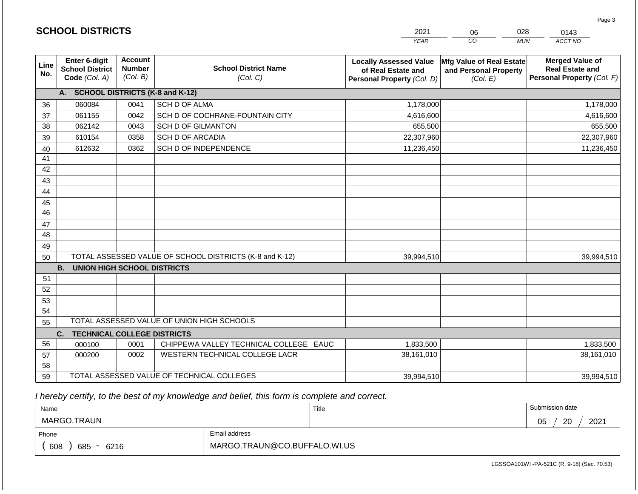|             | <b>SCHOOL DISTRICTS</b>                                         |                                             |                                                         | 2021                                                                              | 028<br>06                                                     | 0143                                                                           |
|-------------|-----------------------------------------------------------------|---------------------------------------------|---------------------------------------------------------|-----------------------------------------------------------------------------------|---------------------------------------------------------------|--------------------------------------------------------------------------------|
|             |                                                                 |                                             |                                                         | <b>YEAR</b>                                                                       | CO                                                            | ACCT NO<br><b>MUN</b>                                                          |
| Line<br>No. | <b>Enter 6-digit</b><br><b>School District</b><br>Code (Col. A) | <b>Account</b><br><b>Number</b><br>(Col. B) | <b>School District Name</b><br>(Col. C)                 | <b>Locally Assessed Value</b><br>of Real Estate and<br>Personal Property (Col. D) | Mfg Value of Real Estate<br>and Personal Property<br>(Col. E) | <b>Merged Value of</b><br><b>Real Estate and</b><br>Personal Property (Col. F) |
|             | A. SCHOOL DISTRICTS (K-8 and K-12)                              |                                             |                                                         |                                                                                   |                                                               |                                                                                |
| 36          | 060084                                                          | 0041                                        | SCH D OF ALMA                                           | 1,178,000                                                                         |                                                               | 1,178,000                                                                      |
| 37          | 061155                                                          | 0042                                        | SCH D OF COCHRANE-FOUNTAIN CITY                         | 4,616,600                                                                         |                                                               | 4,616,600                                                                      |
| 38          | 062142                                                          | 0043                                        | <b>SCH D OF GILMANTON</b>                               | 655,500                                                                           |                                                               | 655,500                                                                        |
| 39          | 610154                                                          | 0358                                        | <b>SCH D OF ARCADIA</b>                                 | 22,307,960                                                                        |                                                               | 22,307,960                                                                     |
| 40          | 612632                                                          | 0362                                        | SCH D OF INDEPENDENCE                                   | 11,236,450                                                                        |                                                               | 11,236,450                                                                     |
| 41          |                                                                 |                                             |                                                         |                                                                                   |                                                               |                                                                                |
| 42          |                                                                 |                                             |                                                         |                                                                                   |                                                               |                                                                                |
| 43          |                                                                 |                                             |                                                         |                                                                                   |                                                               |                                                                                |
| 44          |                                                                 |                                             |                                                         |                                                                                   |                                                               |                                                                                |
| 45<br>46    |                                                                 |                                             |                                                         |                                                                                   |                                                               |                                                                                |
|             |                                                                 |                                             |                                                         |                                                                                   |                                                               |                                                                                |
| 47<br>48    |                                                                 |                                             |                                                         |                                                                                   |                                                               |                                                                                |
| 49          |                                                                 |                                             |                                                         |                                                                                   |                                                               |                                                                                |
| 50          |                                                                 |                                             | TOTAL ASSESSED VALUE OF SCHOOL DISTRICTS (K-8 and K-12) | 39,994,510                                                                        |                                                               | 39,994,510                                                                     |
|             | <b>B. UNION HIGH SCHOOL DISTRICTS</b>                           |                                             |                                                         |                                                                                   |                                                               |                                                                                |
| 51          |                                                                 |                                             |                                                         |                                                                                   |                                                               |                                                                                |
| 52          |                                                                 |                                             |                                                         |                                                                                   |                                                               |                                                                                |
| 53          |                                                                 |                                             |                                                         |                                                                                   |                                                               |                                                                                |
| 54          |                                                                 |                                             |                                                         |                                                                                   |                                                               |                                                                                |
| 55          |                                                                 |                                             | TOTAL ASSESSED VALUE OF UNION HIGH SCHOOLS              |                                                                                   |                                                               |                                                                                |
|             | <b>TECHNICAL COLLEGE DISTRICTS</b><br>C.                        |                                             |                                                         |                                                                                   |                                                               |                                                                                |
| 56          | 000100                                                          | 0001                                        | CHIPPEWA VALLEY TECHNICAL COLLEGE EAUC                  | 1,833,500                                                                         |                                                               | 1,833,500                                                                      |
| 57          | 000200                                                          | 0002                                        | WESTERN TECHNICAL COLLEGE LACR                          | 38,161,010                                                                        |                                                               | 38,161,010                                                                     |
| 58          |                                                                 |                                             |                                                         |                                                                                   |                                                               |                                                                                |
| 59          |                                                                 |                                             | TOTAL ASSESSED VALUE OF TECHNICAL COLLEGES              | 39,994,510                                                                        |                                                               | 39,994,510                                                                     |

| Name               |                              | Title | Submission date        |
|--------------------|------------------------------|-------|------------------------|
| MARGO.TRAUN        |                              |       | 2021<br>05<br>ാറ<br>∠∪ |
| Phone              | Email address                |       |                        |
| 608<br>685<br>6216 | MARGO.TRAUN@CO.BUFFALO.WI.US |       |                        |

LGSSOA101WI -PA-521C (R. 9-18) (Sec. 70.53)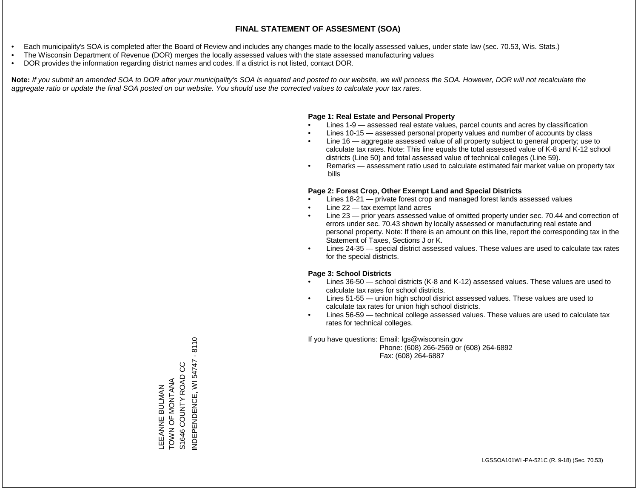- Each municipality's SOA is completed after the Board of Review and includes any changes made to the locally assessed values, under state law (sec. 70.53, Wis. Stats.)
- The Wisconsin Department of Revenue (DOR) merges the locally assessed values with the state assessed manufacturing values
- DOR provides the information regarding district names and codes. If a district is not listed, contact DOR.

Note: If you submit an amended SOA to DOR after your municipality's SOA is equated and posted to our website, we will process the SOA. However, DOR will not recalculate the *aggregate ratio or update the final SOA posted on our website. You should use the corrected values to calculate your tax rates.*

### **Page 1: Real Estate and Personal Property**

- Lines 1-9 assessed real estate values, parcel counts and acres by classification
- Lines 10-15 assessed personal property values and number of accounts by class
- Line 16 aggregate assessed value of all property subject to general property; use to calculate tax rates. Note: This line equals the total assessed value of K-8 and K-12 school districts (Line 50) and total assessed value of technical colleges (Line 59).
- Remarks assessment ratio used to calculate estimated fair market value on property tax bills

### **Page 2: Forest Crop, Other Exempt Land and Special Districts**

- Lines 18-21 private forest crop and managed forest lands assessed values
- Line  $22 -$  tax exempt land acres
- Line 23 prior years assessed value of omitted property under sec. 70.44 and correction of errors under sec. 70.43 shown by locally assessed or manufacturing real estate and personal property. Note: If there is an amount on this line, report the corresponding tax in the Statement of Taxes, Sections J or K.
- Lines 24-35 special district assessed values. These values are used to calculate tax rates for the special districts.

### **Page 3: School Districts**

- Lines 36-50 school districts (K-8 and K-12) assessed values. These values are used to calculate tax rates for school districts.
- Lines 51-55 union high school district assessed values. These values are used to calculate tax rates for union high school districts.
- Lines 56-59 technical college assessed values. These values are used to calculate tax rates for technical colleges.

If you have questions: Email: lgs@wisconsin.gov

 Phone: (608) 266-2569 or (608) 264-6892 Fax: (608) 264-6887

NDEPENDENCE, WI 54747 - 8110 INDEPENDENCE, WI 54747 - 8110S1646 COUNTY ROAD CC S1646 COUNTY ROAD CC LEEANNE BULMAN<br>TOWN OF MONTANA TOWN OF MONTANA LEEANNE BULMAN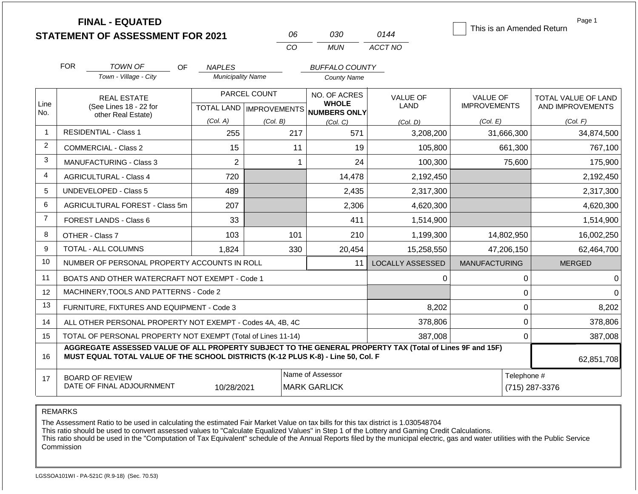|                | <b>FINAL - EQUATED</b><br><b>STATEMENT OF ASSESSMENT FOR 2021</b>                                                                                                                            |                          | 06                                        | 030                                                 | 0144                    | This is an Amended Return              | Page 1                                  |  |
|----------------|----------------------------------------------------------------------------------------------------------------------------------------------------------------------------------------------|--------------------------|-------------------------------------------|-----------------------------------------------------|-------------------------|----------------------------------------|-----------------------------------------|--|
|                |                                                                                                                                                                                              |                          | <b>CO</b>                                 | <b>MUN</b>                                          | ACCT NO                 |                                        |                                         |  |
|                | <b>FOR</b><br><b>TOWN OF</b><br><b>OF</b>                                                                                                                                                    | <b>NAPLES</b>            |                                           | <b>BUFFALO COUNTY</b>                               |                         |                                        |                                         |  |
|                | Town - Village - City                                                                                                                                                                        | <b>Municipality Name</b> |                                           | <b>County Name</b>                                  |                         |                                        |                                         |  |
| Line<br>No.    | <b>REAL ESTATE</b><br>(See Lines 18 - 22 for                                                                                                                                                 |                          | PARCEL COUNT<br>TOTAL LAND   IMPROVEMENTS | NO. OF ACRES<br><b>WHOLE</b><br><b>NUMBERS ONLY</b> | <b>VALUE OF</b><br>LAND | <b>VALUE OF</b><br><b>IMPROVEMENTS</b> | TOTAL VALUE OF LAND<br>AND IMPROVEMENTS |  |
|                | other Real Estate)                                                                                                                                                                           | (Col. A)                 | (Col. B)                                  | (Col, C)                                            | (Col. D)                | (Col. E)                               | (Col. F)                                |  |
| $\mathbf{1}$   | <b>RESIDENTIAL - Class 1</b>                                                                                                                                                                 | 255                      | 217                                       | 571                                                 | 3,208,200               | 31,666,300                             | 34,874,500                              |  |
| $\overline{2}$ | COMMERCIAL - Class 2                                                                                                                                                                         | 15                       |                                           | 11<br>19                                            | 105,800                 | 661,300                                | 767,100                                 |  |
| 3              | MANUFACTURING - Class 3                                                                                                                                                                      | $\overline{2}$           |                                           | 24<br>$\mathbf{1}$                                  | 100,300                 | 75,600                                 | 175,900                                 |  |
| $\overline{4}$ | <b>AGRICULTURAL - Class 4</b>                                                                                                                                                                | 720                      |                                           | 14,478                                              | 2,192,450               |                                        | 2,192,450                               |  |
| 5              | UNDEVELOPED - Class 5                                                                                                                                                                        | 489                      |                                           | 2,435                                               | 2,317,300               |                                        | 2,317,300                               |  |
| 6              | AGRICULTURAL FOREST - Class 5m                                                                                                                                                               | 207                      |                                           | 2,306                                               | 4,620,300               |                                        | 4,620,300                               |  |
| $\overline{7}$ | <b>FOREST LANDS - Class 6</b>                                                                                                                                                                | 33                       |                                           | 411                                                 | 1,514,900               |                                        | 1,514,900                               |  |
| 8              | OTHER - Class 7                                                                                                                                                                              | 103                      | 101                                       | 210                                                 | 1,199,300               | 14,802,950                             | 16,002,250                              |  |
| 9              | <b>TOTAL - ALL COLUMNS</b>                                                                                                                                                                   | 1,824                    | 330                                       | 20,454                                              | 15,258,550              | 47,206,150                             | 62,464,700                              |  |
| 10             | NUMBER OF PERSONAL PROPERTY ACCOUNTS IN ROLL                                                                                                                                                 |                          |                                           | 11                                                  | <b>LOCALLY ASSESSED</b> | <b>MANUFACTURING</b>                   | <b>MERGED</b>                           |  |
| 11             | BOATS AND OTHER WATERCRAFT NOT EXEMPT - Code 1                                                                                                                                               |                          |                                           |                                                     | 0                       | 0                                      | 0                                       |  |
| 12             | MACHINERY, TOOLS AND PATTERNS - Code 2                                                                                                                                                       |                          |                                           |                                                     |                         | 0                                      | $\Omega$                                |  |
| 13             | FURNITURE, FIXTURES AND EQUIPMENT - Code 3                                                                                                                                                   |                          |                                           |                                                     | 8,202                   | $\mathbf 0$                            | 8,202                                   |  |
| 14             | ALL OTHER PERSONAL PROPERTY NOT EXEMPT - Codes 4A, 4B, 4C                                                                                                                                    |                          |                                           |                                                     | 378,806                 | $\mathbf 0$                            | 378,806                                 |  |
| 15             | TOTAL OF PERSONAL PROPERTY NOT EXEMPT (Total of Lines 11-14)                                                                                                                                 |                          |                                           |                                                     | 387,008                 | $\mathbf 0$                            |                                         |  |
| 16             | AGGREGATE ASSESSED VALUE OF ALL PROPERTY SUBJECT TO THE GENERAL PROPERTY TAX (Total of Lines 9F and 15F)<br>MUST EQUAL TOTAL VALUE OF THE SCHOOL DISTRICTS (K-12 PLUS K-8) - Line 50, Col. F |                          |                                           |                                                     |                         |                                        | 62,851,708                              |  |
| 17             | <b>BOARD OF REVIEW</b><br>DATE OF FINAL ADJOURNMENT                                                                                                                                          | 10/28/2021               |                                           | Name of Assessor<br><b>MARK GARLICK</b>             |                         |                                        | Telephone #<br>(715) 287-3376           |  |

The Assessment Ratio to be used in calculating the estimated Fair Market Value on tax bills for this tax district is 1.030548704

This ratio should be used to convert assessed values to "Calculate Equalized Values" in Step 1 of the Lottery and Gaming Credit Calculations.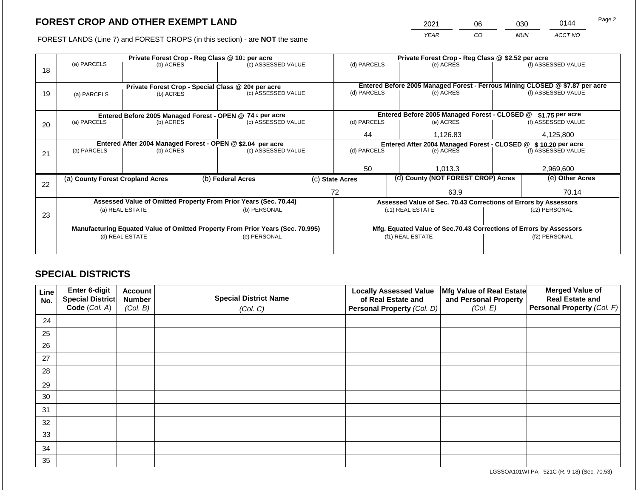2021 06 030 0144

FOREST LANDS (Line 7) and FOREST CROPS (in this section) - are **NOT** the same *YEAR CO MUN ACCT NO*

|    | (a) PARCELS                                                                    | (b) ACRES       |                                                                    | Private Forest Crop - Reg Class @ 10¢ per acre<br>(c) ASSESSED VALUE |  |                                                                              | Private Forest Crop - Reg Class @ \$2.52 per acre<br>(d) PARCELS<br>(e) ACRES |                                                                 |               | (f) ASSESSED VALUE |  |
|----|--------------------------------------------------------------------------------|-----------------|--------------------------------------------------------------------|----------------------------------------------------------------------|--|------------------------------------------------------------------------------|-------------------------------------------------------------------------------|-----------------------------------------------------------------|---------------|--------------------|--|
| 18 |                                                                                |                 |                                                                    |                                                                      |  |                                                                              |                                                                               |                                                                 |               |                    |  |
|    |                                                                                |                 |                                                                    | Private Forest Crop - Special Class @ 20¢ per acre                   |  | Entered Before 2005 Managed Forest - Ferrous Mining CLOSED @ \$7.87 per acre |                                                                               |                                                                 |               |                    |  |
| 19 | (a) PARCELS                                                                    | (b) ACRES       |                                                                    | (c) ASSESSED VALUE                                                   |  | (d) PARCELS                                                                  |                                                                               | (e) ACRES                                                       |               | (f) ASSESSED VALUE |  |
|    |                                                                                |                 |                                                                    |                                                                      |  |                                                                              |                                                                               |                                                                 |               |                    |  |
|    |                                                                                |                 |                                                                    | Entered Before 2005 Managed Forest - OPEN @ 74 ¢ per acre            |  |                                                                              |                                                                               | Entered Before 2005 Managed Forest - CLOSED @                   |               | \$1.75 per acre    |  |
| 20 | (a) PARCELS<br>(b) ACRES                                                       |                 |                                                                    | (c) ASSESSED VALUE                                                   |  | (d) PARCELS                                                                  |                                                                               | (e) ACRES                                                       |               | (f) ASSESSED VALUE |  |
|    |                                                                                |                 |                                                                    |                                                                      |  | 44                                                                           |                                                                               | 1,126.83                                                        |               | 4,125,800          |  |
|    | Entered After 2004 Managed Forest - OPEN @ \$2.04 per acre                     |                 |                                                                    |                                                                      |  |                                                                              |                                                                               | Entered After 2004 Managed Forest - CLOSED @ \$ 10.20 per acre  |               |                    |  |
| 21 | (a) PARCELS                                                                    | (b) ACRES       |                                                                    | (c) ASSESSED VALUE                                                   |  | (d) PARCELS                                                                  |                                                                               | (e) ACRES                                                       |               | (f) ASSESSED VALUE |  |
|    |                                                                                |                 |                                                                    |                                                                      |  |                                                                              |                                                                               |                                                                 |               |                    |  |
|    |                                                                                |                 |                                                                    |                                                                      |  | 50                                                                           |                                                                               | 1.013.3                                                         |               | 2.969.600          |  |
| 22 | (a) County Forest Cropland Acres                                               |                 |                                                                    | (b) Federal Acres                                                    |  | (c) State Acres                                                              |                                                                               | (d) County (NOT FOREST CROP) Acres                              |               | (e) Other Acres    |  |
|    |                                                                                |                 |                                                                    |                                                                      |  | 72<br>63.9                                                                   |                                                                               |                                                                 | 70.14         |                    |  |
|    |                                                                                |                 |                                                                    | Assessed Value of Omitted Property From Prior Years (Sec. 70.44)     |  |                                                                              |                                                                               | Assessed Value of Sec. 70.43 Corrections of Errors by Assessors |               |                    |  |
| 23 |                                                                                | (a) REAL ESTATE |                                                                    | (b) PERSONAL                                                         |  |                                                                              |                                                                               | (c1) REAL ESTATE                                                |               | (c2) PERSONAL      |  |
|    |                                                                                |                 |                                                                    |                                                                      |  |                                                                              |                                                                               |                                                                 |               |                    |  |
|    | Manufacturing Equated Value of Omitted Property From Prior Years (Sec. 70.995) |                 | Mfg. Equated Value of Sec.70.43 Corrections of Errors by Assessors |                                                                      |  |                                                                              |                                                                               |                                                                 |               |                    |  |
|    |                                                                                | (d) REAL ESTATE |                                                                    | (e) PERSONAL                                                         |  | (f1) REAL ESTATE                                                             |                                                                               |                                                                 | (f2) PERSONAL |                    |  |
|    |                                                                                |                 |                                                                    |                                                                      |  |                                                                              |                                                                               |                                                                 |               |                    |  |

## **SPECIAL DISTRICTS**

| Line<br>No. | Enter 6-digit<br>Special District<br>Code (Col. A) | <b>Account</b><br><b>Number</b><br>(Col. B) | <b>Special District Name</b><br>(Col. C) | <b>Locally Assessed Value</b><br>of Real Estate and<br><b>Personal Property (Col. D)</b> | Mfg Value of Real Estate<br>and Personal Property<br>(Col. E) | <b>Merged Value of</b><br><b>Real Estate and</b><br>Personal Property (Col. F) |
|-------------|----------------------------------------------------|---------------------------------------------|------------------------------------------|------------------------------------------------------------------------------------------|---------------------------------------------------------------|--------------------------------------------------------------------------------|
| 24          |                                                    |                                             |                                          |                                                                                          |                                                               |                                                                                |
| 25          |                                                    |                                             |                                          |                                                                                          |                                                               |                                                                                |
| 26          |                                                    |                                             |                                          |                                                                                          |                                                               |                                                                                |
| 27          |                                                    |                                             |                                          |                                                                                          |                                                               |                                                                                |
| 28          |                                                    |                                             |                                          |                                                                                          |                                                               |                                                                                |
| 29          |                                                    |                                             |                                          |                                                                                          |                                                               |                                                                                |
| 30          |                                                    |                                             |                                          |                                                                                          |                                                               |                                                                                |
| 31          |                                                    |                                             |                                          |                                                                                          |                                                               |                                                                                |
| 32          |                                                    |                                             |                                          |                                                                                          |                                                               |                                                                                |
| 33          |                                                    |                                             |                                          |                                                                                          |                                                               |                                                                                |
| 34          |                                                    |                                             |                                          |                                                                                          |                                                               |                                                                                |
| 35          |                                                    |                                             |                                          |                                                                                          |                                                               |                                                                                |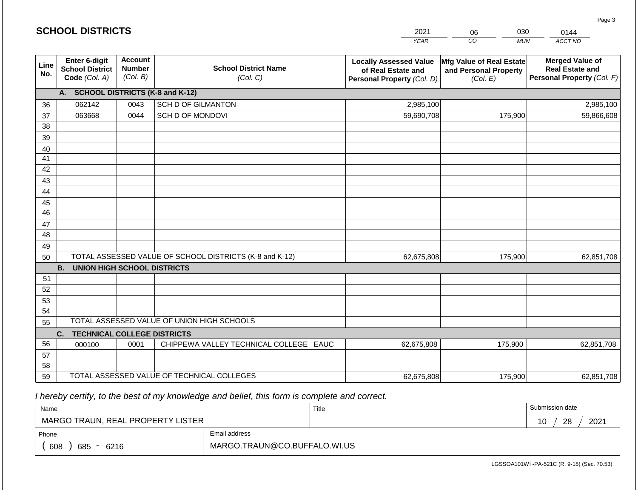|                 | <b>SCHOOL DISTRICTS</b>                                  |                                             |                                                         | 2021                                                                              | 030<br>06                                                     | 0144                                                                           |  |
|-----------------|----------------------------------------------------------|---------------------------------------------|---------------------------------------------------------|-----------------------------------------------------------------------------------|---------------------------------------------------------------|--------------------------------------------------------------------------------|--|
|                 |                                                          |                                             |                                                         | <b>YEAR</b>                                                                       | CO<br><b>MUN</b>                                              | ACCT NO                                                                        |  |
| Line<br>No.     | Enter 6-digit<br><b>School District</b><br>Code (Col. A) | <b>Account</b><br><b>Number</b><br>(Col. B) | <b>School District Name</b><br>(Col. C)                 | <b>Locally Assessed Value</b><br>of Real Estate and<br>Personal Property (Col. D) | Mfg Value of Real Estate<br>and Personal Property<br>(Col. E) | <b>Merged Value of</b><br><b>Real Estate and</b><br>Personal Property (Col. F) |  |
|                 | A. SCHOOL DISTRICTS (K-8 and K-12)                       |                                             |                                                         |                                                                                   |                                                               |                                                                                |  |
| 36              | 062142                                                   | 0043                                        | SCH D OF GILMANTON                                      | 2,985,100                                                                         |                                                               | 2,985,100                                                                      |  |
| 37              | 063668                                                   | 0044                                        | SCH D OF MONDOVI                                        | 59,690,708                                                                        | 175,900                                                       | 59,866,608                                                                     |  |
| 38              |                                                          |                                             |                                                         |                                                                                   |                                                               |                                                                                |  |
| 39              |                                                          |                                             |                                                         |                                                                                   |                                                               |                                                                                |  |
| 40              |                                                          |                                             |                                                         |                                                                                   |                                                               |                                                                                |  |
| 41              |                                                          |                                             |                                                         |                                                                                   |                                                               |                                                                                |  |
| 42              |                                                          |                                             |                                                         |                                                                                   |                                                               |                                                                                |  |
| 43              |                                                          |                                             |                                                         |                                                                                   |                                                               |                                                                                |  |
| 44<br>45        |                                                          |                                             |                                                         |                                                                                   |                                                               |                                                                                |  |
| $\overline{46}$ |                                                          |                                             |                                                         |                                                                                   |                                                               |                                                                                |  |
| 47              |                                                          |                                             |                                                         |                                                                                   |                                                               |                                                                                |  |
| 48              |                                                          |                                             |                                                         |                                                                                   |                                                               |                                                                                |  |
| 49              |                                                          |                                             |                                                         |                                                                                   |                                                               |                                                                                |  |
| 50              |                                                          |                                             | TOTAL ASSESSED VALUE OF SCHOOL DISTRICTS (K-8 and K-12) | 62,675,808                                                                        | 175,900                                                       | 62,851,708                                                                     |  |
|                 | <b>B.</b><br><b>UNION HIGH SCHOOL DISTRICTS</b>          |                                             |                                                         |                                                                                   |                                                               |                                                                                |  |
| 51              |                                                          |                                             |                                                         |                                                                                   |                                                               |                                                                                |  |
| 52              |                                                          |                                             |                                                         |                                                                                   |                                                               |                                                                                |  |
| 53              |                                                          |                                             |                                                         |                                                                                   |                                                               |                                                                                |  |
| 54              |                                                          |                                             |                                                         |                                                                                   |                                                               |                                                                                |  |
| 55              |                                                          |                                             | TOTAL ASSESSED VALUE OF UNION HIGH SCHOOLS              |                                                                                   |                                                               |                                                                                |  |
|                 | C.<br><b>TECHNICAL COLLEGE DISTRICTS</b>                 |                                             |                                                         |                                                                                   |                                                               |                                                                                |  |
| 56              | 000100                                                   | 0001                                        | CHIPPEWA VALLEY TECHNICAL COLLEGE EAUC                  | 62,675,808                                                                        | 175,900                                                       | 62,851,708                                                                     |  |
| 57              |                                                          |                                             |                                                         |                                                                                   |                                                               |                                                                                |  |
| 58              |                                                          |                                             | TOTAL ASSESSED VALUE OF TECHNICAL COLLEGES              |                                                                                   |                                                               |                                                                                |  |
| 59              |                                                          |                                             |                                                         | 62,675,808                                                                        | 175,900                                                       | 62,851,708                                                                     |  |

**SCHOOL DISTRICTS**

| Name                              |                              | Title | Submission date  |
|-----------------------------------|------------------------------|-------|------------------|
| MARGO TRAUN, REAL PROPERTY LISTER |                              |       | 28<br>2021<br>10 |
| Phone                             | Email address                |       |                  |
| 608<br>685 - 6216                 | MARGO.TRAUN@CO.BUFFALO.WI.US |       |                  |

LGSSOA101WI -PA-521C (R. 9-18) (Sec. 70.53)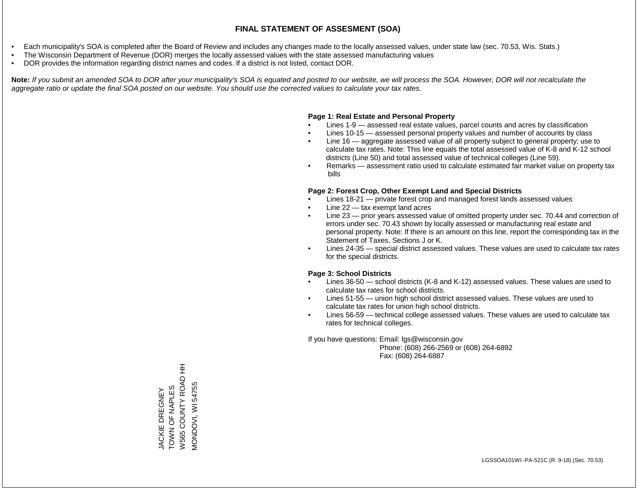- Each municipality's SOA is completed after the Board of Review and includes any changes made to the locally assessed values, under state law (sec. 70.53, Wis. Stats.)
- The Wisconsin Department of Revenue (DOR) merges the locally assessed values with the state assessed manufacturing values
- DOR provides the information regarding district names and codes. If a district is not listed, contact DOR.

Note: If you submit an amended SOA to DOR after your municipality's SOA is equated and posted to our website, we will process the SOA. However, DOR will not recalculate the *aggregate ratio or update the final SOA posted on our website. You should use the corrected values to calculate your tax rates.*

#### **Page 1: Real Estate and Personal Property**

- Lines 1-9 assessed real estate values, parcel counts and acres by classification
- Lines 10-15 assessed personal property values and number of accounts by class
- Line 16 aggregate assessed value of all property subject to general property; use to calculate tax rates. Note: This line equals the total assessed value of K-8 and K-12 school districts (Line 50) and total assessed value of technical colleges (Line 59).
- Remarks assessment ratio used to calculate estimated fair market value on property tax bills

#### **Page 2: Forest Crop, Other Exempt Land and Special Districts**

- Lines 18-21 private forest crop and managed forest lands assessed values
- Line  $22 -$  tax exempt land acres
- Line 23 prior years assessed value of omitted property under sec. 70.44 and correction of errors under sec. 70.43 shown by locally assessed or manufacturing real estate and personal property. Note: If there is an amount on this line, report the corresponding tax in the Statement of Taxes, Sections J or K.
- Lines 24-35 special district assessed values. These values are used to calculate tax rates for the special districts.

#### **Page 3: School Districts**

- Lines 36-50 school districts (K-8 and K-12) assessed values. These values are used to calculate tax rates for school districts.
- Lines 51-55 union high school district assessed values. These values are used to calculate tax rates for union high school districts.
- Lines 56-59 technical college assessed values. These values are used to calculate tax rates for technical colleges.

If you have questions: Email: lgs@wisconsin.gov

 Phone: (608) 266-2569 or (608) 264-6892 Fax: (608) 264-6887

W565 COUNTY ROAD HH W565 COUNTY ROAD HH VIONDOVI, WI 54755 MONDOVI, WI 54755TOWN OF NAPLES TOWN OF NAPLES **JACKIE DREGNEY** JACKIE DREGNEY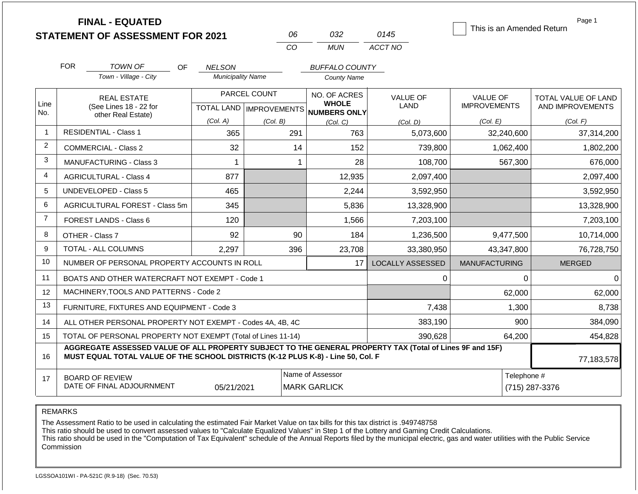|                | <b>FINAL - EQUATED</b><br><b>STATEMENT OF ASSESSMENT FOR 2021</b>                                                                                                                            |                          | 06                                        | 032                                                 | 0145                    | This is an Amended Return       | Page 1                                  |
|----------------|----------------------------------------------------------------------------------------------------------------------------------------------------------------------------------------------|--------------------------|-------------------------------------------|-----------------------------------------------------|-------------------------|---------------------------------|-----------------------------------------|
|                |                                                                                                                                                                                              |                          | CO                                        | <b>MUN</b>                                          | ACCT NO                 |                                 |                                         |
|                | <b>FOR</b><br>TOWN OF<br>OF.                                                                                                                                                                 | <b>NELSON</b>            |                                           | <b>BUFFALO COUNTY</b>                               |                         |                                 |                                         |
|                | Town - Village - City                                                                                                                                                                        | <b>Municipality Name</b> |                                           | <b>County Name</b>                                  |                         |                                 |                                         |
| Line<br>No.    | <b>REAL ESTATE</b><br>(See Lines 18 - 22 for                                                                                                                                                 |                          | PARCEL COUNT<br>TOTAL LAND   IMPROVEMENTS | NO. OF ACRES<br><b>WHOLE</b><br><b>NUMBERS ONLY</b> | VALUE OF<br><b>LAND</b> | VALUE OF<br><b>IMPROVEMENTS</b> | TOTAL VALUE OF LAND<br>AND IMPROVEMENTS |
|                | other Real Estate)                                                                                                                                                                           | (Col. A)                 | (Col. B)                                  | (Col. C)                                            | (Col. D)                | (Col. E)                        | (Col. F)                                |
| -1             | <b>RESIDENTIAL - Class 1</b><br>365<br>291<br>763                                                                                                                                            |                          | 5,073,600                                 | 32,240,600                                          | 37,314,200              |                                 |                                         |
| 2              | <b>COMMERCIAL - Class 2</b>                                                                                                                                                                  | 32                       | 14                                        | 152                                                 | 739,800                 | 1,062,400                       | 1,802,200                               |
| 3              | <b>MANUFACTURING - Class 3</b>                                                                                                                                                               | 1                        |                                           | 28<br>$\mathbf{1}$                                  | 108,700                 | 567,300                         | 676,000                                 |
| 4              | <b>AGRICULTURAL - Class 4</b>                                                                                                                                                                | 877                      |                                           | 12,935                                              | 2,097,400               |                                 | 2,097,400                               |
| 5              | UNDEVELOPED - Class 5                                                                                                                                                                        | 465                      |                                           | 2,244                                               | 3,592,950               |                                 | 3,592,950                               |
| 6              | AGRICULTURAL FOREST - Class 5m                                                                                                                                                               | 345                      |                                           | 5,836                                               | 13,328,900              |                                 | 13,328,900                              |
| $\overline{7}$ | <b>FOREST LANDS - Class 6</b>                                                                                                                                                                | 120                      |                                           | 1,566                                               | 7,203,100               |                                 | 7,203,100                               |
| 8              | OTHER - Class 7                                                                                                                                                                              | 92                       | 90                                        | 184                                                 | 1,236,500               | 9,477,500                       | 10,714,000                              |
| 9              | <b>TOTAL - ALL COLUMNS</b>                                                                                                                                                                   | 2.297                    | 396                                       | 23,708                                              | 33,380,950              | 43,347,800                      | 76,728,750                              |
| 10             | NUMBER OF PERSONAL PROPERTY ACCOUNTS IN ROLL                                                                                                                                                 |                          |                                           | 17                                                  | <b>LOCALLY ASSESSED</b> | <b>MANUFACTURING</b>            | <b>MERGED</b>                           |
| 11             | BOATS AND OTHER WATERCRAFT NOT EXEMPT - Code 1                                                                                                                                               |                          |                                           |                                                     | $\Omega$                | $\Omega$                        | 0                                       |
| 12             | MACHINERY, TOOLS AND PATTERNS - Code 2                                                                                                                                                       |                          |                                           |                                                     |                         | 62,000                          | 62,000                                  |
| 13             | FURNITURE, FIXTURES AND EQUIPMENT - Code 3                                                                                                                                                   |                          |                                           |                                                     | 7,438                   | 1,300                           | 8,738                                   |
| 14             | ALL OTHER PERSONAL PROPERTY NOT EXEMPT - Codes 4A, 4B, 4C                                                                                                                                    |                          |                                           |                                                     | 383,190                 | 900                             | 384,090                                 |
| 15             | TOTAL OF PERSONAL PROPERTY NOT EXEMPT (Total of Lines 11-14)                                                                                                                                 |                          |                                           |                                                     | 390,628                 | 64,200                          | 454,828                                 |
| 16             | AGGREGATE ASSESSED VALUE OF ALL PROPERTY SUBJECT TO THE GENERAL PROPERTY TAX (Total of Lines 9F and 15F)<br>MUST EQUAL TOTAL VALUE OF THE SCHOOL DISTRICTS (K-12 PLUS K-8) - Line 50, Col. F |                          | 77,183,578                                |                                                     |                         |                                 |                                         |
| 17             | <b>BOARD OF REVIEW</b><br>DATE OF FINAL ADJOURNMENT                                                                                                                                          | 05/21/2021               |                                           | Name of Assessor<br><b>MARK GARLICK</b>             |                         | Telephone #                     | (715) 287-3376                          |

The Assessment Ratio to be used in calculating the estimated Fair Market Value on tax bills for this tax district is .949748758

This ratio should be used to convert assessed values to "Calculate Equalized Values" in Step 1 of the Lottery and Gaming Credit Calculations.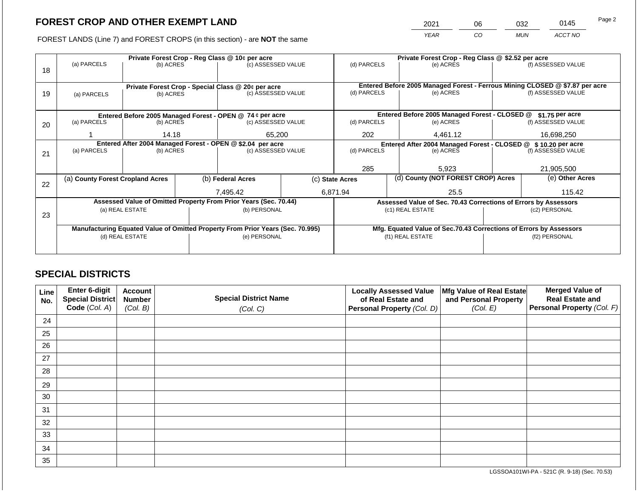2021 06 032 0145 Page 2

FOREST LANDS (Line 7) and FOREST CROPS (in this section) - are **NOT** the same *YEAR CO MUN ACCT NO*

|    |                                                                                |                 |  | Private Forest Crop - Reg Class @ 10¢ per acre                   |                                                                | Private Forest Crop - Reg Class @ \$2.52 per acre                            |      |                                                                    |               |                    |
|----|--------------------------------------------------------------------------------|-----------------|--|------------------------------------------------------------------|----------------------------------------------------------------|------------------------------------------------------------------------------|------|--------------------------------------------------------------------|---------------|--------------------|
| 18 | (a) PARCELS                                                                    | (b) ACRES       |  | (c) ASSESSED VALUE                                               |                                                                | (d) PARCELS                                                                  |      | (e) ACRES                                                          |               | (f) ASSESSED VALUE |
|    |                                                                                |                 |  |                                                                  |                                                                |                                                                              |      |                                                                    |               |                    |
|    |                                                                                |                 |  | Private Forest Crop - Special Class @ 20¢ per acre               |                                                                | Entered Before 2005 Managed Forest - Ferrous Mining CLOSED @ \$7.87 per acre |      |                                                                    |               |                    |
| 19 | (a) PARCELS                                                                    | (b) ACRES       |  | (c) ASSESSED VALUE                                               |                                                                | (d) PARCELS                                                                  |      | (e) ACRES                                                          |               | (f) ASSESSED VALUE |
|    |                                                                                |                 |  |                                                                  |                                                                |                                                                              |      |                                                                    |               |                    |
|    |                                                                                |                 |  |                                                                  |                                                                |                                                                              |      | Entered Before 2005 Managed Forest - CLOSED @                      |               |                    |
|    |                                                                                |                 |  | Entered Before 2005 Managed Forest - OPEN @ 74 ¢ per acre        |                                                                |                                                                              |      |                                                                    |               | \$1.75 per acre    |
| 20 | (a) PARCELS<br>(b) ACRES                                                       |                 |  | (c) ASSESSED VALUE                                               |                                                                | (d) PARCELS                                                                  |      | (e) ACRES                                                          |               | (f) ASSESSED VALUE |
|    |                                                                                | 14.18           |  | 65,200                                                           |                                                                | 202                                                                          |      | 4,461.12                                                           |               | 16,698,250         |
|    | Entered After 2004 Managed Forest - OPEN @ \$2.04 per acre                     |                 |  |                                                                  | Entered After 2004 Managed Forest - CLOSED @ \$ 10.20 per acre |                                                                              |      |                                                                    |               |                    |
| 21 | (a) PARCELS                                                                    | (b) ACRES       |  | (c) ASSESSED VALUE                                               |                                                                | (d) PARCELS                                                                  |      | (e) ACRES                                                          |               | (f) ASSESSED VALUE |
|    |                                                                                |                 |  |                                                                  |                                                                |                                                                              |      |                                                                    |               |                    |
|    |                                                                                |                 |  |                                                                  |                                                                | 285                                                                          |      | 5,923                                                              |               | 21,905,500         |
|    | (a) County Forest Cropland Acres                                               |                 |  | (b) Federal Acres                                                |                                                                | (c) State Acres                                                              |      | (d) County (NOT FOREST CROP) Acres                                 |               | (e) Other Acres    |
| 22 |                                                                                |                 |  |                                                                  |                                                                |                                                                              |      |                                                                    |               |                    |
|    |                                                                                |                 |  | 7,495.42                                                         |                                                                | 6,871.94                                                                     | 25.5 |                                                                    |               | 115.42             |
|    |                                                                                |                 |  | Assessed Value of Omitted Property From Prior Years (Sec. 70.44) |                                                                |                                                                              |      | Assessed Value of Sec. 70.43 Corrections of Errors by Assessors    |               |                    |
|    |                                                                                | (a) REAL ESTATE |  | (b) PERSONAL                                                     |                                                                |                                                                              |      | (c1) REAL ESTATE                                                   | (c2) PERSONAL |                    |
| 23 |                                                                                |                 |  |                                                                  |                                                                |                                                                              |      |                                                                    |               |                    |
|    | Manufacturing Equated Value of Omitted Property From Prior Years (Sec. 70.995) |                 |  |                                                                  |                                                                |                                                                              |      | Mfg. Equated Value of Sec.70.43 Corrections of Errors by Assessors |               |                    |
|    |                                                                                | (d) REAL ESTATE |  | (e) PERSONAL                                                     |                                                                |                                                                              |      | (f1) REAL ESTATE                                                   |               |                    |
|    |                                                                                |                 |  |                                                                  |                                                                |                                                                              |      |                                                                    | (f2) PERSONAL |                    |
|    |                                                                                |                 |  |                                                                  |                                                                |                                                                              |      |                                                                    |               |                    |

## **SPECIAL DISTRICTS**

| Line<br>No. | <b>Enter 6-digit</b><br>Special District | <b>Account</b><br><b>Number</b> | <b>Special District Name</b> | <b>Locally Assessed Value</b><br>of Real Estate and | Mfg Value of Real Estate<br>and Personal Property | <b>Merged Value of</b><br><b>Real Estate and</b> |
|-------------|------------------------------------------|---------------------------------|------------------------------|-----------------------------------------------------|---------------------------------------------------|--------------------------------------------------|
|             | Code (Col. A)                            | (Col. B)                        | (Col. C)                     | Personal Property (Col. D)                          | (Col. E)                                          | Personal Property (Col. F)                       |
| 24          |                                          |                                 |                              |                                                     |                                                   |                                                  |
| 25          |                                          |                                 |                              |                                                     |                                                   |                                                  |
| 26          |                                          |                                 |                              |                                                     |                                                   |                                                  |
| 27          |                                          |                                 |                              |                                                     |                                                   |                                                  |
| 28          |                                          |                                 |                              |                                                     |                                                   |                                                  |
| 29          |                                          |                                 |                              |                                                     |                                                   |                                                  |
| 30          |                                          |                                 |                              |                                                     |                                                   |                                                  |
| 31          |                                          |                                 |                              |                                                     |                                                   |                                                  |
| 32          |                                          |                                 |                              |                                                     |                                                   |                                                  |
| 33          |                                          |                                 |                              |                                                     |                                                   |                                                  |
| 34          |                                          |                                 |                              |                                                     |                                                   |                                                  |
| 35          |                                          |                                 |                              |                                                     |                                                   |                                                  |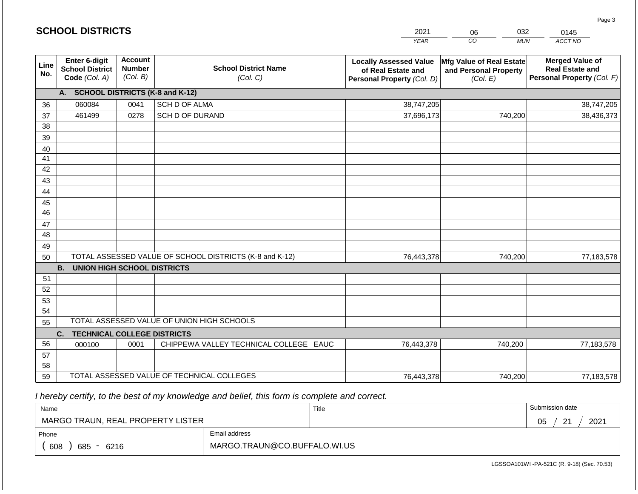|             | <b>SCHOOL DISTRICTS</b>                                  |                                             |                                                         | 2021                                                                              | 032<br>06<br>0145                                             |                                                                                |  |
|-------------|----------------------------------------------------------|---------------------------------------------|---------------------------------------------------------|-----------------------------------------------------------------------------------|---------------------------------------------------------------|--------------------------------------------------------------------------------|--|
|             |                                                          |                                             |                                                         | <b>YEAR</b>                                                                       | CO<br><b>MUN</b>                                              | ACCT NO                                                                        |  |
| Line<br>No. | Enter 6-digit<br><b>School District</b><br>Code (Col. A) | <b>Account</b><br><b>Number</b><br>(Col. B) | <b>School District Name</b><br>(Col. C)                 | <b>Locally Assessed Value</b><br>of Real Estate and<br>Personal Property (Col. D) | Mfg Value of Real Estate<br>and Personal Property<br>(Col. E) | <b>Merged Value of</b><br><b>Real Estate and</b><br>Personal Property (Col. F) |  |
|             | A. SCHOOL DISTRICTS (K-8 and K-12)                       |                                             |                                                         |                                                                                   |                                                               |                                                                                |  |
| 36          | 060084                                                   | 0041                                        | SCH D OF ALMA                                           | 38,747,205                                                                        |                                                               | 38,747,205                                                                     |  |
| 37          | 461499                                                   | 0278                                        | SCH D OF DURAND                                         | 37,696,173                                                                        | 740,200                                                       | 38,436,373                                                                     |  |
| 38          |                                                          |                                             |                                                         |                                                                                   |                                                               |                                                                                |  |
| 39          |                                                          |                                             |                                                         |                                                                                   |                                                               |                                                                                |  |
| 40          |                                                          |                                             |                                                         |                                                                                   |                                                               |                                                                                |  |
| 41          |                                                          |                                             |                                                         |                                                                                   |                                                               |                                                                                |  |
| 42          |                                                          |                                             |                                                         |                                                                                   |                                                               |                                                                                |  |
| 43          |                                                          |                                             |                                                         |                                                                                   |                                                               |                                                                                |  |
| 44          |                                                          |                                             |                                                         |                                                                                   |                                                               |                                                                                |  |
| 45<br>46    |                                                          |                                             |                                                         |                                                                                   |                                                               |                                                                                |  |
|             |                                                          |                                             |                                                         |                                                                                   |                                                               |                                                                                |  |
| 47<br>48    |                                                          |                                             |                                                         |                                                                                   |                                                               |                                                                                |  |
| 49          |                                                          |                                             |                                                         |                                                                                   |                                                               |                                                                                |  |
| 50          |                                                          |                                             | TOTAL ASSESSED VALUE OF SCHOOL DISTRICTS (K-8 and K-12) | 76,443,378                                                                        | 740,200                                                       | 77,183,578                                                                     |  |
|             | <b>B.</b><br><b>UNION HIGH SCHOOL DISTRICTS</b>          |                                             |                                                         |                                                                                   |                                                               |                                                                                |  |
| 51          |                                                          |                                             |                                                         |                                                                                   |                                                               |                                                                                |  |
| 52          |                                                          |                                             |                                                         |                                                                                   |                                                               |                                                                                |  |
| 53          |                                                          |                                             |                                                         |                                                                                   |                                                               |                                                                                |  |
| 54          |                                                          |                                             |                                                         |                                                                                   |                                                               |                                                                                |  |
| 55          |                                                          |                                             | TOTAL ASSESSED VALUE OF UNION HIGH SCHOOLS              |                                                                                   |                                                               |                                                                                |  |
|             | <b>TECHNICAL COLLEGE DISTRICTS</b><br>C.                 |                                             |                                                         |                                                                                   |                                                               |                                                                                |  |
| 56          | 000100                                                   | 0001                                        | CHIPPEWA VALLEY TECHNICAL COLLEGE EAUC                  | 76,443,378                                                                        | 740,200                                                       | 77,183,578                                                                     |  |
| 57          |                                                          |                                             |                                                         |                                                                                   |                                                               |                                                                                |  |
| 58          |                                                          |                                             |                                                         |                                                                                   |                                                               |                                                                                |  |
| 59          |                                                          |                                             | TOTAL ASSESSED VALUE OF TECHNICAL COLLEGES              | 76,443,378                                                                        | 740,200                                                       | 77,183,578                                                                     |  |

**SCHOOL DISTRICTS**

| Name                              |                              | Title | Submission date                          |  |  |
|-----------------------------------|------------------------------|-------|------------------------------------------|--|--|
| MARGO TRAUN, REAL PROPERTY LISTER |                              |       | 2021<br>$\Omega$<br>∩ҕ<br>◡◡<br><u>_</u> |  |  |
| Phone                             | Email address                |       |                                          |  |  |
| 608<br>685 - 6216                 | MARGO.TRAUN@CO.BUFFALO.WI.US |       |                                          |  |  |

LGSSOA101WI -PA-521C (R. 9-18) (Sec. 70.53)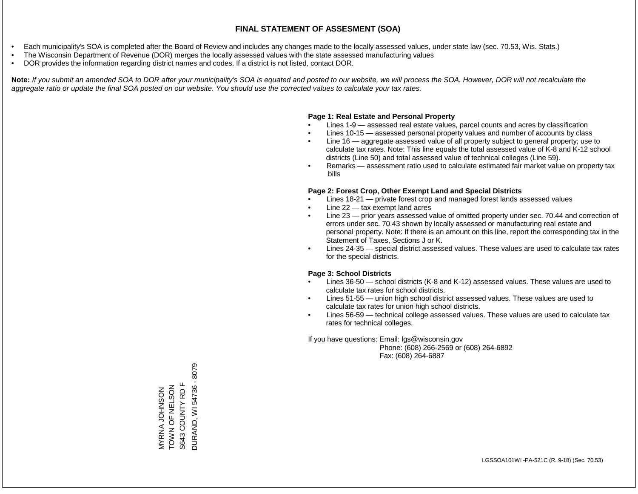- Each municipality's SOA is completed after the Board of Review and includes any changes made to the locally assessed values, under state law (sec. 70.53, Wis. Stats.)
- The Wisconsin Department of Revenue (DOR) merges the locally assessed values with the state assessed manufacturing values
- DOR provides the information regarding district names and codes. If a district is not listed, contact DOR.

Note: If you submit an amended SOA to DOR after your municipality's SOA is equated and posted to our website, we will process the SOA. However, DOR will not recalculate the *aggregate ratio or update the final SOA posted on our website. You should use the corrected values to calculate your tax rates.*

### **Page 1: Real Estate and Personal Property**

- Lines 1-9 assessed real estate values, parcel counts and acres by classification
- Lines 10-15 assessed personal property values and number of accounts by class
- Line 16 aggregate assessed value of all property subject to general property; use to calculate tax rates. Note: This line equals the total assessed value of K-8 and K-12 school districts (Line 50) and total assessed value of technical colleges (Line 59).
- Remarks assessment ratio used to calculate estimated fair market value on property tax bills

### **Page 2: Forest Crop, Other Exempt Land and Special Districts**

- Lines 18-21 private forest crop and managed forest lands assessed values
- Line  $22 -$  tax exempt land acres
- Line 23 prior years assessed value of omitted property under sec. 70.44 and correction of errors under sec. 70.43 shown by locally assessed or manufacturing real estate and personal property. Note: If there is an amount on this line, report the corresponding tax in the Statement of Taxes, Sections J or K.
- Lines 24-35 special district assessed values. These values are used to calculate tax rates for the special districts.

### **Page 3: School Districts**

- Lines 36-50 school districts (K-8 and K-12) assessed values. These values are used to calculate tax rates for school districts.
- Lines 51-55 union high school district assessed values. These values are used to calculate tax rates for union high school districts.
- Lines 56-59 technical college assessed values. These values are used to calculate tax rates for technical colleges.

If you have questions: Email: lgs@wisconsin.gov

 Phone: (608) 266-2569 or (608) 264-6892 Fax: (608) 264-6887

**DURAND, WI 54736 - 8079** DURAND, WI 54736 - 8079S643 COUNTY RD F ZOSJWZ LO Z NOL MYRNA JOHNSON<br>TOWN OF NELSON S643 COUNTY RD F MYRNA JOHNSON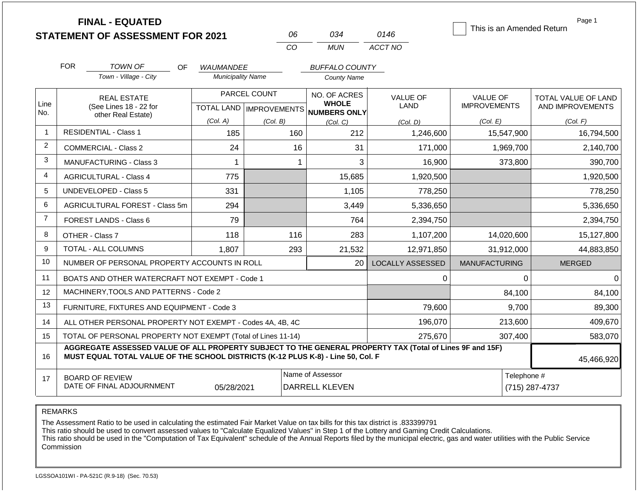|                | <b>FINAL - EQUATED</b><br><b>STATEMENT OF ASSESSMENT FOR 2021</b>                                                                                                                            |                        |                          |                                  | 06           | 034                                       | 0146                    |                      |            | Page 1<br>This is an Amended Return |  |
|----------------|----------------------------------------------------------------------------------------------------------------------------------------------------------------------------------------------|------------------------|--------------------------|----------------------------------|--------------|-------------------------------------------|-------------------------|----------------------|------------|-------------------------------------|--|
|                |                                                                                                                                                                                              |                        |                          |                                  | CO           | <b>MUN</b>                                | ACCT NO                 |                      |            |                                     |  |
|                | <b>FOR</b><br><b>TOWN OF</b>                                                                                                                                                                 | <b>OF</b>              | <b>WAUMANDEE</b>         |                                  |              | <b>BUFFALO COUNTY</b>                     |                         |                      |            |                                     |  |
|                | Town - Village - City                                                                                                                                                                        |                        | <b>Municipality Name</b> |                                  |              | <b>County Name</b>                        |                         |                      |            |                                     |  |
|                | <b>REAL ESTATE</b>                                                                                                                                                                           |                        |                          | PARCEL COUNT                     |              | NO. OF ACRES<br><b>WHOLE</b>              | <b>VALUE OF</b>         | <b>VALUE OF</b>      |            | TOTAL VALUE OF LAND                 |  |
| Line<br>No.    | other Real Estate)                                                                                                                                                                           | (See Lines 18 - 22 for |                          | <b>TOTAL LAND   IMPROVEMENTS</b> |              | NUMBERS ONLY                              | <b>LAND</b>             | <b>IMPROVEMENTS</b>  |            | AND IMPROVEMENTS                    |  |
|                |                                                                                                                                                                                              |                        | (Col. A)                 | (Col. B)                         |              | (Col, C)                                  | (Col, D)                | (Col. E)             |            | (Col. F)                            |  |
| -1             | <b>RESIDENTIAL - Class 1</b>                                                                                                                                                                 |                        | 185                      |                                  | 160          | 212                                       | 1,246,600               |                      | 15,547,900 | 16,794,500                          |  |
| $\overline{2}$ | <b>COMMERCIAL - Class 2</b>                                                                                                                                                                  |                        | 24                       |                                  | 16           | 31                                        | 171,000                 |                      | 1,969,700  | 2,140,700                           |  |
| 3              | <b>MANUFACTURING - Class 3</b>                                                                                                                                                               |                        | 1                        |                                  | $\mathbf{1}$ | 3                                         | 16,900                  |                      | 373,800    | 390,700                             |  |
| 4              | <b>AGRICULTURAL - Class 4</b>                                                                                                                                                                |                        | 775                      |                                  |              | 15,685                                    | 1,920,500               |                      |            | 1,920,500                           |  |
| 5              | <b>UNDEVELOPED - Class 5</b>                                                                                                                                                                 |                        | 331                      |                                  |              | 1,105                                     | 778,250                 |                      |            | 778,250                             |  |
| 6              | AGRICULTURAL FOREST - Class 5m                                                                                                                                                               |                        | 294                      |                                  |              | 3,449                                     | 5,336,650               |                      |            | 5,336,650                           |  |
| $\overline{7}$ | <b>FOREST LANDS - Class 6</b>                                                                                                                                                                |                        | 79                       |                                  |              | 764                                       | 2,394,750               |                      |            | 2,394,750                           |  |
| 8              | OTHER - Class 7                                                                                                                                                                              |                        | 118                      |                                  | 116          | 283                                       | 1,107,200               |                      | 14,020,600 | 15,127,800                          |  |
| 9              | <b>TOTAL - ALL COLUMNS</b>                                                                                                                                                                   |                        | 1,807                    |                                  | 293          | 21,532                                    | 12,971,850              |                      | 31,912,000 | 44,883,850                          |  |
| 10             | NUMBER OF PERSONAL PROPERTY ACCOUNTS IN ROLL                                                                                                                                                 |                        |                          |                                  |              | 20                                        | <b>LOCALLY ASSESSED</b> | <b>MANUFACTURING</b> |            | <b>MERGED</b>                       |  |
| 11             | BOATS AND OTHER WATERCRAFT NOT EXEMPT - Code 1                                                                                                                                               |                        |                          |                                  |              |                                           | 0                       |                      | $\Omega$   | 0                                   |  |
| 12             | MACHINERY, TOOLS AND PATTERNS - Code 2                                                                                                                                                       |                        |                          |                                  |              |                                           |                         |                      | 84,100     | 84,100                              |  |
| 13             | FURNITURE, FIXTURES AND EQUIPMENT - Code 3                                                                                                                                                   |                        |                          |                                  |              |                                           | 79,600                  |                      | 9,700      | 89,300                              |  |
| 14             | ALL OTHER PERSONAL PROPERTY NOT EXEMPT - Codes 4A, 4B, 4C                                                                                                                                    |                        |                          |                                  |              |                                           | 196,070                 |                      | 213,600    | 409,670                             |  |
| 15             | TOTAL OF PERSONAL PROPERTY NOT EXEMPT (Total of Lines 11-14)                                                                                                                                 |                        |                          |                                  |              |                                           | 275,670                 |                      | 307,400    | 583,070                             |  |
| 16             | AGGREGATE ASSESSED VALUE OF ALL PROPERTY SUBJECT TO THE GENERAL PROPERTY TAX (Total of Lines 9F and 15F)<br>MUST EQUAL TOTAL VALUE OF THE SCHOOL DISTRICTS (K-12 PLUS K-8) - Line 50, Col. F |                        |                          |                                  |              |                                           |                         |                      |            | 45,466,920                          |  |
| 17             | <b>BOARD OF REVIEW</b><br>DATE OF FINAL ADJOURNMENT                                                                                                                                          |                        | 05/28/2021               |                                  |              | Name of Assessor<br><b>DARRELL KLEVEN</b> |                         |                      |            | Telephone #<br>(715) 287-4737       |  |

The Assessment Ratio to be used in calculating the estimated Fair Market Value on tax bills for this tax district is .833399791

This ratio should be used to convert assessed values to "Calculate Equalized Values" in Step 1 of the Lottery and Gaming Credit Calculations.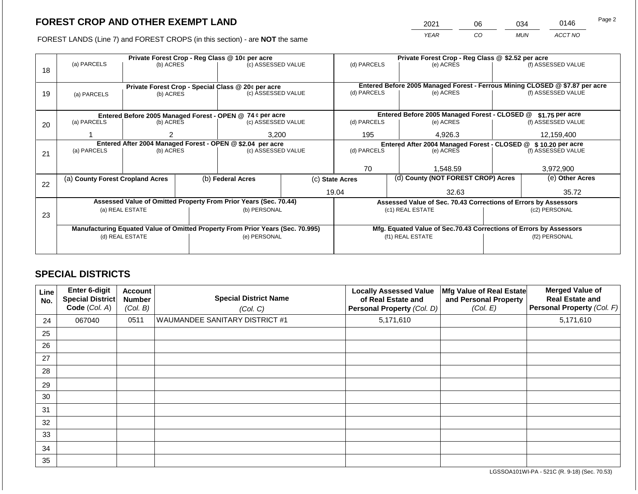2021 06 034 0146 Page 2

FOREST LANDS (Line 7) and FOREST CROPS (in this section) - are **NOT** the same *YEAR CO MUN ACCT NO*

|    |                                                            |                 |             | Private Forest Crop - Reg Class @ 10¢ per acre                                 |           | Private Forest Crop - Reg Class @ \$2.52 per acre |                    |                                                                    |                                                                              |                    |
|----|------------------------------------------------------------|-----------------|-------------|--------------------------------------------------------------------------------|-----------|---------------------------------------------------|--------------------|--------------------------------------------------------------------|------------------------------------------------------------------------------|--------------------|
|    | (a) PARCELS                                                | (b) ACRES       |             | (c) ASSESSED VALUE                                                             |           | (d) PARCELS                                       |                    | (e) ACRES                                                          |                                                                              | (f) ASSESSED VALUE |
| 18 |                                                            |                 |             |                                                                                |           |                                                   |                    |                                                                    |                                                                              |                    |
|    |                                                            |                 |             |                                                                                |           |                                                   |                    |                                                                    |                                                                              |                    |
|    |                                                            |                 |             | Private Forest Crop - Special Class @ 20¢ per acre                             |           |                                                   |                    |                                                                    | Entered Before 2005 Managed Forest - Ferrous Mining CLOSED @ \$7.87 per acre |                    |
| 19 | (a) PARCELS                                                | (b) ACRES       |             | (c) ASSESSED VALUE                                                             |           | (d) PARCELS                                       |                    | (e) ACRES                                                          |                                                                              | (f) ASSESSED VALUE |
|    |                                                            |                 |             |                                                                                |           |                                                   |                    |                                                                    |                                                                              |                    |
|    | Entered Before 2005 Managed Forest - OPEN @ 74 ¢ per acre  |                 |             |                                                                                |           |                                                   |                    | Entered Before 2005 Managed Forest - CLOSED @                      |                                                                              | $$1.75$ per acre   |
| 20 | (a) PARCELS<br>(c) ASSESSED VALUE<br>(b) ACRES             |                 | (d) PARCELS |                                                                                | (e) ACRES |                                                   | (f) ASSESSED VALUE |                                                                    |                                                                              |                    |
|    |                                                            |                 |             |                                                                                |           |                                                   |                    |                                                                    |                                                                              |                    |
|    |                                                            |                 |             | 3,200                                                                          |           | 195                                               |                    | 4,926.3                                                            | 12,159,400                                                                   |                    |
|    | Entered After 2004 Managed Forest - OPEN @ \$2.04 per acre |                 |             |                                                                                |           |                                                   |                    | Entered After 2004 Managed Forest - CLOSED @                       |                                                                              | \$10.20 per acre   |
| 21 | (a) PARCELS                                                | (b) ACRES       |             | (c) ASSESSED VALUE                                                             |           | (d) PARCELS<br>(e) ACRES                          |                    |                                                                    | (f) ASSESSED VALUE                                                           |                    |
|    |                                                            |                 |             |                                                                                |           |                                                   |                    |                                                                    |                                                                              |                    |
|    |                                                            |                 |             |                                                                                | 70        |                                                   |                    | 1.548.59                                                           |                                                                              | 3,972,900          |
|    | (a) County Forest Cropland Acres                           |                 |             | (b) Federal Acres                                                              |           | (c) State Acres                                   |                    | (d) County (NOT FOREST CROP) Acres                                 |                                                                              | (e) Other Acres    |
| 22 |                                                            |                 |             |                                                                                |           |                                                   |                    |                                                                    |                                                                              |                    |
|    |                                                            |                 |             |                                                                                |           | 19.04                                             |                    | 32.63                                                              |                                                                              | 35.72              |
|    |                                                            |                 |             | Assessed Value of Omitted Property From Prior Years (Sec. 70.44)               |           |                                                   |                    | Assessed Value of Sec. 70.43 Corrections of Errors by Assessors    |                                                                              |                    |
|    |                                                            | (a) REAL ESTATE |             | (b) PERSONAL                                                                   |           |                                                   |                    | (c1) REAL ESTATE                                                   |                                                                              | (c2) PERSONAL      |
| 23 |                                                            |                 |             |                                                                                |           |                                                   |                    |                                                                    |                                                                              |                    |
|    |                                                            |                 |             | Manufacturing Equated Value of Omitted Property From Prior Years (Sec. 70.995) |           |                                                   |                    | Mfg. Equated Value of Sec.70.43 Corrections of Errors by Assessors |                                                                              |                    |
|    |                                                            | (d) REAL ESTATE |             | (e) PERSONAL                                                                   |           |                                                   |                    | (f1) REAL ESTATE                                                   | (f2) PERSONAL                                                                |                    |
|    |                                                            |                 |             |                                                                                |           |                                                   |                    |                                                                    |                                                                              |                    |
|    |                                                            |                 |             |                                                                                |           |                                                   |                    |                                                                    |                                                                              |                    |

## **SPECIAL DISTRICTS**

| Line<br>No. | <b>Enter 6-digit</b><br>Special District<br>Code (Col. A) | <b>Account</b><br><b>Number</b><br>(Col. B) | <b>Special District Name</b><br>(Col. C) | <b>Locally Assessed Value</b><br>of Real Estate and<br>Personal Property (Col. D) | Mfg Value of Real Estate<br>and Personal Property<br>(Col. E) | <b>Merged Value of</b><br><b>Real Estate and</b><br>Personal Property (Col. F) |
|-------------|-----------------------------------------------------------|---------------------------------------------|------------------------------------------|-----------------------------------------------------------------------------------|---------------------------------------------------------------|--------------------------------------------------------------------------------|
| 24          | 067040                                                    | 0511                                        | WAUMANDEE SANITARY DISTRICT #1           | 5,171,610                                                                         |                                                               | 5,171,610                                                                      |
| 25          |                                                           |                                             |                                          |                                                                                   |                                                               |                                                                                |
| 26          |                                                           |                                             |                                          |                                                                                   |                                                               |                                                                                |
| 27          |                                                           |                                             |                                          |                                                                                   |                                                               |                                                                                |
| 28          |                                                           |                                             |                                          |                                                                                   |                                                               |                                                                                |
| 29          |                                                           |                                             |                                          |                                                                                   |                                                               |                                                                                |
| 30          |                                                           |                                             |                                          |                                                                                   |                                                               |                                                                                |
| 31          |                                                           |                                             |                                          |                                                                                   |                                                               |                                                                                |
| 32          |                                                           |                                             |                                          |                                                                                   |                                                               |                                                                                |
| 33          |                                                           |                                             |                                          |                                                                                   |                                                               |                                                                                |
| 34          |                                                           |                                             |                                          |                                                                                   |                                                               |                                                                                |
| 35          |                                                           |                                             |                                          |                                                                                   |                                                               |                                                                                |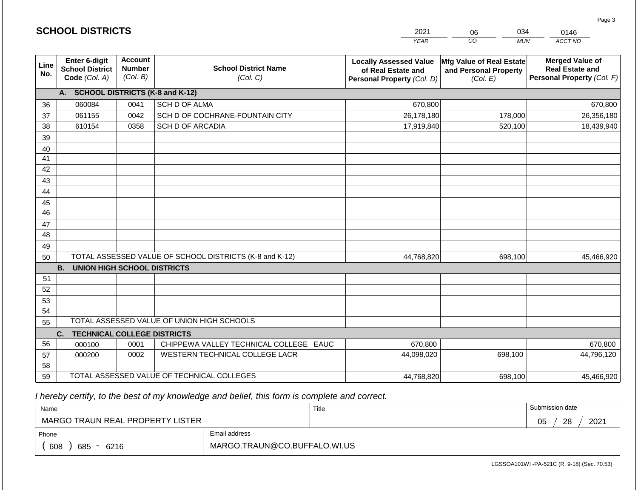|             | <b>SCHOOL DISTRICTS</b>                                         |                                             | 2021<br>034<br>0146<br>06                               |                                                                                   |                                                               |                                                                                |  |  |
|-------------|-----------------------------------------------------------------|---------------------------------------------|---------------------------------------------------------|-----------------------------------------------------------------------------------|---------------------------------------------------------------|--------------------------------------------------------------------------------|--|--|
|             |                                                                 |                                             |                                                         | <b>YEAR</b>                                                                       | CO<br><b>MUN</b>                                              | ACCT NO                                                                        |  |  |
| Line<br>No. | <b>Enter 6-digit</b><br><b>School District</b><br>Code (Col. A) | <b>Account</b><br><b>Number</b><br>(Col. B) | <b>School District Name</b><br>(Col. C)                 | <b>Locally Assessed Value</b><br>of Real Estate and<br>Personal Property (Col. D) | Mfg Value of Real Estate<br>and Personal Property<br>(Col. E) | <b>Merged Value of</b><br><b>Real Estate and</b><br>Personal Property (Col. F) |  |  |
|             | A. SCHOOL DISTRICTS (K-8 and K-12)                              |                                             |                                                         |                                                                                   |                                                               |                                                                                |  |  |
| 36          | 060084                                                          | 0041                                        | SCH D OF ALMA                                           | 670,800                                                                           |                                                               | 670,800                                                                        |  |  |
| 37          | 061155                                                          | 0042                                        | SCH D OF COCHRANE-FOUNTAIN CITY                         | 26,178,180                                                                        | 178,000                                                       | 26,356,180                                                                     |  |  |
| 38          | 610154                                                          | 0358                                        | <b>SCH D OF ARCADIA</b>                                 | 17,919,840                                                                        | 520,100                                                       | 18,439,940                                                                     |  |  |
| 39          |                                                                 |                                             |                                                         |                                                                                   |                                                               |                                                                                |  |  |
| 40          |                                                                 |                                             |                                                         |                                                                                   |                                                               |                                                                                |  |  |
| 41          |                                                                 |                                             |                                                         |                                                                                   |                                                               |                                                                                |  |  |
| 42          |                                                                 |                                             |                                                         |                                                                                   |                                                               |                                                                                |  |  |
| 43          |                                                                 |                                             |                                                         |                                                                                   |                                                               |                                                                                |  |  |
| 44          |                                                                 |                                             |                                                         |                                                                                   |                                                               |                                                                                |  |  |
| 45<br>46    |                                                                 |                                             |                                                         |                                                                                   |                                                               |                                                                                |  |  |
|             |                                                                 |                                             |                                                         |                                                                                   |                                                               |                                                                                |  |  |
| 47<br>48    |                                                                 |                                             |                                                         |                                                                                   |                                                               |                                                                                |  |  |
| 49          |                                                                 |                                             |                                                         |                                                                                   |                                                               |                                                                                |  |  |
| 50          |                                                                 |                                             | TOTAL ASSESSED VALUE OF SCHOOL DISTRICTS (K-8 and K-12) | 44,768,820                                                                        | 698,100                                                       | 45,466,920                                                                     |  |  |
|             | <b>B.</b><br><b>UNION HIGH SCHOOL DISTRICTS</b>                 |                                             |                                                         |                                                                                   |                                                               |                                                                                |  |  |
| 51          |                                                                 |                                             |                                                         |                                                                                   |                                                               |                                                                                |  |  |
| 52          |                                                                 |                                             |                                                         |                                                                                   |                                                               |                                                                                |  |  |
| 53          |                                                                 |                                             |                                                         |                                                                                   |                                                               |                                                                                |  |  |
| 54          |                                                                 |                                             |                                                         |                                                                                   |                                                               |                                                                                |  |  |
| 55          |                                                                 |                                             | TOTAL ASSESSED VALUE OF UNION HIGH SCHOOLS              |                                                                                   |                                                               |                                                                                |  |  |
|             | <b>TECHNICAL COLLEGE DISTRICTS</b><br>C.                        |                                             |                                                         |                                                                                   |                                                               |                                                                                |  |  |
| 56          | 000100                                                          | 0001                                        | CHIPPEWA VALLEY TECHNICAL COLLEGE EAUC                  | 670,800                                                                           |                                                               | 670,800                                                                        |  |  |
| 57          | 000200                                                          | 0002                                        | WESTERN TECHNICAL COLLEGE LACR                          | 44,098,020                                                                        | 698,100                                                       | 44,796,120                                                                     |  |  |
| 58          |                                                                 |                                             |                                                         |                                                                                   |                                                               |                                                                                |  |  |
| 59          |                                                                 |                                             | TOTAL ASSESSED VALUE OF TECHNICAL COLLEGES              | 44,768,820                                                                        | 698,100                                                       | 45,466,920                                                                     |  |  |

| Name                             |                              | Title | Submission date  |  |  |  |
|----------------------------------|------------------------------|-------|------------------|--|--|--|
| MARGO TRAUN REAL PROPERTY LISTER |                              |       | 28<br>2021<br>05 |  |  |  |
| Phone                            | Email address                |       |                  |  |  |  |
| 608<br>685<br>6216<br>$\sim$     | MARGO.TRAUN@CO.BUFFALO.WI.US |       |                  |  |  |  |

LGSSOA101WI -PA-521C (R. 9-18) (Sec. 70.53)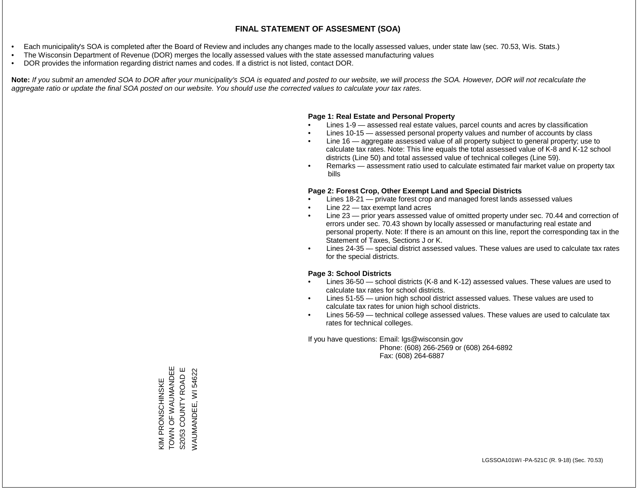- Each municipality's SOA is completed after the Board of Review and includes any changes made to the locally assessed values, under state law (sec. 70.53, Wis. Stats.)
- The Wisconsin Department of Revenue (DOR) merges the locally assessed values with the state assessed manufacturing values
- DOR provides the information regarding district names and codes. If a district is not listed, contact DOR.

Note: If you submit an amended SOA to DOR after your municipality's SOA is equated and posted to our website, we will process the SOA. However, DOR will not recalculate the *aggregate ratio or update the final SOA posted on our website. You should use the corrected values to calculate your tax rates.*

### **Page 1: Real Estate and Personal Property**

- Lines 1-9 assessed real estate values, parcel counts and acres by classification
- Lines 10-15 assessed personal property values and number of accounts by class
- Line 16 aggregate assessed value of all property subject to general property; use to calculate tax rates. Note: This line equals the total assessed value of K-8 and K-12 school districts (Line 50) and total assessed value of technical colleges (Line 59).
- Remarks assessment ratio used to calculate estimated fair market value on property tax bills

### **Page 2: Forest Crop, Other Exempt Land and Special Districts**

- Lines 18-21 private forest crop and managed forest lands assessed values
- Line  $22 -$  tax exempt land acres
- Line 23 prior years assessed value of omitted property under sec. 70.44 and correction of errors under sec. 70.43 shown by locally assessed or manufacturing real estate and personal property. Note: If there is an amount on this line, report the corresponding tax in the Statement of Taxes, Sections J or K.
- Lines 24-35 special district assessed values. These values are used to calculate tax rates for the special districts.

### **Page 3: School Districts**

- Lines 36-50 school districts (K-8 and K-12) assessed values. These values are used to calculate tax rates for school districts.
- Lines 51-55 union high school district assessed values. These values are used to calculate tax rates for union high school districts.
- Lines 56-59 technical college assessed values. These values are used to calculate tax rates for technical colleges.

If you have questions: Email: lgs@wisconsin.gov

 Phone: (608) 266-2569 or (608) 264-6892 Fax: (608) 264-6887

TO ANDER WAARDE KIM PRONSCHINSKE<br>TOWN OF WAUMANDEE ш S2053 COUNTY ROAD E WAUMANDEE, WI 54622 WAUMANDEE, WI 54622S2053 COUNTY ROAD KIM PRONSCHINSKE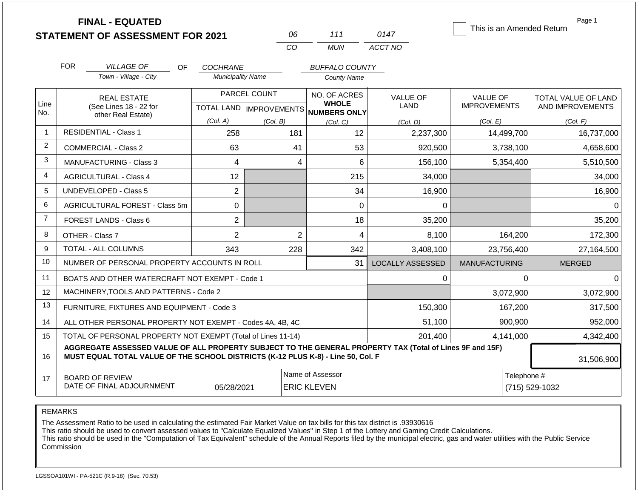|                | <b>FINAL - EQUATED</b><br><b>STATEMENT OF ASSESSMENT FOR 2021</b>                                                                                                                            |                          | 06           | 111                                                  | 0147                    | This is an Amended Return | Page 1              |  |  |
|----------------|----------------------------------------------------------------------------------------------------------------------------------------------------------------------------------------------|--------------------------|--------------|------------------------------------------------------|-------------------------|---------------------------|---------------------|--|--|
|                |                                                                                                                                                                                              |                          | CO           | <b>MUN</b>                                           | ACCT NO                 |                           |                     |  |  |
|                | <b>FOR</b><br><b>VILLAGE OF</b><br><b>OF</b>                                                                                                                                                 | COCHRANE                 |              | <b>BUFFALO COUNTY</b>                                |                         |                           |                     |  |  |
|                | Town - Village - City                                                                                                                                                                        | <b>Municipality Name</b> |              | <b>County Name</b>                                   |                         |                           |                     |  |  |
|                | <b>REAL ESTATE</b>                                                                                                                                                                           |                          | PARCEL COUNT | NO. OF ACRES                                         | VALUE OF                | <b>VALUE OF</b>           | TOTAL VALUE OF LAND |  |  |
| Line<br>No.    | (See Lines 18 - 22 for                                                                                                                                                                       |                          |              | <b>WHOLE</b><br>TOTAL LAND IMPROVEMENTS NUMBERS ONLY | LAND                    | <b>IMPROVEMENTS</b>       | AND IMPROVEMENTS    |  |  |
|                | other Real Estate)                                                                                                                                                                           | (Col. A)                 | (Col. B)     | (Col, C)                                             | (Col. D)                | (Col. E)                  | (Col. F)            |  |  |
| $\mathbf{1}$   | <b>RESIDENTIAL - Class 1</b>                                                                                                                                                                 | 258                      | 181          | 12                                                   | 2,237,300               | 14,499,700                | 16,737,000          |  |  |
| 2              | <b>COMMERCIAL - Class 2</b>                                                                                                                                                                  | 63                       | 41           | 53                                                   | 920,500                 | 3,738,100                 | 4,658,600           |  |  |
| 3              | <b>MANUFACTURING - Class 3</b>                                                                                                                                                               | 4                        |              | 6<br>4                                               | 156,100                 | 5,354,400                 | 5,510,500           |  |  |
| $\overline{4}$ | <b>AGRICULTURAL - Class 4</b>                                                                                                                                                                | 12                       |              | 215                                                  | 34,000                  |                           | 34,000              |  |  |
| 5              | <b>UNDEVELOPED - Class 5</b>                                                                                                                                                                 | $\overline{2}$           |              | 34                                                   | 16,900                  |                           | 16,900              |  |  |
| 6              | AGRICULTURAL FOREST - Class 5m                                                                                                                                                               | $\Omega$                 |              | $\overline{0}$                                       | 0                       |                           | $\Omega$            |  |  |
| $\overline{7}$ | FOREST LANDS - Class 6                                                                                                                                                                       | $\overline{2}$           |              | 18                                                   | 35,200                  |                           | 35,200              |  |  |
| 8              | OTHER - Class 7                                                                                                                                                                              | $\overline{2}$           |              | $\overline{2}$<br>4                                  | 8,100                   | 164,200                   | 172,300             |  |  |
| 9              | <b>TOTAL - ALL COLUMNS</b>                                                                                                                                                                   | 343                      | 228          | 342                                                  | 3,408,100               | 23,756,400                | 27,164,500          |  |  |
| 10             | NUMBER OF PERSONAL PROPERTY ACCOUNTS IN ROLL                                                                                                                                                 |                          |              | 31                                                   | <b>LOCALLY ASSESSED</b> | <b>MANUFACTURING</b>      | <b>MERGED</b>       |  |  |
| 11             | BOATS AND OTHER WATERCRAFT NOT EXEMPT - Code 1                                                                                                                                               |                          |              |                                                      | $\Omega$                | $\Omega$                  | $\Omega$            |  |  |
| 12             | MACHINERY, TOOLS AND PATTERNS - Code 2                                                                                                                                                       |                          |              |                                                      |                         | 3,072,900                 | 3,072,900           |  |  |
| 13             | FURNITURE, FIXTURES AND EQUIPMENT - Code 3                                                                                                                                                   |                          |              |                                                      | 150,300                 | 167,200                   | 317,500             |  |  |
| 14             | ALL OTHER PERSONAL PROPERTY NOT EXEMPT - Codes 4A, 4B, 4C                                                                                                                                    |                          |              |                                                      | 51,100                  | 900,900                   | 952,000             |  |  |
| 15             | TOTAL OF PERSONAL PROPERTY NOT EXEMPT (Total of Lines 11-14)                                                                                                                                 |                          |              |                                                      | 201,400                 | 4,141,000                 | 4,342,400           |  |  |
| 16             | AGGREGATE ASSESSED VALUE OF ALL PROPERTY SUBJECT TO THE GENERAL PROPERTY TAX (Total of Lines 9F and 15F)<br>MUST EQUAL TOTAL VALUE OF THE SCHOOL DISTRICTS (K-12 PLUS K-8) - Line 50, Col. F |                          |              |                                                      |                         |                           | 31,506,900          |  |  |
| 17             | <b>BOARD OF REVIEW</b>                                                                                                                                                                       |                          |              | Name of Assessor                                     |                         |                           | Telephone #         |  |  |
|                | DATE OF FINAL ADJOURNMENT                                                                                                                                                                    | 05/28/2021               |              | <b>ERIC KLEVEN</b>                                   |                         |                           | (715) 529-1032      |  |  |

The Assessment Ratio to be used in calculating the estimated Fair Market Value on tax bills for this tax district is .93930616

This ratio should be used to convert assessed values to "Calculate Equalized Values" in Step 1 of the Lottery and Gaming Credit Calculations.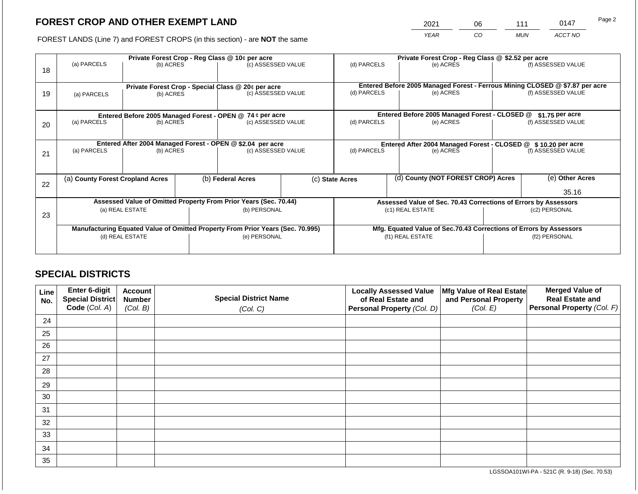2021 06 111 0147

FOREST LANDS (Line 7) and FOREST CROPS (in this section) - are **NOT** the same *YEAR CO MUN ACCT NO*

|             |                                           |                                                                        |                                                  |                                                                     | Private Forest Crop - Reg Class @ \$2.52 per acre                                                                                                                                                                                                                                                                                                                                                                                                           |                    |                                           |                                                         |                                                                                                                                                                                                                                                                                                                                                                               |
|-------------|-------------------------------------------|------------------------------------------------------------------------|--------------------------------------------------|---------------------------------------------------------------------|-------------------------------------------------------------------------------------------------------------------------------------------------------------------------------------------------------------------------------------------------------------------------------------------------------------------------------------------------------------------------------------------------------------------------------------------------------------|--------------------|-------------------------------------------|---------------------------------------------------------|-------------------------------------------------------------------------------------------------------------------------------------------------------------------------------------------------------------------------------------------------------------------------------------------------------------------------------------------------------------------------------|
|             |                                           |                                                                        |                                                  |                                                                     | (d) PARCELS                                                                                                                                                                                                                                                                                                                                                                                                                                                 |                    | (e) ACRES                                 |                                                         | (f) ASSESSED VALUE                                                                                                                                                                                                                                                                                                                                                            |
|             |                                           |                                                                        |                                                  |                                                                     |                                                                                                                                                                                                                                                                                                                                                                                                                                                             |                    |                                           |                                                         |                                                                                                                                                                                                                                                                                                                                                                               |
| (a) PARCELS |                                           |                                                                        |                                                  |                                                                     |                                                                                                                                                                                                                                                                                                                                                                                                                                                             |                    |                                           |                                                         | (f) ASSESSED VALUE                                                                                                                                                                                                                                                                                                                                                            |
|             |                                           |                                                                        |                                                  |                                                                     |                                                                                                                                                                                                                                                                                                                                                                                                                                                             |                    |                                           |                                                         |                                                                                                                                                                                                                                                                                                                                                                               |
|             |                                           |                                                                        |                                                  |                                                                     |                                                                                                                                                                                                                                                                                                                                                                                                                                                             |                    |                                           |                                                         | $$1.75$ per acre                                                                                                                                                                                                                                                                                                                                                              |
|             |                                           |                                                                        |                                                  |                                                                     |                                                                                                                                                                                                                                                                                                                                                                                                                                                             | (f) ASSESSED VALUE |                                           |                                                         |                                                                                                                                                                                                                                                                                                                                                                               |
|             |                                           |                                                                        |                                                  |                                                                     |                                                                                                                                                                                                                                                                                                                                                                                                                                                             |                    |                                           |                                                         |                                                                                                                                                                                                                                                                                                                                                                               |
|             |                                           |                                                                        |                                                  |                                                                     |                                                                                                                                                                                                                                                                                                                                                                                                                                                             |                    |                                           | (f) ASSESSED VALUE                                      |                                                                                                                                                                                                                                                                                                                                                                               |
|             |                                           |                                                                        |                                                  |                                                                     |                                                                                                                                                                                                                                                                                                                                                                                                                                                             |                    |                                           |                                                         |                                                                                                                                                                                                                                                                                                                                                                               |
|             |                                           |                                                                        |                                                  |                                                                     |                                                                                                                                                                                                                                                                                                                                                                                                                                                             |                    |                                           |                                                         |                                                                                                                                                                                                                                                                                                                                                                               |
|             |                                           |                                                                        |                                                  |                                                                     |                                                                                                                                                                                                                                                                                                                                                                                                                                                             |                    |                                           |                                                         | (e) Other Acres                                                                                                                                                                                                                                                                                                                                                               |
|             |                                           |                                                                        |                                                  |                                                                     |                                                                                                                                                                                                                                                                                                                                                                                                                                                             |                    |                                           |                                                         | 35.16                                                                                                                                                                                                                                                                                                                                                                         |
|             |                                           |                                                                        |                                                  |                                                                     |                                                                                                                                                                                                                                                                                                                                                                                                                                                             |                    |                                           |                                                         |                                                                                                                                                                                                                                                                                                                                                                               |
|             |                                           |                                                                        |                                                  |                                                                     |                                                                                                                                                                                                                                                                                                                                                                                                                                                             |                    |                                           |                                                         | (c2) PERSONAL                                                                                                                                                                                                                                                                                                                                                                 |
|             |                                           |                                                                        |                                                  |                                                                     |                                                                                                                                                                                                                                                                                                                                                                                                                                                             |                    |                                           |                                                         |                                                                                                                                                                                                                                                                                                                                                                               |
|             |                                           |                                                                        |                                                  |                                                                     |                                                                                                                                                                                                                                                                                                                                                                                                                                                             |                    |                                           |                                                         |                                                                                                                                                                                                                                                                                                                                                                               |
|             |                                           |                                                                        |                                                  |                                                                     | (f1) REAL ESTATE                                                                                                                                                                                                                                                                                                                                                                                                                                            |                    |                                           | (f2) PERSONAL                                           |                                                                                                                                                                                                                                                                                                                                                                               |
|             |                                           |                                                                        |                                                  |                                                                     |                                                                                                                                                                                                                                                                                                                                                                                                                                                             |                    |                                           |                                                         |                                                                                                                                                                                                                                                                                                                                                                               |
|             | (a) PARCELS<br>(a) PARCELS<br>(a) PARCELS | (a) County Forest Cropland Acres<br>(a) REAL ESTATE<br>(d) REAL ESTATE | (b) ACRES<br>(b) ACRES<br>(b) ACRES<br>(b) ACRES | Private Forest Crop - Reg Class @ 10¢ per acre<br>(b) Federal Acres | (c) ASSESSED VALUE<br>Private Forest Crop - Special Class @ 20¢ per acre<br>(c) ASSESSED VALUE<br>Entered Before 2005 Managed Forest - OPEN @ 74 ¢ per acre<br>(c) ASSESSED VALUE<br>Entered After 2004 Managed Forest - OPEN @ \$2.04 per acre<br>(c) ASSESSED VALUE<br>Assessed Value of Omitted Property From Prior Years (Sec. 70.44)<br>(b) PERSONAL<br>Manufacturing Equated Value of Omitted Property From Prior Years (Sec. 70.995)<br>(e) PERSONAL | (c) State Acres    | (d) PARCELS<br>(d) PARCELS<br>(d) PARCELS | (e) ACRES<br>(e) ACRES<br>(e) ACRES<br>(c1) REAL ESTATE | Entered Before 2005 Managed Forest - Ferrous Mining CLOSED @ \$7.87 per acre<br>Entered Before 2005 Managed Forest - CLOSED @<br>Entered After 2004 Managed Forest - CLOSED @ \$10.20 per acre<br>(d) County (NOT FOREST CROP) Acres<br>Assessed Value of Sec. 70.43 Corrections of Errors by Assessors<br>Mfg. Equated Value of Sec.70.43 Corrections of Errors by Assessors |

## **SPECIAL DISTRICTS**

| Line<br>No. | Enter 6-digit<br>Special District<br>Code (Col. A) | <b>Account</b><br><b>Number</b><br>(Col. B) | <b>Special District Name</b><br>(Col. C) | <b>Locally Assessed Value</b><br>of Real Estate and<br>Personal Property (Col. D) | Mfg Value of Real Estate<br>and Personal Property<br>(Col. E) | <b>Merged Value of</b><br><b>Real Estate and</b><br>Personal Property (Col. F) |
|-------------|----------------------------------------------------|---------------------------------------------|------------------------------------------|-----------------------------------------------------------------------------------|---------------------------------------------------------------|--------------------------------------------------------------------------------|
| 24          |                                                    |                                             |                                          |                                                                                   |                                                               |                                                                                |
| 25          |                                                    |                                             |                                          |                                                                                   |                                                               |                                                                                |
| 26          |                                                    |                                             |                                          |                                                                                   |                                                               |                                                                                |
| 27          |                                                    |                                             |                                          |                                                                                   |                                                               |                                                                                |
| 28          |                                                    |                                             |                                          |                                                                                   |                                                               |                                                                                |
| 29          |                                                    |                                             |                                          |                                                                                   |                                                               |                                                                                |
| 30          |                                                    |                                             |                                          |                                                                                   |                                                               |                                                                                |
| 31          |                                                    |                                             |                                          |                                                                                   |                                                               |                                                                                |
| 32          |                                                    |                                             |                                          |                                                                                   |                                                               |                                                                                |
| 33          |                                                    |                                             |                                          |                                                                                   |                                                               |                                                                                |
| 34          |                                                    |                                             |                                          |                                                                                   |                                                               |                                                                                |
| 35          |                                                    |                                             |                                          |                                                                                   |                                                               |                                                                                |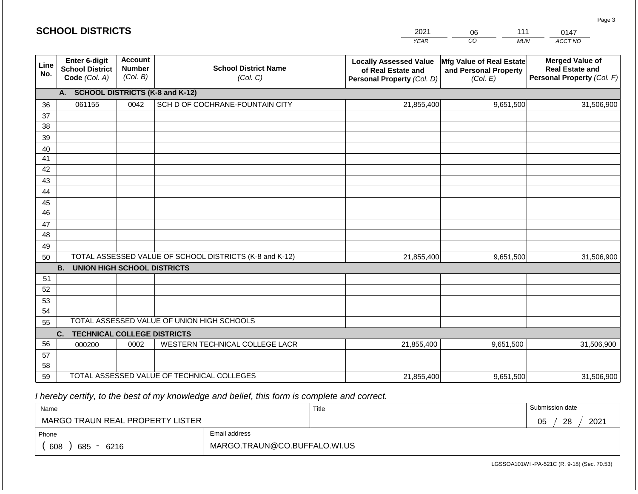|             | <b>SCHOOL DISTRICTS</b>                                         |                                             |                                                         | 2021                                                                              | 111<br>06<br>0147                                             |                                                                                |  |
|-------------|-----------------------------------------------------------------|---------------------------------------------|---------------------------------------------------------|-----------------------------------------------------------------------------------|---------------------------------------------------------------|--------------------------------------------------------------------------------|--|
|             |                                                                 |                                             |                                                         | <b>YEAR</b>                                                                       | CO<br><b>MUN</b>                                              | ACCT NO                                                                        |  |
| Line<br>No. | <b>Enter 6-digit</b><br><b>School District</b><br>Code (Col. A) | <b>Account</b><br><b>Number</b><br>(Col. B) | <b>School District Name</b><br>(Col. C)                 | <b>Locally Assessed Value</b><br>of Real Estate and<br>Personal Property (Col. D) | Mfg Value of Real Estate<br>and Personal Property<br>(Col. E) | <b>Merged Value of</b><br><b>Real Estate and</b><br>Personal Property (Col. F) |  |
|             | А.                                                              |                                             | <b>SCHOOL DISTRICTS (K-8 and K-12)</b>                  |                                                                                   |                                                               |                                                                                |  |
| 36          | 061155                                                          | 0042                                        | SCH D OF COCHRANE-FOUNTAIN CITY                         | 21,855,400                                                                        | 9,651,500                                                     | 31,506,900                                                                     |  |
| 37          |                                                                 |                                             |                                                         |                                                                                   |                                                               |                                                                                |  |
| 38          |                                                                 |                                             |                                                         |                                                                                   |                                                               |                                                                                |  |
| 39          |                                                                 |                                             |                                                         |                                                                                   |                                                               |                                                                                |  |
| 40          |                                                                 |                                             |                                                         |                                                                                   |                                                               |                                                                                |  |
| 41          |                                                                 |                                             |                                                         |                                                                                   |                                                               |                                                                                |  |
| 42          |                                                                 |                                             |                                                         |                                                                                   |                                                               |                                                                                |  |
| 43          |                                                                 |                                             |                                                         |                                                                                   |                                                               |                                                                                |  |
| 44          |                                                                 |                                             |                                                         |                                                                                   |                                                               |                                                                                |  |
| 45          |                                                                 |                                             |                                                         |                                                                                   |                                                               |                                                                                |  |
| 46          |                                                                 |                                             |                                                         |                                                                                   |                                                               |                                                                                |  |
| 47<br>48    |                                                                 |                                             |                                                         |                                                                                   |                                                               |                                                                                |  |
|             |                                                                 |                                             |                                                         |                                                                                   |                                                               |                                                                                |  |
| 49<br>50    |                                                                 |                                             | TOTAL ASSESSED VALUE OF SCHOOL DISTRICTS (K-8 and K-12) | 21,855,400                                                                        | 9,651,500                                                     | 31,506,900                                                                     |  |
|             | <b>B.</b><br><b>UNION HIGH SCHOOL DISTRICTS</b>                 |                                             |                                                         |                                                                                   |                                                               |                                                                                |  |
| 51          |                                                                 |                                             |                                                         |                                                                                   |                                                               |                                                                                |  |
| 52          |                                                                 |                                             |                                                         |                                                                                   |                                                               |                                                                                |  |
| 53          |                                                                 |                                             |                                                         |                                                                                   |                                                               |                                                                                |  |
| 54          |                                                                 |                                             |                                                         |                                                                                   |                                                               |                                                                                |  |
| 55          |                                                                 |                                             | TOTAL ASSESSED VALUE OF UNION HIGH SCHOOLS              |                                                                                   |                                                               |                                                                                |  |
|             | C.<br><b>TECHNICAL COLLEGE DISTRICTS</b>                        |                                             |                                                         |                                                                                   |                                                               |                                                                                |  |
| 56          | 000200                                                          | 0002                                        | WESTERN TECHNICAL COLLEGE LACR                          | 21,855,400                                                                        | 9,651,500                                                     | 31,506,900                                                                     |  |
| 57          |                                                                 |                                             |                                                         |                                                                                   |                                                               |                                                                                |  |
| 58          |                                                                 |                                             |                                                         |                                                                                   |                                                               |                                                                                |  |
| 59          |                                                                 |                                             | TOTAL ASSESSED VALUE OF TECHNICAL COLLEGES              | 21,855,400                                                                        | 9,651,500                                                     | 31,506,900                                                                     |  |

| Name                             |                              | Title | Submission date  |  |  |  |
|----------------------------------|------------------------------|-------|------------------|--|--|--|
| MARGO TRAUN REAL PROPERTY LISTER |                              |       | 2021<br>28<br>05 |  |  |  |
| Phone                            | Email address                |       |                  |  |  |  |
| 608<br>685<br>6216               | MARGO.TRAUN@CO.BUFFALO.WI.US |       |                  |  |  |  |

LGSSOA101WI -PA-521C (R. 9-18) (Sec. 70.53)

| <b>SCHOOL DISTRICTS</b> |  |
|-------------------------|--|
|-------------------------|--|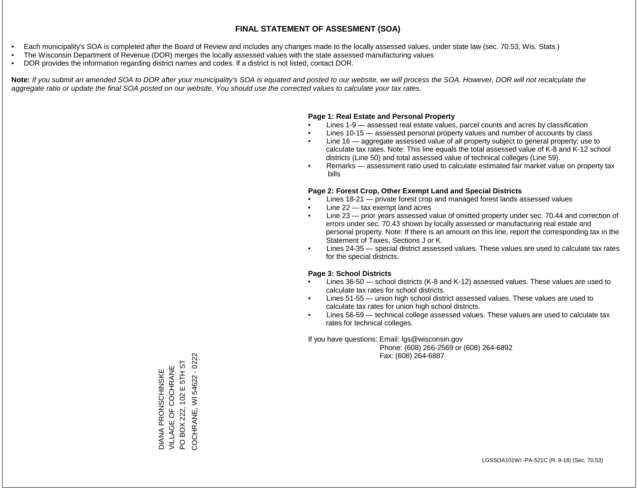- Each municipality's SOA is completed after the Board of Review and includes any changes made to the locally assessed values, under state law (sec. 70.53, Wis. Stats.)
- The Wisconsin Department of Revenue (DOR) merges the locally assessed values with the state assessed manufacturing values
- DOR provides the information regarding district names and codes. If a district is not listed, contact DOR.

Note: If you submit an amended SOA to DOR after your municipality's SOA is equated and posted to our website, we will process the SOA. However, DOR will not recalculate the *aggregate ratio or update the final SOA posted on our website. You should use the corrected values to calculate your tax rates.*

### **Page 1: Real Estate and Personal Property**

- Lines 1-9 assessed real estate values, parcel counts and acres by classification
- Lines 10-15 assessed personal property values and number of accounts by class
- Line 16 aggregate assessed value of all property subject to general property; use to calculate tax rates. Note: This line equals the total assessed value of K-8 and K-12 school districts (Line 50) and total assessed value of technical colleges (Line 59).
- Remarks assessment ratio used to calculate estimated fair market value on property tax bills

### **Page 2: Forest Crop, Other Exempt Land and Special Districts**

- Lines 18-21 private forest crop and managed forest lands assessed values
- Line  $22 -$  tax exempt land acres
- Line 23 prior years assessed value of omitted property under sec. 70.44 and correction of errors under sec. 70.43 shown by locally assessed or manufacturing real estate and personal property. Note: If there is an amount on this line, report the corresponding tax in the Statement of Taxes, Sections J or K.
- Lines 24-35 special district assessed values. These values are used to calculate tax rates for the special districts.

### **Page 3: School Districts**

- Lines 36-50 school districts (K-8 and K-12) assessed values. These values are used to calculate tax rates for school districts.
- Lines 51-55 union high school district assessed values. These values are used to calculate tax rates for union high school districts.
- Lines 56-59 technical college assessed values. These values are used to calculate tax rates for technical colleges.

If you have questions: Email: lgs@wisconsin.gov

 Phone: (608) 266-2569 or (608) 264-6892 Fax: (608) 264-6887

COCHRANE, WI54622 - 0222 COCHRANE, WI 54622 - 0222VILLAGE OF COCHRANE<br>PO BOX 222, 102 E 5TH ST PO BOX 222, 102 E 5TH ST VILLAGE OF COCHRANE **DIANA PRONSCHINSKE** DIANA PRONSCHINSKE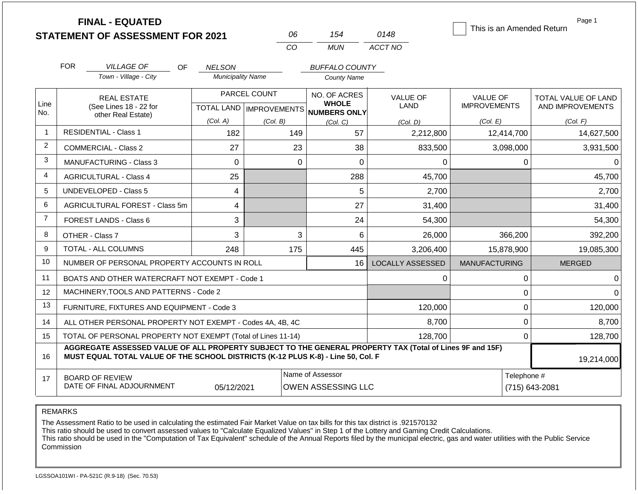|                | <b>FINAL - EQUATED</b>                                                                                                                                                                       |                                           | 06                        | 154                                           | 0148                    | This is an Amended Return     | Page 1                     |
|----------------|----------------------------------------------------------------------------------------------------------------------------------------------------------------------------------------------|-------------------------------------------|---------------------------|-----------------------------------------------|-------------------------|-------------------------------|----------------------------|
|                | <b>STATEMENT OF ASSESSMENT FOR 2021</b>                                                                                                                                                      |                                           | CO                        | <b>MUN</b>                                    | ACCT NO                 |                               |                            |
|                |                                                                                                                                                                                              |                                           |                           |                                               |                         |                               |                            |
|                | <b>FOR</b><br><b>VILLAGE OF</b><br>OF.<br>Town - Village - City                                                                                                                              | <b>NELSON</b><br><b>Municipality Name</b> |                           | <b>BUFFALO COUNTY</b>                         |                         |                               |                            |
|                |                                                                                                                                                                                              |                                           |                           | <b>County Name</b>                            |                         |                               |                            |
|                | <b>REAL ESTATE</b>                                                                                                                                                                           |                                           | PARCEL COUNT              | NO. OF ACRES                                  | <b>VALUE OF</b>         | <b>VALUE OF</b>               | <b>TOTAL VALUE OF LAND</b> |
| Line<br>No.    | (See Lines 18 - 22 for<br>other Real Estate)                                                                                                                                                 |                                           | TOTAL LAND   IMPROVEMENTS | <b>WHOLE</b><br><b>NUMBERS ONLY</b>           | <b>LAND</b>             | <b>IMPROVEMENTS</b>           | AND IMPROVEMENTS           |
|                |                                                                                                                                                                                              | (Col. A)                                  | (Col. B)                  | (Col, C)                                      | (Col. D)                | (Col. E)                      | (Col. F)                   |
| 1              | <b>RESIDENTIAL - Class 1</b>                                                                                                                                                                 | 182                                       | 149                       | 57                                            | 2,212,800               | 12,414,700                    | 14,627,500                 |
| $\overline{2}$ | <b>COMMERCIAL - Class 2</b>                                                                                                                                                                  | 27                                        | 23                        | 38                                            | 833,500                 | 3,098,000                     | 3,931,500                  |
| 3              | MANUFACTURING - Class 3                                                                                                                                                                      | $\overline{0}$                            | $\mathbf 0$               | $\overline{0}$                                | 0                       | $\Omega$                      | $\Omega$                   |
| 4              | <b>AGRICULTURAL - Class 4</b>                                                                                                                                                                | 25                                        |                           | 288<br>45,700                                 |                         |                               | 45,700                     |
| 5              | <b>UNDEVELOPED - Class 5</b>                                                                                                                                                                 | 4                                         |                           | 5                                             | 2,700                   |                               | 2,700                      |
| 6              | AGRICULTURAL FOREST - Class 5m                                                                                                                                                               | 4                                         |                           | 27                                            | 31,400                  |                               | 31,400                     |
| $\overline{7}$ | FOREST LANDS - Class 6                                                                                                                                                                       | 3                                         |                           | 24                                            | 54,300                  |                               | 54,300                     |
| 8              | OTHER - Class 7                                                                                                                                                                              | 3                                         | 3                         | 6                                             | 26,000                  | 366,200                       | 392,200                    |
| 9              | <b>TOTAL - ALL COLUMNS</b>                                                                                                                                                                   | 248                                       | 175                       | 445                                           | 3,206,400               | 15,878,900                    | 19,085,300                 |
| 10             | NUMBER OF PERSONAL PROPERTY ACCOUNTS IN ROLL                                                                                                                                                 |                                           |                           | 16                                            | <b>LOCALLY ASSESSED</b> | <b>MANUFACTURING</b>          | <b>MERGED</b>              |
| 11             | BOATS AND OTHER WATERCRAFT NOT EXEMPT - Code 1                                                                                                                                               |                                           |                           |                                               | $\Omega$                | 0                             | $\Omega$                   |
| 12             | MACHINERY, TOOLS AND PATTERNS - Code 2                                                                                                                                                       |                                           |                           |                                               |                         | $\mathbf 0$                   | $\Omega$                   |
| 13             | FURNITURE, FIXTURES AND EQUIPMENT - Code 3                                                                                                                                                   |                                           |                           |                                               | 120,000                 | $\mathbf 0$                   | 120,000                    |
| 14             | ALL OTHER PERSONAL PROPERTY NOT EXEMPT - Codes 4A, 4B, 4C                                                                                                                                    |                                           |                           |                                               | 8,700                   | $\mathbf 0$                   | 8,700                      |
| 15             | TOTAL OF PERSONAL PROPERTY NOT EXEMPT (Total of Lines 11-14)                                                                                                                                 |                                           |                           |                                               | 128,700                 | 0                             | 128,700                    |
| 16             | AGGREGATE ASSESSED VALUE OF ALL PROPERTY SUBJECT TO THE GENERAL PROPERTY TAX (Total of Lines 9F and 15F)<br>MUST EQUAL TOTAL VALUE OF THE SCHOOL DISTRICTS (K-12 PLUS K-8) - Line 50, Col. F |                                           |                           |                                               |                         |                               | 19,214,000                 |
| 17             | <b>BOARD OF REVIEW</b><br>DATE OF FINAL ADJOURNMENT                                                                                                                                          | 05/12/2021                                |                           | Name of Assessor<br><b>OWEN ASSESSING LLC</b> |                         | Telephone #<br>(715) 643-2081 |                            |

The Assessment Ratio to be used in calculating the estimated Fair Market Value on tax bills for this tax district is .921570132

This ratio should be used to convert assessed values to "Calculate Equalized Values" in Step 1 of the Lottery and Gaming Credit Calculations.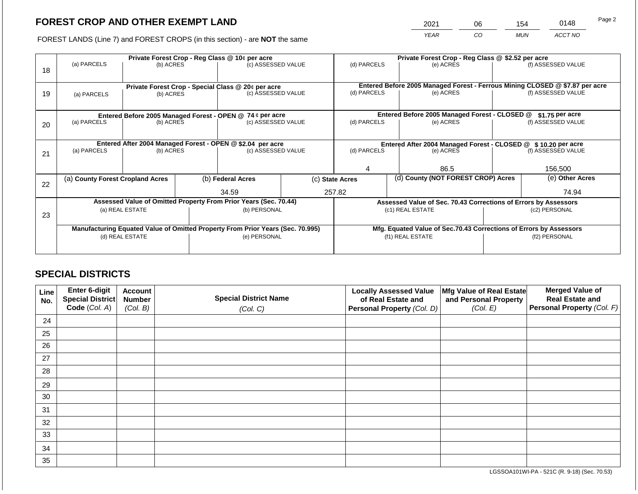2021 06 154 0148

FOREST LANDS (Line 7) and FOREST CROPS (in this section) - are **NOT** the same *YEAR CO MUN ACCT NO*

| 18 | (a) PARCELS                      | (b) ACRES | Private Forest Crop - Reg Class @ 10¢ per acre<br>(c) ASSESSED VALUE |                                                                                |                                                                    | Private Forest Crop - Reg Class @ \$2.52 per acre<br>(d) PARCELS<br>(e) ACRES |                                    | (f) ASSESSED VALUE                                                                        |                                                                 |                    |
|----|----------------------------------|-----------|----------------------------------------------------------------------|--------------------------------------------------------------------------------|--------------------------------------------------------------------|-------------------------------------------------------------------------------|------------------------------------|-------------------------------------------------------------------------------------------|-----------------------------------------------------------------|--------------------|
| 19 | (a) PARCELS                      | (b) ACRES |                                                                      | Private Forest Crop - Special Class @ 20¢ per acre<br>(c) ASSESSED VALUE       |                                                                    | (d) PARCELS                                                                   |                                    | Entered Before 2005 Managed Forest - Ferrous Mining CLOSED @ \$7.87 per acre<br>(e) ACRES |                                                                 | (f) ASSESSED VALUE |
|    |                                  |           |                                                                      | Entered Before 2005 Managed Forest - OPEN @ 74 ¢ per acre                      |                                                                    |                                                                               |                                    | Entered Before 2005 Managed Forest - CLOSED @                                             |                                                                 | $$1.75$ per acre   |
| 20 | (a) PARCELS<br>(b) ACRES         |           |                                                                      | (c) ASSESSED VALUE                                                             |                                                                    | (d) PARCELS                                                                   |                                    | (e) ACRES                                                                                 |                                                                 | (f) ASSESSED VALUE |
|    |                                  |           |                                                                      | Entered After 2004 Managed Forest - OPEN @ \$2.04 per acre                     |                                                                    |                                                                               |                                    | Entered After 2004 Managed Forest - CLOSED @ \$10.20 per acre                             |                                                                 |                    |
| 21 | (a) PARCELS                      | (b) ACRES |                                                                      | (c) ASSESSED VALUE                                                             |                                                                    | (d) PARCELS                                                                   |                                    | (e) ACRES                                                                                 |                                                                 | (f) ASSESSED VALUE |
|    |                                  |           |                                                                      |                                                                                |                                                                    |                                                                               |                                    | 86.5                                                                                      |                                                                 | 156.500            |
| 22 | (a) County Forest Cropland Acres |           |                                                                      | (b) Federal Acres                                                              | (c) State Acres                                                    |                                                                               | (d) County (NOT FOREST CROP) Acres |                                                                                           | (e) Other Acres                                                 |                    |
|    |                                  |           |                                                                      | 34.59                                                                          |                                                                    | 257.82                                                                        |                                    |                                                                                           | 74.94                                                           |                    |
|    |                                  |           |                                                                      | Assessed Value of Omitted Property From Prior Years (Sec. 70.44)               |                                                                    |                                                                               |                                    |                                                                                           | Assessed Value of Sec. 70.43 Corrections of Errors by Assessors |                    |
| 23 | (a) REAL ESTATE                  |           |                                                                      | (b) PERSONAL                                                                   | (c1) REAL ESTATE                                                   |                                                                               |                                    | (c2) PERSONAL                                                                             |                                                                 |                    |
|    |                                  |           |                                                                      | Manufacturing Equated Value of Omitted Property From Prior Years (Sec. 70.995) | Mfg. Equated Value of Sec.70.43 Corrections of Errors by Assessors |                                                                               |                                    |                                                                                           |                                                                 |                    |
|    | (d) REAL ESTATE                  |           | (e) PERSONAL                                                         |                                                                                |                                                                    |                                                                               | (f1) REAL ESTATE                   |                                                                                           | (f2) PERSONAL                                                   |                    |
|    |                                  |           |                                                                      |                                                                                |                                                                    |                                                                               |                                    |                                                                                           |                                                                 |                    |

# **SPECIAL DISTRICTS**

| Line<br>No. | Enter 6-digit<br>Special District | <b>Account</b><br><b>Number</b> | <b>Special District Name</b> | <b>Locally Assessed Value</b><br>of Real Estate and | Mfg Value of Real Estate<br>and Personal Property | <b>Merged Value of</b><br><b>Real Estate and</b> |
|-------------|-----------------------------------|---------------------------------|------------------------------|-----------------------------------------------------|---------------------------------------------------|--------------------------------------------------|
|             | Code (Col. A)                     | (Col. B)                        | (Col. C)                     | Personal Property (Col. D)                          | (Col. E)                                          | <b>Personal Property (Col. F)</b>                |
| 24          |                                   |                                 |                              |                                                     |                                                   |                                                  |
| 25          |                                   |                                 |                              |                                                     |                                                   |                                                  |
| 26          |                                   |                                 |                              |                                                     |                                                   |                                                  |
| 27          |                                   |                                 |                              |                                                     |                                                   |                                                  |
| 28          |                                   |                                 |                              |                                                     |                                                   |                                                  |
| 29          |                                   |                                 |                              |                                                     |                                                   |                                                  |
| 30          |                                   |                                 |                              |                                                     |                                                   |                                                  |
| 31          |                                   |                                 |                              |                                                     |                                                   |                                                  |
| 32          |                                   |                                 |                              |                                                     |                                                   |                                                  |
| 33          |                                   |                                 |                              |                                                     |                                                   |                                                  |
| 34          |                                   |                                 |                              |                                                     |                                                   |                                                  |
| 35          |                                   |                                 |                              |                                                     |                                                   |                                                  |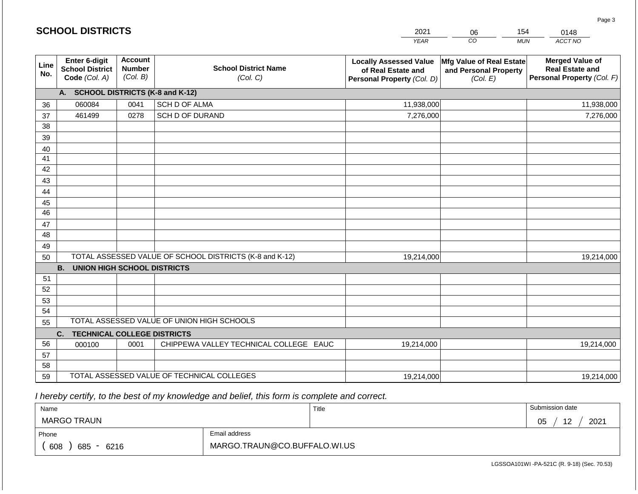|                       | <b>SCHOOL DISTRICTS</b>                                  |                                             |                                                         | 2021                                                                              | 06                                                            | 154<br>0148                                                                    |
|-----------------------|----------------------------------------------------------|---------------------------------------------|---------------------------------------------------------|-----------------------------------------------------------------------------------|---------------------------------------------------------------|--------------------------------------------------------------------------------|
|                       |                                                          |                                             |                                                         | <b>YEAR</b>                                                                       | CO                                                            | ACCT NO<br><b>MUN</b>                                                          |
| Line<br>No.           | Enter 6-digit<br><b>School District</b><br>Code (Col. A) | <b>Account</b><br><b>Number</b><br>(Col. B) | <b>School District Name</b><br>(Col. C)                 | <b>Locally Assessed Value</b><br>of Real Estate and<br>Personal Property (Col. D) | Mfg Value of Real Estate<br>and Personal Property<br>(Col. E) | <b>Merged Value of</b><br><b>Real Estate and</b><br>Personal Property (Col. F) |
|                       | A. SCHOOL DISTRICTS (K-8 and K-12)                       |                                             |                                                         |                                                                                   |                                                               |                                                                                |
| 36                    | 060084                                                   | 0041                                        | SCH D OF ALMA                                           | 11,938,000                                                                        |                                                               | 11,938,000                                                                     |
| 37                    | 461499                                                   | 0278                                        | SCH D OF DURAND                                         | 7,276,000                                                                         |                                                               | 7,276,000                                                                      |
| 38                    |                                                          |                                             |                                                         |                                                                                   |                                                               |                                                                                |
| 39                    |                                                          |                                             |                                                         |                                                                                   |                                                               |                                                                                |
| 40                    |                                                          |                                             |                                                         |                                                                                   |                                                               |                                                                                |
| 41                    |                                                          |                                             |                                                         |                                                                                   |                                                               |                                                                                |
| 42                    |                                                          |                                             |                                                         |                                                                                   |                                                               |                                                                                |
| 43                    |                                                          |                                             |                                                         |                                                                                   |                                                               |                                                                                |
| 44                    |                                                          |                                             |                                                         |                                                                                   |                                                               |                                                                                |
| 45<br>$\overline{46}$ |                                                          |                                             |                                                         |                                                                                   |                                                               |                                                                                |
| 47                    |                                                          |                                             |                                                         |                                                                                   |                                                               |                                                                                |
| 48                    |                                                          |                                             |                                                         |                                                                                   |                                                               |                                                                                |
| 49                    |                                                          |                                             |                                                         |                                                                                   |                                                               |                                                                                |
| 50                    |                                                          |                                             | TOTAL ASSESSED VALUE OF SCHOOL DISTRICTS (K-8 and K-12) | 19,214,000                                                                        |                                                               | 19,214,000                                                                     |
|                       | <b>B.</b><br><b>UNION HIGH SCHOOL DISTRICTS</b>          |                                             |                                                         |                                                                                   |                                                               |                                                                                |
| 51                    |                                                          |                                             |                                                         |                                                                                   |                                                               |                                                                                |
| 52                    |                                                          |                                             |                                                         |                                                                                   |                                                               |                                                                                |
| 53                    |                                                          |                                             |                                                         |                                                                                   |                                                               |                                                                                |
| 54                    |                                                          |                                             |                                                         |                                                                                   |                                                               |                                                                                |
| 55                    |                                                          |                                             | TOTAL ASSESSED VALUE OF UNION HIGH SCHOOLS              |                                                                                   |                                                               |                                                                                |
|                       | C.<br><b>TECHNICAL COLLEGE DISTRICTS</b>                 |                                             |                                                         |                                                                                   |                                                               |                                                                                |
| 56                    | 000100                                                   | 0001                                        | CHIPPEWA VALLEY TECHNICAL COLLEGE EAUC                  | 19,214,000                                                                        |                                                               | 19,214,000                                                                     |
| 57                    |                                                          |                                             |                                                         |                                                                                   |                                                               |                                                                                |
| 58                    |                                                          |                                             |                                                         |                                                                                   |                                                               |                                                                                |
| 59                    |                                                          |                                             | TOTAL ASSESSED VALUE OF TECHNICAL COLLEGES              | 19,214,000                                                                        |                                                               | 19,214,000                                                                     |

**SCHOOL DISTRICTS**

| Name                         |                              | Title | Submission date              |
|------------------------------|------------------------------|-------|------------------------------|
| <b>MARGO TRAUN</b>           |                              |       | 2021<br>05<br>12<br><u>_</u> |
| Phone                        | Email address                |       |                              |
| 608<br>685<br>6216<br>$\sim$ | MARGO.TRAUN@CO.BUFFALO.WI.US |       |                              |

Page 3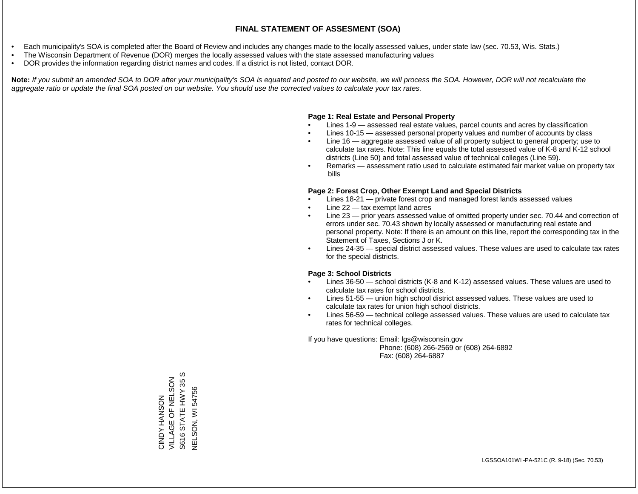- Each municipality's SOA is completed after the Board of Review and includes any changes made to the locally assessed values, under state law (sec. 70.53, Wis. Stats.)
- The Wisconsin Department of Revenue (DOR) merges the locally assessed values with the state assessed manufacturing values
- DOR provides the information regarding district names and codes. If a district is not listed, contact DOR.

Note: If you submit an amended SOA to DOR after your municipality's SOA is equated and posted to our website, we will process the SOA. However, DOR will not recalculate the *aggregate ratio or update the final SOA posted on our website. You should use the corrected values to calculate your tax rates.*

### **Page 1: Real Estate and Personal Property**

- Lines 1-9 assessed real estate values, parcel counts and acres by classification
- Lines 10-15 assessed personal property values and number of accounts by class
- Line 16 aggregate assessed value of all property subject to general property; use to calculate tax rates. Note: This line equals the total assessed value of K-8 and K-12 school districts (Line 50) and total assessed value of technical colleges (Line 59).
- Remarks assessment ratio used to calculate estimated fair market value on property tax bills

### **Page 2: Forest Crop, Other Exempt Land and Special Districts**

- Lines 18-21 private forest crop and managed forest lands assessed values
- Line  $22 -$  tax exempt land acres
- Line 23 prior years assessed value of omitted property under sec. 70.44 and correction of errors under sec. 70.43 shown by locally assessed or manufacturing real estate and personal property. Note: If there is an amount on this line, report the corresponding tax in the Statement of Taxes, Sections J or K.
- Lines 24-35 special district assessed values. These values are used to calculate tax rates for the special districts.

### **Page 3: School Districts**

- Lines 36-50 school districts (K-8 and K-12) assessed values. These values are used to calculate tax rates for school districts.
- Lines 51-55 union high school district assessed values. These values are used to calculate tax rates for union high school districts.
- Lines 56-59 technical college assessed values. These values are used to calculate tax rates for technical colleges.

If you have questions: Email: lgs@wisconsin.gov

 Phone: (608) 266-2569 or (608) 264-6892 Fax: (608) 264-6887

w S616 STATE HWY 35 S VILLAGE OF NELSON VILLAGE OF NELSON 35 S616 STATE HWY VELSON, WI54756 NELSON, WI 54756**CINDY HANSON** CINDY HANSON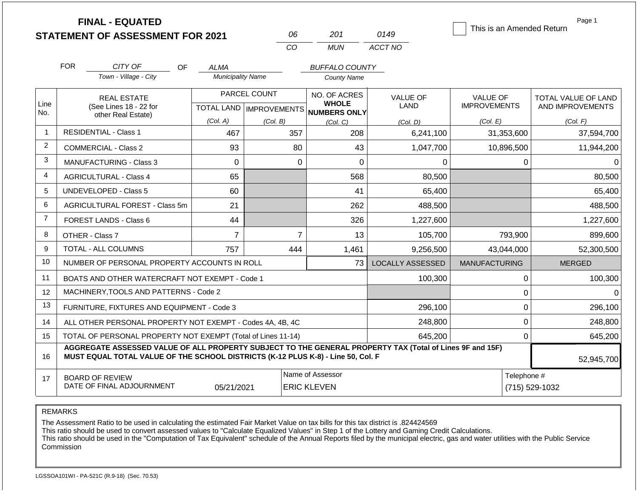|                | <b>FINAL - EQUATED</b><br><b>STATEMENT OF ASSESSMENT FOR 2021</b>                                                                                                                            |                          | 06                                        | 201                                                 | 0149                           | Page 1<br>This is an Amended Return    |                                         |  |
|----------------|----------------------------------------------------------------------------------------------------------------------------------------------------------------------------------------------|--------------------------|-------------------------------------------|-----------------------------------------------------|--------------------------------|----------------------------------------|-----------------------------------------|--|
|                |                                                                                                                                                                                              |                          | CO                                        | <b>MUN</b>                                          | ACCT NO                        |                                        |                                         |  |
|                | <b>FOR</b><br>CITY OF<br>OF.                                                                                                                                                                 | ALMA                     |                                           | <b>BUFFALO COUNTY</b>                               |                                |                                        |                                         |  |
|                | Town - Village - City                                                                                                                                                                        | <b>Municipality Name</b> |                                           | <b>County Name</b>                                  |                                |                                        |                                         |  |
| Line<br>No.    | <b>REAL ESTATE</b><br>(See Lines 18 - 22 for                                                                                                                                                 |                          | PARCEL COUNT<br>TOTAL LAND   IMPROVEMENTS | NO. OF ACRES<br><b>WHOLE</b><br><b>NUMBERS ONLY</b> | <b>VALUE OF</b><br><b>LAND</b> | <b>VALUE OF</b><br><b>IMPROVEMENTS</b> | TOTAL VALUE OF LAND<br>AND IMPROVEMENTS |  |
|                | other Real Estate)                                                                                                                                                                           | (Col. A)                 | (Col. B)                                  | (Col, C)                                            | (Col, D)                       | (Col. E)                               | (Col. F)                                |  |
| $\mathbf{1}$   | <b>RESIDENTIAL - Class 1</b>                                                                                                                                                                 | 467                      | 357                                       | 208                                                 | 6,241,100                      | 31,353,600                             | 37,594,700                              |  |
| $\overline{2}$ | <b>COMMERCIAL - Class 2</b>                                                                                                                                                                  | 93                       | 80                                        | 43                                                  | 1,047,700                      | 10,896,500                             | 11,944,200                              |  |
| 3              | <b>MANUFACTURING - Class 3</b>                                                                                                                                                               | $\Omega$                 |                                           | $\Omega$<br>$\overline{0}$                          | $\Omega$                       | $\Omega$                               | $\Omega$                                |  |
| 4              | <b>AGRICULTURAL - Class 4</b>                                                                                                                                                                | 65                       |                                           | 568                                                 | 80,500                         |                                        | 80,500                                  |  |
| 5              | <b>UNDEVELOPED - Class 5</b>                                                                                                                                                                 | 60                       |                                           | 41                                                  | 65,400                         |                                        | 65,400                                  |  |
| 6              | AGRICULTURAL FOREST - Class 5m                                                                                                                                                               | 21                       |                                           | 262                                                 | 488,500                        |                                        | 488,500                                 |  |
| $\overline{7}$ | FOREST LANDS - Class 6                                                                                                                                                                       | 44                       |                                           | 326                                                 | 1,227,600                      |                                        | 1,227,600                               |  |
| 8              | OTHER - Class 7                                                                                                                                                                              | $\overline{7}$           |                                           | $\overline{7}$<br>13                                | 105,700                        | 793,900                                | 899,600                                 |  |
| 9              | <b>TOTAL - ALL COLUMNS</b>                                                                                                                                                                   | 757                      | 444                                       | 1,461                                               | 9,256,500                      | 43,044,000                             | 52,300,500                              |  |
| 10             | NUMBER OF PERSONAL PROPERTY ACCOUNTS IN ROLL                                                                                                                                                 |                          |                                           | 73                                                  | <b>LOCALLY ASSESSED</b>        | <b>MANUFACTURING</b>                   | <b>MERGED</b>                           |  |
| 11             | BOATS AND OTHER WATERCRAFT NOT EXEMPT - Code 1                                                                                                                                               |                          |                                           |                                                     | 100,300                        | $\mathbf 0$                            | 100,300                                 |  |
| 12             | MACHINERY, TOOLS AND PATTERNS - Code 2                                                                                                                                                       |                          |                                           |                                                     |                                | $\mathbf 0$                            | $\Omega$                                |  |
| 13             | FURNITURE, FIXTURES AND EQUIPMENT - Code 3                                                                                                                                                   |                          |                                           |                                                     | 296,100                        | $\mathbf 0$                            | 296,100                                 |  |
| 14             | ALL OTHER PERSONAL PROPERTY NOT EXEMPT - Codes 4A, 4B, 4C                                                                                                                                    |                          |                                           |                                                     | 248,800                        | $\mathbf 0$                            | 248,800                                 |  |
| 15             | TOTAL OF PERSONAL PROPERTY NOT EXEMPT (Total of Lines 11-14)                                                                                                                                 |                          |                                           |                                                     | 645,200                        | $\mathbf 0$                            | 645,200                                 |  |
| 16             | AGGREGATE ASSESSED VALUE OF ALL PROPERTY SUBJECT TO THE GENERAL PROPERTY TAX (Total of Lines 9F and 15F)<br>MUST EQUAL TOTAL VALUE OF THE SCHOOL DISTRICTS (K-12 PLUS K-8) - Line 50, Col. F |                          |                                           |                                                     |                                |                                        | 52,945,700                              |  |
| 17             | <b>BOARD OF REVIEW</b><br>DATE OF FINAL ADJOURNMENT                                                                                                                                          | 05/21/2021               |                                           | Name of Assessor<br><b>ERIC KLEVEN</b>              | Telephone #                    | (715) 529-1032                         |                                         |  |

The Assessment Ratio to be used in calculating the estimated Fair Market Value on tax bills for this tax district is .824424569

This ratio should be used to convert assessed values to "Calculate Equalized Values" in Step 1 of the Lottery and Gaming Credit Calculations.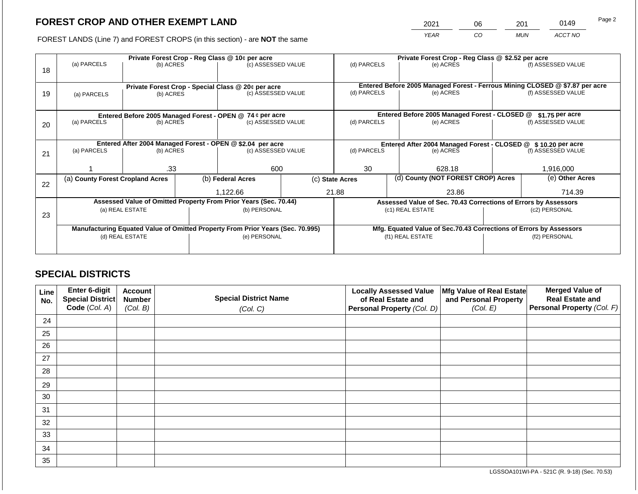2021 06 201 0149

FOREST LANDS (Line 7) and FOREST CROPS (in this section) - are **NOT** the same *YEAR CO MUN ACCT NO*

|    |                                  |                 |  | Private Forest Crop - Reg Class @ 10¢ per acre                                 |                                                       | Private Forest Crop - Reg Class @ \$2.52 per acre |  |                                                               |                                                                    |                                                                              |
|----|----------------------------------|-----------------|--|--------------------------------------------------------------------------------|-------------------------------------------------------|---------------------------------------------------|--|---------------------------------------------------------------|--------------------------------------------------------------------|------------------------------------------------------------------------------|
|    | (a) PARCELS                      | (b) ACRES       |  | (c) ASSESSED VALUE                                                             |                                                       | (d) PARCELS                                       |  | (e) ACRES                                                     |                                                                    | (f) ASSESSED VALUE                                                           |
| 18 |                                  |                 |  |                                                                                |                                                       |                                                   |  |                                                               |                                                                    |                                                                              |
|    |                                  |                 |  |                                                                                |                                                       |                                                   |  |                                                               |                                                                    | Entered Before 2005 Managed Forest - Ferrous Mining CLOSED @ \$7.87 per acre |
|    |                                  |                 |  | Private Forest Crop - Special Class @ 20¢ per acre<br>(c) ASSESSED VALUE       |                                                       | (d) PARCELS                                       |  | (e) ACRES                                                     |                                                                    | (f) ASSESSED VALUE                                                           |
| 19 | (a) PARCELS                      | (b) ACRES       |  |                                                                                |                                                       |                                                   |  |                                                               |                                                                    |                                                                              |
|    |                                  |                 |  |                                                                                |                                                       |                                                   |  |                                                               |                                                                    |                                                                              |
|    |                                  |                 |  | Entered Before 2005 Managed Forest - OPEN @ 74 ¢ per acre                      |                                                       |                                                   |  | Entered Before 2005 Managed Forest - CLOSED @                 |                                                                    | \$1.75 per acre                                                              |
| 20 | (a) PARCELS<br>(b) ACRES         |                 |  | (c) ASSESSED VALUE                                                             |                                                       | (d) PARCELS                                       |  | (e) ACRES                                                     |                                                                    | (f) ASSESSED VALUE                                                           |
|    |                                  |                 |  |                                                                                |                                                       |                                                   |  |                                                               |                                                                    |                                                                              |
|    |                                  |                 |  |                                                                                |                                                       |                                                   |  |                                                               |                                                                    |                                                                              |
|    |                                  |                 |  | Entered After 2004 Managed Forest - OPEN @ \$2.04 per acre                     |                                                       |                                                   |  | Entered After 2004 Managed Forest - CLOSED @ \$10.20 per acre |                                                                    |                                                                              |
| 21 | (a) PARCELS                      | (b) ACRES       |  | (c) ASSESSED VALUE                                                             |                                                       | (d) PARCELS                                       |  | (e) ACRES                                                     |                                                                    | (f) ASSESSED VALUE                                                           |
|    |                                  |                 |  |                                                                                |                                                       |                                                   |  |                                                               |                                                                    |                                                                              |
|    |                                  | .33             |  | 600                                                                            |                                                       | 30                                                |  | 628.18                                                        |                                                                    | 1,916,000                                                                    |
|    | (a) County Forest Cropland Acres |                 |  | (b) Federal Acres                                                              | (d) County (NOT FOREST CROP) Acres<br>(c) State Acres |                                                   |  |                                                               | (e) Other Acres                                                    |                                                                              |
| 22 |                                  |                 |  |                                                                                |                                                       |                                                   |  |                                                               |                                                                    |                                                                              |
|    |                                  |                 |  | 1,122.66                                                                       |                                                       | 21.88                                             |  | 23.86                                                         |                                                                    | 714.39                                                                       |
|    |                                  |                 |  | Assessed Value of Omitted Property From Prior Years (Sec. 70.44)               |                                                       |                                                   |  |                                                               | Assessed Value of Sec. 70.43 Corrections of Errors by Assessors    |                                                                              |
|    |                                  | (a) REAL ESTATE |  | (b) PERSONAL                                                                   |                                                       |                                                   |  | (c1) REAL ESTATE                                              |                                                                    | (c2) PERSONAL                                                                |
| 23 |                                  |                 |  |                                                                                |                                                       |                                                   |  |                                                               |                                                                    |                                                                              |
|    |                                  |                 |  | Manufacturing Equated Value of Omitted Property From Prior Years (Sec. 70.995) |                                                       |                                                   |  |                                                               | Mfg. Equated Value of Sec.70.43 Corrections of Errors by Assessors |                                                                              |
|    | (d) REAL ESTATE                  |                 |  | (e) PERSONAL                                                                   | (f1) REAL ESTATE                                      |                                                   |  | (f2) PERSONAL                                                 |                                                                    |                                                                              |
|    |                                  |                 |  |                                                                                |                                                       |                                                   |  |                                                               |                                                                    |                                                                              |
|    |                                  |                 |  |                                                                                |                                                       |                                                   |  |                                                               |                                                                    |                                                                              |

# **SPECIAL DISTRICTS**

| Line<br>No. | Enter 6-digit<br>Special District<br>Code (Col. A) | <b>Account</b><br><b>Number</b><br>(Col. B) | <b>Special District Name</b><br>(Col. C) | <b>Locally Assessed Value</b><br>of Real Estate and<br><b>Personal Property (Col. D)</b> | Mfg Value of Real Estate<br>and Personal Property<br>(Col. E) | <b>Merged Value of</b><br><b>Real Estate and</b><br>Personal Property (Col. F) |
|-------------|----------------------------------------------------|---------------------------------------------|------------------------------------------|------------------------------------------------------------------------------------------|---------------------------------------------------------------|--------------------------------------------------------------------------------|
| 24          |                                                    |                                             |                                          |                                                                                          |                                                               |                                                                                |
| 25          |                                                    |                                             |                                          |                                                                                          |                                                               |                                                                                |
| 26          |                                                    |                                             |                                          |                                                                                          |                                                               |                                                                                |
| 27          |                                                    |                                             |                                          |                                                                                          |                                                               |                                                                                |
| 28          |                                                    |                                             |                                          |                                                                                          |                                                               |                                                                                |
| 29          |                                                    |                                             |                                          |                                                                                          |                                                               |                                                                                |
| 30          |                                                    |                                             |                                          |                                                                                          |                                                               |                                                                                |
| 31          |                                                    |                                             |                                          |                                                                                          |                                                               |                                                                                |
| 32          |                                                    |                                             |                                          |                                                                                          |                                                               |                                                                                |
| 33          |                                                    |                                             |                                          |                                                                                          |                                                               |                                                                                |
| 34          |                                                    |                                             |                                          |                                                                                          |                                                               |                                                                                |
| 35          |                                                    |                                             |                                          |                                                                                          |                                                               |                                                                                |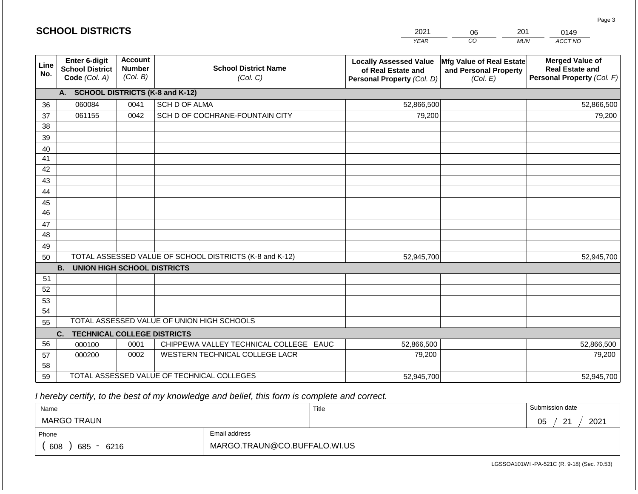|             | <b>SCHOOL DISTRICTS</b>                                         |                                             |                                                         | 2021                                                                              | 201<br>06                                                     | 0149                                                                           |
|-------------|-----------------------------------------------------------------|---------------------------------------------|---------------------------------------------------------|-----------------------------------------------------------------------------------|---------------------------------------------------------------|--------------------------------------------------------------------------------|
|             |                                                                 |                                             |                                                         | <b>YEAR</b>                                                                       | CO                                                            | ACCT NO<br><b>MUN</b>                                                          |
| Line<br>No. | <b>Enter 6-digit</b><br><b>School District</b><br>Code (Col. A) | <b>Account</b><br><b>Number</b><br>(Col. B) | <b>School District Name</b><br>(Col. C)                 | <b>Locally Assessed Value</b><br>of Real Estate and<br>Personal Property (Col. D) | Mfg Value of Real Estate<br>and Personal Property<br>(Col. E) | <b>Merged Value of</b><br><b>Real Estate and</b><br>Personal Property (Col. F) |
|             | A. SCHOOL DISTRICTS (K-8 and K-12)                              |                                             |                                                         |                                                                                   |                                                               |                                                                                |
| 36          | 060084                                                          | 0041                                        | SCH D OF ALMA                                           | 52,866,500                                                                        |                                                               | 52,866,500                                                                     |
| 37          | 061155                                                          | 0042                                        | SCH D OF COCHRANE-FOUNTAIN CITY                         | 79,200                                                                            |                                                               | 79,200                                                                         |
| 38          |                                                                 |                                             |                                                         |                                                                                   |                                                               |                                                                                |
| 39          |                                                                 |                                             |                                                         |                                                                                   |                                                               |                                                                                |
| 40          |                                                                 |                                             |                                                         |                                                                                   |                                                               |                                                                                |
| 41          |                                                                 |                                             |                                                         |                                                                                   |                                                               |                                                                                |
| 42          |                                                                 |                                             |                                                         |                                                                                   |                                                               |                                                                                |
| 43          |                                                                 |                                             |                                                         |                                                                                   |                                                               |                                                                                |
| 44<br>45    |                                                                 |                                             |                                                         |                                                                                   |                                                               |                                                                                |
| 46          |                                                                 |                                             |                                                         |                                                                                   |                                                               |                                                                                |
| 47          |                                                                 |                                             |                                                         |                                                                                   |                                                               |                                                                                |
| 48          |                                                                 |                                             |                                                         |                                                                                   |                                                               |                                                                                |
| 49          |                                                                 |                                             |                                                         |                                                                                   |                                                               |                                                                                |
| 50          |                                                                 |                                             | TOTAL ASSESSED VALUE OF SCHOOL DISTRICTS (K-8 and K-12) | 52,945,700                                                                        |                                                               | 52,945,700                                                                     |
|             | <b>B. UNION HIGH SCHOOL DISTRICTS</b>                           |                                             |                                                         |                                                                                   |                                                               |                                                                                |
| 51          |                                                                 |                                             |                                                         |                                                                                   |                                                               |                                                                                |
| 52          |                                                                 |                                             |                                                         |                                                                                   |                                                               |                                                                                |
| 53          |                                                                 |                                             |                                                         |                                                                                   |                                                               |                                                                                |
| 54          |                                                                 |                                             |                                                         |                                                                                   |                                                               |                                                                                |
| 55          |                                                                 |                                             | TOTAL ASSESSED VALUE OF UNION HIGH SCHOOLS              |                                                                                   |                                                               |                                                                                |
|             | <b>TECHNICAL COLLEGE DISTRICTS</b><br>C.                        |                                             |                                                         |                                                                                   |                                                               |                                                                                |
| 56          | 000100                                                          | 0001                                        | CHIPPEWA VALLEY TECHNICAL COLLEGE EAUC                  | 52,866,500                                                                        |                                                               | 52,866,500                                                                     |
| 57          | 000200                                                          | 0002                                        | WESTERN TECHNICAL COLLEGE LACR                          | 79,200                                                                            |                                                               | 79,200                                                                         |
| 58          |                                                                 |                                             |                                                         |                                                                                   |                                                               |                                                                                |
| 59          |                                                                 |                                             | TOTAL ASSESSED VALUE OF TECHNICAL COLLEGES              | 52,945,700                                                                        |                                                               | 52,945,700                                                                     |

| Name               |                              | Title | Submission date               |
|--------------------|------------------------------|-------|-------------------------------|
| <b>MARGO TRAUN</b> |                              |       | 2021<br>05<br>ົດ4<br><u>_</u> |
| Phone              | Email address                |       |                               |
| 608<br>685<br>6216 | MARGO.TRAUN@CO.BUFFALO.WI.US |       |                               |

LGSSOA101WI -PA-521C (R. 9-18) (Sec. 70.53)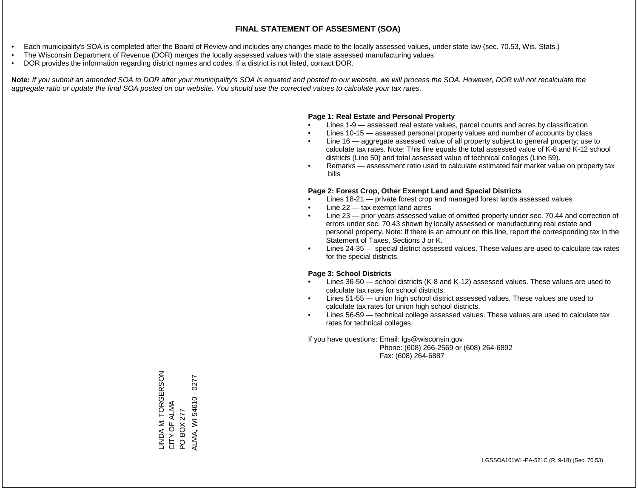- Each municipality's SOA is completed after the Board of Review and includes any changes made to the locally assessed values, under state law (sec. 70.53, Wis. Stats.)
- The Wisconsin Department of Revenue (DOR) merges the locally assessed values with the state assessed manufacturing values
- DOR provides the information regarding district names and codes. If a district is not listed, contact DOR.

Note: If you submit an amended SOA to DOR after your municipality's SOA is equated and posted to our website, we will process the SOA. However, DOR will not recalculate the *aggregate ratio or update the final SOA posted on our website. You should use the corrected values to calculate your tax rates.*

#### **Page 1: Real Estate and Personal Property**

- Lines 1-9 assessed real estate values, parcel counts and acres by classification
- Lines 10-15 assessed personal property values and number of accounts by class
- Line 16 aggregate assessed value of all property subject to general property; use to calculate tax rates. Note: This line equals the total assessed value of K-8 and K-12 school districts (Line 50) and total assessed value of technical colleges (Line 59).
- Remarks assessment ratio used to calculate estimated fair market value on property tax bills

#### **Page 2: Forest Crop, Other Exempt Land and Special Districts**

- Lines 18-21 private forest crop and managed forest lands assessed values
- Line  $22 -$  tax exempt land acres
- Line 23 prior years assessed value of omitted property under sec. 70.44 and correction of errors under sec. 70.43 shown by locally assessed or manufacturing real estate and personal property. Note: If there is an amount on this line, report the corresponding tax in the Statement of Taxes, Sections J or K.
- Lines 24-35 special district assessed values. These values are used to calculate tax rates for the special districts.

#### **Page 3: School Districts**

- Lines 36-50 school districts (K-8 and K-12) assessed values. These values are used to calculate tax rates for school districts.
- Lines 51-55 union high school district assessed values. These values are used to calculate tax rates for union high school districts.
- Lines 56-59 technical college assessed values. These values are used to calculate tax rates for technical colleges.

If you have questions: Email: lgs@wisconsin.gov

 Phone: (608) 266-2569 or (608) 264-6892 Fax: (608) 264-6887

INDA M. TORGERSON LINDA M. TORGERSON ALMA, WI 54610 - 0277 ALMA, WI 54610 - 0277CITY OF ALMA CITY OF ALMA PO BOX 277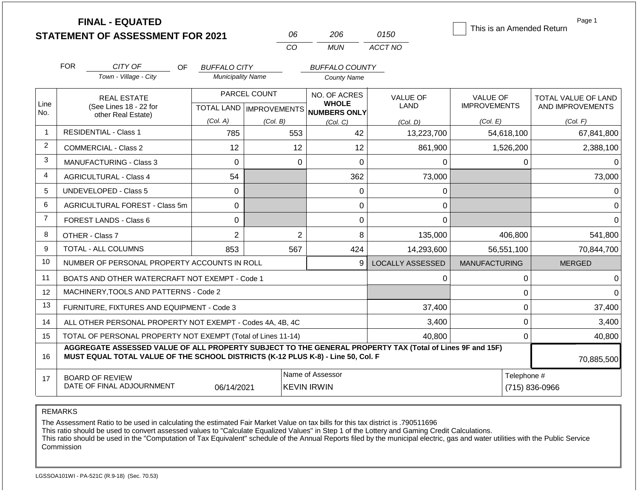|                |            | <b>FINAL - EQUATED</b><br><b>STATEMENT OF ASSESSMENT FOR 2021</b>                                                                                                                            |                          |                      | 06             | 206                                                                 | 0150                           | This is an Amended Return              | Page 1                                         |
|----------------|------------|----------------------------------------------------------------------------------------------------------------------------------------------------------------------------------------------|--------------------------|----------------------|----------------|---------------------------------------------------------------------|--------------------------------|----------------------------------------|------------------------------------------------|
|                |            |                                                                                                                                                                                              |                          |                      | CO             | <b>MUN</b>                                                          | ACCT NO                        |                                        |                                                |
|                | <b>FOR</b> | CITY OF<br><b>OF</b>                                                                                                                                                                         | <b>BUFFALO CITY</b>      |                      |                | <b>BUFFALO COUNTY</b>                                               |                                |                                        |                                                |
|                |            | Town - Village - City                                                                                                                                                                        | <b>Municipality Name</b> |                      |                | <b>County Name</b>                                                  |                                |                                        |                                                |
| Line<br>No.    |            | <b>REAL ESTATE</b><br>(See Lines 18 - 22 for                                                                                                                                                 |                          | PARCEL COUNT         |                | NO. OF ACRES<br><b>WHOLE</b><br>TOTAL LAND MPROVEMENTS NUMBERS ONLY | <b>VALUE OF</b><br><b>LAND</b> | <b>VALUE OF</b><br><b>IMPROVEMENTS</b> | <b>TOTAL VALUE OF LAND</b><br>AND IMPROVEMENTS |
|                |            | other Real Estate)                                                                                                                                                                           | (Col. A)                 | (Col. B)<br>(Col, C) |                | (Col. D)                                                            | (Col. E)                       | (Col. F)                               |                                                |
| $\mathbf{1}$   |            | <b>RESIDENTIAL - Class 1</b>                                                                                                                                                                 | 785                      |                      | 553            | 42                                                                  | 13,223,700                     | 54,618,100                             | 67,841,800                                     |
| 2              |            | <b>COMMERCIAL - Class 2</b>                                                                                                                                                                  | 12                       |                      | 12             | 12                                                                  | 861,900                        | 1,526,200                              | 2,388,100                                      |
| 3              |            | <b>MANUFACTURING - Class 3</b>                                                                                                                                                               | 0                        |                      | 0              | $\overline{0}$                                                      | 0                              | $\mathbf{0}$                           | $\Omega$                                       |
| 4              |            | <b>AGRICULTURAL - Class 4</b>                                                                                                                                                                |                          |                      |                | 362                                                                 | 73,000                         |                                        | 73,000                                         |
| 5              |            | <b>UNDEVELOPED - Class 5</b>                                                                                                                                                                 | 0                        |                      |                | $\Omega$                                                            | 0                              |                                        | 0                                              |
| 6              |            | AGRICULTURAL FOREST - Class 5m                                                                                                                                                               | 0                        |                      |                | 0                                                                   | 0                              |                                        | $\Omega$                                       |
| $\overline{7}$ |            | <b>FOREST LANDS - Class 6</b>                                                                                                                                                                | 0                        |                      |                | $\Omega$                                                            | 0                              |                                        | $\Omega$                                       |
| 8              |            | OTHER - Class 7                                                                                                                                                                              | $\overline{2}$           |                      | $\overline{2}$ | 8                                                                   | 135,000                        | 406,800                                | 541,800                                        |
| 9              |            | TOTAL - ALL COLUMNS                                                                                                                                                                          | 853                      |                      | 567            | 424                                                                 | 14,293,600                     | 56,551,100                             | 70,844,700                                     |
| 10             |            | NUMBER OF PERSONAL PROPERTY ACCOUNTS IN ROLL                                                                                                                                                 |                          |                      |                | 9                                                                   | <b>LOCALLY ASSESSED</b>        | <b>MANUFACTURING</b>                   | <b>MERGED</b>                                  |
| 11             |            | BOATS AND OTHER WATERCRAFT NOT EXEMPT - Code 1                                                                                                                                               |                          |                      |                |                                                                     | 0                              | $\mathbf{0}$                           | $\Omega$                                       |
| 12             |            | MACHINERY, TOOLS AND PATTERNS - Code 2                                                                                                                                                       |                          |                      |                |                                                                     |                                | $\mathbf 0$                            | $\Omega$                                       |
| 13             |            | FURNITURE, FIXTURES AND EQUIPMENT - Code 3                                                                                                                                                   |                          |                      |                |                                                                     | 37,400                         | $\mathbf 0$                            | 37,400                                         |
| 14             |            | ALL OTHER PERSONAL PROPERTY NOT EXEMPT - Codes 4A, 4B, 4C                                                                                                                                    |                          |                      |                |                                                                     | 3,400                          | $\mathbf 0$                            | 3,400                                          |
| 15             |            | TOTAL OF PERSONAL PROPERTY NOT EXEMPT (Total of Lines 11-14)                                                                                                                                 |                          |                      |                |                                                                     | 40.800                         | $\mathbf{0}$                           | 40,800                                         |
| 16             |            | AGGREGATE ASSESSED VALUE OF ALL PROPERTY SUBJECT TO THE GENERAL PROPERTY TAX (Total of Lines 9F and 15F)<br>MUST EQUAL TOTAL VALUE OF THE SCHOOL DISTRICTS (K-12 PLUS K-8) - Line 50, Col. F |                          |                      |                |                                                                     |                                |                                        | 70,885,500                                     |
| 17             |            | <b>BOARD OF REVIEW</b><br>DATE OF FINAL ADJOURNMENT                                                                                                                                          | 06/14/2021               |                      |                | Name of Assessor<br><b>KEVIN IRWIN</b>                              |                                | Telephone #                            | (715) 836-0966                                 |

The Assessment Ratio to be used in calculating the estimated Fair Market Value on tax bills for this tax district is .790511696

This ratio should be used to convert assessed values to "Calculate Equalized Values" in Step 1 of the Lottery and Gaming Credit Calculations.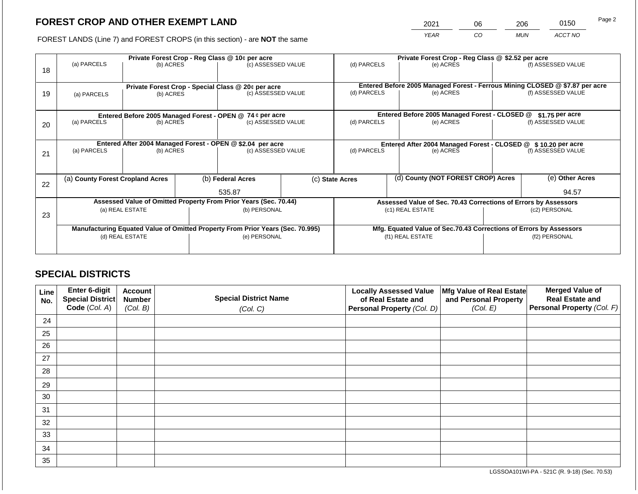2021 06 206 0150

FOREST LANDS (Line 7) and FOREST CROPS (in this section) - are **NOT** the same *YEAR CO MUN ACCT NO*

| 18 | (a) PARCELS                                                                    | (b) ACRES       | Private Forest Crop - Reg Class @ 10¢ per acre<br>(c) ASSESSED VALUE |                                                                          |                                                               | Private Forest Crop - Reg Class @ \$2.52 per acre<br>(d) PARCELS<br>(e) ACRES |  |                                                                                           | (f) ASSESSED VALUE |                    |
|----|--------------------------------------------------------------------------------|-----------------|----------------------------------------------------------------------|--------------------------------------------------------------------------|---------------------------------------------------------------|-------------------------------------------------------------------------------|--|-------------------------------------------------------------------------------------------|--------------------|--------------------|
| 19 | (a) PARCELS                                                                    | (b) ACRES       |                                                                      | Private Forest Crop - Special Class @ 20¢ per acre<br>(c) ASSESSED VALUE |                                                               | (d) PARCELS                                                                   |  | Entered Before 2005 Managed Forest - Ferrous Mining CLOSED @ \$7.87 per acre<br>(e) ACRES |                    | (f) ASSESSED VALUE |
|    |                                                                                |                 |                                                                      | Entered Before 2005 Managed Forest - OPEN @ 74 ¢ per acre                |                                                               |                                                                               |  | Entered Before 2005 Managed Forest - CLOSED @                                             |                    | $$1.75$ per acre   |
| 20 | (a) PARCELS<br>(b) ACRES                                                       |                 |                                                                      | (c) ASSESSED VALUE                                                       |                                                               | (d) PARCELS                                                                   |  | (e) ACRES                                                                                 |                    | (f) ASSESSED VALUE |
|    |                                                                                |                 |                                                                      | Entered After 2004 Managed Forest - OPEN @ \$2.04 per acre               | Entered After 2004 Managed Forest - CLOSED @ \$10.20 per acre |                                                                               |  |                                                                                           |                    |                    |
| 21 | (a) PARCELS                                                                    | (b) ACRES       |                                                                      | (c) ASSESSED VALUE                                                       |                                                               | (d) PARCELS                                                                   |  | (e) ACRES                                                                                 |                    | (f) ASSESSED VALUE |
|    | (a) County Forest Cropland Acres                                               |                 |                                                                      | (b) Federal Acres                                                        |                                                               | (c) State Acres                                                               |  | (d) County (NOT FOREST CROP) Acres                                                        |                    | (e) Other Acres    |
| 22 |                                                                                |                 |                                                                      | 535.87                                                                   |                                                               |                                                                               |  |                                                                                           |                    | 94.57              |
|    |                                                                                |                 |                                                                      | Assessed Value of Omitted Property From Prior Years (Sec. 70.44)         |                                                               | Assessed Value of Sec. 70.43 Corrections of Errors by Assessors               |  |                                                                                           |                    |                    |
| 23 | (a) REAL ESTATE                                                                |                 |                                                                      | (b) PERSONAL                                                             | (c1) REAL ESTATE                                              |                                                                               |  | (c2) PERSONAL                                                                             |                    |                    |
|    | Manufacturing Equated Value of Omitted Property From Prior Years (Sec. 70.995) |                 | Mfg. Equated Value of Sec.70.43 Corrections of Errors by Assessors   |                                                                          |                                                               |                                                                               |  |                                                                                           |                    |                    |
|    |                                                                                | (d) REAL ESTATE |                                                                      | (e) PERSONAL                                                             |                                                               |                                                                               |  | (f1) REAL ESTATE                                                                          |                    | (f2) PERSONAL      |
|    |                                                                                |                 |                                                                      |                                                                          |                                                               |                                                                               |  |                                                                                           |                    |                    |

# **SPECIAL DISTRICTS**

| Line<br>No. | <b>Enter 6-digit</b><br>Special District | <b>Account</b><br><b>Number</b> | <b>Special District Name</b> | <b>Locally Assessed Value</b><br>of Real Estate and | Mfg Value of Real Estate<br>and Personal Property | <b>Merged Value of</b><br><b>Real Estate and</b> |
|-------------|------------------------------------------|---------------------------------|------------------------------|-----------------------------------------------------|---------------------------------------------------|--------------------------------------------------|
|             | Code (Col. A)                            | (Col. B)                        | (Col. C)                     | Personal Property (Col. D)                          | (Col. E)                                          | <b>Personal Property (Col. F)</b>                |
| 24          |                                          |                                 |                              |                                                     |                                                   |                                                  |
| 25          |                                          |                                 |                              |                                                     |                                                   |                                                  |
| 26          |                                          |                                 |                              |                                                     |                                                   |                                                  |
| 27          |                                          |                                 |                              |                                                     |                                                   |                                                  |
| 28          |                                          |                                 |                              |                                                     |                                                   |                                                  |
| 29          |                                          |                                 |                              |                                                     |                                                   |                                                  |
| 30          |                                          |                                 |                              |                                                     |                                                   |                                                  |
| 31          |                                          |                                 |                              |                                                     |                                                   |                                                  |
| 32          |                                          |                                 |                              |                                                     |                                                   |                                                  |
| 33          |                                          |                                 |                              |                                                     |                                                   |                                                  |
| 34          |                                          |                                 |                              |                                                     |                                                   |                                                  |
| 35          |                                          |                                 |                              |                                                     |                                                   |                                                  |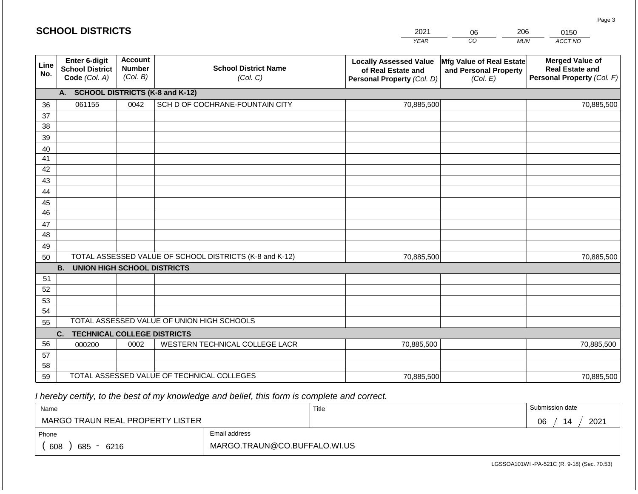|             | <b>SCHOOL DISTRICTS</b>                                  |                                             |                                                         | 2021                                                                              | 06                                                                   | 206        | 0150                                                                           |
|-------------|----------------------------------------------------------|---------------------------------------------|---------------------------------------------------------|-----------------------------------------------------------------------------------|----------------------------------------------------------------------|------------|--------------------------------------------------------------------------------|
|             |                                                          |                                             |                                                         | <b>YEAR</b>                                                                       | CO                                                                   | <b>MUN</b> | ACCT NO                                                                        |
| Line<br>No. | Enter 6-digit<br><b>School District</b><br>Code (Col. A) | <b>Account</b><br><b>Number</b><br>(Col. B) | <b>School District Name</b><br>(Col. C)                 | <b>Locally Assessed Value</b><br>of Real Estate and<br>Personal Property (Col. D) | <b>Mfg Value of Real Estate</b><br>and Personal Property<br>(Col. E) |            | <b>Merged Value of</b><br><b>Real Estate and</b><br>Personal Property (Col. F) |
|             | A.                                                       |                                             | <b>SCHOOL DISTRICTS (K-8 and K-12)</b>                  |                                                                                   |                                                                      |            |                                                                                |
| 36          | 061155                                                   | 0042                                        | SCH D OF COCHRANE-FOUNTAIN CITY                         | 70,885,500                                                                        |                                                                      |            | 70,885,500                                                                     |
| 37          |                                                          |                                             |                                                         |                                                                                   |                                                                      |            |                                                                                |
| 38          |                                                          |                                             |                                                         |                                                                                   |                                                                      |            |                                                                                |
| 39          |                                                          |                                             |                                                         |                                                                                   |                                                                      |            |                                                                                |
| 40          |                                                          |                                             |                                                         |                                                                                   |                                                                      |            |                                                                                |
| 41          |                                                          |                                             |                                                         |                                                                                   |                                                                      |            |                                                                                |
| 42          |                                                          |                                             |                                                         |                                                                                   |                                                                      |            |                                                                                |
| 43          |                                                          |                                             |                                                         |                                                                                   |                                                                      |            |                                                                                |
| 44<br>45    |                                                          |                                             |                                                         |                                                                                   |                                                                      |            |                                                                                |
| 46          |                                                          |                                             |                                                         |                                                                                   |                                                                      |            |                                                                                |
| 47          |                                                          |                                             |                                                         |                                                                                   |                                                                      |            |                                                                                |
| 48          |                                                          |                                             |                                                         |                                                                                   |                                                                      |            |                                                                                |
| 49          |                                                          |                                             |                                                         |                                                                                   |                                                                      |            |                                                                                |
| 50          |                                                          |                                             | TOTAL ASSESSED VALUE OF SCHOOL DISTRICTS (K-8 and K-12) | 70,885,500                                                                        |                                                                      |            | 70,885,500                                                                     |
|             | <b>B. UNION HIGH SCHOOL DISTRICTS</b>                    |                                             |                                                         |                                                                                   |                                                                      |            |                                                                                |
| 51          |                                                          |                                             |                                                         |                                                                                   |                                                                      |            |                                                                                |
| 52          |                                                          |                                             |                                                         |                                                                                   |                                                                      |            |                                                                                |
| 53          |                                                          |                                             |                                                         |                                                                                   |                                                                      |            |                                                                                |
| 54          |                                                          |                                             |                                                         |                                                                                   |                                                                      |            |                                                                                |
| 55          |                                                          |                                             | TOTAL ASSESSED VALUE OF UNION HIGH SCHOOLS              |                                                                                   |                                                                      |            |                                                                                |
|             | C.<br><b>TECHNICAL COLLEGE DISTRICTS</b>                 |                                             |                                                         |                                                                                   |                                                                      |            |                                                                                |
| 56          | 000200                                                   | 0002                                        | WESTERN TECHNICAL COLLEGE LACR                          | 70,885,500                                                                        |                                                                      |            | 70,885,500                                                                     |
| 57          |                                                          |                                             |                                                         |                                                                                   |                                                                      |            |                                                                                |
| 58          |                                                          |                                             |                                                         |                                                                                   |                                                                      |            |                                                                                |
| 59          |                                                          |                                             | TOTAL ASSESSED VALUE OF TECHNICAL COLLEGES              | 70,885,500                                                                        |                                                                      |            | 70,885,500                                                                     |

| Name                                           |                              | Title | Submission date  |  |  |  |
|------------------------------------------------|------------------------------|-------|------------------|--|--|--|
| MARGO TRAUN REAL PROPERTY LISTER               |                              |       | 2021<br>06<br>14 |  |  |  |
| Phone                                          | Email address                |       |                  |  |  |  |
| 608<br>685<br>6216<br>$\overline{\phantom{0}}$ | MARGO.TRAUN@CO.BUFFALO.WI.US |       |                  |  |  |  |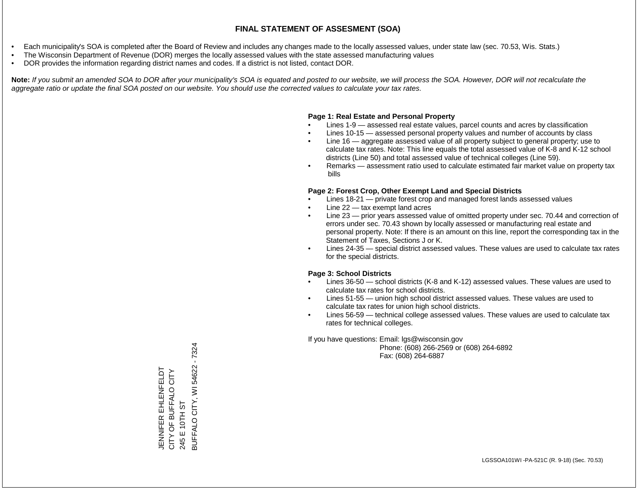- Each municipality's SOA is completed after the Board of Review and includes any changes made to the locally assessed values, under state law (sec. 70.53, Wis. Stats.)
- The Wisconsin Department of Revenue (DOR) merges the locally assessed values with the state assessed manufacturing values
- DOR provides the information regarding district names and codes. If a district is not listed, contact DOR.

Note: If you submit an amended SOA to DOR after your municipality's SOA is equated and posted to our website, we will process the SOA. However, DOR will not recalculate the *aggregate ratio or update the final SOA posted on our website. You should use the corrected values to calculate your tax rates.*

### **Page 1: Real Estate and Personal Property**

- Lines 1-9 assessed real estate values, parcel counts and acres by classification
- Lines 10-15 assessed personal property values and number of accounts by class
- Line 16 aggregate assessed value of all property subject to general property; use to calculate tax rates. Note: This line equals the total assessed value of K-8 and K-12 school districts (Line 50) and total assessed value of technical colleges (Line 59).
- Remarks assessment ratio used to calculate estimated fair market value on property tax bills

### **Page 2: Forest Crop, Other Exempt Land and Special Districts**

- Lines 18-21 private forest crop and managed forest lands assessed values
- Line  $22 -$  tax exempt land acres
- Line 23 prior years assessed value of omitted property under sec. 70.44 and correction of errors under sec. 70.43 shown by locally assessed or manufacturing real estate and personal property. Note: If there is an amount on this line, report the corresponding tax in the Statement of Taxes, Sections J or K.
- Lines 24-35 special district assessed values. These values are used to calculate tax rates for the special districts.

### **Page 3: School Districts**

- Lines 36-50 school districts (K-8 and K-12) assessed values. These values are used to calculate tax rates for school districts.
- Lines 51-55 union high school district assessed values. These values are used to calculate tax rates for union high school districts.
- Lines 56-59 technical college assessed values. These values are used to calculate tax rates for technical colleges.

If you have questions: Email: lgs@wisconsin.gov

 Phone: (608) 266-2569 or (608) 264-6892 Fax: (608) 264-6887

3UFFALO CITY, WI 54622 - 7324 BUFFALO CITY, WI 54622 - 7324**JENNIFER EHLENFELDT<br>CITY OF BUFFALO CITY** JENNIFER EHLENFELDT CITY OF BUFFALO CITY 245 E 10TH ST 245 E 10TH ST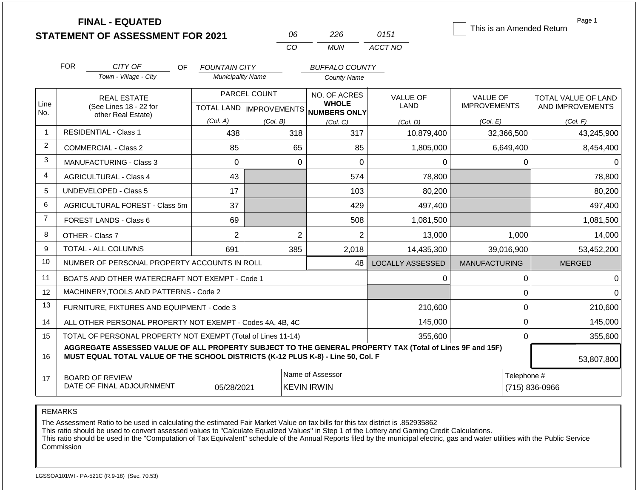|                |                                                                   | <b>FINAL - EQUATED</b><br><b>STATEMENT OF ASSESSMENT FOR 2021</b>                                                                                                                            |                                         |              | 06             | 226                                    | 0151                           | This is an Amended Return              | Page 1                        |  |
|----------------|-------------------------------------------------------------------|----------------------------------------------------------------------------------------------------------------------------------------------------------------------------------------------|-----------------------------------------|--------------|----------------|----------------------------------------|--------------------------------|----------------------------------------|-------------------------------|--|
|                |                                                                   |                                                                                                                                                                                              |                                         |              | CO             | <b>MUN</b>                             | ACCT NO                        |                                        |                               |  |
|                | <b>FOR</b>                                                        | CITY OF<br>OF.                                                                                                                                                                               | <b>FOUNTAIN CITY</b>                    |              |                | <b>BUFFALO COUNTY</b>                  |                                |                                        |                               |  |
|                |                                                                   | Town - Village - City                                                                                                                                                                        | <b>Municipality Name</b>                |              |                | <b>County Name</b>                     |                                |                                        |                               |  |
| Line           |                                                                   | <b>REAL ESTATE</b><br>(See Lines 18 - 22 for                                                                                                                                                 |                                         | PARCEL COUNT |                | NO. OF ACRES<br><b>WHOLE</b>           | <b>VALUE OF</b><br><b>LAND</b> | <b>VALUE OF</b><br><b>IMPROVEMENTS</b> | TOTAL VALUE OF LAND           |  |
| No.            |                                                                   | other Real Estate)                                                                                                                                                                           | TOTAL LAND   IMPROVEMENTS  <br>(Col. A) |              |                | <b>NUMBERS ONLY</b>                    |                                |                                        | AND IMPROVEMENTS              |  |
| $\overline{1}$ |                                                                   | <b>RESIDENTIAL - Class 1</b>                                                                                                                                                                 | 438                                     | (Col. B)     | 318            | (Col, C)<br>317                        | (Col. D)<br>10,879,400         | (Col. E)<br>32,366,500                 | (Col. F)<br>43,245,900        |  |
| $\overline{2}$ |                                                                   | <b>COMMERCIAL - Class 2</b>                                                                                                                                                                  | 85                                      |              | 65             | 85                                     | 1,805,000                      | 6,649,400                              | 8,454,400                     |  |
| 3              | <b>MANUFACTURING - Class 3</b>                                    |                                                                                                                                                                                              | $\Omega$                                |              | $\Omega$       | $\Omega$                               | $\Omega$                       | $\mathbf{0}$                           | $\Omega$                      |  |
| $\overline{4}$ | <b>AGRICULTURAL - Class 4</b>                                     |                                                                                                                                                                                              | 43                                      |              |                | 574                                    | 78,800                         |                                        | 78,800                        |  |
| 5              |                                                                   | <b>UNDEVELOPED - Class 5</b>                                                                                                                                                                 | 17                                      |              |                | 103                                    | 80,200                         |                                        | 80,200                        |  |
| 6              |                                                                   | AGRICULTURAL FOREST - Class 5m                                                                                                                                                               | 37                                      |              |                | 429                                    | 497,400                        |                                        | 497,400                       |  |
| $\overline{7}$ |                                                                   | FOREST LANDS - Class 6                                                                                                                                                                       | 69                                      |              |                | 508                                    | 1,081,500                      |                                        | 1,081,500                     |  |
| 8              |                                                                   | OTHER - Class 7                                                                                                                                                                              | $\overline{2}$                          |              | $\overline{2}$ | $\overline{2}$                         | 13,000                         | 1,000                                  | 14,000                        |  |
| 9              |                                                                   | <b>TOTAL - ALL COLUMNS</b>                                                                                                                                                                   | 691                                     |              | 385            | 2,018                                  | 14,435,300                     | 39,016,900                             | 53,452,200                    |  |
| 10             |                                                                   | NUMBER OF PERSONAL PROPERTY ACCOUNTS IN ROLL                                                                                                                                                 |                                         |              |                | 48                                     | <b>LOCALLY ASSESSED</b>        | <b>MANUFACTURING</b>                   | <b>MERGED</b>                 |  |
| 11             |                                                                   | BOATS AND OTHER WATERCRAFT NOT EXEMPT - Code 1                                                                                                                                               |                                         |              |                |                                        | 0                              | $\mathbf 0$                            | $\Omega$                      |  |
| 12             |                                                                   | MACHINERY, TOOLS AND PATTERNS - Code 2                                                                                                                                                       |                                         |              |                |                                        |                                | $\mathbf{0}$                           | $\Omega$                      |  |
| 13             |                                                                   | FURNITURE, FIXTURES AND EQUIPMENT - Code 3                                                                                                                                                   |                                         |              |                |                                        | 210,600                        | $\mathbf 0$                            | 210,600                       |  |
| 14             |                                                                   | ALL OTHER PERSONAL PROPERTY NOT EXEMPT - Codes 4A, 4B, 4C                                                                                                                                    |                                         |              |                |                                        | 145,000                        | $\mathbf 0$                            | 145,000                       |  |
| 15             |                                                                   | TOTAL OF PERSONAL PROPERTY NOT EXEMPT (Total of Lines 11-14)                                                                                                                                 |                                         |              |                |                                        | 355,600                        | $\mathbf 0$                            | 355,600                       |  |
| 16             |                                                                   | AGGREGATE ASSESSED VALUE OF ALL PROPERTY SUBJECT TO THE GENERAL PROPERTY TAX (Total of Lines 9F and 15F)<br>MUST EQUAL TOTAL VALUE OF THE SCHOOL DISTRICTS (K-12 PLUS K-8) - Line 50, Col. F |                                         |              |                |                                        |                                |                                        | 53,807,800                    |  |
| 17             | <b>BOARD OF REVIEW</b><br>DATE OF FINAL ADJOURNMENT<br>05/28/2021 |                                                                                                                                                                                              |                                         |              |                | Name of Assessor<br><b>KEVIN IRWIN</b> |                                |                                        | Telephone #<br>(715) 836-0966 |  |

The Assessment Ratio to be used in calculating the estimated Fair Market Value on tax bills for this tax district is .852935862

This ratio should be used to convert assessed values to "Calculate Equalized Values" in Step 1 of the Lottery and Gaming Credit Calculations.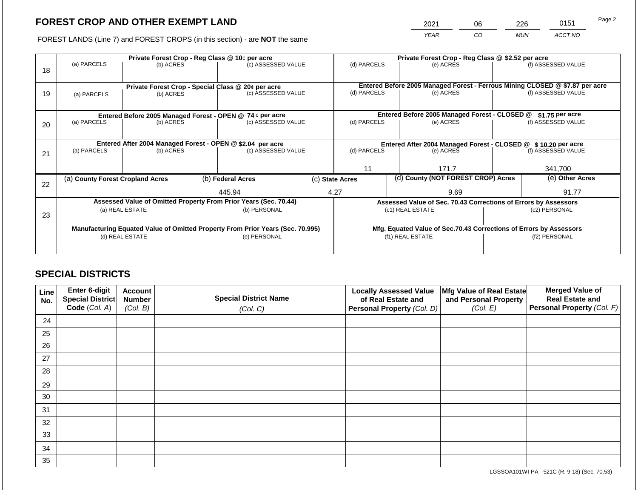2021 06 226 0151

FOREST LANDS (Line 7) and FOREST CROPS (in this section) - are **NOT** the same *YEAR CO MUN ACCT NO*

|    |                                                            |                 |             | Private Forest Crop - Reg Class @ 10¢ per acre                                 |                                                               | Private Forest Crop - Reg Class @ \$2.52 per acre                            |                    |                                                                    |               |                    |
|----|------------------------------------------------------------|-----------------|-------------|--------------------------------------------------------------------------------|---------------------------------------------------------------|------------------------------------------------------------------------------|--------------------|--------------------------------------------------------------------|---------------|--------------------|
| 18 | (a) PARCELS                                                | (b) ACRES       |             | (c) ASSESSED VALUE                                                             |                                                               | (d) PARCELS                                                                  |                    | (e) ACRES                                                          |               | (f) ASSESSED VALUE |
|    |                                                            |                 |             |                                                                                |                                                               |                                                                              |                    |                                                                    |               |                    |
|    |                                                            |                 |             | Private Forest Crop - Special Class @ 20¢ per acre                             |                                                               | Entered Before 2005 Managed Forest - Ferrous Mining CLOSED @ \$7.87 per acre |                    |                                                                    |               |                    |
| 19 | (a) PARCELS                                                | (b) ACRES       |             | (c) ASSESSED VALUE                                                             |                                                               | (d) PARCELS                                                                  | (e) ACRES          |                                                                    |               | (f) ASSESSED VALUE |
|    |                                                            |                 |             |                                                                                |                                                               |                                                                              |                    |                                                                    |               |                    |
|    |                                                            |                 |             | Entered Before 2005 Managed Forest - OPEN @ 74 ¢ per acre                      |                                                               |                                                                              |                    | Entered Before 2005 Managed Forest - CLOSED @                      |               | $$1.75$ per acre   |
| 20 | (a) PARCELS<br>(c) ASSESSED VALUE<br>(b) ACRES             |                 | (d) PARCELS |                                                                                | (e) ACRES                                                     |                                                                              | (f) ASSESSED VALUE |                                                                    |               |                    |
|    |                                                            |                 |             |                                                                                |                                                               |                                                                              |                    |                                                                    |               |                    |
|    | Entered After 2004 Managed Forest - OPEN @ \$2.04 per acre |                 |             |                                                                                | Entered After 2004 Managed Forest - CLOSED @ \$10.20 per acre |                                                                              |                    |                                                                    |               |                    |
| 21 | (a) PARCELS                                                | (b) ACRES       |             | (c) ASSESSED VALUE                                                             |                                                               | (d) PARCELS                                                                  |                    | (e) ACRES                                                          |               | (f) ASSESSED VALUE |
|    |                                                            |                 |             |                                                                                |                                                               |                                                                              |                    |                                                                    |               |                    |
|    |                                                            |                 |             |                                                                                |                                                               | 11                                                                           |                    | 171.7                                                              |               | 341,700            |
| 22 | (a) County Forest Cropland Acres                           |                 |             | (b) Federal Acres                                                              |                                                               | (c) State Acres                                                              |                    | (d) County (NOT FOREST CROP) Acres                                 |               | (e) Other Acres    |
|    |                                                            |                 |             | 445.94                                                                         |                                                               | 4.27                                                                         |                    | 9.69                                                               |               | 91.77              |
|    |                                                            |                 |             | Assessed Value of Omitted Property From Prior Years (Sec. 70.44)               |                                                               |                                                                              |                    | Assessed Value of Sec. 70.43 Corrections of Errors by Assessors    |               |                    |
|    |                                                            | (a) REAL ESTATE |             | (b) PERSONAL                                                                   |                                                               |                                                                              |                    | (c1) REAL ESTATE                                                   |               | (c2) PERSONAL      |
| 23 |                                                            |                 |             |                                                                                |                                                               |                                                                              |                    |                                                                    |               |                    |
|    |                                                            |                 |             | Manufacturing Equated Value of Omitted Property From Prior Years (Sec. 70.995) |                                                               |                                                                              |                    | Mfg. Equated Value of Sec.70.43 Corrections of Errors by Assessors |               |                    |
|    | (d) REAL ESTATE                                            |                 |             | (e) PERSONAL                                                                   |                                                               | (f1) REAL ESTATE                                                             |                    |                                                                    | (f2) PERSONAL |                    |
|    |                                                            |                 |             |                                                                                |                                                               |                                                                              |                    |                                                                    |               |                    |
|    |                                                            |                 |             |                                                                                |                                                               |                                                                              |                    |                                                                    |               |                    |

# **SPECIAL DISTRICTS**

| Line<br>No. | Enter 6-digit<br>Special District<br>Code (Col. A) | <b>Account</b><br><b>Number</b><br>(Col. B) | <b>Special District Name</b><br>(Col. C) | <b>Locally Assessed Value</b><br>of Real Estate and<br><b>Personal Property (Col. D)</b> | Mfg Value of Real Estate<br>and Personal Property<br>(Col. E) | <b>Merged Value of</b><br><b>Real Estate and</b><br>Personal Property (Col. F) |
|-------------|----------------------------------------------------|---------------------------------------------|------------------------------------------|------------------------------------------------------------------------------------------|---------------------------------------------------------------|--------------------------------------------------------------------------------|
| 24          |                                                    |                                             |                                          |                                                                                          |                                                               |                                                                                |
| 25          |                                                    |                                             |                                          |                                                                                          |                                                               |                                                                                |
| 26          |                                                    |                                             |                                          |                                                                                          |                                                               |                                                                                |
| 27          |                                                    |                                             |                                          |                                                                                          |                                                               |                                                                                |
| 28          |                                                    |                                             |                                          |                                                                                          |                                                               |                                                                                |
| 29          |                                                    |                                             |                                          |                                                                                          |                                                               |                                                                                |
| 30          |                                                    |                                             |                                          |                                                                                          |                                                               |                                                                                |
| 31          |                                                    |                                             |                                          |                                                                                          |                                                               |                                                                                |
| 32          |                                                    |                                             |                                          |                                                                                          |                                                               |                                                                                |
| 33          |                                                    |                                             |                                          |                                                                                          |                                                               |                                                                                |
| 34          |                                                    |                                             |                                          |                                                                                          |                                                               |                                                                                |
| 35          |                                                    |                                             |                                          |                                                                                          |                                                               |                                                                                |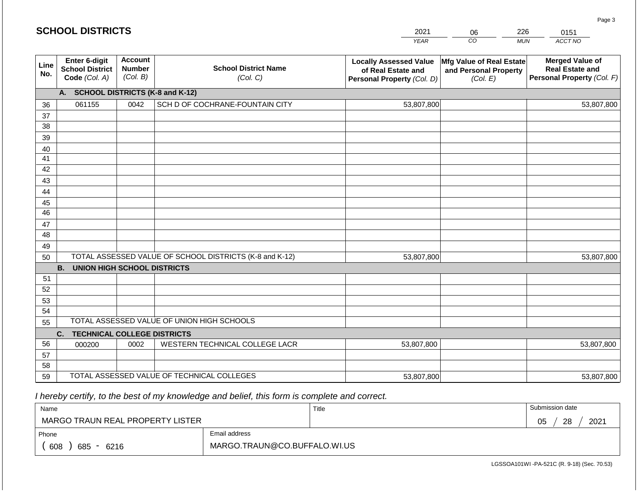|             | <b>SCHOOL DISTRICTS</b>                                  |                                             |                                                         | 2021                                                                              | 06                                                            | 226        | 0151                                                                           |
|-------------|----------------------------------------------------------|---------------------------------------------|---------------------------------------------------------|-----------------------------------------------------------------------------------|---------------------------------------------------------------|------------|--------------------------------------------------------------------------------|
|             |                                                          |                                             |                                                         | <b>YEAR</b>                                                                       | CO                                                            | <b>MUN</b> | ACCT NO                                                                        |
| Line<br>No. | Enter 6-digit<br><b>School District</b><br>Code (Col. A) | <b>Account</b><br><b>Number</b><br>(Col. B) | <b>School District Name</b><br>(Col. C)                 | <b>Locally Assessed Value</b><br>of Real Estate and<br>Personal Property (Col. D) | Mfg Value of Real Estate<br>and Personal Property<br>(Col. E) |            | <b>Merged Value of</b><br><b>Real Estate and</b><br>Personal Property (Col. F) |
|             | A. SCHOOL DISTRICTS (K-8 and K-12)                       |                                             |                                                         |                                                                                   |                                                               |            |                                                                                |
| 36          | 061155                                                   | 0042                                        | SCH D OF COCHRANE-FOUNTAIN CITY                         | 53,807,800                                                                        |                                                               |            | 53,807,800                                                                     |
| 37          |                                                          |                                             |                                                         |                                                                                   |                                                               |            |                                                                                |
| 38          |                                                          |                                             |                                                         |                                                                                   |                                                               |            |                                                                                |
| 39          |                                                          |                                             |                                                         |                                                                                   |                                                               |            |                                                                                |
| 40          |                                                          |                                             |                                                         |                                                                                   |                                                               |            |                                                                                |
| 41          |                                                          |                                             |                                                         |                                                                                   |                                                               |            |                                                                                |
| 42          |                                                          |                                             |                                                         |                                                                                   |                                                               |            |                                                                                |
| 43          |                                                          |                                             |                                                         |                                                                                   |                                                               |            |                                                                                |
| 44<br>45    |                                                          |                                             |                                                         |                                                                                   |                                                               |            |                                                                                |
| 46          |                                                          |                                             |                                                         |                                                                                   |                                                               |            |                                                                                |
| 47          |                                                          |                                             |                                                         |                                                                                   |                                                               |            |                                                                                |
| 48          |                                                          |                                             |                                                         |                                                                                   |                                                               |            |                                                                                |
| 49          |                                                          |                                             |                                                         |                                                                                   |                                                               |            |                                                                                |
| 50          |                                                          |                                             | TOTAL ASSESSED VALUE OF SCHOOL DISTRICTS (K-8 and K-12) | 53,807,800                                                                        |                                                               |            | 53,807,800                                                                     |
|             | <b>B.</b><br><b>UNION HIGH SCHOOL DISTRICTS</b>          |                                             |                                                         |                                                                                   |                                                               |            |                                                                                |
| 51          |                                                          |                                             |                                                         |                                                                                   |                                                               |            |                                                                                |
| 52          |                                                          |                                             |                                                         |                                                                                   |                                                               |            |                                                                                |
| 53          |                                                          |                                             |                                                         |                                                                                   |                                                               |            |                                                                                |
| 54          |                                                          |                                             |                                                         |                                                                                   |                                                               |            |                                                                                |
| 55          |                                                          |                                             | TOTAL ASSESSED VALUE OF UNION HIGH SCHOOLS              |                                                                                   |                                                               |            |                                                                                |
|             | C.<br><b>TECHNICAL COLLEGE DISTRICTS</b>                 |                                             |                                                         |                                                                                   |                                                               |            |                                                                                |
| 56          | 000200                                                   | 0002                                        | WESTERN TECHNICAL COLLEGE LACR                          | 53,807,800                                                                        |                                                               |            | 53,807,800                                                                     |
| 57          |                                                          |                                             |                                                         |                                                                                   |                                                               |            |                                                                                |
| 58          |                                                          |                                             |                                                         |                                                                                   |                                                               |            |                                                                                |
| 59          |                                                          |                                             | TOTAL ASSESSED VALUE OF TECHNICAL COLLEGES              | 53,807,800                                                                        |                                                               |            | 53,807,800                                                                     |

| Name                             |                              | Title | Submission date        |  |  |  |
|----------------------------------|------------------------------|-------|------------------------|--|--|--|
| MARGO TRAUN REAL PROPERTY LISTER |                              |       | 2021<br>28<br>∩ҕ<br>◡◡ |  |  |  |
| Phone                            | Email address                |       |                        |  |  |  |
| 608<br>685<br>- 6216             | MARGO.TRAUN@CO.BUFFALO.WI.US |       |                        |  |  |  |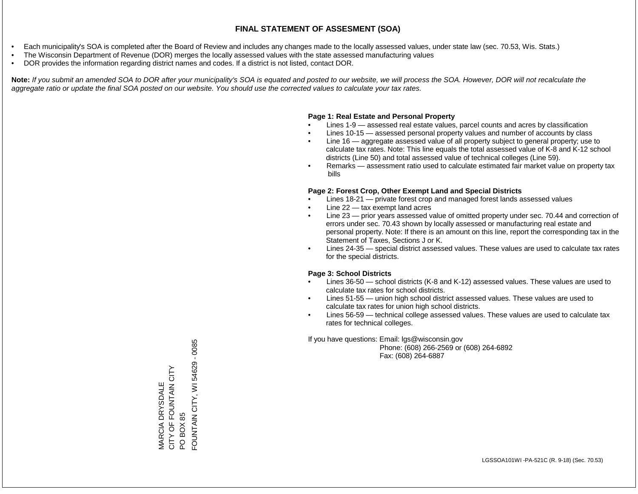- Each municipality's SOA is completed after the Board of Review and includes any changes made to the locally assessed values, under state law (sec. 70.53, Wis. Stats.)
- The Wisconsin Department of Revenue (DOR) merges the locally assessed values with the state assessed manufacturing values
- DOR provides the information regarding district names and codes. If a district is not listed, contact DOR.

Note: If you submit an amended SOA to DOR after your municipality's SOA is equated and posted to our website, we will process the SOA. However, DOR will not recalculate the *aggregate ratio or update the final SOA posted on our website. You should use the corrected values to calculate your tax rates.*

### **Page 1: Real Estate and Personal Property**

- Lines 1-9 assessed real estate values, parcel counts and acres by classification
- Lines 10-15 assessed personal property values and number of accounts by class
- Line 16 aggregate assessed value of all property subject to general property; use to calculate tax rates. Note: This line equals the total assessed value of K-8 and K-12 school districts (Line 50) and total assessed value of technical colleges (Line 59).
- Remarks assessment ratio used to calculate estimated fair market value on property tax bills

### **Page 2: Forest Crop, Other Exempt Land and Special Districts**

- Lines 18-21 private forest crop and managed forest lands assessed values
- Line  $22 -$  tax exempt land acres
- Line 23 prior years assessed value of omitted property under sec. 70.44 and correction of errors under sec. 70.43 shown by locally assessed or manufacturing real estate and personal property. Note: If there is an amount on this line, report the corresponding tax in the Statement of Taxes, Sections J or K.
- Lines 24-35 special district assessed values. These values are used to calculate tax rates for the special districts.

### **Page 3: School Districts**

- Lines 36-50 school districts (K-8 and K-12) assessed values. These values are used to calculate tax rates for school districts.
- Lines 51-55 union high school district assessed values. These values are used to calculate tax rates for union high school districts.
- Lines 56-59 technical college assessed values. These values are used to calculate tax rates for technical colleges.

If you have questions: Email: lgs@wisconsin.gov

 Phone: (608) 266-2569 or (608) 264-6892 Fax: (608) 264-6887

PO BOX 85<br>FOUNTAIN CITY, WI 54629 - 0085 FOUNTAIN CITY, WI 54629 - 0085CITY OF FOUNTAIN CITY MARCIA DRYSDALE<br>CITY OF FOUNTAIN CITY MARCIA DRYSDALE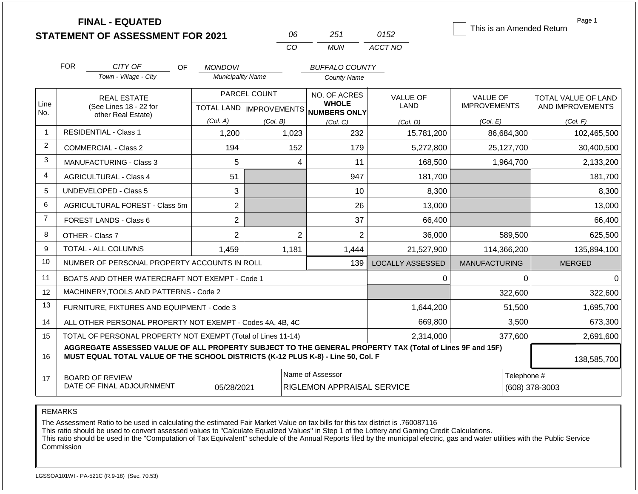|                | <b>FINAL - EQUATED</b><br><b>STATEMENT OF ASSESSMENT FOR 2021</b>                                                                                                                            |                               | 06                                        | 251                                                 | 0152                           | This is an Amended Return       | Page 1                                  |
|----------------|----------------------------------------------------------------------------------------------------------------------------------------------------------------------------------------------|-------------------------------|-------------------------------------------|-----------------------------------------------------|--------------------------------|---------------------------------|-----------------------------------------|
|                |                                                                                                                                                                                              |                               | CO                                        | <b>MUN</b>                                          | ACCT NO                        |                                 |                                         |
|                | <b>FOR</b><br>CITY OF<br>OF.                                                                                                                                                                 | <b>MONDOVI</b>                |                                           | <b>BUFFALO COUNTY</b>                               |                                |                                 |                                         |
|                | Town - Village - City                                                                                                                                                                        | <b>Municipality Name</b>      |                                           | <b>County Name</b>                                  |                                |                                 |                                         |
| Line<br>No.    | <b>REAL ESTATE</b><br>(See Lines 18 - 22 for                                                                                                                                                 |                               | PARCEL COUNT<br>TOTAL LAND   IMPROVEMENTS | NO. OF ACRES<br><b>WHOLE</b><br><b>NUMBERS ONLY</b> | <b>VALUE OF</b><br><b>LAND</b> | VALUE OF<br><b>IMPROVEMENTS</b> | TOTAL VALUE OF LAND<br>AND IMPROVEMENTS |
|                | other Real Estate)                                                                                                                                                                           | (Col. A)                      | (Col. B)                                  | (Col. C)                                            | (Col. D)                       | (Col. E)                        | (Col. F)                                |
| -1             | <b>RESIDENTIAL - Class 1</b>                                                                                                                                                                 | 1,200                         | 1,023                                     | 232                                                 | 15,781,200                     | 86,684,300                      | 102,465,500                             |
| 2              | <b>COMMERCIAL - Class 2</b>                                                                                                                                                                  | 194                           | 152                                       | 179                                                 | 5,272,800                      | 25,127,700                      | 30,400,500                              |
| 3              | 5<br><b>MANUFACTURING - Class 3</b>                                                                                                                                                          |                               | 4                                         | 11                                                  | 168,500                        | 1,964,700                       | 2,133,200                               |
| 4              | <b>AGRICULTURAL - Class 4</b><br>51                                                                                                                                                          |                               |                                           | 947                                                 | 181,700                        |                                 | 181,700                                 |
| 5              | UNDEVELOPED - Class 5                                                                                                                                                                        | 3                             |                                           | 10                                                  | 8,300                          |                                 | 8,300                                   |
| 6              | AGRICULTURAL FOREST - Class 5m                                                                                                                                                               | $\overline{2}$                |                                           | 26                                                  | 13,000                         |                                 | 13,000                                  |
| $\overline{7}$ | <b>FOREST LANDS - Class 6</b>                                                                                                                                                                | $\overline{2}$                |                                           | 37                                                  | 66,400                         |                                 | 66,400                                  |
| 8              | OTHER - Class 7                                                                                                                                                                              | $\overline{2}$                | $\overline{2}$                            | $\overline{2}$                                      | 36,000                         | 589,500                         | 625,500                                 |
| 9              | <b>TOTAL - ALL COLUMNS</b>                                                                                                                                                                   | 1,459                         | 1,181                                     | 1,444                                               | 21,527,900                     | 114,366,200                     | 135,894,100                             |
| 10             | NUMBER OF PERSONAL PROPERTY ACCOUNTS IN ROLL                                                                                                                                                 |                               |                                           | 139                                                 | <b>LOCALLY ASSESSED</b>        | <b>MANUFACTURING</b>            | <b>MERGED</b>                           |
| 11             | BOATS AND OTHER WATERCRAFT NOT EXEMPT - Code 1                                                                                                                                               |                               |                                           |                                                     | $\Omega$                       | $\Omega$                        | 0                                       |
| 12             | MACHINERY, TOOLS AND PATTERNS - Code 2                                                                                                                                                       |                               |                                           |                                                     |                                | 322,600                         | 322,600                                 |
| 13             | FURNITURE, FIXTURES AND EQUIPMENT - Code 3                                                                                                                                                   |                               |                                           |                                                     | 1,644,200                      | 51,500                          | 1,695,700                               |
| 14             | ALL OTHER PERSONAL PROPERTY NOT EXEMPT - Codes 4A, 4B, 4C                                                                                                                                    |                               |                                           |                                                     | 669,800                        | 3,500                           | 673,300                                 |
| 15             | TOTAL OF PERSONAL PROPERTY NOT EXEMPT (Total of Lines 11-14)                                                                                                                                 |                               |                                           |                                                     | 2,314,000                      | 377,600                         | 2,691,600                               |
| 16             | AGGREGATE ASSESSED VALUE OF ALL PROPERTY SUBJECT TO THE GENERAL PROPERTY TAX (Total of Lines 9F and 15F)<br>MUST EQUAL TOTAL VALUE OF THE SCHOOL DISTRICTS (K-12 PLUS K-8) - Line 50, Col. F | 138,585,700                   |                                           |                                                     |                                |                                 |                                         |
| 17             | <b>BOARD OF REVIEW</b><br>DATE OF FINAL ADJOURNMENT                                                                                                                                          | Telephone #<br>(608) 378-3003 |                                           |                                                     |                                |                                 |                                         |

The Assessment Ratio to be used in calculating the estimated Fair Market Value on tax bills for this tax district is .760087116

This ratio should be used to convert assessed values to "Calculate Equalized Values" in Step 1 of the Lottery and Gaming Credit Calculations.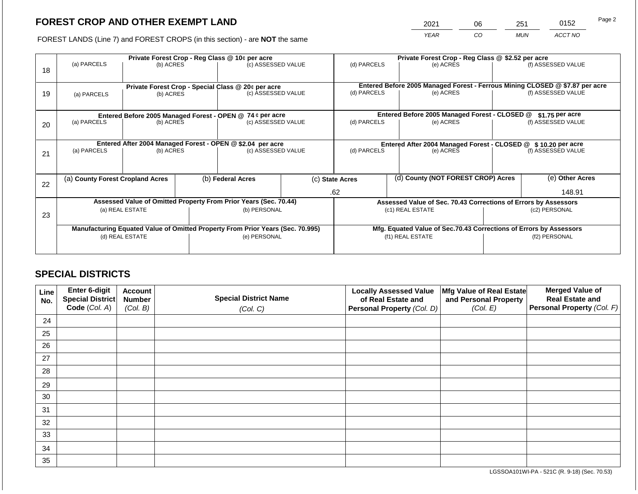2021 06 251 0152

FOREST LANDS (Line 7) and FOREST CROPS (in this section) - are **NOT** the same *YEAR CO MUN ACCT NO*

| 18 | (a) PARCELS<br>(b) ACRES         |                 |                                                            | Private Forest Crop - Reg Class @ 10¢ per acre<br>(c) ASSESSED VALUE           |  |                                                       | (d) PARCELS                                                   | Private Forest Crop - Reg Class @ \$2.52 per acre<br>(e) ACRES     |                    | (f) ASSESSED VALUE                                                                                 |
|----|----------------------------------|-----------------|------------------------------------------------------------|--------------------------------------------------------------------------------|--|-------------------------------------------------------|---------------------------------------------------------------|--------------------------------------------------------------------|--------------------|----------------------------------------------------------------------------------------------------|
| 19 | (a) PARCELS                      | (b) ACRES       |                                                            | Private Forest Crop - Special Class @ 20¢ per acre<br>(c) ASSESSED VALUE       |  | (d) PARCELS                                           |                                                               | (e) ACRES                                                          |                    | Entered Before 2005 Managed Forest - Ferrous Mining CLOSED @ \$7.87 per acre<br>(f) ASSESSED VALUE |
|    |                                  |                 |                                                            | Entered Before 2005 Managed Forest - OPEN @ 74 ¢ per acre                      |  |                                                       |                                                               | Entered Before 2005 Managed Forest - CLOSED @                      |                    | $$1.75$ per acre                                                                                   |
| 20 | (a) PARCELS<br>(b) ACRES         |                 |                                                            | (c) ASSESSED VALUE                                                             |  | (d) PARCELS                                           |                                                               | (e) ACRES                                                          |                    | (f) ASSESSED VALUE                                                                                 |
|    |                                  |                 | Entered After 2004 Managed Forest - OPEN @ \$2.04 per acre |                                                                                |  |                                                       | Entered After 2004 Managed Forest - CLOSED @ \$10.20 per acre |                                                                    |                    |                                                                                                    |
| 21 | (a) PARCELS                      | (b) ACRES       |                                                            | (c) ASSESSED VALUE                                                             |  | (d) PARCELS                                           |                                                               | (e) ACRES                                                          | (f) ASSESSED VALUE |                                                                                                    |
|    |                                  |                 |                                                            |                                                                                |  |                                                       |                                                               |                                                                    |                    |                                                                                                    |
| 22 | (a) County Forest Cropland Acres |                 |                                                            | (b) Federal Acres                                                              |  | (d) County (NOT FOREST CROP) Acres<br>(c) State Acres |                                                               |                                                                    |                    | (e) Other Acres                                                                                    |
|    |                                  |                 |                                                            |                                                                                |  | .62                                                   |                                                               |                                                                    |                    | 148.91                                                                                             |
|    |                                  |                 |                                                            | Assessed Value of Omitted Property From Prior Years (Sec. 70.44)               |  |                                                       |                                                               | Assessed Value of Sec. 70.43 Corrections of Errors by Assessors    |                    |                                                                                                    |
| 23 |                                  | (a) REAL ESTATE |                                                            | (b) PERSONAL                                                                   |  |                                                       |                                                               | (c1) REAL ESTATE                                                   |                    | (c2) PERSONAL                                                                                      |
|    |                                  |                 |                                                            |                                                                                |  |                                                       |                                                               |                                                                    |                    |                                                                                                    |
|    |                                  |                 |                                                            | Manufacturing Equated Value of Omitted Property From Prior Years (Sec. 70.995) |  |                                                       |                                                               | Mfg. Equated Value of Sec.70.43 Corrections of Errors by Assessors |                    |                                                                                                    |
|    |                                  | (d) REAL ESTATE |                                                            | (e) PERSONAL                                                                   |  | (f1) REAL ESTATE                                      |                                                               | (f2) PERSONAL                                                      |                    |                                                                                                    |
|    |                                  |                 |                                                            |                                                                                |  |                                                       |                                                               |                                                                    |                    |                                                                                                    |

# **SPECIAL DISTRICTS**

| Line<br>No. | <b>Enter 6-digit</b><br>Special District | <b>Account</b><br><b>Number</b> | <b>Special District Name</b> | <b>Locally Assessed Value</b><br>of Real Estate and | Mfg Value of Real Estate<br>and Personal Property | <b>Merged Value of</b><br><b>Real Estate and</b> |
|-------------|------------------------------------------|---------------------------------|------------------------------|-----------------------------------------------------|---------------------------------------------------|--------------------------------------------------|
|             | Code (Col. A)                            | (Col. B)                        | (Col. C)                     | Personal Property (Col. D)                          | (Col. E)                                          | Personal Property (Col. F)                       |
| 24          |                                          |                                 |                              |                                                     |                                                   |                                                  |
| 25          |                                          |                                 |                              |                                                     |                                                   |                                                  |
| 26          |                                          |                                 |                              |                                                     |                                                   |                                                  |
| 27          |                                          |                                 |                              |                                                     |                                                   |                                                  |
| 28          |                                          |                                 |                              |                                                     |                                                   |                                                  |
| 29          |                                          |                                 |                              |                                                     |                                                   |                                                  |
| 30          |                                          |                                 |                              |                                                     |                                                   |                                                  |
| 31          |                                          |                                 |                              |                                                     |                                                   |                                                  |
| 32          |                                          |                                 |                              |                                                     |                                                   |                                                  |
| 33          |                                          |                                 |                              |                                                     |                                                   |                                                  |
| 34          |                                          |                                 |                              |                                                     |                                                   |                                                  |
| 35          |                                          |                                 |                              |                                                     |                                                   |                                                  |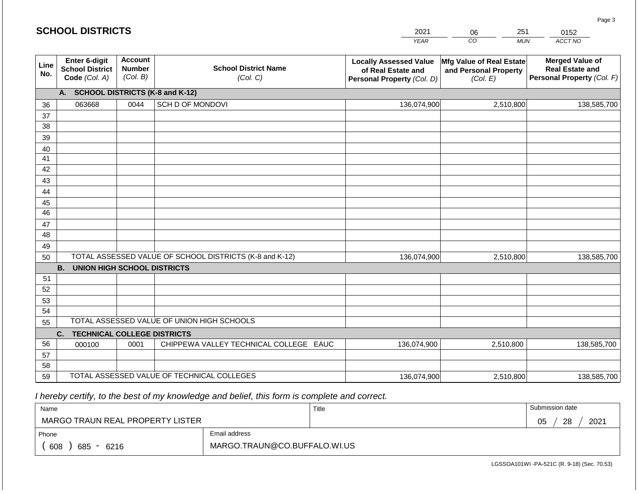#### *YEAR*  2021  $\overline{co}$ 06 *MUN*  251 *ACCT NO*  0152 **Line No. Enter 6-digit School District Code** *(Col. A)* **Account Number** *(Col. B)* **School District Name** *(Col. C)* **Locally Assessed Value of Real Estate and Personal Property** *(Col. D)* **Mfg Value of Real Estate and Personal Property** *(Col. E)* **Merged Value of Real Estate and Personal Property** *(Col. F)* **A. SCHOOL DISTRICTS (K-8 and K-12)** 36 37 38 39 40 41 42 43 44 45 46 47 48 49 50 TOTAL ASSESSED VALUE OF SCHOOL DISTRICTS (K-8 and K-12) **B. UNION HIGH SCHOOL DISTRICTS** 51 52 53 54 55 **C. TECHNICAL COLLEGE DISTRICTS** 56 57 58 TOTAL ASSESSED VALUE OF UNION HIGH SCHOOLS 063668 0044 SCH D OF MONDOVI 136,074,900 136,074,900 000100 | 0001 | CHIPPEWA VALLEY TECHNICAL COLLEGE EAUC 2,510,800 138,585,700 2,510,800 138,585,700 136,074,900 2,510,800 138,585,700

 *I hereby certify, to the best of my knowledge and belief, this form is complete and correct.*

59 TOTAL ASSESSED VALUE OF TECHNICAL COLLEGES

| Name                                           |                              | Title | Submission date  |  |  |  |
|------------------------------------------------|------------------------------|-------|------------------|--|--|--|
| MARGO TRAUN REAL PROPERTY LISTER               |                              |       | 2021<br>28<br>05 |  |  |  |
| Phone                                          | Email address                |       |                  |  |  |  |
| 608<br>685<br>6216<br>$\overline{\phantom{0}}$ | MARGO.TRAUN@CO.BUFFALO.WI.US |       |                  |  |  |  |

136,074,900

LGSSOA101WI -PA-521C (R. 9-18) (Sec. 70.53)

2,510,800 138,585,700

| <b>SCHOOL DISTRICTS</b> |  |
|-------------------------|--|
|-------------------------|--|